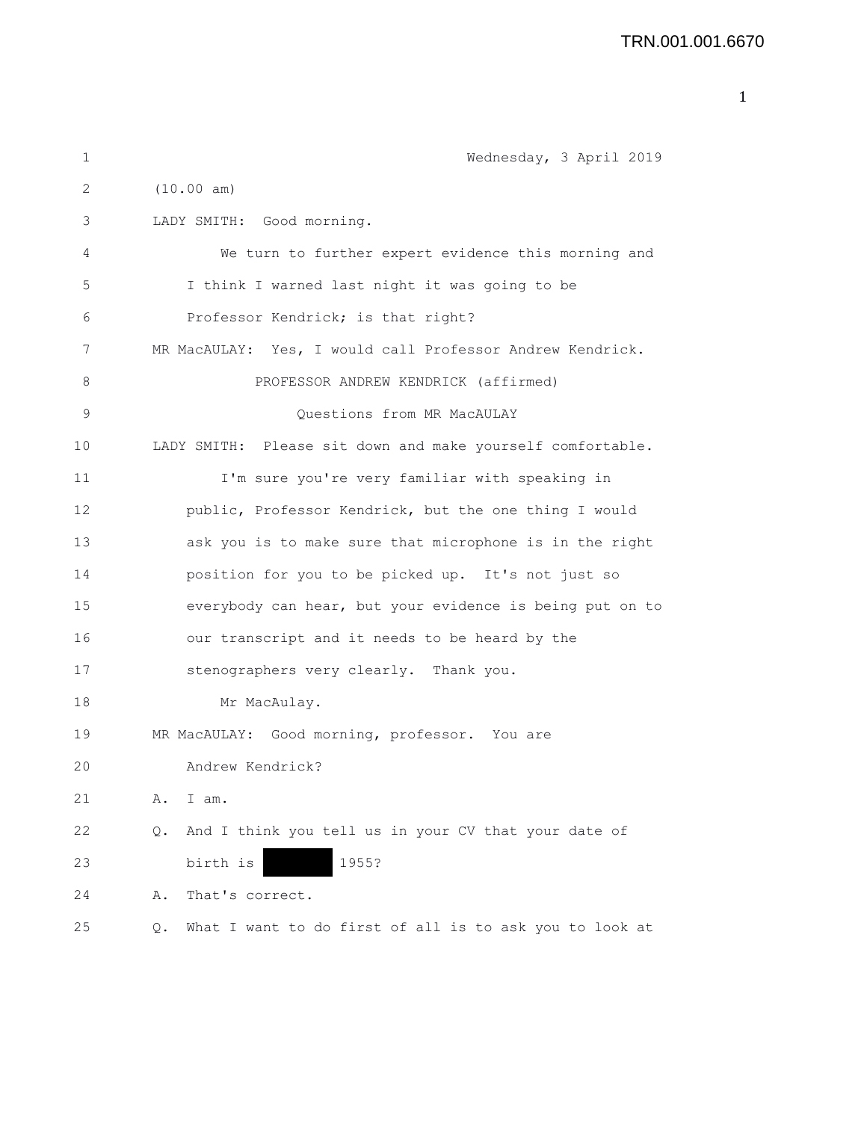| 1           | Wednesday, 3 April 2019                                       |
|-------------|---------------------------------------------------------------|
| 2           | (10.00 am)                                                    |
| 3           | LADY SMITH: Good morning.                                     |
| 4           | We turn to further expert evidence this morning and           |
| 5           | I think I warned last night it was going to be                |
| 6           | Professor Kendrick; is that right?                            |
| 7           | MR MacAULAY: Yes, I would call Professor Andrew Kendrick.     |
| 8           | PROFESSOR ANDREW KENDRICK (affirmed)                          |
| $\mathsf 9$ | Questions from MR MacAULAY                                    |
| 10          | LADY SMITH: Please sit down and make yourself comfortable.    |
| 11          | I'm sure you're very familiar with speaking in                |
| 12          | public, Professor Kendrick, but the one thing I would         |
| 13          | ask you is to make sure that microphone is in the right       |
| 14          | position for you to be picked up. It's not just so            |
| 15          | everybody can hear, but your evidence is being put on to      |
| 16          | our transcript and it needs to be heard by the                |
| 17          | stenographers very clearly. Thank you.                        |
| 18          | Mr MacAulay.                                                  |
| 19          | MR MacAULAY: Good morning, professor. You are                 |
| 20          | Andrew Kendrick?                                              |
| 21          | Α.<br>I am.                                                   |
| 22          | And I think you tell us in your CV that your date of<br>Q.    |
| 23          | birth is<br>1955?                                             |
| 24          | That's correct.<br>Α.                                         |
| 25          | What I want to do first of all is to ask you to look at<br>Q. |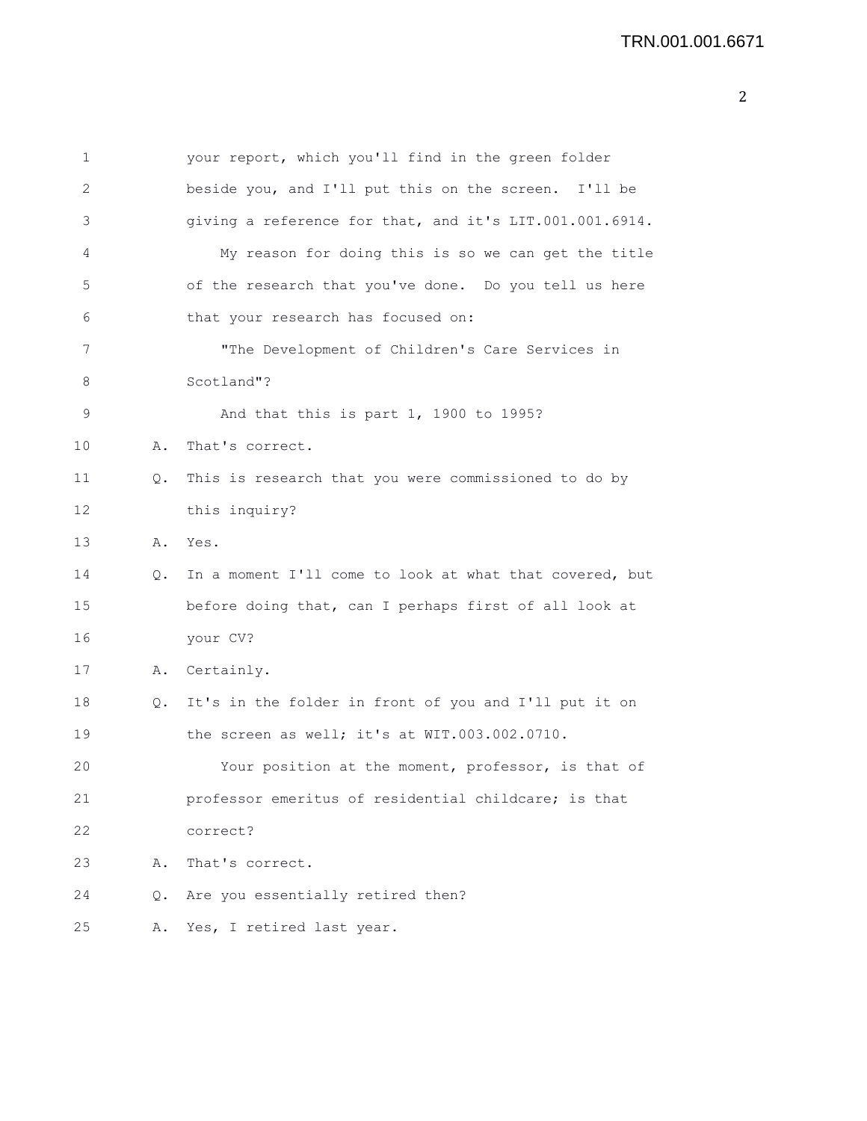| 1  |       | your report, which you'll find in the green folder      |
|----|-------|---------------------------------------------------------|
| 2  |       | beside you, and I'll put this on the screen. I'll be    |
| 3  |       | giving a reference for that, and it's LIT.001.001.6914. |
| 4  |       | My reason for doing this is so we can get the title     |
| 5  |       | of the research that you've done. Do you tell us here   |
| 6  |       | that your research has focused on:                      |
| 7  |       | "The Development of Children's Care Services in         |
| 8  |       | Scotland"?                                              |
| 9  |       | And that this is part 1, 1900 to 1995?                  |
| 10 | Α.    | That's correct.                                         |
| 11 | Q.    | This is research that you were commissioned to do by    |
| 12 |       | this inquiry?                                           |
| 13 | Α.    | Yes.                                                    |
| 14 | $Q$ . | In a moment I'll come to look at what that covered, but |
| 15 |       | before doing that, can I perhaps first of all look at   |
| 16 |       | your CV?                                                |
| 17 | Α.    | Certainly.                                              |
| 18 | Q.    | It's in the folder in front of you and I'll put it on   |
| 19 |       | the screen as well; it's at WIT.003.002.0710.           |
| 20 |       | Your position at the moment, professor, is that of      |
| 21 |       | professor emeritus of residential childcare; is that    |
| 22 |       | correct?                                                |
| 23 | Α.    | That's correct.                                         |
| 24 | О.    | Are you essentially retired then?                       |
| 25 | Α.    | Yes, I retired last year.                               |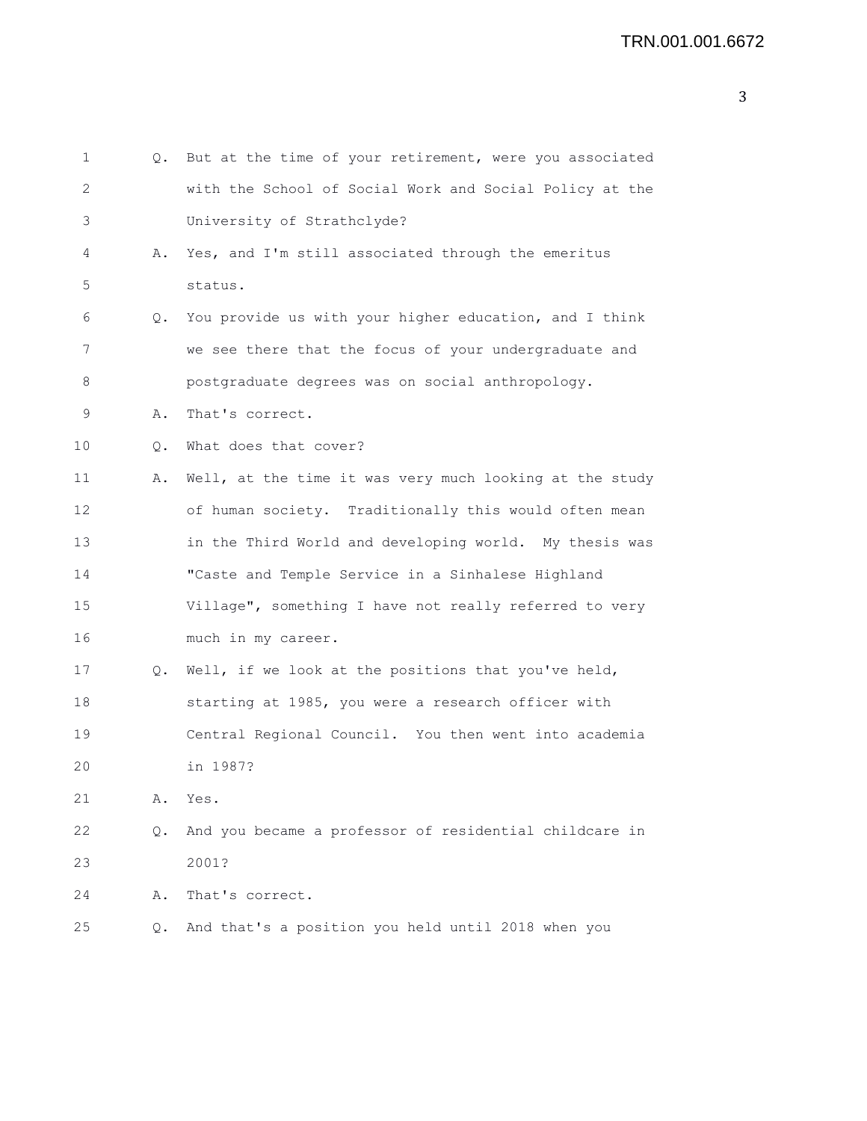```
1 Q. But at the time of your retirement, were you associated
2 with the School of Social Work and Social Policy at the
3 University of Strathclyde?
4 A. Yes, and I'm still associated through the emeritus
5 status.
6 Q. You provide us with your higher education, and I think
7 we see there that the focus of your undergraduate and
8 postgraduate degrees was on social anthropology.
9 A. That's correct.
10 Q. What does that cover?
11 A. Well, at the time it was very much looking at the study
12 of human society. Traditionally this would often mean
13 in the Third World and developing world. My thesis was
14 "Caste and Temple Service in a Sinhalese Highland
15 Village", something I have not really referred to very
16 much in my career.
17 Q. Well, if we look at the positions that you've held,
18 starting at 1985, you were a research officer with
19 Central Regional Council. You then went into academia
20 in 1987?
21 A. Yes.
22 Q. And you became a professor of residential childcare in
23 2001?
24 A. That's correct.
25 Q. And that's a position you held until 2018 when you
```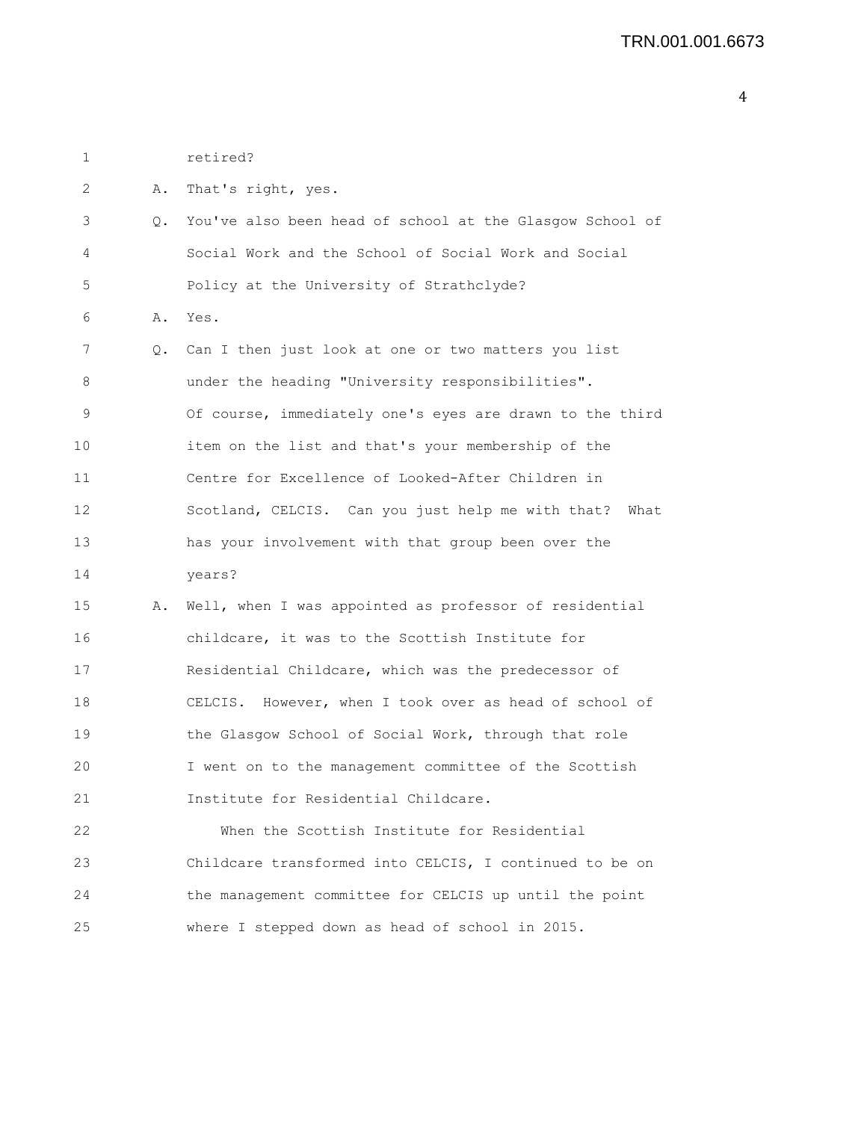1 retired? 2 A. That's right, yes. 3 Q. You've also been head of school at the Glasgow School of 4 Social Work and the School of Social Work and Social 5 Policy at the University of Strathclyde? 6 A. Yes. 7 Q. Can I then just look at one or two matters you list 8 **and under the heading "University responsibilities".** 9 Of course, immediately one's eyes are drawn to the third 10 item on the list and that's your membership of the 11 Centre for Excellence of Looked-After Children in 12 Scotland, CELCIS. Can you just help me with that? What 13 has your involvement with that group been over the 14 years? 15 A. Well, when I was appointed as professor of residential 16 childcare, it was to the Scottish Institute for 17 Residential Childcare, which was the predecessor of 18 CELCIS. However, when I took over as head of school of 19 the Glasgow School of Social Work, through that role 20 I went on to the management committee of the Scottish 21 Institute for Residential Childcare. 22 When the Scottish Institute for Residential 23 Childcare transformed into CELCIS, I continued to be on 24 the management committee for CELCIS up until the point 25 where I stepped down as head of school in 2015.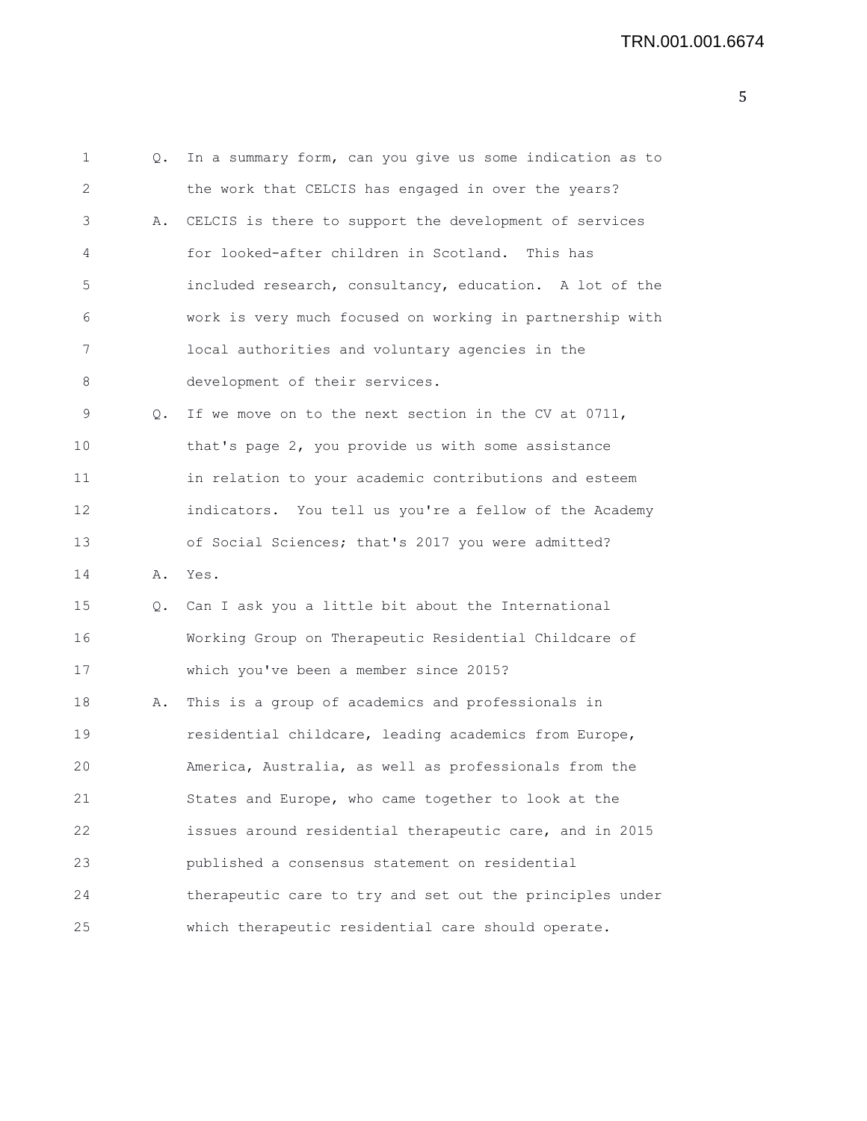```
1 Q. In a summary form, can you give us some indication as to
2 the work that CELCIS has engaged in over the years?
3 A. CELCIS is there to support the development of services
4 for looked-after children in Scotland. This has
5 included research, consultancy, education. A lot of the
6 work is very much focused on working in partnership with
7 local authorities and voluntary agencies in the
8 development of their services.
9 Q. If we move on to the next section in the CV at 0711,
10 that's page 2, you provide us with some assistance
11 in relation to your academic contributions and esteem
12 indicators. You tell us you're a fellow of the Academy
13 of Social Sciences; that's 2017 you were admitted?
14 A. Yes.
15 Q. Can I ask you a little bit about the International
16 Working Group on Therapeutic Residential Childcare of
17 which you've been a member since 2015?
18 A. This is a group of academics and professionals in
19 residential childcare, leading academics from Europe,
20 America, Australia, as well as professionals from the
21 States and Europe, who came together to look at the
22 issues around residential therapeutic care, and in 2015
23 published a consensus statement on residential
24 therapeutic care to try and set out the principles under
25 which therapeutic residential care should operate.
```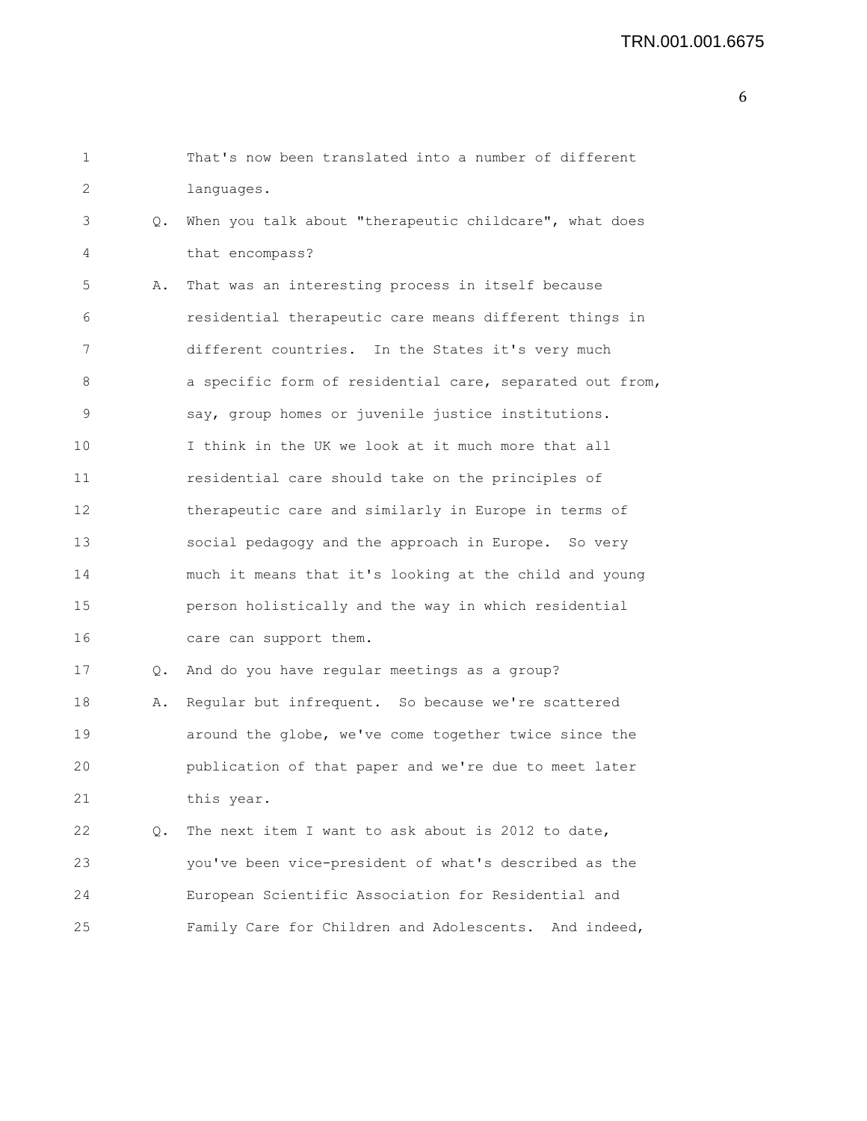## TRN.001.001.6675

| 1  |    | That's now been translated into a number of different    |
|----|----|----------------------------------------------------------|
| 2  |    | languages.                                               |
| 3  | Q. | When you talk about "therapeutic childcare", what does   |
| 4  |    | that encompass?                                          |
| 5  | Α. | That was an interesting process in itself because        |
| 6  |    | residential therapeutic care means different things in   |
| 7  |    | different countries. In the States it's very much        |
| 8  |    | a specific form of residential care, separated out from, |
| 9  |    | say, group homes or juvenile justice institutions.       |
| 10 |    | I think in the UK we look at it much more that all       |
| 11 |    | residential care should take on the principles of        |
| 12 |    | therapeutic care and similarly in Europe in terms of     |
| 13 |    | social pedagogy and the approach in Europe. So very      |
| 14 |    | much it means that it's looking at the child and young   |
| 15 |    | person holistically and the way in which residential     |
| 16 |    | care can support them.                                   |
| 17 | Q. | And do you have regular meetings as a group?             |
| 18 | Α. | Regular but infrequent. So because we're scattered       |
| 19 |    | around the globe, we've come together twice since the    |
| 20 |    | publication of that paper and we're due to meet later    |
| 21 |    | this year.                                               |
| 22 | Q. | The next item I want to ask about is 2012 to date,       |
| 23 |    | you've been vice-president of what's described as the    |
| 24 |    | European Scientific Association for Residential and      |
| 25 |    | Family Care for Children and Adolescents. And indeed,    |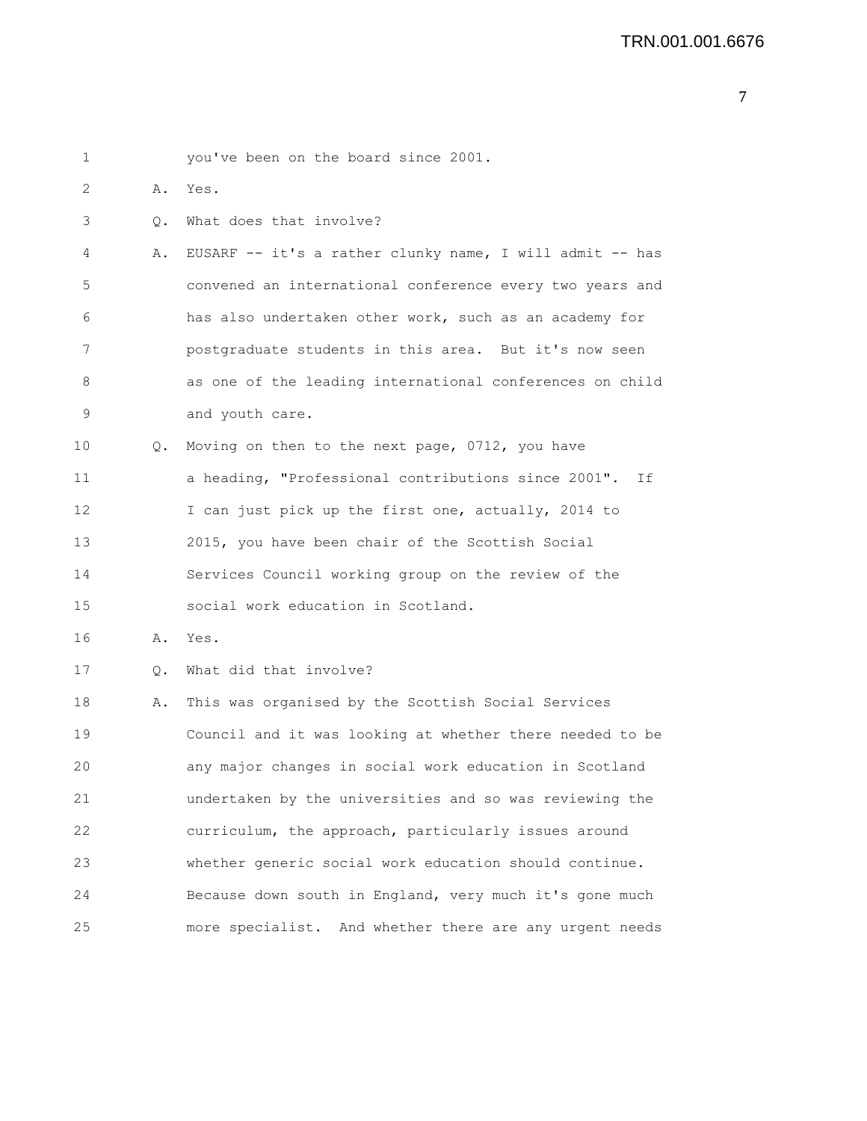| 1  |           | you've been on the board since 2001.                     |
|----|-----------|----------------------------------------------------------|
| 2  | Α.        | Yes.                                                     |
| 3  | Q.        | What does that involve?                                  |
| 4  | Α.        | EUSARF -- it's a rather clunky name, I will admit -- has |
| 5  |           | convened an international conference every two years and |
| 6  |           | has also undertaken other work, such as an academy for   |
| 7  |           | postgraduate students in this area. But it's now seen    |
| 8  |           | as one of the leading international conferences on child |
| 9  |           | and youth care.                                          |
| 10 | Q.        | Moving on then to the next page, 0712, you have          |
| 11 |           | a heading, "Professional contributions since 2001". If   |
| 12 |           | I can just pick up the first one, actually, 2014 to      |
| 13 |           | 2015, you have been chair of the Scottish Social         |
| 14 |           | Services Council working group on the review of the      |
| 15 |           | social work education in Scotland.                       |
| 16 | Α.        | Yes.                                                     |
| 17 | $\circ$ . | What did that involve?                                   |
| 18 | Α.        | This was organised by the Scottish Social Services       |
| 19 |           | Council and it was looking at whether there needed to be |
| 20 |           | any major changes in social work education in Scotland   |
| 21 |           | undertaken by the universities and so was reviewing the  |
| 22 |           | curriculum, the approach, particularly issues around     |
| 23 |           | whether generic social work education should continue.   |
| 24 |           | Because down south in England, very much it's gone much  |
| 25 |           | more specialist. And whether there are any urgent needs  |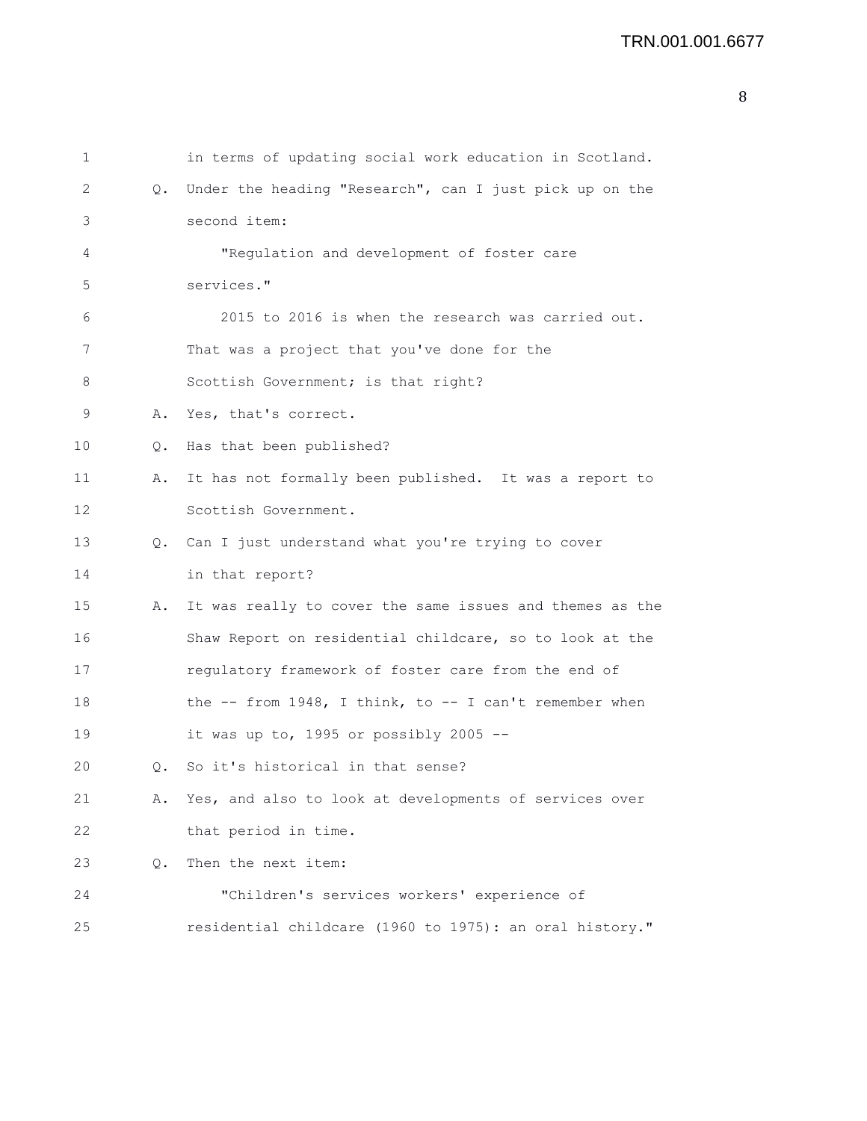| 1  |           | in terms of updating social work education in Scotland.    |
|----|-----------|------------------------------------------------------------|
| 2  | $\circ$ . | Under the heading "Research", can I just pick up on the    |
| 3  |           | second item:                                               |
| 4  |           | "Regulation and development of foster care                 |
| 5  |           | services."                                                 |
| 6  |           | 2015 to 2016 is when the research was carried out.         |
| 7  |           | That was a project that you've done for the                |
| 8  |           | Scottish Government; is that right?                        |
| 9  | Α.        | Yes, that's correct.                                       |
| 10 | Q.        | Has that been published?                                   |
| 11 | Α.        | It has not formally been published. It was a report to     |
| 12 |           | Scottish Government.                                       |
| 13 | $\circ$ . | Can I just understand what you're trying to cover          |
| 14 |           | in that report?                                            |
| 15 | Α.        | It was really to cover the same issues and themes as the   |
| 16 |           | Shaw Report on residential childcare, so to look at the    |
| 17 |           | regulatory framework of foster care from the end of        |
| 18 |           | the $--$ from 1948, I think, to $--$ I can't remember when |
| 19 |           | it was up to, 1995 or possibly 2005 --                     |
| 20 | 0.        | So it's historical in that sense?                          |
| 21 | Α.        | Yes, and also to look at developments of services over     |
| 22 |           | that period in time.                                       |
| 23 | Q.        | Then the next item:                                        |
| 24 |           | "Children's services workers' experience of                |
| 25 |           | residential childcare (1960 to 1975): an oral history."    |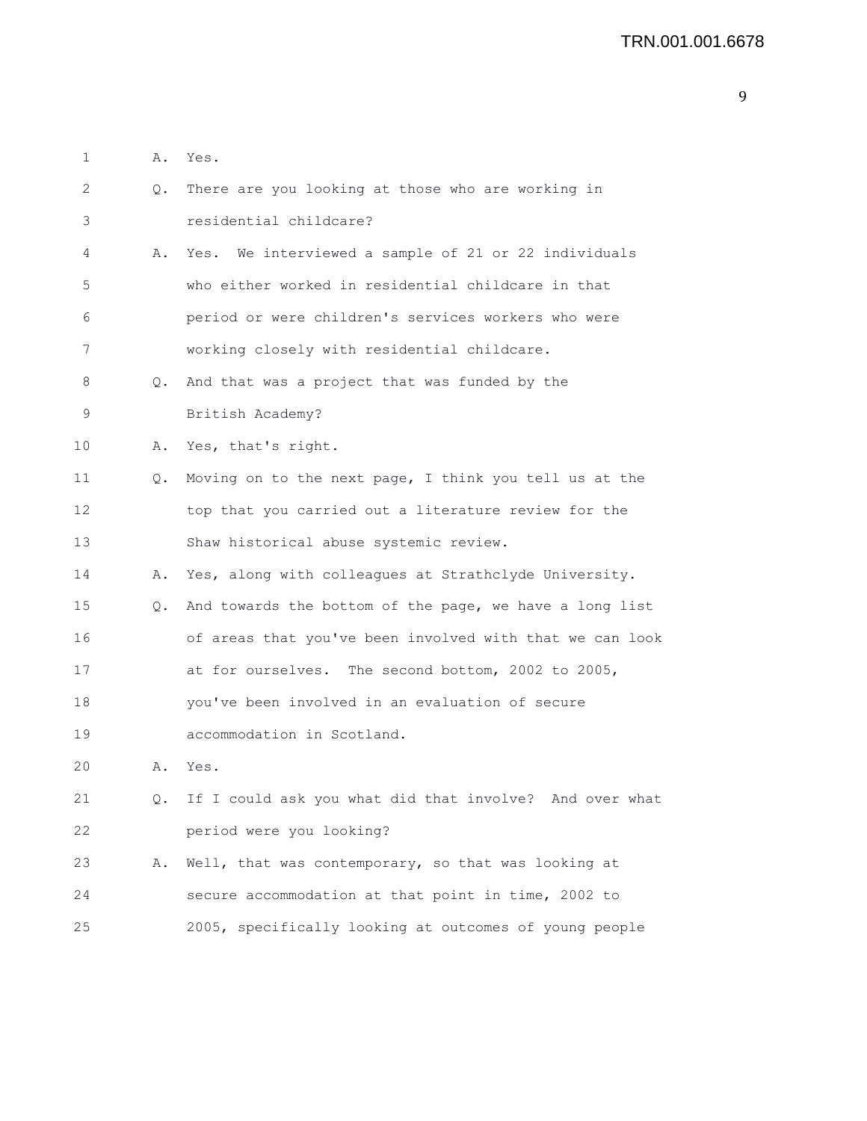| 1  | Α. | Yes.                                                     |
|----|----|----------------------------------------------------------|
| 2  | Q. | There are you looking at those who are working in        |
| 3  |    | residential childcare?                                   |
| 4  | Α. | Yes. We interviewed a sample of 21 or 22 individuals     |
| 5  |    | who either worked in residential childcare in that       |
| 6  |    | period or were children's services workers who were      |
| 7  |    | working closely with residential childcare.              |
| 8  | Q. | And that was a project that was funded by the            |
| 9  |    | British Academy?                                         |
| 10 | Α. | Yes, that's right.                                       |
| 11 | Q. | Moving on to the next page, I think you tell us at the   |
| 12 |    | top that you carried out a literature review for the     |
| 13 |    | Shaw historical abuse systemic review.                   |
| 14 | Α. | Yes, along with colleagues at Strathclyde University.    |
| 15 | Q. | And towards the bottom of the page, we have a long list  |
| 16 |    | of areas that you've been involved with that we can look |
| 17 |    | at for ourselves. The second bottom, 2002 to 2005,       |
| 18 |    | you've been involved in an evaluation of secure          |
| 19 |    | accommodation in Scotland.                               |
| 20 | Α. | Yes.                                                     |
| 21 | Q. | If I could ask you what did that involve? And over what  |
| 22 |    | period were you looking?                                 |
| 23 | Α. | Well, that was contemporary, so that was looking at      |
| 24 |    | secure accommodation at that point in time, 2002 to      |
| 25 |    | 2005, specifically looking at outcomes of young people   |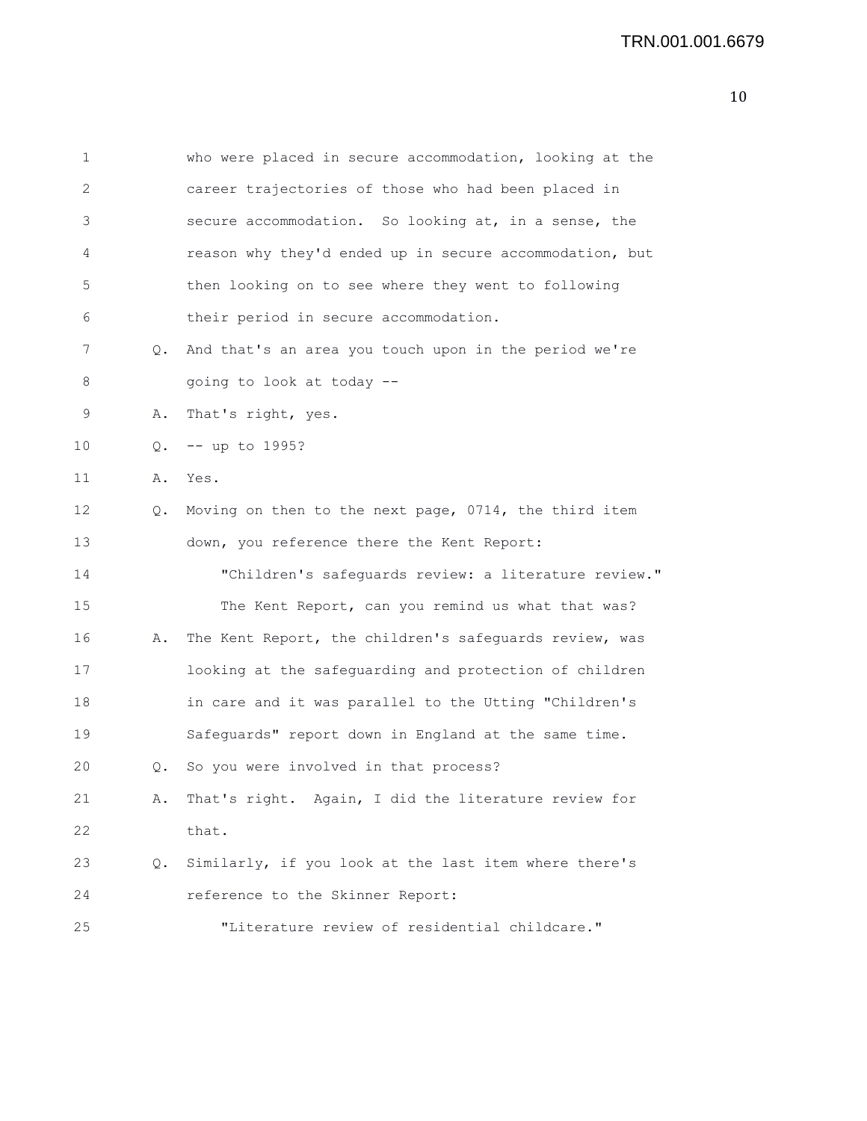| 1  |    | who were placed in secure accommodation, looking at the |
|----|----|---------------------------------------------------------|
| 2  |    | career trajectories of those who had been placed in     |
| 3  |    | secure accommodation. So looking at, in a sense, the    |
| 4  |    | reason why they'd ended up in secure accommodation, but |
| 5  |    | then looking on to see where they went to following     |
| 6  |    | their period in secure accommodation.                   |
| 7  | Q. | And that's an area you touch upon in the period we're   |
| 8  |    | going to look at today --                               |
| 9  | Α. | That's right, yes.                                      |
| 10 | Q. | -- up to 1995?                                          |
| 11 | Α. | Yes.                                                    |
| 12 | Q. | Moving on then to the next page, 0714, the third item   |
| 13 |    | down, you reference there the Kent Report:              |
| 14 |    | "Children's safeguards review: a literature review."    |
| 15 |    | The Kent Report, can you remind us what that was?       |
| 16 | Α. | The Kent Report, the children's safeguards review, was  |
| 17 |    | looking at the safeguarding and protection of children  |
| 18 |    | in care and it was parallel to the Utting "Children's   |
| 19 |    | Safeguards" report down in England at the same time.    |
| 20 | 0. | So you were involved in that process?                   |
| 21 | Α. | That's right. Again, I did the literature review for    |
| 22 |    | that.                                                   |
| 23 | Q. | Similarly, if you look at the last item where there's   |
| 24 |    | reference to the Skinner Report:                        |
| 25 |    | "Literature review of residential childcare."           |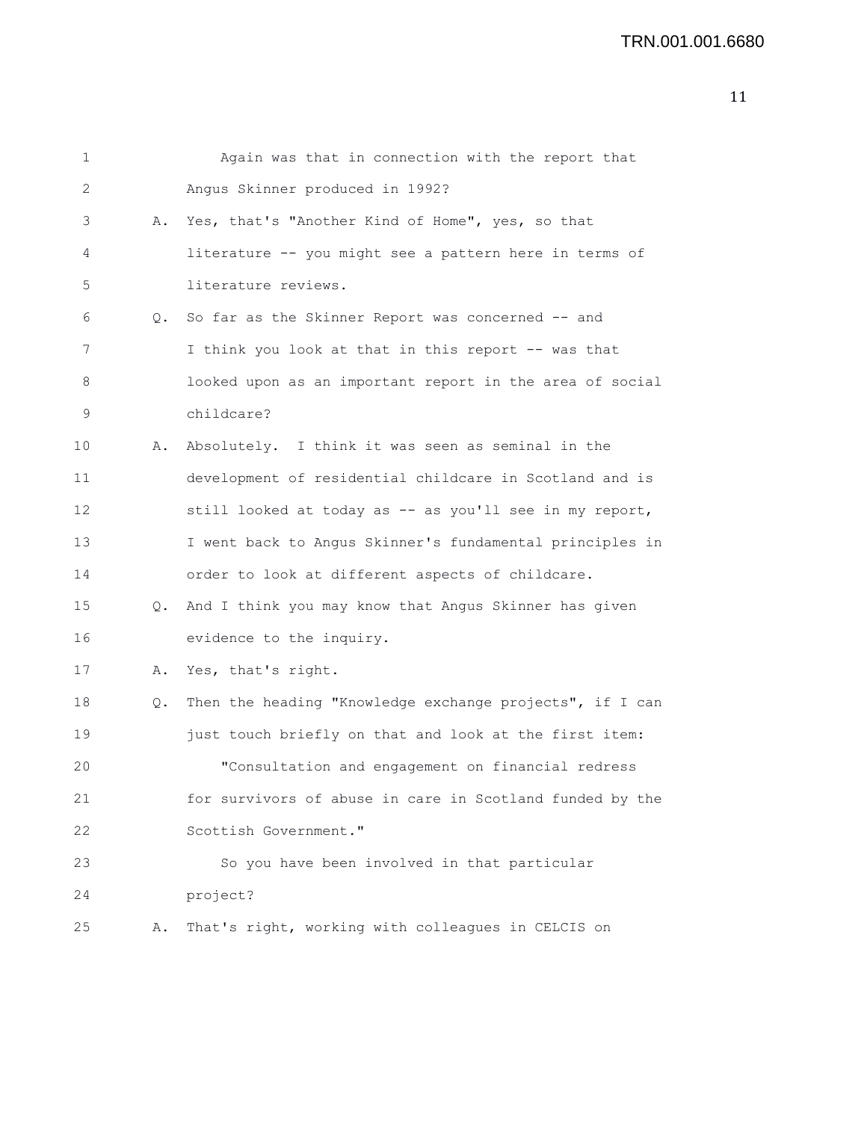|    | Again was that in connection with the report that        |
|----|----------------------------------------------------------|
|    | Angus Skinner produced in 1992?                          |
| Α. | Yes, that's "Another Kind of Home", yes, so that         |
|    | literature -- you might see a pattern here in terms of   |
|    | literature reviews.                                      |
| Q. | So far as the Skinner Report was concerned -- and        |
|    | I think you look at that in this report -- was that      |
|    | looked upon as an important report in the area of social |
|    | childcare?                                               |
| Α. | Absolutely. I think it was seen as seminal in the        |
|    | development of residential childcare in Scotland and is  |
|    | still looked at today as -- as you'll see in my report,  |
|    | I went back to Angus Skinner's fundamental principles in |
|    | order to look at different aspects of childcare.         |
| Q. | And I think you may know that Angus Skinner has given    |
|    | evidence to the inquiry.                                 |
| Α. | Yes, that's right.                                       |
| Q. | Then the heading "Knowledge exchange projects", if I can |
|    | just touch briefly on that and look at the first item:   |
|    | "Consultation and engagement on financial redress        |
|    | for survivors of abuse in care in Scotland funded by the |
|    | Scottish Government."                                    |
|    | So you have been involved in that particular             |
|    | project?                                                 |
| Α. | That's right, working with colleagues in CELCIS on       |
|    |                                                          |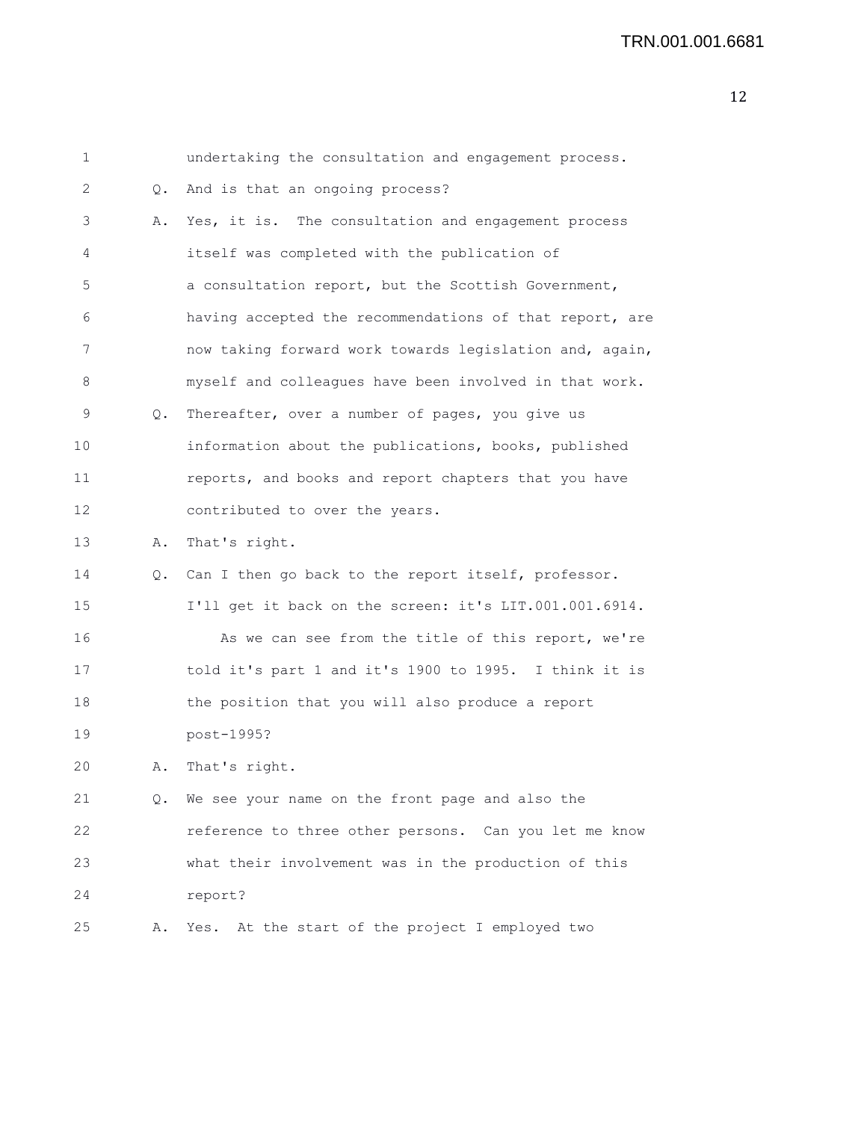| 1  |    | undertaking the consultation and engagement process.    |
|----|----|---------------------------------------------------------|
| 2  | Q. | And is that an ongoing process?                         |
| 3  | Α. | Yes, it is. The consultation and engagement process     |
| 4  |    | itself was completed with the publication of            |
| 5  |    | a consultation report, but the Scottish Government,     |
| 6  |    | having accepted the recommendations of that report, are |
| 7  |    | now taking forward work towards legislation and, again, |
| 8  |    | myself and colleagues have been involved in that work.  |
| 9  | Q. | Thereafter, over a number of pages, you give us         |
| 10 |    | information about the publications, books, published    |
| 11 |    | reports, and books and report chapters that you have    |
| 12 |    | contributed to over the years.                          |
| 13 | Α. | That's right.                                           |
| 14 | Q. | Can I then go back to the report itself, professor.     |
| 15 |    | I'll get it back on the screen: it's LIT.001.001.6914.  |
| 16 |    | As we can see from the title of this report, we're      |
| 17 |    | told it's part 1 and it's 1900 to 1995. I think it is   |
| 18 |    | the position that you will also produce a report        |
| 19 |    | post-1995?                                              |
| 20 | Α. | That's right.                                           |
| 21 |    | Q. We see your name on the front page and also the      |
| 22 |    | reference to three other persons. Can you let me know   |
| 23 |    | what their involvement was in the production of this    |
| 24 |    | report?                                                 |
| 25 | Α. | Yes. At the start of the project I employed two         |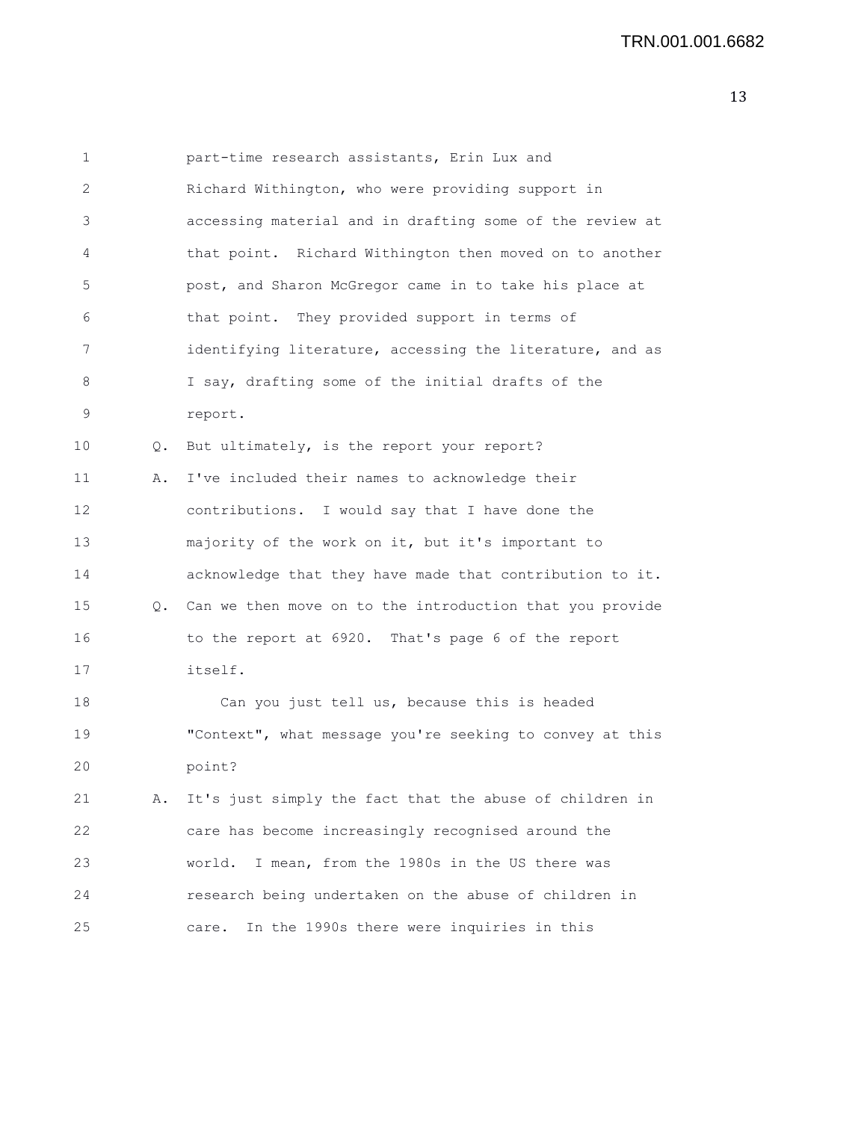| 1  |           | part-time research assistants, Erin Lux and                 |
|----|-----------|-------------------------------------------------------------|
| 2  |           | Richard Withington, who were providing support in           |
| 3  |           | accessing material and in drafting some of the review at    |
| 4  |           | that point. Richard Withington then moved on to another     |
| 5  |           | post, and Sharon McGregor came in to take his place at      |
| 6  |           | that point. They provided support in terms of               |
| 7  |           | identifying literature, accessing the literature, and as    |
| 8  |           | I say, drafting some of the initial drafts of the           |
| 9  |           | report.                                                     |
| 10 | $\circ$ . | But ultimately, is the report your report?                  |
| 11 | Α.        | I've included their names to acknowledge their              |
| 12 |           | contributions. I would say that I have done the             |
| 13 |           | majority of the work on it, but it's important to           |
| 14 |           | acknowledge that they have made that contribution to it.    |
| 15 |           | Q. Can we then move on to the introduction that you provide |
| 16 |           | to the report at 6920. That's page 6 of the report          |
| 17 |           | itself.                                                     |
| 18 |           | Can you just tell us, because this is headed                |
| 19 |           | "Context", what message you're seeking to convey at this    |
| 20 |           | point?                                                      |
| 21 | Α.        | It's just simply the fact that the abuse of children in     |
| 22 |           | care has become increasingly recognised around the          |
| 23 |           | I mean, from the 1980s in the US there was<br>world.        |
| 24 |           | research being undertaken on the abuse of children in       |
| 25 |           | In the 1990s there were inquiries in this<br>care.          |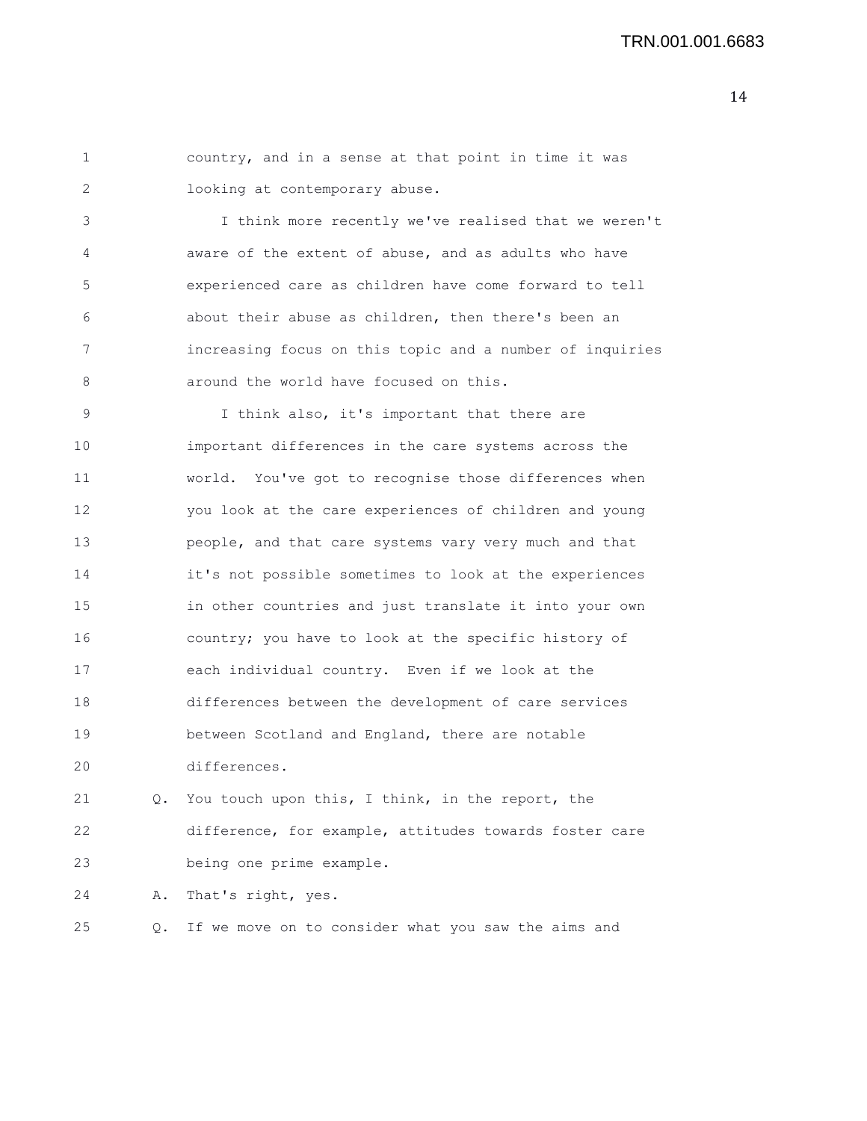| country, and in a sense at that point in time it was |  |  |  |  |  |  |
|------------------------------------------------------|--|--|--|--|--|--|
| looking at contemporary abuse.                       |  |  |  |  |  |  |

3 I think more recently we've realised that we weren't 4 aware of the extent of abuse, and as adults who have 5 experienced care as children have come forward to tell 6 about their abuse as children, then there's been an 7 increasing focus on this topic and a number of inquiries 8 around the world have focused on this.

9 I think also, it's important that there are 10 important differences in the care systems across the 11 world. You've got to recognise those differences when 12 you look at the care experiences of children and young 13 people, and that care systems vary very much and that 14 it's not possible sometimes to look at the experiences 15 in other countries and just translate it into your own 16 country; you have to look at the specific history of 17 each individual country. Even if we look at the 18 differences between the development of care services 19 between Scotland and England, there are notable 20 differences.

21 Q. You touch upon this, I think, in the report, the 22 difference, for example, attitudes towards foster care 23 being one prime example.

24 A. That's right, yes.

25 Q. If we move on to consider what you saw the aims and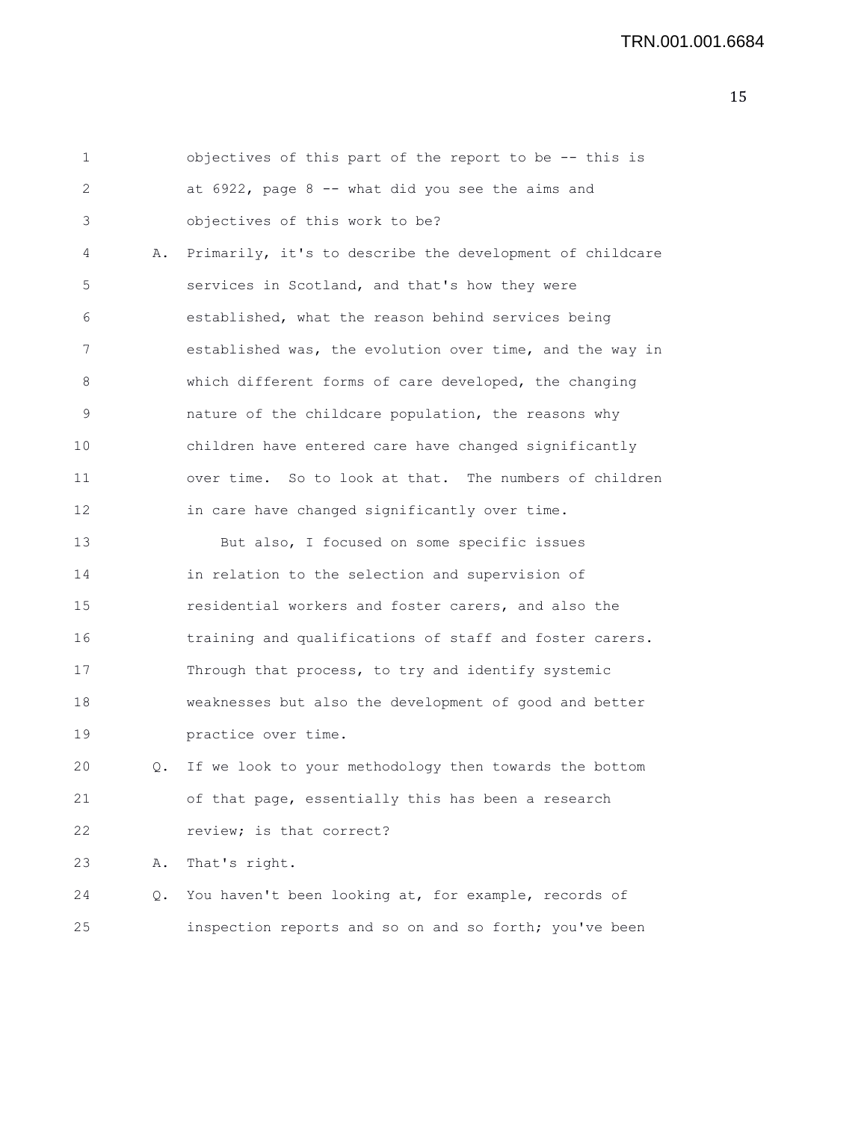1 objectives of this part of the report to be -- this is 2 at 6922, page 8 -- what did you see the aims and 3 objectives of this work to be? 4 A. Primarily, it's to describe the development of childcare 5 services in Scotland, and that's how they were 6 established, what the reason behind services being 7 established was, the evolution over time, and the way in 8 which different forms of care developed, the changing 9 nature of the childcare population, the reasons why 10 children have entered care have changed significantly 11 over time. So to look at that. The numbers of children 12 in care have changed significantly over time. 13 But also, I focused on some specific issues 14 in relation to the selection and supervision of 15 residential workers and foster carers, and also the 16 training and qualifications of staff and foster carers. 17 Through that process, to try and identify systemic 18 weaknesses but also the development of good and better 19 practice over time. 20 Q. If we look to your methodology then towards the bottom 21 of that page, essentially this has been a research 22 review; is that correct? 23 A. That's right. 24 Q. You haven't been looking at, for example, records of 25 inspection reports and so on and so forth; you've been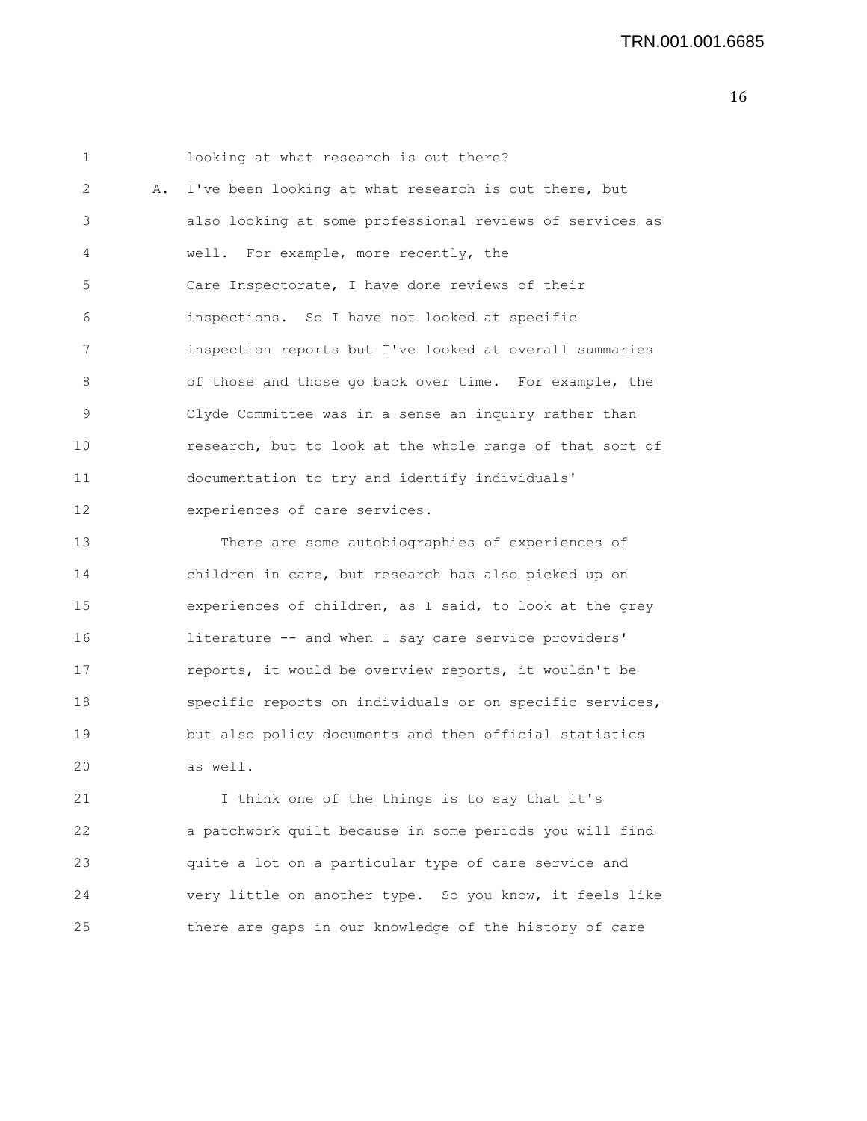1 looking at what research is out there? 2 A. I've been looking at what research is out there, but 3 also looking at some professional reviews of services as 4 well. For example, more recently, the 5 Care Inspectorate, I have done reviews of their 6 inspections. So I have not looked at specific 7 inspection reports but I've looked at overall summaries 8 of those and those go back over time. For example, the 9 Clyde Committee was in a sense an inquiry rather than 10 research, but to look at the whole range of that sort of 11 documentation to try and identify individuals' 12 experiences of care services.

13 There are some autobiographies of experiences of 14 children in care, but research has also picked up on 15 experiences of children, as I said, to look at the grey 16 literature -- and when I say care service providers' 17 reports, it would be overview reports, it wouldn't be 18 specific reports on individuals or on specific services, 19 but also policy documents and then official statistics 20 as well.

21 I think one of the things is to say that it's 22 a patchwork quilt because in some periods you will find 23 quite a lot on a particular type of care service and 24 very little on another type. So you know, it feels like 25 there are gaps in our knowledge of the history of care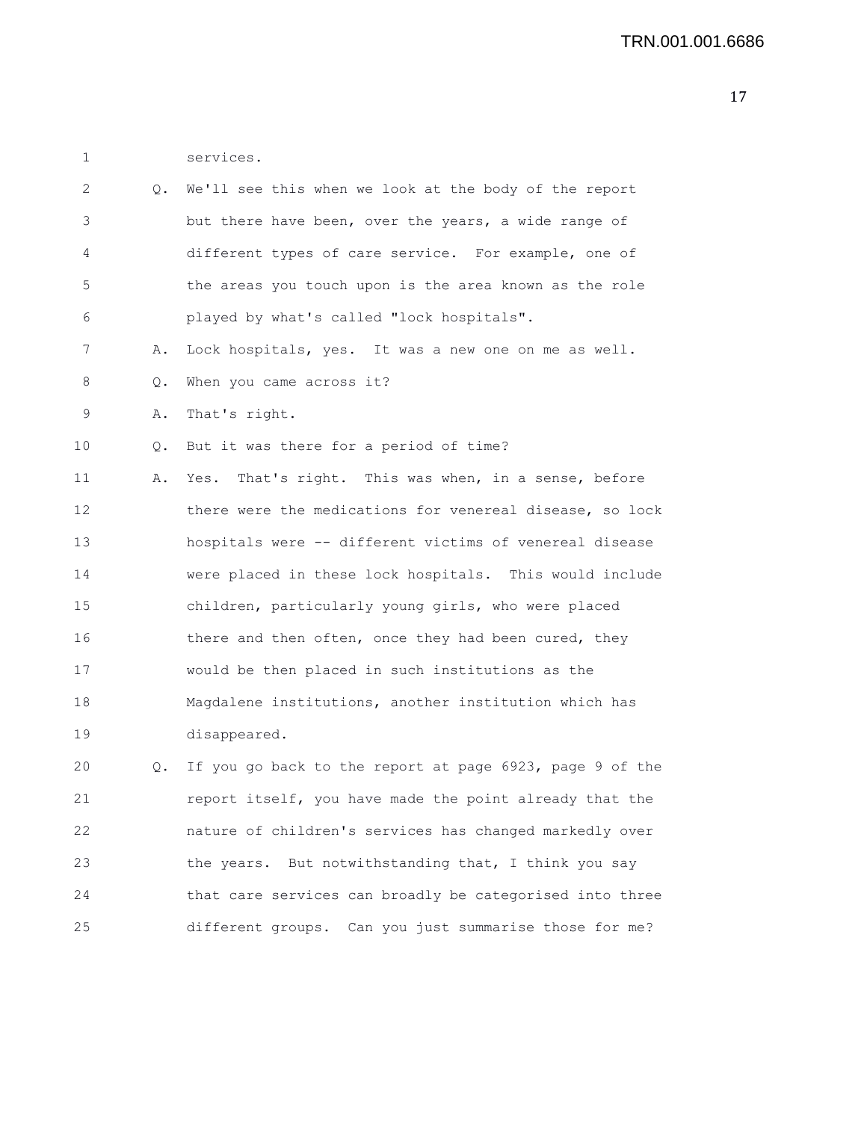1 services.

| 2  | Q. | We'll see this when we look at the body of the report    |
|----|----|----------------------------------------------------------|
| 3  |    | but there have been, over the years, a wide range of     |
| 4  |    | different types of care service. For example, one of     |
| 5  |    | the areas you touch upon is the area known as the role   |
| 6  |    | played by what's called "lock hospitals".                |
| 7  | Α. | Lock hospitals, yes. It was a new one on me as well.     |
| 8  | Q. | When you came across it?                                 |
| 9  | Α. | That's right.                                            |
| 10 | Q. | But it was there for a period of time?                   |
| 11 | Α. | That's right. This was when, in a sense, before<br>Yes.  |
| 12 |    | there were the medications for venereal disease, so lock |
| 13 |    | hospitals were -- different victims of venereal disease  |
| 14 |    | were placed in these lock hospitals. This would include  |
| 15 |    | children, particularly young girls, who were placed      |
| 16 |    | there and then often, once they had been cured, they     |
| 17 |    | would be then placed in such institutions as the         |
| 18 |    | Magdalene institutions, another institution which has    |
| 19 |    | disappeared.                                             |
| 20 | Q. | If you go back to the report at page 6923, page 9 of the |
| 21 |    | report itself, you have made the point already that the  |
| 22 |    | nature of children's services has changed markedly over  |
| 23 |    | the years. But notwithstanding that, I think you say     |
| 24 |    | that care services can broadly be categorised into three |
| 25 |    | different groups. Can you just summarise those for me?   |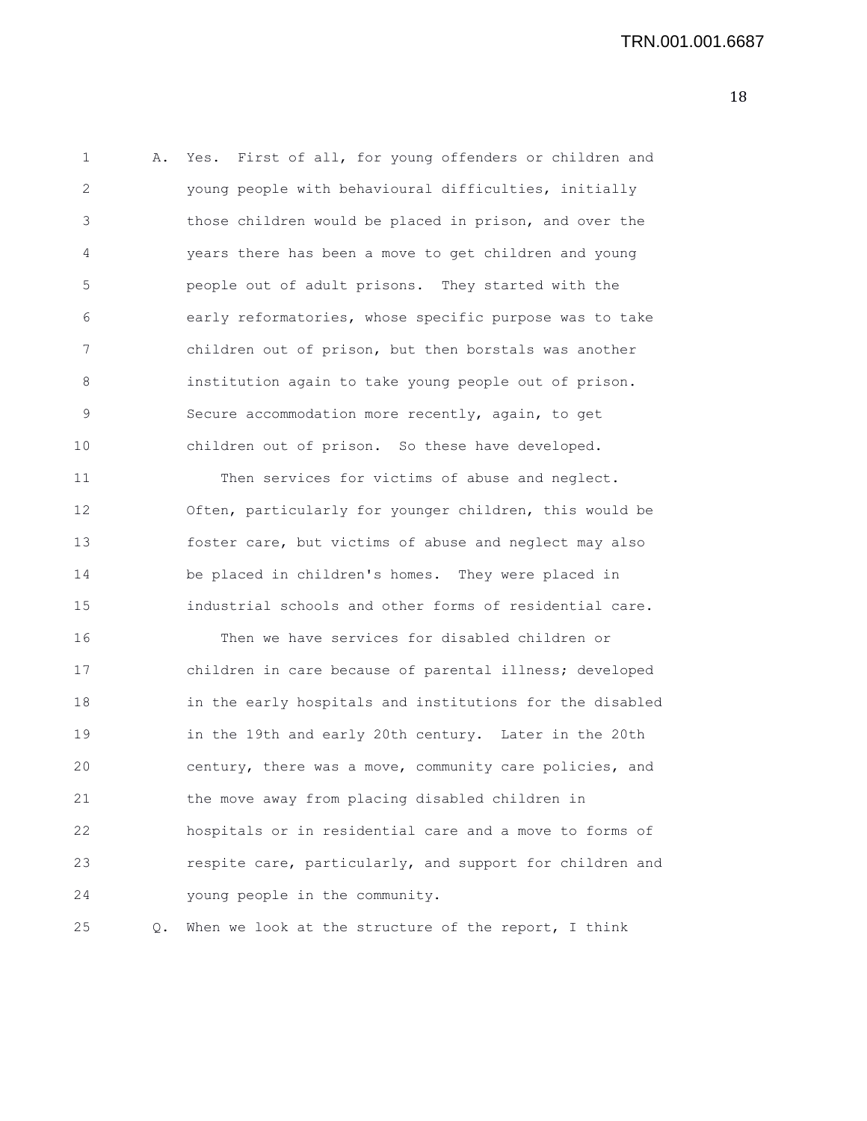| 1  | Α. | Yes. First of all, for young offenders or children and   |
|----|----|----------------------------------------------------------|
| 2  |    | young people with behavioural difficulties, initially    |
| 3  |    | those children would be placed in prison, and over the   |
| 4  |    | years there has been a move to get children and young    |
| 5  |    | people out of adult prisons. They started with the       |
| 6  |    | early reformatories, whose specific purpose was to take  |
| 7  |    | children out of prison, but then borstals was another    |
| 8  |    | institution again to take young people out of prison.    |
| 9  |    | Secure accommodation more recently, again, to get        |
| 10 |    | children out of prison. So these have developed.         |
| 11 |    | Then services for victims of abuse and neglect.          |
| 12 |    | Often, particularly for younger children, this would be  |
| 13 |    | foster care, but victims of abuse and neglect may also   |
| 14 |    | be placed in children's homes. They were placed in       |
| 15 |    | industrial schools and other forms of residential care.  |
| 16 |    | Then we have services for disabled children or           |
| 17 |    | children in care because of parental illness; developed  |
| 18 |    | in the early hospitals and institutions for the disabled |
| 19 |    | in the 19th and early 20th century. Later in the 20th    |
| 20 |    | century, there was a move, community care policies, and  |
| 21 |    | the move away from placing disabled children in          |
| 22 |    | hospitals or in residential care and a move to forms of  |
| 23 |    | respite care, particularly, and support for children and |
| 24 |    | young people in the community.                           |
|    |    |                                                          |

25 Q. When we look at the structure of the report, I think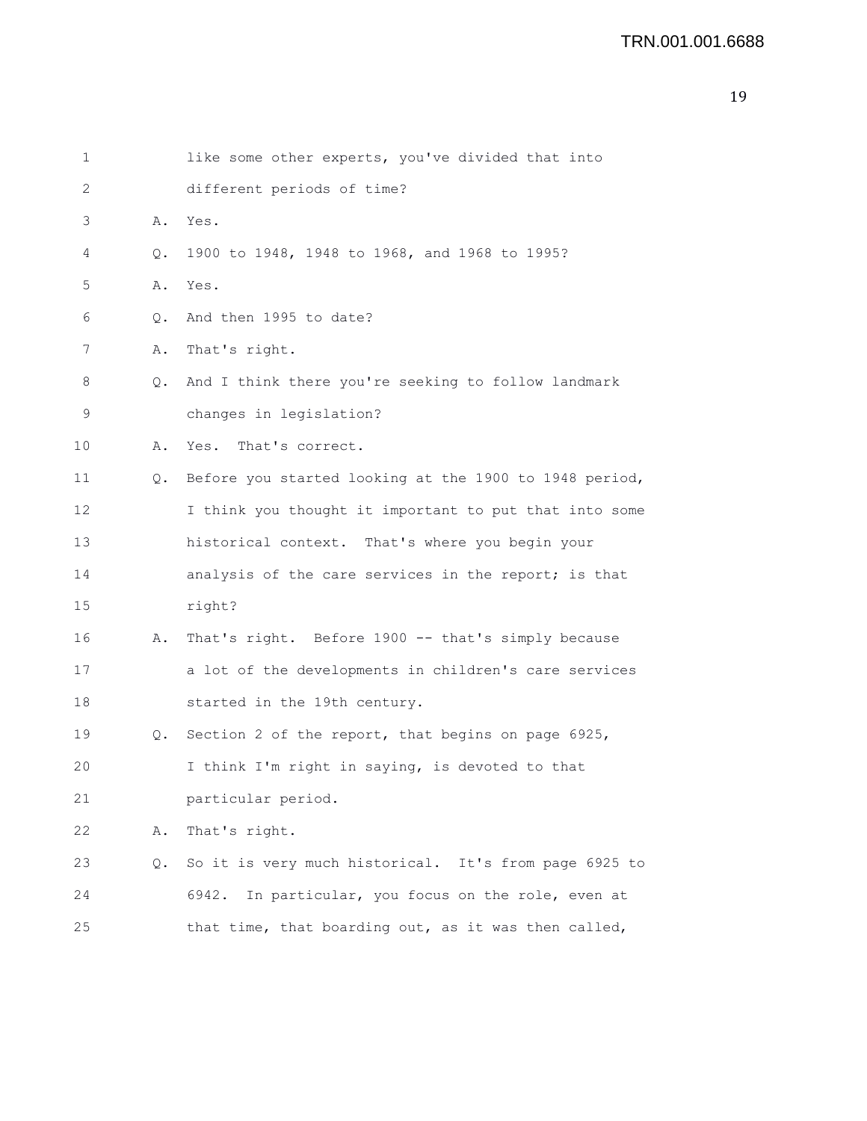```
19
```

| 1  |    | like some other experts, you've divided that into      |
|----|----|--------------------------------------------------------|
| 2  |    | different periods of time?                             |
| 3  | Α. | Yes.                                                   |
| 4  | Q. | 1900 to 1948, 1948 to 1968, and 1968 to 1995?          |
| 5  | Α. | Yes.                                                   |
| 6  | Q. | And then 1995 to date?                                 |
| 7  | Α. | That's right.                                          |
| 8  | Q. | And I think there you're seeking to follow landmark    |
| 9  |    | changes in legislation?                                |
| 10 | Α. | Yes. That's correct.                                   |
| 11 | Q. | Before you started looking at the 1900 to 1948 period, |
| 12 |    | I think you thought it important to put that into some |
| 13 |    | historical context. That's where you begin your        |
| 14 |    | analysis of the care services in the report; is that   |
| 15 |    | right?                                                 |
| 16 | Α. | That's right. Before 1900 -- that's simply because     |
| 17 |    | a lot of the developments in children's care services  |
| 18 |    | started in the 19th century.                           |
| 19 | Q. | Section 2 of the report, that begins on page 6925,     |
| 20 |    | I think I'm right in saying, is devoted to that        |
| 21 |    | particular period.                                     |
| 22 | Α. | That's right.                                          |
| 23 | Q. | So it is very much historical. It's from page 6925 to  |
| 24 |    | In particular, you focus on the role, even at<br>6942. |
| 25 |    | that time, that boarding out, as it was then called,   |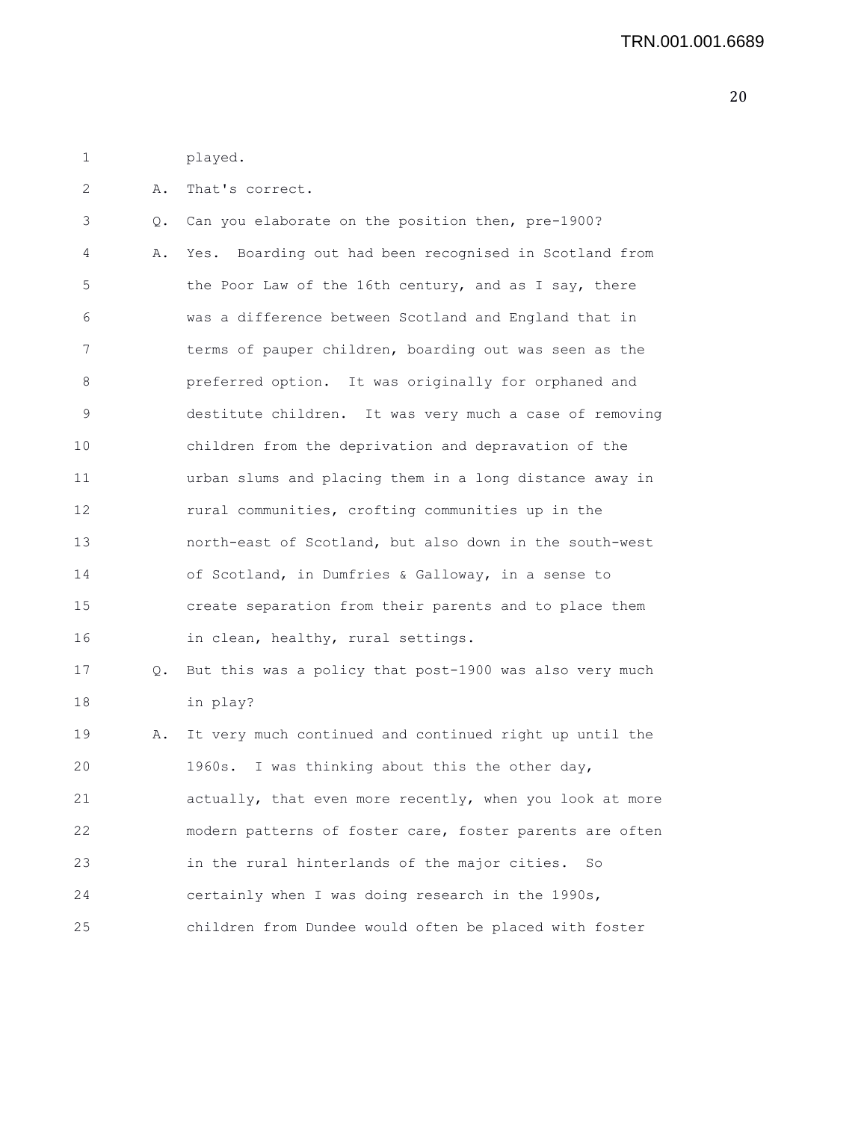1 played.

2 A. That's correct.

3 Q. Can you elaborate on the position then, pre-1900? 4 A. Yes. Boarding out had been recognised in Scotland from 5 the Poor Law of the 16th century, and as I say, there 6 was a difference between Scotland and England that in 7 terms of pauper children, boarding out was seen as the 8 preferred option. It was originally for orphaned and 9 destitute children. It was very much a case of removing 10 children from the deprivation and depravation of the 11 urban slums and placing them in a long distance away in 12 rural communities, crofting communities up in the 13 north-east of Scotland, but also down in the south-west 14 of Scotland, in Dumfries & Galloway, in a sense to 15 create separation from their parents and to place them 16 in clean, healthy, rural settings. 17 Q. But this was a policy that post-1900 was also very much 18 in play? 19 A. It very much continued and continued right up until the 20 1960s. I was thinking about this the other day, 21 actually, that even more recently, when you look at more 22 modern patterns of foster care, foster parents are often 23 in the rural hinterlands of the major cities. So

24 certainly when I was doing research in the 1990s,

25 children from Dundee would often be placed with foster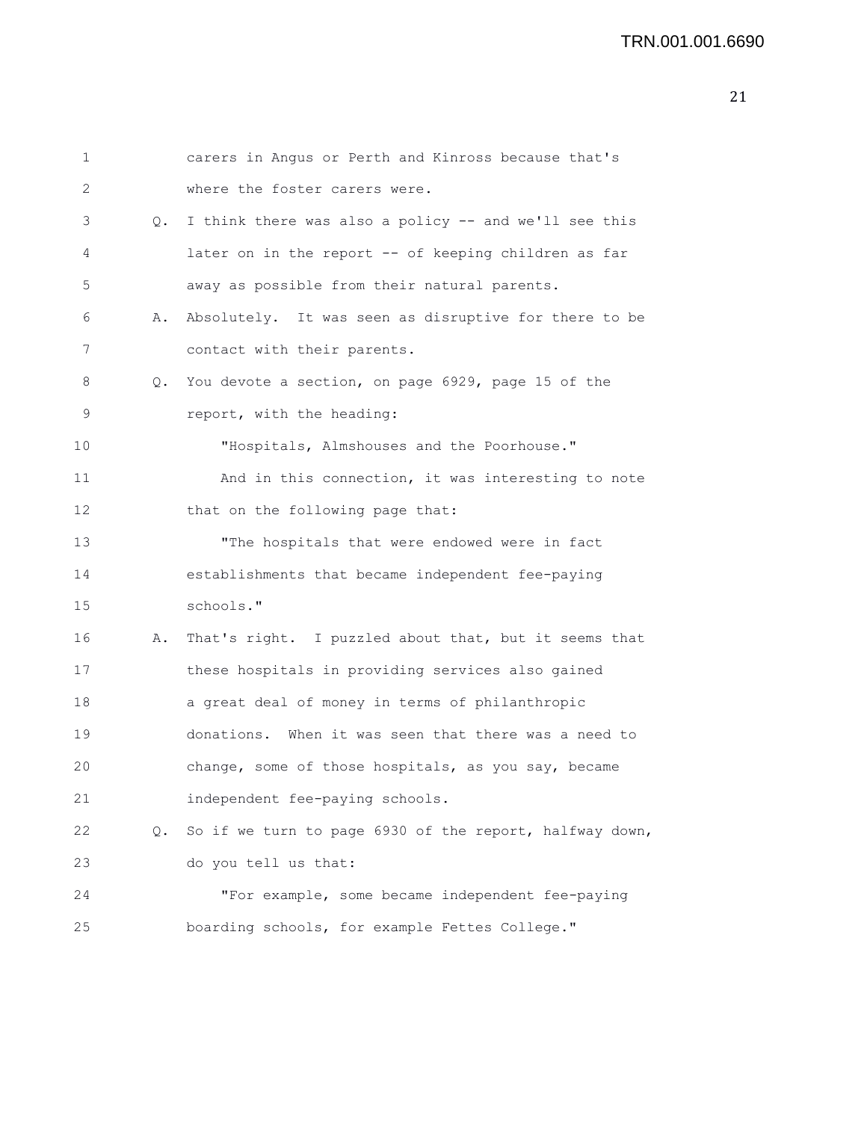| 1  |           | carers in Angus or Perth and Kinross because that's     |
|----|-----------|---------------------------------------------------------|
| 2  |           | where the foster carers were.                           |
| 3  | $\circ$ . | I think there was also a policy -- and we'll see this   |
| 4  |           | later on in the report -- of keeping children as far    |
| 5  |           | away as possible from their natural parents.            |
| 6  | Α.        | Absolutely. It was seen as disruptive for there to be   |
| 7  |           | contact with their parents.                             |
| 8  | Q.        | You devote a section, on page 6929, page 15 of the      |
| 9  |           | report, with the heading:                               |
| 10 |           | "Hospitals, Almshouses and the Poorhouse."              |
| 11 |           | And in this connection, it was interesting to note      |
| 12 |           | that on the following page that:                        |
| 13 |           | "The hospitals that were endowed were in fact           |
| 14 |           | establishments that became independent fee-paying       |
| 15 |           | schools."                                               |
| 16 | Α.        | That's right. I puzzled about that, but it seems that   |
| 17 |           | these hospitals in providing services also gained       |
| 18 |           | a great deal of money in terms of philanthropic         |
| 19 |           | donations. When it was seen that there was a need to    |
| 20 |           | change, some of those hospitals, as you say, became     |
| 21 |           | independent fee-paying schools.                         |
| 22 | Q.        | So if we turn to page 6930 of the report, halfway down, |
| 23 |           | do you tell us that:                                    |
| 24 |           | "For example, some became independent fee-paying        |
| 25 |           | boarding schools, for example Fettes College."          |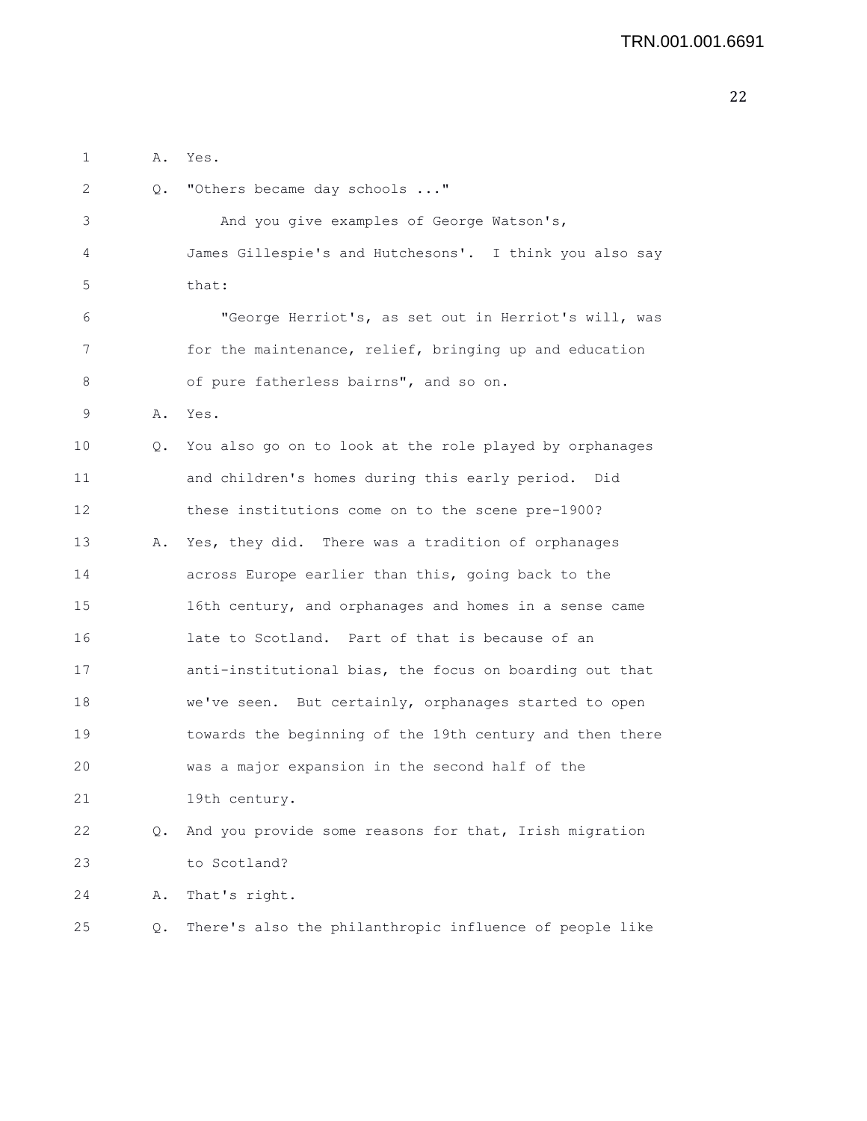| 1  | Α. | Yes.                                                     |
|----|----|----------------------------------------------------------|
| 2  | Q. | "Others became day schools "                             |
| 3  |    | And you give examples of George Watson's,                |
| 4  |    | James Gillespie's and Hutchesons'. I think you also say  |
| 5  |    | that:                                                    |
| 6  |    | "George Herriot's, as set out in Herriot's will, was     |
| 7  |    | for the maintenance, relief, bringing up and education   |
| 8  |    | of pure fatherless bairns", and so on.                   |
| 9  | Α. | Yes.                                                     |
| 10 | Q. | You also go on to look at the role played by orphanages  |
| 11 |    | and children's homes during this early period. Did       |
| 12 |    | these institutions come on to the scene pre-1900?        |
| 13 | Α. | Yes, they did. There was a tradition of orphanages       |
| 14 |    | across Europe earlier than this, going back to the       |
| 15 |    | 16th century, and orphanages and homes in a sense came   |
| 16 |    | late to Scotland. Part of that is because of an          |
| 17 |    | anti-institutional bias, the focus on boarding out that  |
| 18 |    | we've seen. But certainly, orphanages started to open    |
| 19 |    | towards the beginning of the 19th century and then there |
| 20 |    | was a major expansion in the second half of the          |
| 21 |    | 19th century.                                            |
| 22 | Q. | And you provide some reasons for that, Irish migration   |
| 23 |    | to Scotland?                                             |
| 24 | Α. | That's right.                                            |
| 25 | Q. | There's also the philanthropic influence of people like  |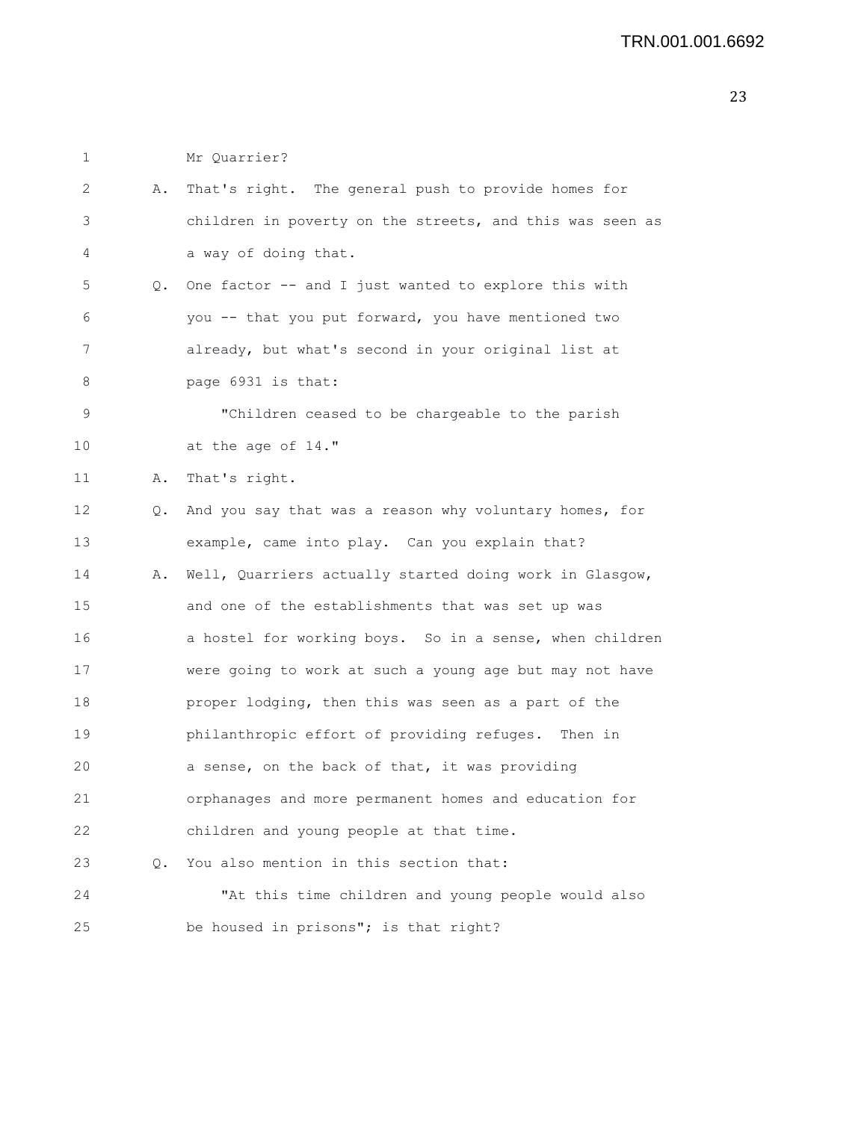1 Mr Quarrier?

| 2           | Α. | That's right. The general push to provide homes for      |
|-------------|----|----------------------------------------------------------|
| 3           |    | children in poverty on the streets, and this was seen as |
| 4           |    | a way of doing that.                                     |
| 5           | Q. | One factor -- and I just wanted to explore this with     |
| 6           |    | you -- that you put forward, you have mentioned two      |
| 7           |    | already, but what's second in your original list at      |
| 8           |    | page 6931 is that:                                       |
| $\mathsf 9$ |    | "Children ceased to be chargeable to the parish          |
| 10          |    | at the age of 14."                                       |
| 11          | Α. | That's right.                                            |
| 12          | Q. | And you say that was a reason why voluntary homes, for   |
| 13          |    | example, came into play. Can you explain that?           |
| 14          | Α. | Well, Quarriers actually started doing work in Glasgow,  |
| 15          |    | and one of the establishments that was set up was        |
| 16          |    | a hostel for working boys. So in a sense, when children  |
| 17          |    | were going to work at such a young age but may not have  |
| 18          |    | proper lodging, then this was seen as a part of the      |
| 19          |    | philanthropic effort of providing refuges. Then in       |
| 20          |    | a sense, on the back of that, it was providing           |
| 21          |    | orphanages and more permanent homes and education for    |
| 22          |    | children and young people at that time.                  |
| 23          | 0. | You also mention in this section that:                   |
| 24          |    | "At this time children and young people would also       |
| 25          |    | be housed in prisons"; is that right?                    |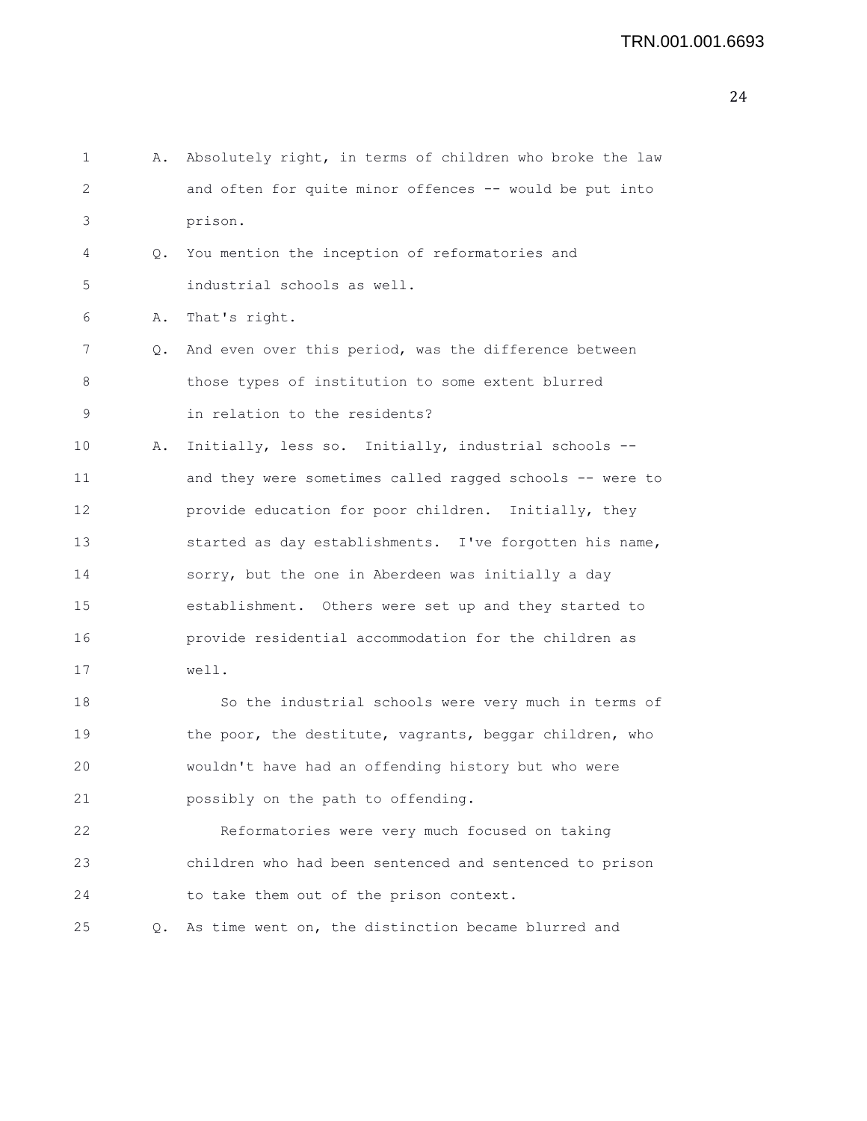| 1  | Α. | Absolutely right, in terms of children who broke the law |
|----|----|----------------------------------------------------------|
| 2  |    | and often for quite minor offences -- would be put into  |
| 3  |    | prison.                                                  |
| 4  | Q. | You mention the inception of reformatories and           |
| 5  |    | industrial schools as well.                              |
| 6  | Α. | That's right.                                            |
| 7  | Q. | And even over this period, was the difference between    |
| 8  |    | those types of institution to some extent blurred        |
| 9  |    | in relation to the residents?                            |
| 10 | Α. | Initially, less so. Initially, industrial schools --     |
| 11 |    | and they were sometimes called ragged schools -- were to |
| 12 |    | provide education for poor children. Initially, they     |
| 13 |    | started as day establishments. I've forgotten his name,  |
| 14 |    | sorry, but the one in Aberdeen was initially a day       |
| 15 |    | establishment. Others were set up and they started to    |
| 16 |    | provide residential accommodation for the children as    |
| 17 |    | well.                                                    |
| 18 |    | So the industrial schools were very much in terms of     |
| 19 |    | the poor, the destitute, vagrants, beggar children, who  |
| 20 |    | wouldn't have had an offending history but who were      |
| 21 |    | possibly on the path to offending.                       |
| 22 |    | Reformatories were very much focused on taking           |
| 23 |    | children who had been sentenced and sentenced to prison  |
| 24 |    | to take them out of the prison context.                  |
| 25 | Q. | As time went on, the distinction became blurred and      |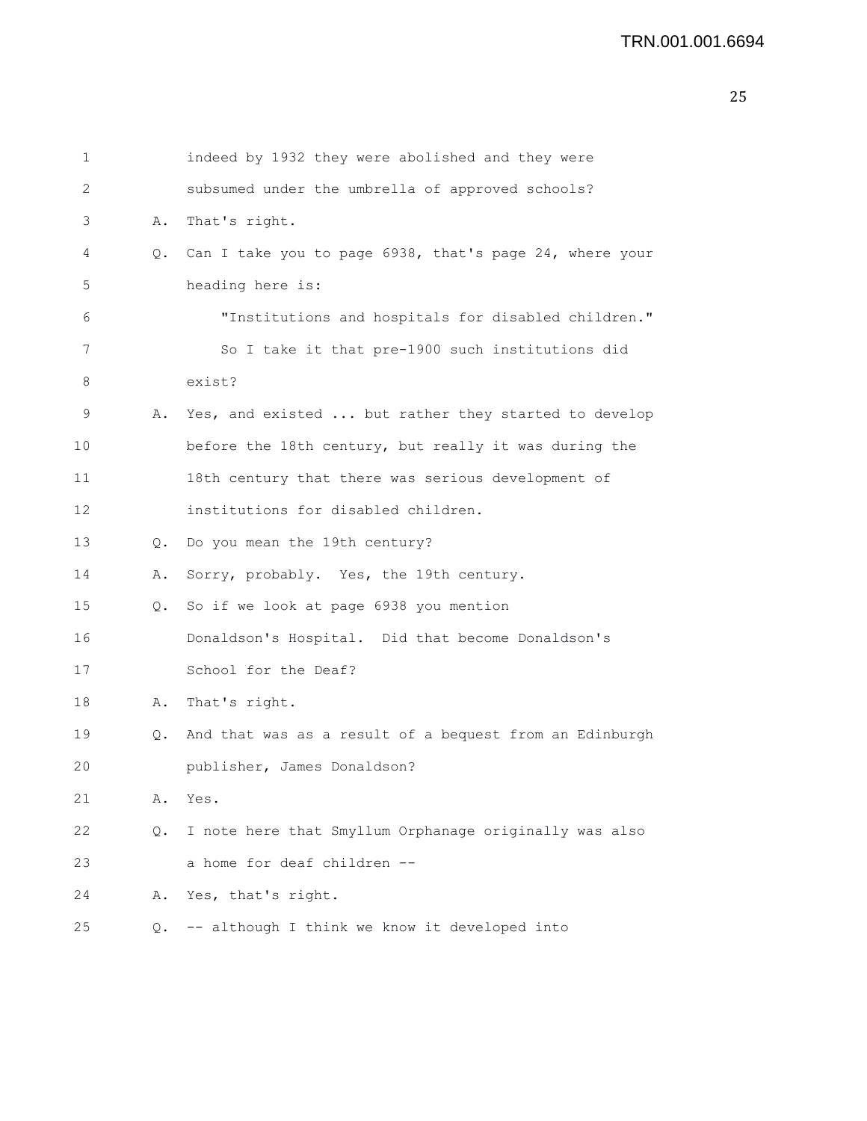| 1  |    | indeed by 1932 they were abolished and they were        |
|----|----|---------------------------------------------------------|
| 2  |    | subsumed under the umbrella of approved schools?        |
| 3  | Α. | That's right.                                           |
| 4  | Q. | Can I take you to page 6938, that's page 24, where your |
| 5  |    | heading here is:                                        |
| 6  |    | "Institutions and hospitals for disabled children."     |
| 7  |    | So I take it that pre-1900 such institutions did        |
| 8  |    | exist?                                                  |
| 9  | Α. | Yes, and existed  but rather they started to develop    |
| 10 |    | before the 18th century, but really it was during the   |
| 11 |    | 18th century that there was serious development of      |
| 12 |    | institutions for disabled children.                     |
| 13 | Q. | Do you mean the 19th century?                           |
| 14 | Α. | Sorry, probably. Yes, the 19th century.                 |
| 15 | Q. | So if we look at page 6938 you mention                  |
| 16 |    | Donaldson's Hospital. Did that become Donaldson's       |
| 17 |    | School for the Deaf?                                    |
| 18 | Α. | That's right.                                           |
| 19 | Q. | And that was as a result of a bequest from an Edinburgh |
| 20 |    | publisher, James Donaldson?                             |
| 21 | Α. | Yes.                                                    |
| 22 | Q. | I note here that Smyllum Orphanage originally was also  |
| 23 |    | a home for deaf children --                             |
| 24 | Α. | Yes, that's right.                                      |
| 25 |    | Q. -- although I think we know it developed into        |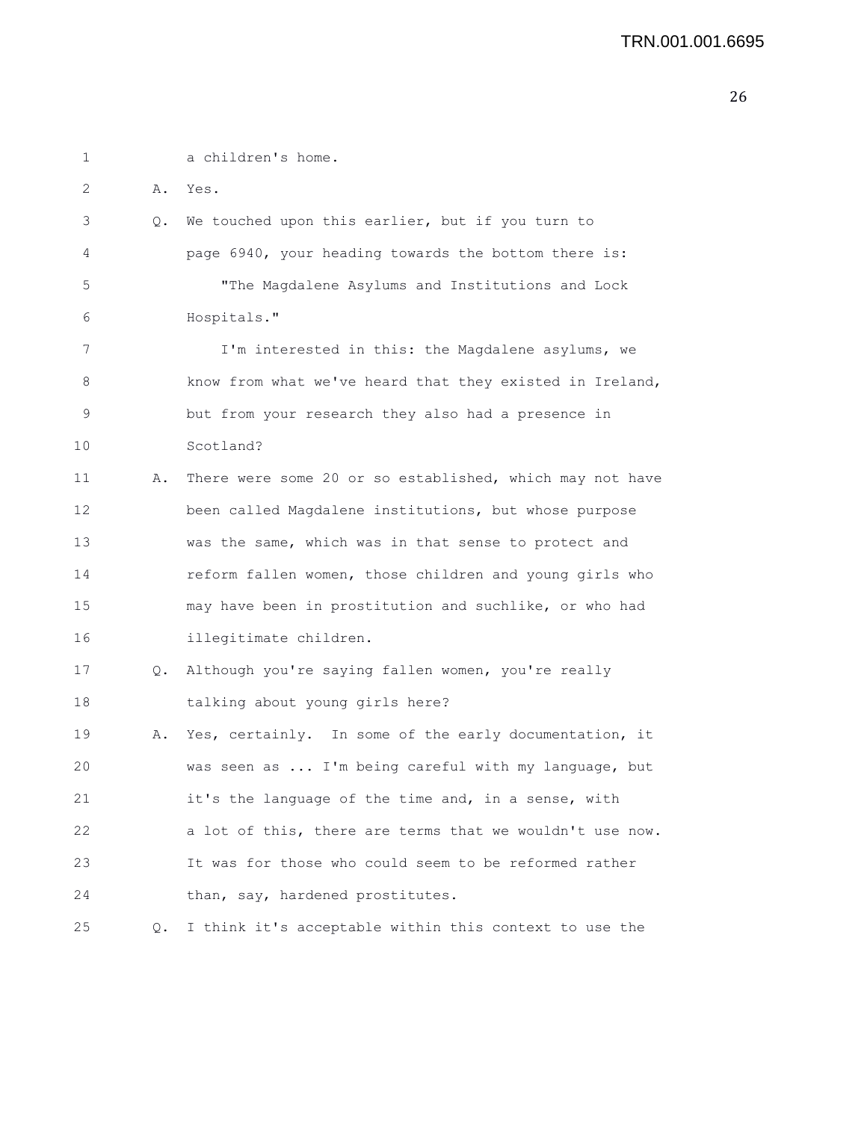| 1  |    | a children's home.                                       |
|----|----|----------------------------------------------------------|
| 2  |    | A. Yes.                                                  |
| 3  | Q. | We touched upon this earlier, but if you turn to         |
| 4  |    | page 6940, your heading towards the bottom there is:     |
| 5  |    | "The Magdalene Asylums and Institutions and Lock         |
| 6  |    | Hospitals."                                              |
| 7  |    | I'm interested in this: the Magdalene asylums, we        |
| 8  |    | know from what we've heard that they existed in Ireland, |
| 9  |    | but from your research they also had a presence in       |
| 10 |    | Scotland?                                                |
| 11 | Α. | There were some 20 or so established, which may not have |
| 12 |    | been called Magdalene institutions, but whose purpose    |
| 13 |    | was the same, which was in that sense to protect and     |
| 14 |    | reform fallen women, those children and young girls who  |
| 15 |    | may have been in prostitution and suchlike, or who had   |
| 16 |    | illegitimate children.                                   |
| 17 | Q. | Although you're saying fallen women, you're really       |
| 18 |    | talking about young girls here?                          |
| 19 | Α. | Yes, certainly. In some of the early documentation, it   |
| 20 |    | was seen as  I'm being careful with my language, but     |
| 21 |    | it's the language of the time and, in a sense, with      |
| 22 |    | a lot of this, there are terms that we wouldn't use now. |
| 23 |    | It was for those who could seem to be reformed rather    |
| 24 |    | than, say, hardened prostitutes.                         |
| 25 | Q. | I think it's acceptable within this context to use the   |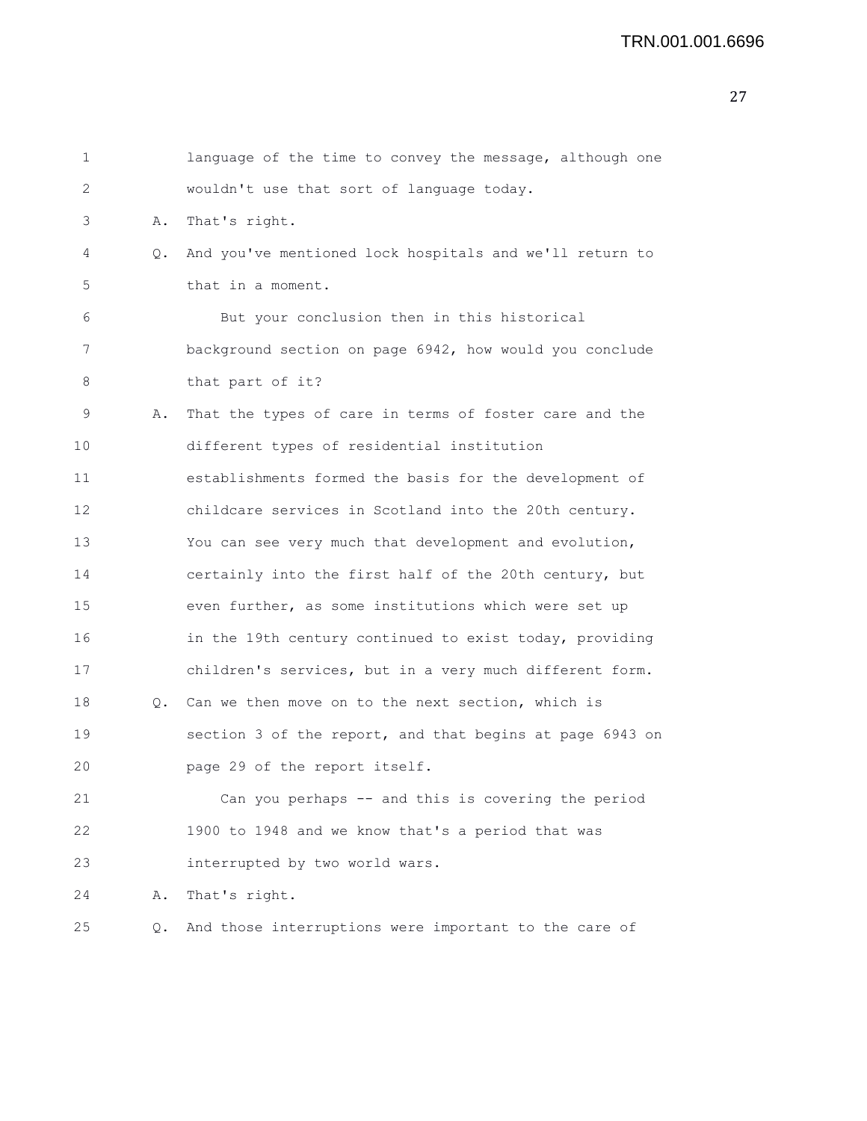| 1  |    | language of the time to convey the message, although one |
|----|----|----------------------------------------------------------|
| 2  |    | wouldn't use that sort of language today.                |
| 3  | Α. | That's right.                                            |
| 4  | Q. | And you've mentioned lock hospitals and we'll return to  |
| 5  |    | that in a moment.                                        |
| 6  |    | But your conclusion then in this historical              |
| 7  |    | background section on page 6942, how would you conclude  |
| 8  |    | that part of it?                                         |
| 9  | Α. | That the types of care in terms of foster care and the   |
| 10 |    | different types of residential institution               |
| 11 |    | establishments formed the basis for the development of   |
| 12 |    | childcare services in Scotland into the 20th century.    |
| 13 |    | You can see very much that development and evolution,    |
| 14 |    | certainly into the first half of the 20th century, but   |
| 15 |    | even further, as some institutions which were set up     |
| 16 |    | in the 19th century continued to exist today, providing  |
| 17 |    | children's services, but in a very much different form.  |
| 18 | Q. | Can we then move on to the next section, which is        |
| 19 |    | section 3 of the report, and that begins at page 6943 on |
| 20 |    | page 29 of the report itself.                            |
| 21 |    | Can you perhaps -- and this is covering the period       |
| 22 |    | 1900 to 1948 and we know that's a period that was        |
| 23 |    | interrupted by two world wars.                           |
| 24 | Α. | That's right.                                            |
| 25 | Q. | And those interruptions were important to the care of    |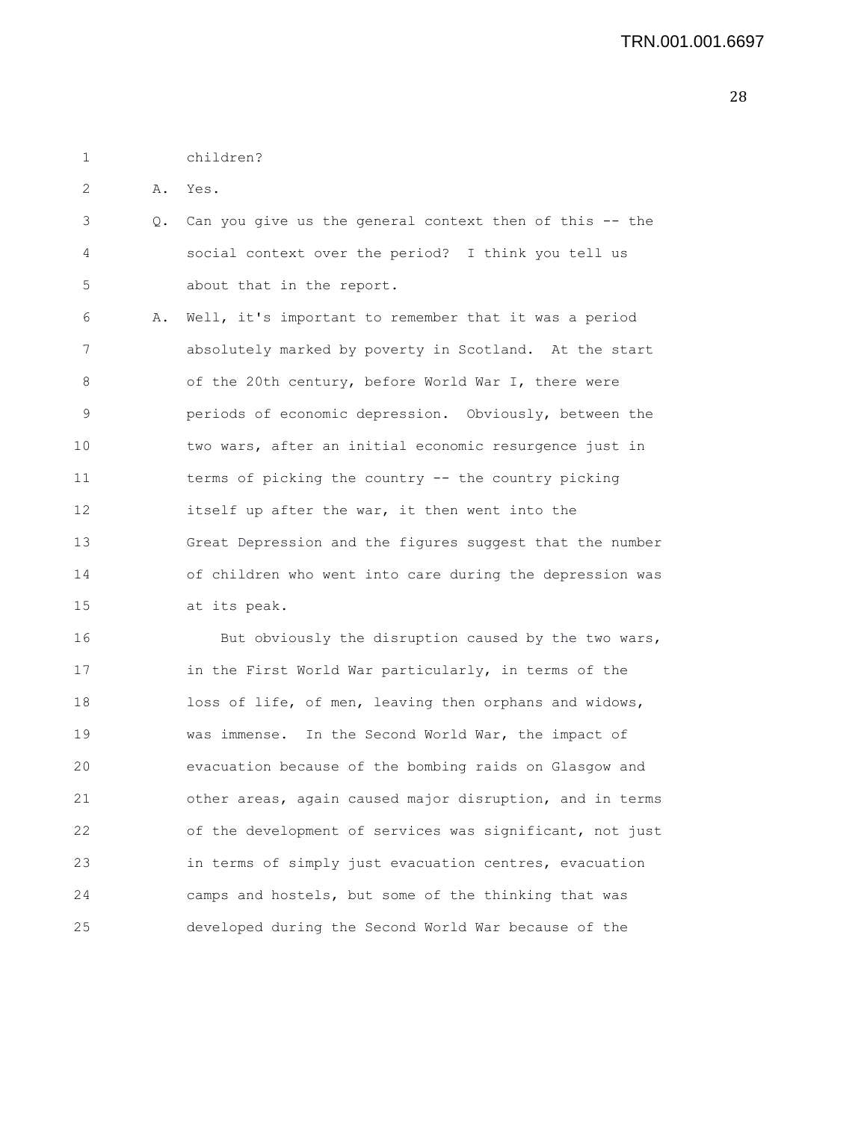1 children?

2 A. Yes.

3 Q. Can you give us the general context then of this -- the 4 social context over the period? I think you tell us 5 about that in the report.

6 A. Well, it's important to remember that it was a period 7 absolutely marked by poverty in Scotland. At the start 8 of the 20th century, before World War I, there were 9 periods of economic depression. Obviously, between the 10 two wars, after an initial economic resurgence just in 11 terms of picking the country -- the country picking 12 itself up after the war, it then went into the 13 Great Depression and the figures suggest that the number 14 of children who went into care during the depression was 15 at its peak.

16 But obviously the disruption caused by the two wars, 17 in the First World War particularly, in terms of the 18 loss of life, of men, leaving then orphans and widows, 19 was immense. In the Second World War, the impact of 20 evacuation because of the bombing raids on Glasgow and 21 other areas, again caused major disruption, and in terms 22 of the development of services was significant, not just 23 in terms of simply just evacuation centres, evacuation 24 camps and hostels, but some of the thinking that was 25 developed during the Second World War because of the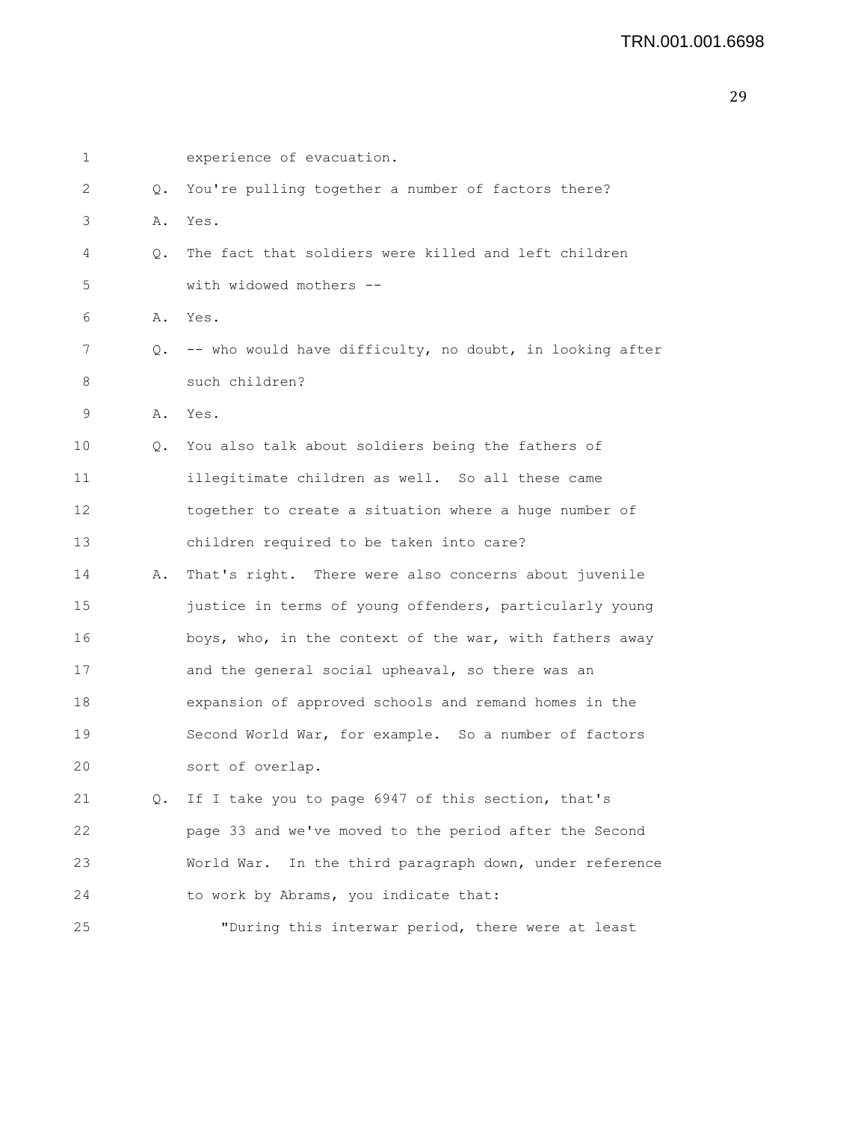```
1 experience of evacuation.
2 Q. You're pulling together a number of factors there?
3 A. Yes.
4 Q. The fact that soldiers were killed and left children
5 with widowed mothers --
6 A. Yes.
7 Q. -- who would have difficulty, no doubt, in looking after
8 such children?
9 A. Yes.
10 Q. You also talk about soldiers being the fathers of
11 illegitimate children as well. So all these came
12 together to create a situation where a huge number of
13 children required to be taken into care?
14 A. That's right. There were also concerns about juvenile
15 justice in terms of young offenders, particularly young
16 boys, who, in the context of the war, with fathers away
17 and the general social upheaval, so there was an
18 expansion of approved schools and remand homes in the
19 Second World War, for example. So a number of factors
20 sort of overlap.
21 Q. If I take you to page 6947 of this section, that's
22 page 33 and we've moved to the period after the Second
23 World War. In the third paragraph down, under reference
24 to work by Abrams, you indicate that:
25 "During this interwar period, there were at least
```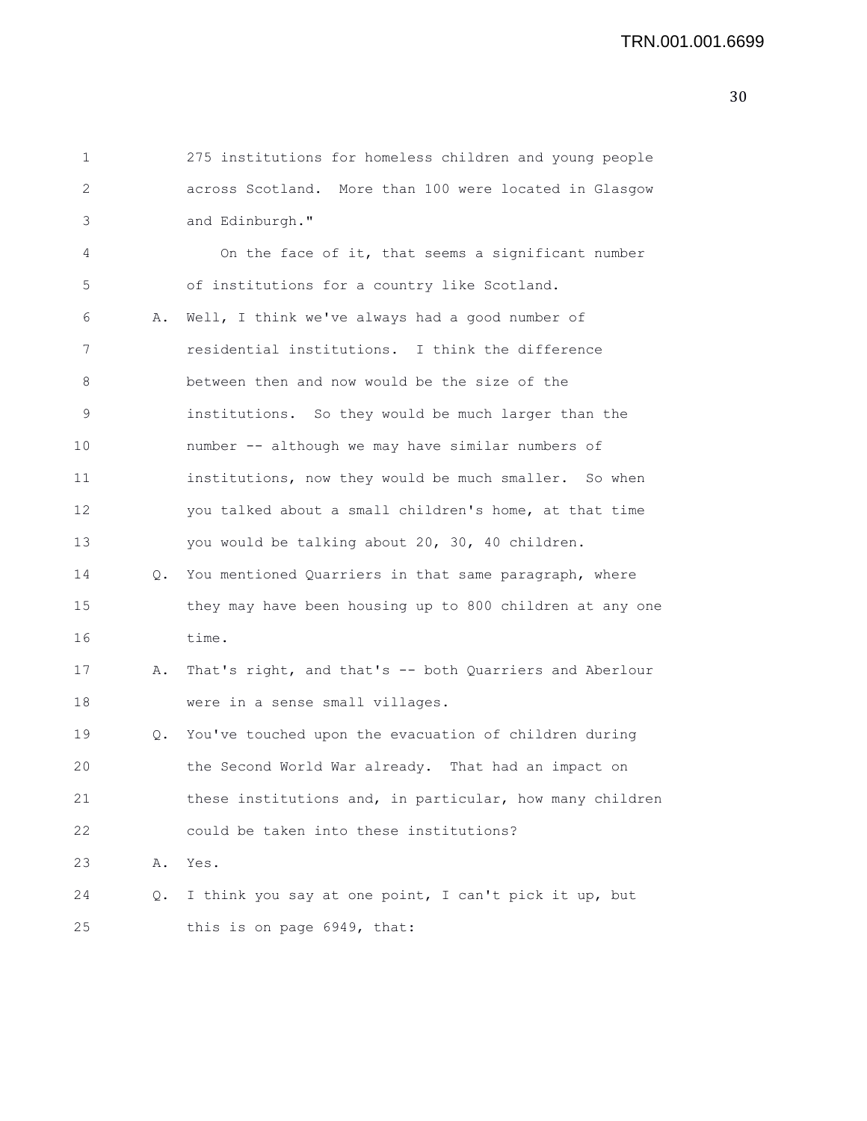```
1 275 institutions for homeless children and young people
2 across Scotland. More than 100 were located in Glasgow
3 and Edinburgh."
4 On the face of it, that seems a significant number
5 of institutions for a country like Scotland.
6 A. Well, I think we've always had a good number of
7 residential institutions. I think the difference
8 between then and now would be the size of the
9 institutions. So they would be much larger than the
10 number -- although we may have similar numbers of
11 institutions, now they would be much smaller. So when
12 you talked about a small children's home, at that time
13 you would be talking about 20, 30, 40 children.
14 Q. You mentioned Quarriers in that same paragraph, where
15 they may have been housing up to 800 children at any one
16 time.
17 A. That's right, and that's -- both Quarriers and Aberlour
18 were in a sense small villages.
19 Q. You've touched upon the evacuation of children during
20 the Second World War already. That had an impact on
21 these institutions and, in particular, how many children
22 could be taken into these institutions?
23 A. Yes.
24 Q. I think you say at one point, I can't pick it up, but
25 this is on page 6949, that:
```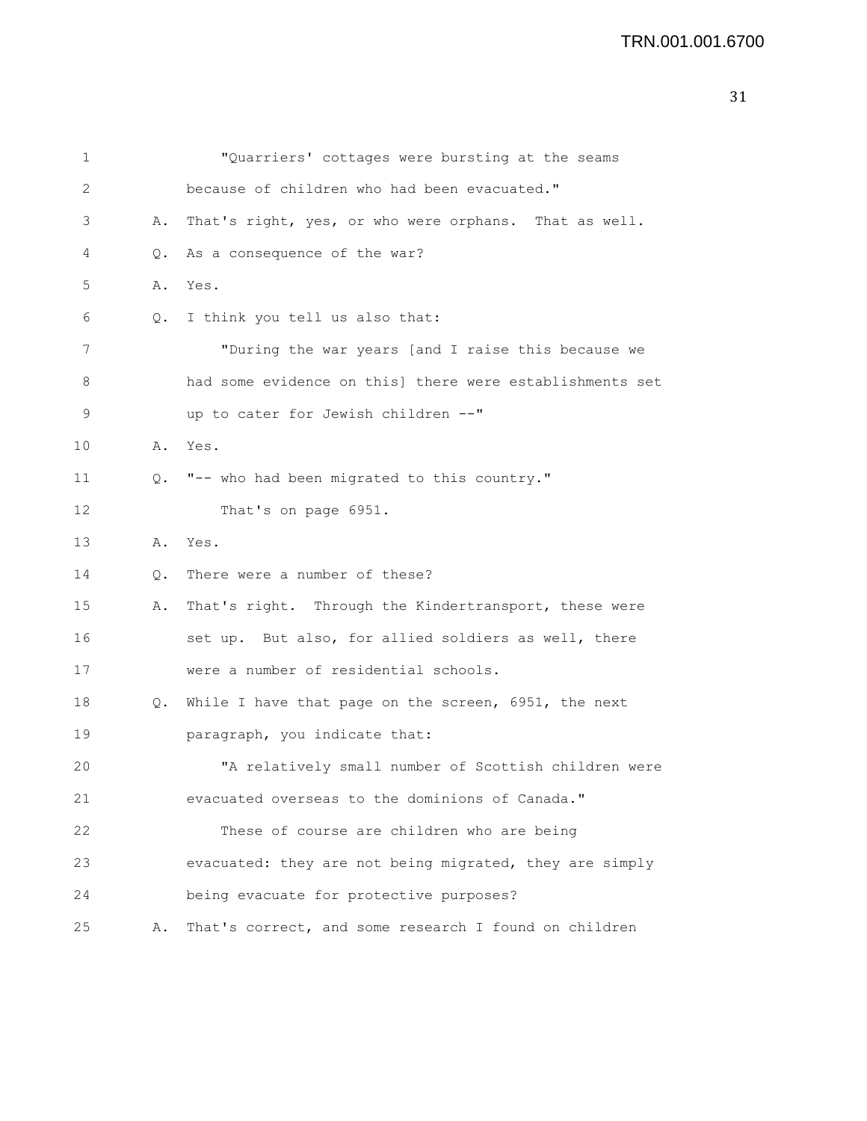```
31
```

| 1  |               | "Quarriers' cottages were bursting at the seams          |
|----|---------------|----------------------------------------------------------|
| 2  |               | because of children who had been evacuated."             |
| 3  | Α.            | That's right, yes, or who were orphans. That as well.    |
| 4  | Q.            | As a consequence of the war?                             |
| 5  | Α.            | Yes.                                                     |
| 6  | $Q_{\bullet}$ | I think you tell us also that:                           |
| 7  |               | "During the war years [and I raise this because we       |
| 8  |               | had some evidence on this] there were establishments set |
| 9  |               | up to cater for Jewish children --"                      |
| 10 | Α.            | Yes.                                                     |
| 11 | 0.            | "-- who had been migrated to this country."              |
| 12 |               | That's on page 6951.                                     |
| 13 | Α.            | Yes.                                                     |
| 14 | Q.            | There were a number of these?                            |
| 15 | Α.            | That's right. Through the Kindertransport, these were    |
| 16 |               | set up. But also, for allied soldiers as well, there     |
| 17 |               | were a number of residential schools.                    |
| 18 | Q.            | While I have that page on the screen, 6951, the next     |
| 19 |               | paragraph, you indicate that:                            |
| 20 |               | "A relatively small number of Scottish children were     |
| 21 |               | evacuated overseas to the dominions of Canada."          |
| 22 |               | These of course are children who are being               |
| 23 |               | evacuated: they are not being migrated, they are simply  |
| 24 |               | being evacuate for protective purposes?                  |
| 25 | Α.            | That's correct, and some research I found on children    |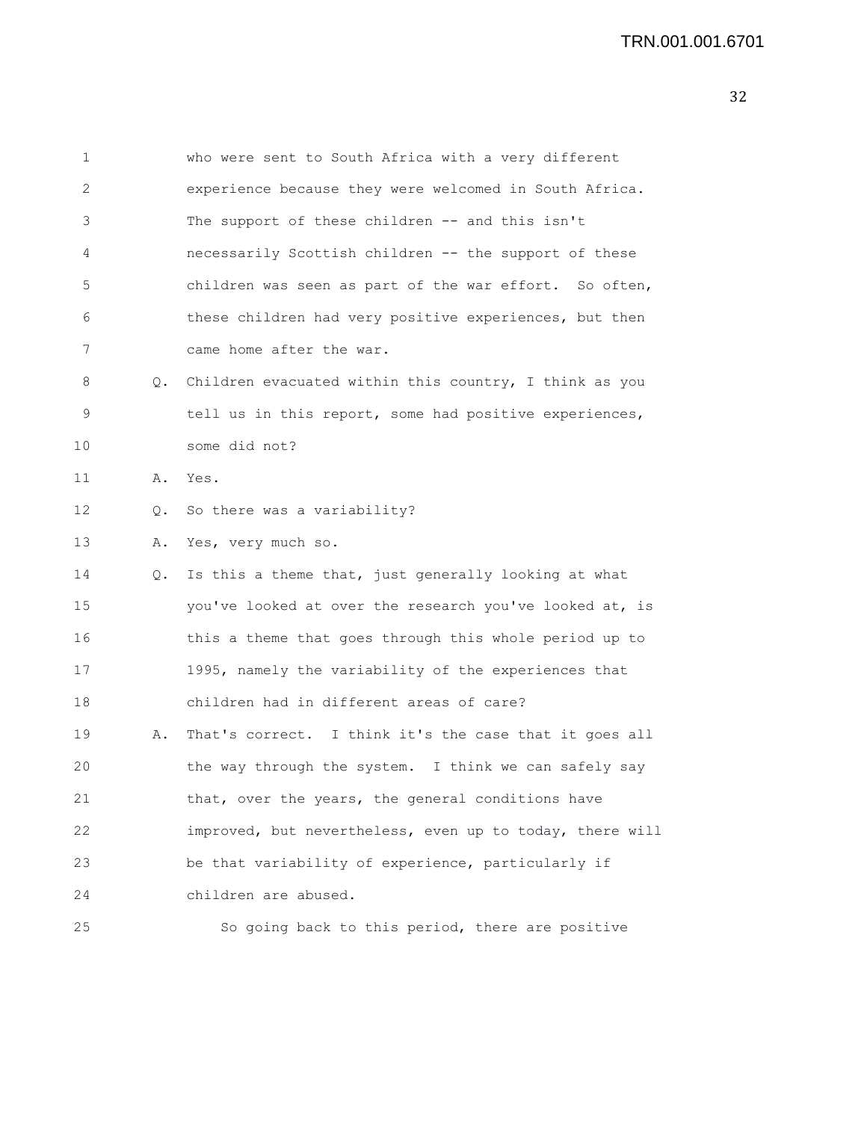```
1 who were sent to South Africa with a very different
2 experience because they were welcomed in South Africa.
3 The support of these children -- and this isn't
4 necessarily Scottish children -- the support of these
5 children was seen as part of the war effort. So often,
6 these children had very positive experiences, but then
7 came home after the war.
8 Q. Children evacuated within this country, I think as you
9 tell us in this report, some had positive experiences,
10 some did not?
11 A. Yes.
12 Q. So there was a variability?
13 A. Yes, very much so.
14 Q. Is this a theme that, just generally looking at what
15 you've looked at over the research you've looked at, is
16 this a theme that goes through this whole period up to
17 1995, namely the variability of the experiences that
18 children had in different areas of care?
19 A. That's correct. I think it's the case that it goes all
20 the way through the system. I think we can safely say
21 that, over the years, the general conditions have
22 improved, but nevertheless, even up to today, there will
23 be that variability of experience, particularly if
24 children are abused.
25 So going back to this period, there are positive
```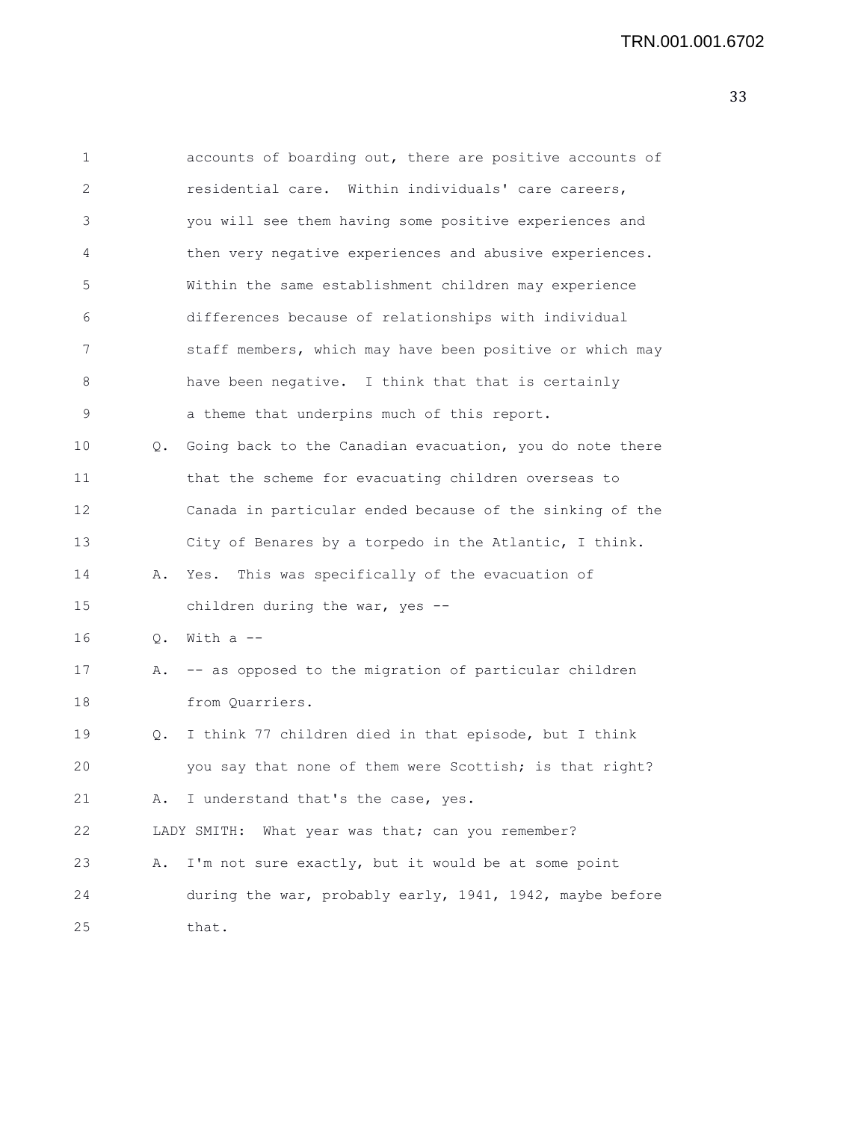| 1  |               | accounts of boarding out, there are positive accounts of    |
|----|---------------|-------------------------------------------------------------|
| 2  |               | residential care. Within individuals' care careers,         |
| 3  |               | you will see them having some positive experiences and      |
| 4  |               | then very negative experiences and abusive experiences.     |
| 5  |               | Within the same establishment children may experience       |
| 6  |               | differences because of relationships with individual        |
| 7  |               | staff members, which may have been positive or which may    |
| 8  |               | have been negative. I think that that is certainly          |
| 9  |               | a theme that underpins much of this report.                 |
| 10 |               | Q. Going back to the Canadian evacuation, you do note there |
| 11 |               | that the scheme for evacuating children overseas to         |
| 12 |               | Canada in particular ended because of the sinking of the    |
| 13 |               | City of Benares by a torpedo in the Atlantic, I think.      |
| 14 | Α.            | Yes. This was specifically of the evacuation of             |
| 15 |               | children during the war, yes --                             |
| 16 | $Q_{\bullet}$ | With $a$ $-$                                                |
| 17 | Α.            | -- as opposed to the migration of particular children       |
| 18 |               | from Quarriers.                                             |
| 19 | Q.            | I think 77 children died in that episode, but I think       |
| 20 |               | you say that none of them were Scottish; is that right?     |
| 21 | Α.            | I understand that's the case, yes.                          |
| 22 |               | What year was that; can you remember?<br>LADY SMITH:        |
| 23 | Α.            | I'm not sure exactly, but it would be at some point         |
| 24 |               | during the war, probably early, 1941, 1942, maybe before    |
| 25 |               | that.                                                       |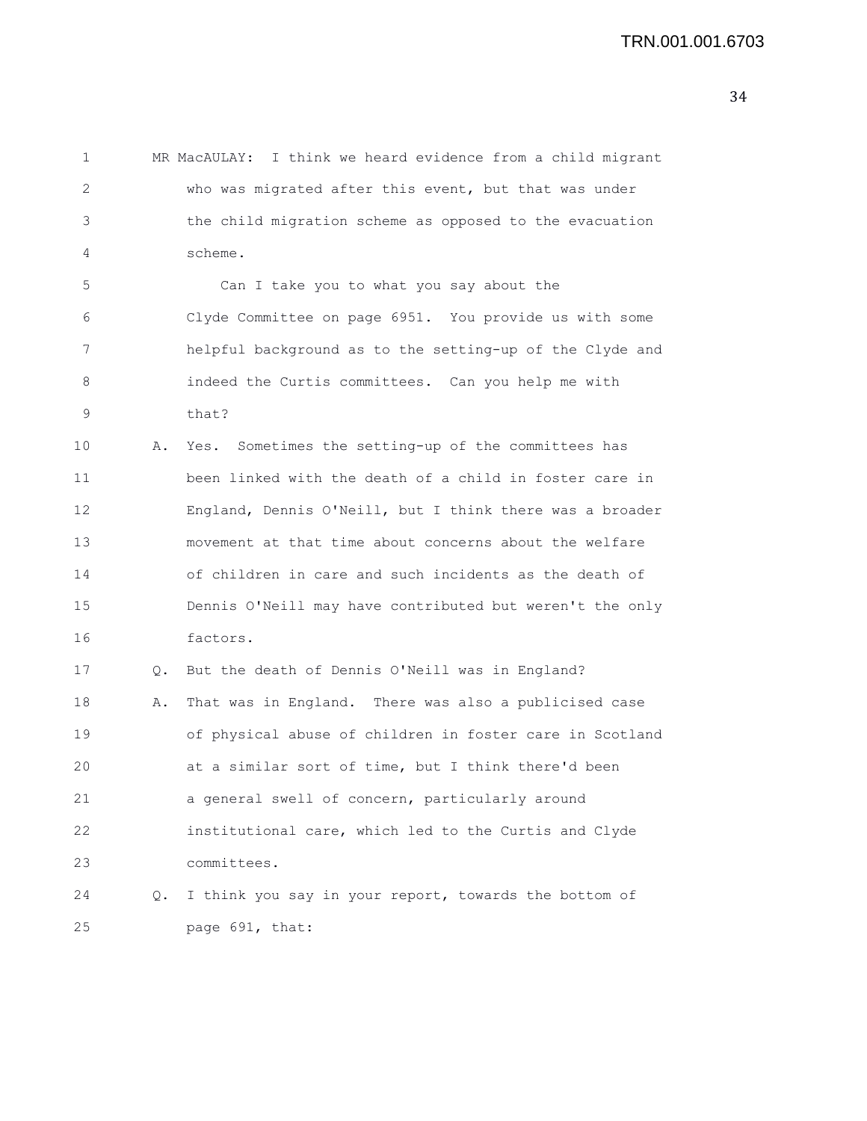1 MR MacAULAY: I think we heard evidence from a child migrant 2 who was migrated after this event, but that was under 3 the child migration scheme as opposed to the evacuation 4 scheme. 5 Can I take you to what you say about the 6 Clyde Committee on page 6951. You provide us with some 7 helpful background as to the setting-up of the Clyde and 8 indeed the Curtis committees. Can you help me with 9 that? 10 A. Yes. Sometimes the setting-up of the committees has 11 been linked with the death of a child in foster care in 12 England, Dennis O'Neill, but I think there was a broader 13 movement at that time about concerns about the welfare 14 of children in care and such incidents as the death of 15 Dennis O'Neill may have contributed but weren't the only 16 factors. 17 Q. But the death of Dennis O'Neill was in England? 18 A. That was in England. There was also a publicised case 19 of physical abuse of children in foster care in Scotland 20 at a similar sort of time, but I think there'd been 21 a general swell of concern, particularly around 22 institutional care, which led to the Curtis and Clyde 23 committees. 24 Q. I think you say in your report, towards the bottom of 25 page 691, that: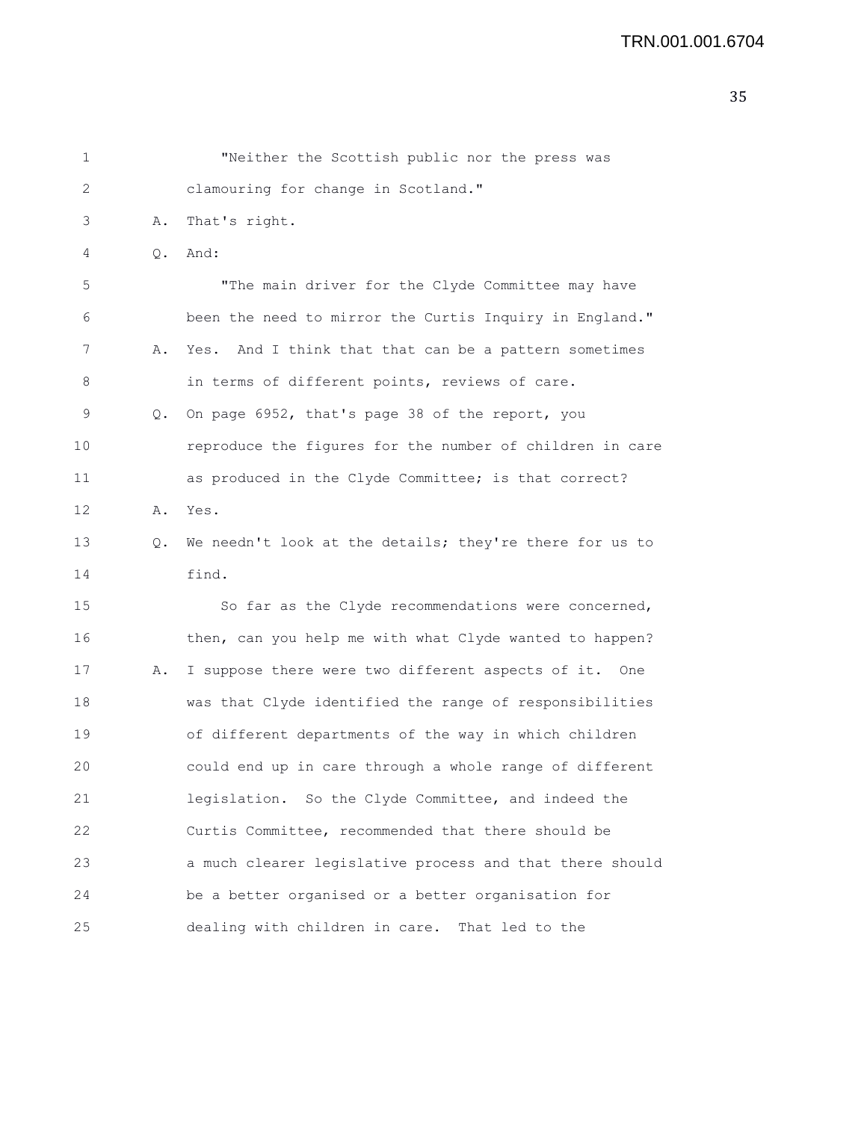```
1 "Neither the Scottish public nor the press was
2 clamouring for change in Scotland."
3 A. That's right.
4 Q. And:
5 "The main driver for the Clyde Committee may have
6 been the need to mirror the Curtis Inquiry in England."
7 A. Yes. And I think that that can be a pattern sometimes
8 in terms of different points, reviews of care.
9 Q. On page 6952, that's page 38 of the report, you
10 reproduce the figures for the number of children in care
11 as produced in the Clyde Committee; is that correct?
12 A. Yes.
13 Q. We needn't look at the details; they're there for us to
14 find.
15 So far as the Clyde recommendations were concerned,
16 then, can you help me with what Clyde wanted to happen?
17 A. I suppose there were two different aspects of it. One
18 was that Clyde identified the range of responsibilities
19 of different departments of the way in which children
20 could end up in care through a whole range of different
21 legislation. So the Clyde Committee, and indeed the
22 Curtis Committee, recommended that there should be
23 a much clearer legislative process and that there should
24 be a better organised or a better organisation for
25 dealing with children in care. That led to the
```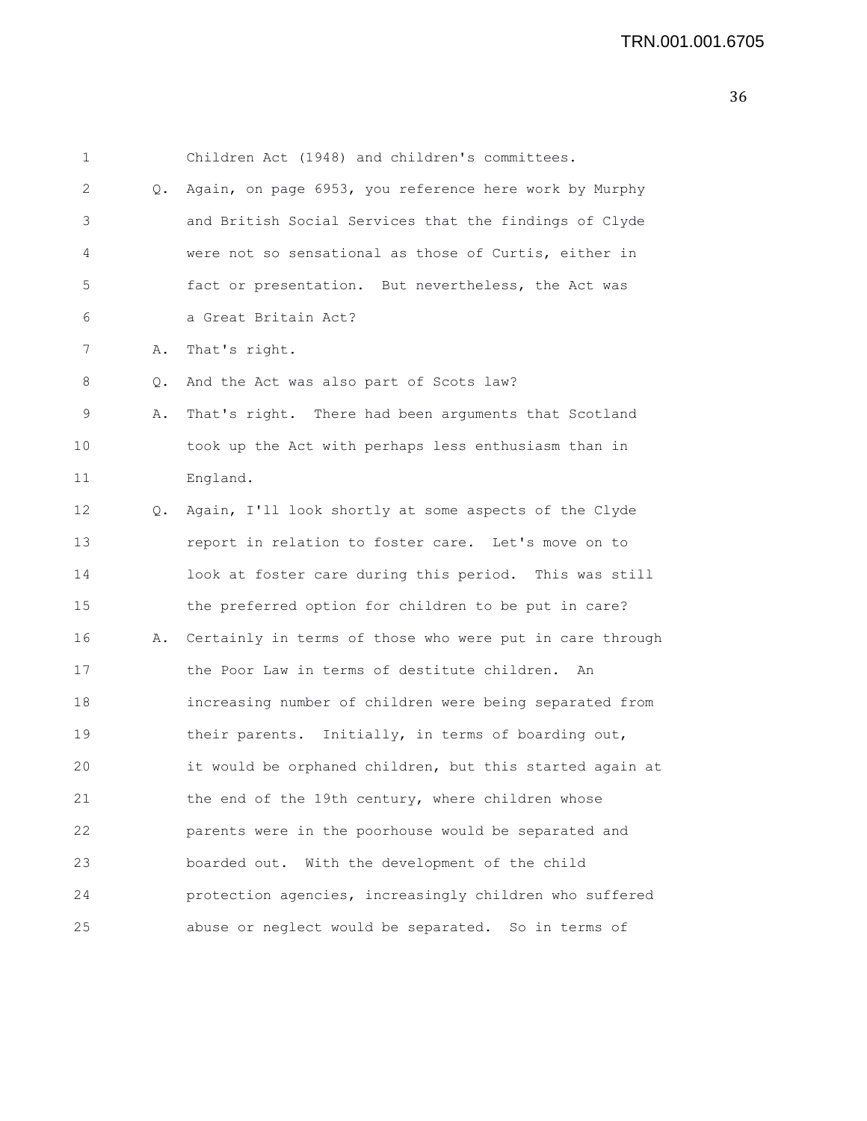| 1  |    | Children Act (1948) and children's committees.           |
|----|----|----------------------------------------------------------|
| 2  | Q. | Again, on page 6953, you reference here work by Murphy   |
| 3  |    | and British Social Services that the findings of Clyde   |
| 4  |    | were not so sensational as those of Curtis, either in    |
| 5  |    | fact or presentation. But nevertheless, the Act was      |
| 6  |    | a Great Britain Act?                                     |
| 7  | Α. | That's right.                                            |
| 8  | Q. | And the Act was also part of Scots law?                  |
| 9  | Α. | That's right. There had been arguments that Scotland     |
| 10 |    | took up the Act with perhaps less enthusiasm than in     |
| 11 |    | England.                                                 |
| 12 | Q. | Again, I'll look shortly at some aspects of the Clyde    |
| 13 |    | report in relation to foster care. Let's move on to      |
| 14 |    | look at foster care during this period. This was still   |
| 15 |    | the preferred option for children to be put in care?     |
| 16 | Α. | Certainly in terms of those who were put in care through |
| 17 |    | the Poor Law in terms of destitute children.<br>An       |
| 18 |    | increasing number of children were being separated from  |
| 19 |    | their parents. Initially, in terms of boarding out,      |
| 20 |    | it would be orphaned children, but this started again at |
| 21 |    | the end of the 19th century, where children whose        |
| 22 |    | parents were in the poorhouse would be separated and     |
| 23 |    | boarded out. With the development of the child           |
| 24 |    | protection agencies, increasingly children who suffered  |
| 25 |    | abuse or neglect would be separated. So in terms of      |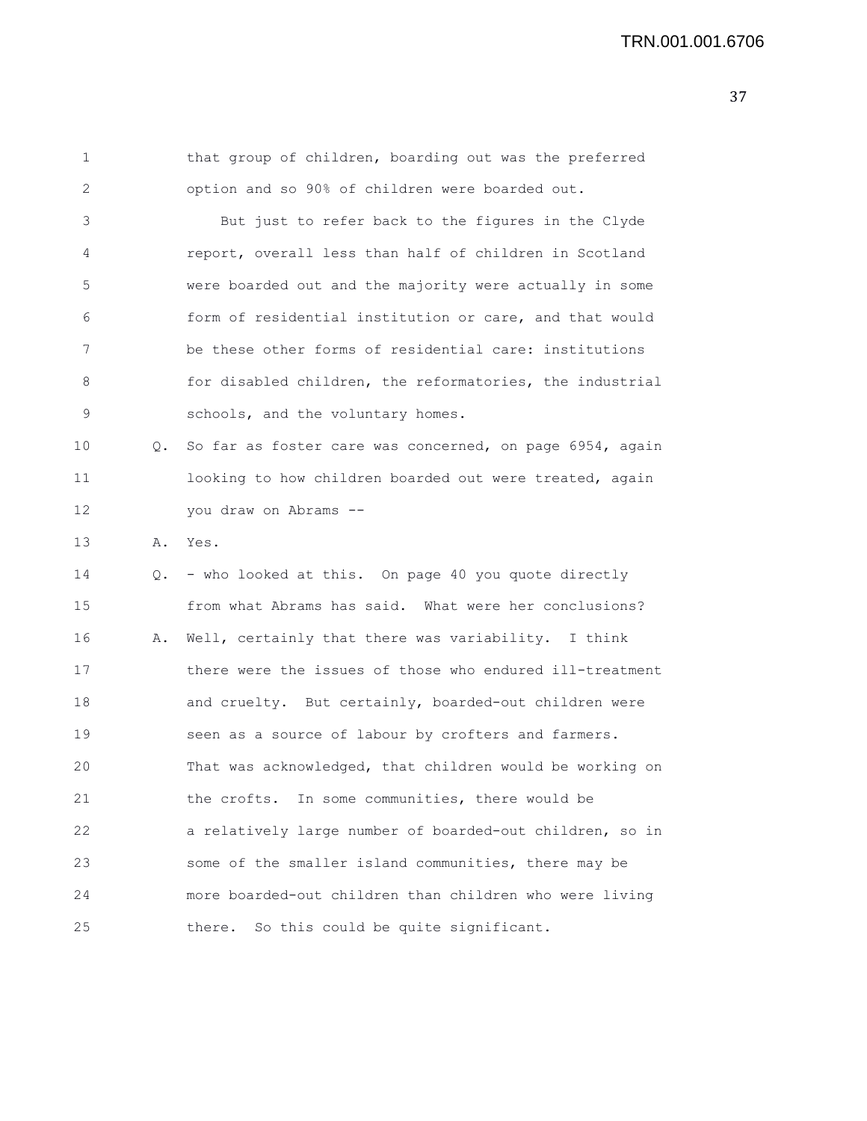1 that group of children, boarding out was the preferred 2 option and so 90% of children were boarded out. 3 But just to refer back to the figures in the Clyde 4 report, overall less than half of children in Scotland 5 were boarded out and the majority were actually in some 6 form of residential institution or care, and that would 7 be these other forms of residential care: institutions 8 for disabled children, the reformatories, the industrial 9 schools, and the voluntary homes. 10 Q. So far as foster care was concerned, on page 6954, again 11 looking to how children boarded out were treated, again 12 you draw on Abrams -- 13 A. Yes. 14 Q. - who looked at this. On page 40 you quote directly 15 from what Abrams has said. What were her conclusions? 16 A. Well, certainly that there was variability. I think 17 there were the issues of those who endured ill-treatment 18 and cruelty. But certainly, boarded-out children were 19 seen as a source of labour by crofters and farmers. 20 That was acknowledged, that children would be working on 21 the crofts. In some communities, there would be 22 a relatively large number of boarded-out children, so in 23 some of the smaller island communities, there may be

24 more boarded-out children than children who were living

25 there. So this could be quite significant.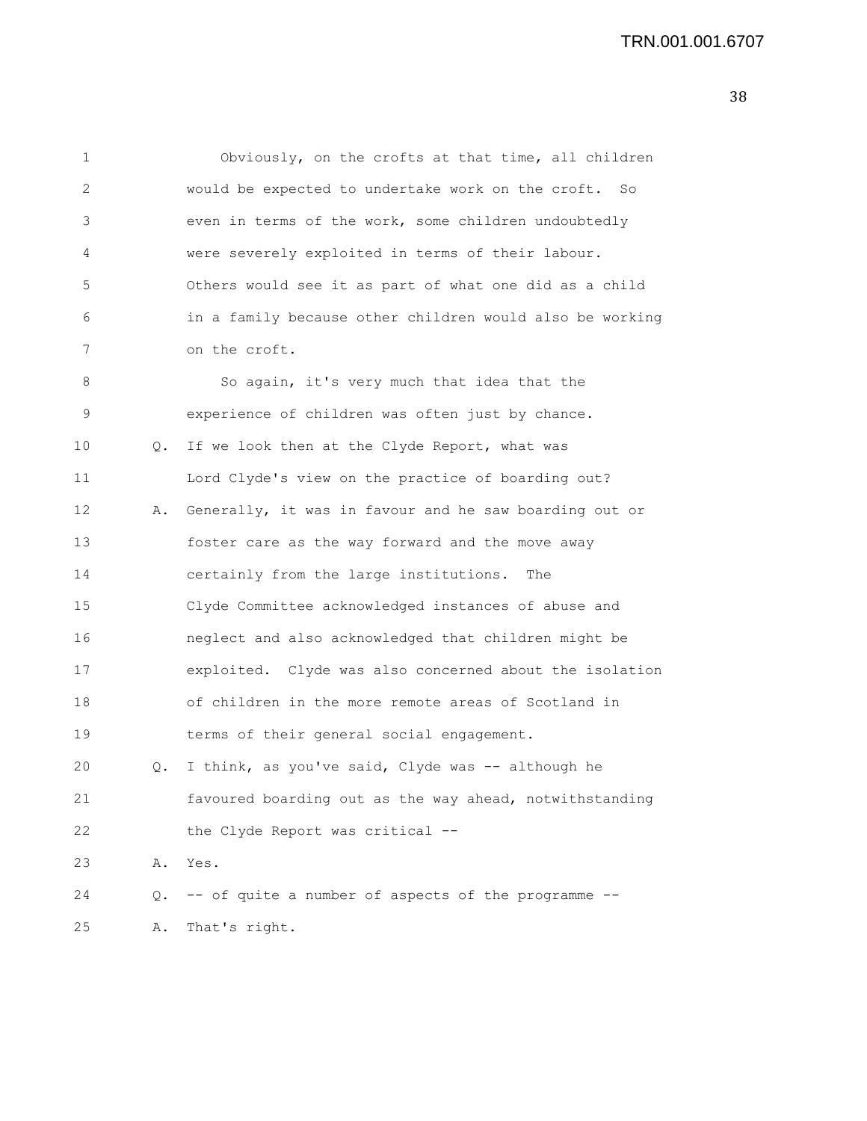1 Obviously, on the crofts at that time, all children 2 would be expected to undertake work on the croft. So 3 even in terms of the work, some children undoubtedly 4 were severely exploited in terms of their labour. 5 Others would see it as part of what one did as a child 6 in a family because other children would also be working 7 on the croft. 8 So again, it's very much that idea that the 9 experience of children was often just by chance. 10 Q. If we look then at the Clyde Report, what was 11 Lord Clyde's view on the practice of boarding out? 12 A. Generally, it was in favour and he saw boarding out or 13 foster care as the way forward and the move away 14 certainly from the large institutions. The 15 Clyde Committee acknowledged instances of abuse and 16 neglect and also acknowledged that children might be 17 exploited. Clyde was also concerned about the isolation 18 of children in the more remote areas of Scotland in 19 terms of their general social engagement. 20 Q. I think, as you've said, Clyde was -- although he 21 favoured boarding out as the way ahead, notwithstanding 22 the Clyde Report was critical -- 23 A. Yes. 24 Q. -- of quite a number of aspects of the programme --

25 A. That's right.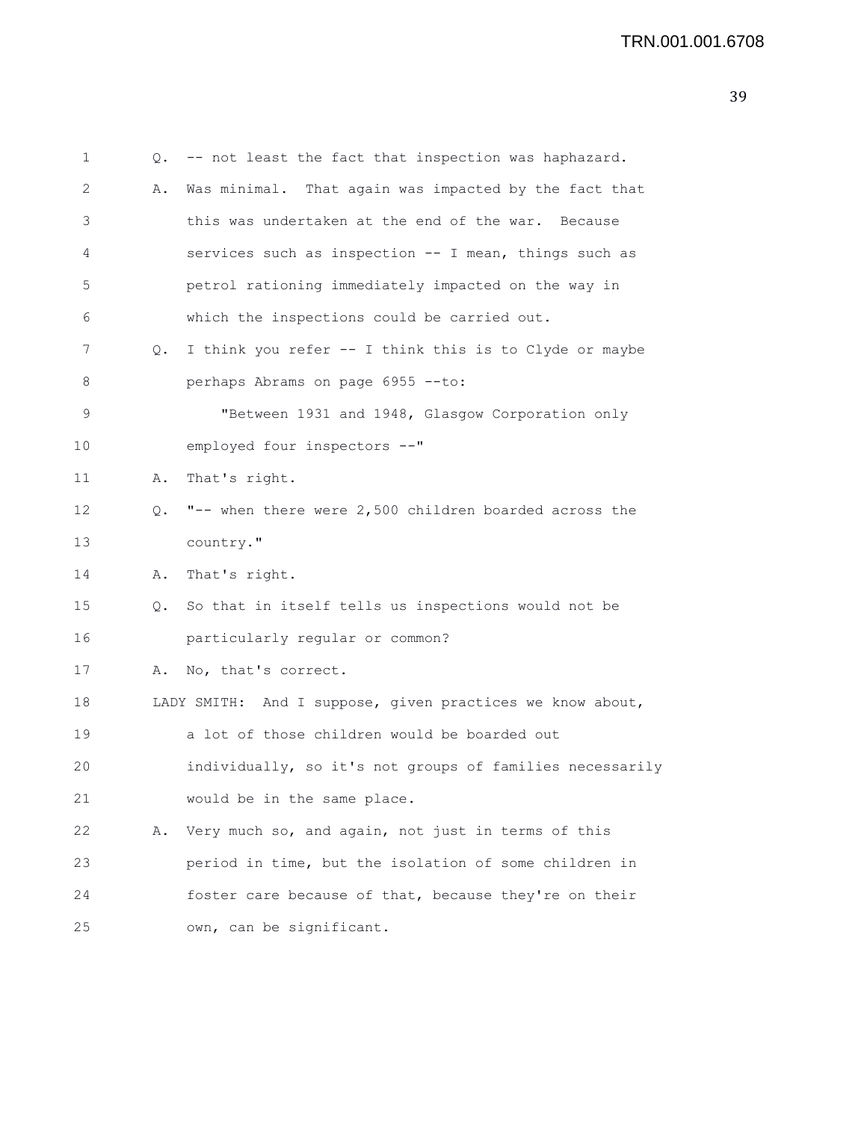```
1 Q. -- not least the fact that inspection was haphazard.
2 A. Was minimal. That again was impacted by the fact that
3 this was undertaken at the end of the war. Because
4 services such as inspection -- I mean, things such as
5 petrol rationing immediately impacted on the way in
6 which the inspections could be carried out.
7 Q. I think you refer -- I think this is to Clyde or maybe
8 perhaps Abrams on page 6955 --to:
9 "Between 1931 and 1948, Glasgow Corporation only
10 employed four inspectors --"
11 A. That's right.
12 Q. "-- when there were 2,500 children boarded across the
13 country."
14 A. That's right.
15 Q. So that in itself tells us inspections would not be
16 particularly regular or common?
17 A. No, that's correct.
18 LADY SMITH: And I suppose, given practices we know about,
19 a lot of those children would be boarded out
20 individually, so it's not groups of families necessarily
21 would be in the same place.
22 A. Very much so, and again, not just in terms of this
23 period in time, but the isolation of some children in
24 foster care because of that, because they're on their
25 own, can be significant.
```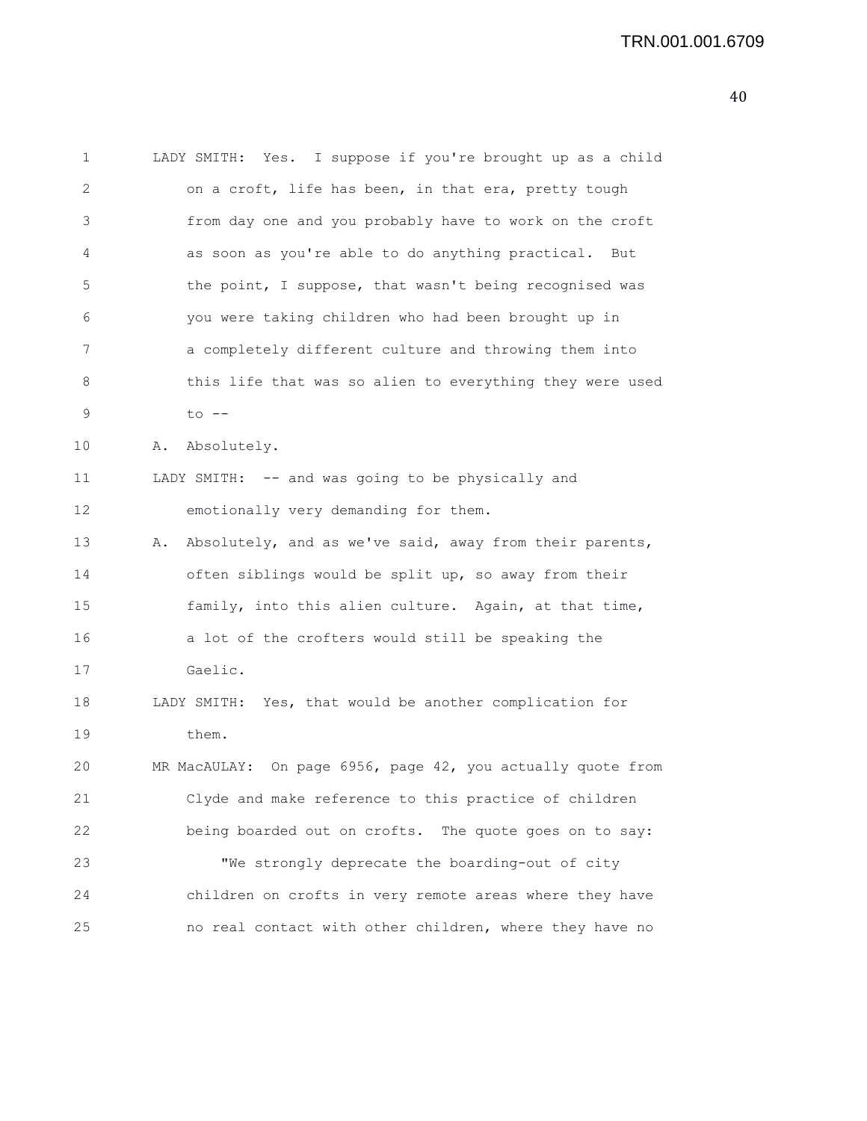1 LADY SMITH: Yes. I suppose if you're brought up as a child 2 on a croft, life has been, in that era, pretty tough 3 from day one and you probably have to work on the croft 4 as soon as you're able to do anything practical. But 5 the point, I suppose, that wasn't being recognised was 6 you were taking children who had been brought up in 7 a completely different culture and throwing them into 8 this life that was so alien to everything they were used 9 to -- 10 A. Absolutely. 11 LADY SMITH: -- and was going to be physically and 12 emotionally very demanding for them. 13 A. Absolutely, and as we've said, away from their parents, 14 often siblings would be split up, so away from their 15 family, into this alien culture. Again, at that time, 16 a lot of the crofters would still be speaking the

17 Gaelic.

18 LADY SMITH: Yes, that would be another complication for 19 them.

20 MR MacAULAY: On page 6956, page 42, you actually quote from 21 Clyde and make reference to this practice of children 22 being boarded out on crofts. The quote goes on to say: 23 "We strongly deprecate the boarding-out of city 24 children on crofts in very remote areas where they have 25 no real contact with other children, where they have no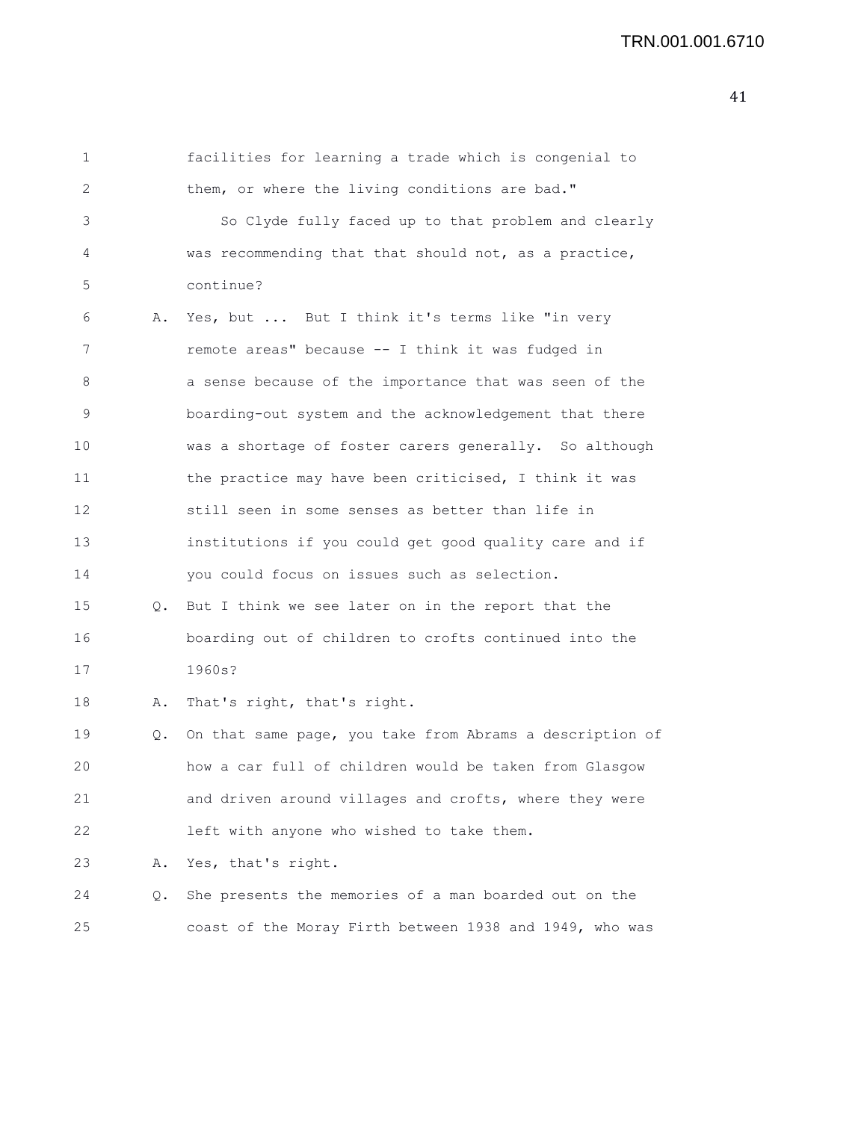| 1  |    | facilities for learning a trade which is congenial to    |
|----|----|----------------------------------------------------------|
| 2  |    | them, or where the living conditions are bad."           |
| 3  |    | So Clyde fully faced up to that problem and clearly      |
| 4  |    | was recommending that that should not, as a practice,    |
| 5  |    | continue?                                                |
| 6  | Α. | Yes, but  But I think it's terms like "in very           |
| 7  |    | remote areas" because -- I think it was fudged in        |
| 8  |    | a sense because of the importance that was seen of the   |
| 9  |    | boarding-out system and the acknowledgement that there   |
| 10 |    | was a shortage of foster carers generally. So although   |
| 11 |    | the practice may have been criticised, I think it was    |
| 12 |    | still seen in some senses as better than life in         |
| 13 |    | institutions if you could get good quality care and if   |
| 14 |    | you could focus on issues such as selection.             |
| 15 | Q. | But I think we see later on in the report that the       |
| 16 |    | boarding out of children to crofts continued into the    |
| 17 |    | 1960s?                                                   |
| 18 | Α. | That's right, that's right.                              |
| 19 | Q. | On that same page, you take from Abrams a description of |
| 20 |    | how a car full of children would be taken from Glasgow   |
| 21 |    | and driven around villages and crofts, where they were   |
| 22 |    | left with anyone who wished to take them.                |
| 23 | Α. | Yes, that's right.                                       |
| 24 | Q. | She presents the memories of a man boarded out on the    |
| 25 |    | coast of the Moray Firth between 1938 and 1949, who was  |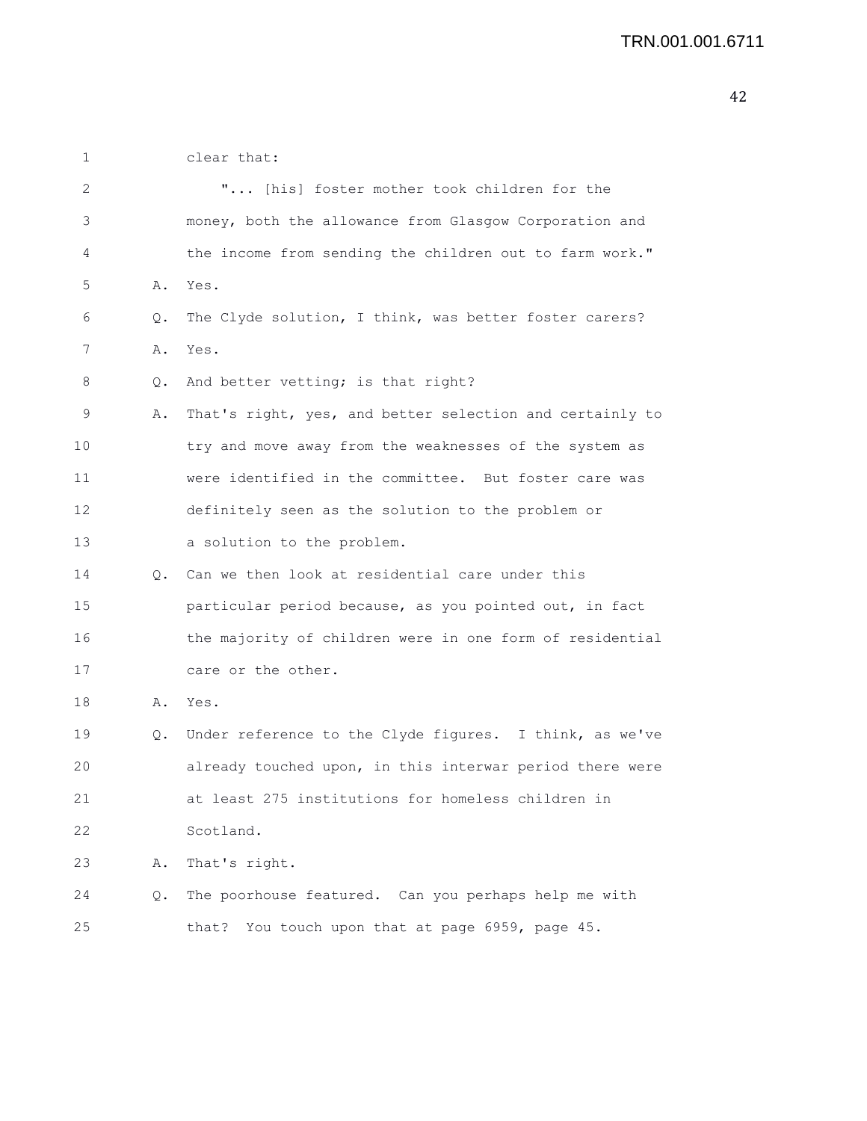| 1  |    | clear that:                                              |
|----|----|----------------------------------------------------------|
| 2  |    | " [his] foster mother took children for the              |
| 3  |    | money, both the allowance from Glasgow Corporation and   |
| 4  |    | the income from sending the children out to farm work."  |
| 5  | Α. | Yes.                                                     |
| 6  | Q. | The Clyde solution, I think, was better foster carers?   |
| 7  | Α. | Yes.                                                     |
| 8  | Q. | And better vetting; is that right?                       |
| 9  | Α. | That's right, yes, and better selection and certainly to |
| 10 |    | try and move away from the weaknesses of the system as   |
| 11 |    | were identified in the committee. But foster care was    |
| 12 |    | definitely seen as the solution to the problem or        |
| 13 |    | a solution to the problem.                               |
| 14 | Q. | Can we then look at residential care under this          |
| 15 |    | particular period because, as you pointed out, in fact   |
| 16 |    | the majority of children were in one form of residential |
| 17 |    | care or the other.                                       |
| 18 | Α. | Yes.                                                     |
| 19 | Q. | Under reference to the Clyde figures. I think, as we've  |
| 20 |    | already touched upon, in this interwar period there were |
| 21 |    | at least 275 institutions for homeless children in       |
| 22 |    | Scotland.                                                |
| 23 | Α. | That's right.                                            |
| 24 | Q. | The poorhouse featured. Can you perhaps help me with     |
| 25 |    | that? You touch upon that at page 6959, page 45.         |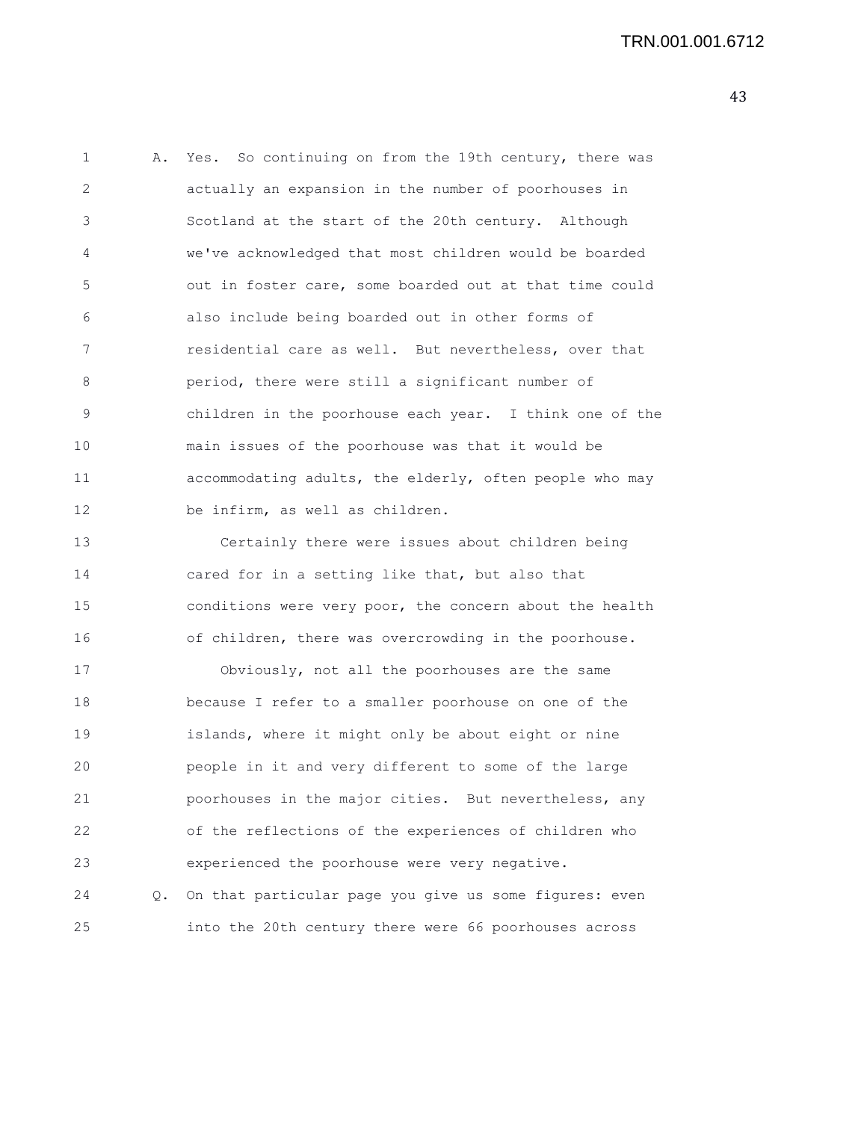| 1  | Α. | Yes. So continuing on from the 19th century, there was  |
|----|----|---------------------------------------------------------|
| 2  |    | actually an expansion in the number of poorhouses in    |
| 3  |    | Scotland at the start of the 20th century. Although     |
| 4  |    | we've acknowledged that most children would be boarded  |
| 5  |    | out in foster care, some boarded out at that time could |
| 6  |    | also include being boarded out in other forms of        |
| 7  |    | residential care as well. But nevertheless, over that   |
| 8  |    | period, there were still a significant number of        |
| 9  |    | children in the poorhouse each year. I think one of the |
| 10 |    | main issues of the poorhouse was that it would be       |
| 11 |    | accommodating adults, the elderly, often people who may |
| 12 |    | be infirm, as well as children.                         |
| 13 |    | Certainly there were issues about children being        |
| 14 |    | cared for in a setting like that, but also that         |
| 15 |    | conditions were very poor, the concern about the health |
| 16 |    | of children, there was overcrowding in the poorhouse.   |
| 17 |    | Obviously, not all the poorhouses are the same          |
| 18 |    | because I refer to a smaller poorhouse on one of the    |
| 19 |    | islands, where it might only be about eight or nine     |
| 20 |    | people in it and very different to some of the large    |
| 21 |    | poorhouses in the major cities. But nevertheless, any   |
| 22 |    | of the reflections of the experiences of children who   |
| 23 |    | experienced the poorhouse were very negative.           |
| 24 | Q. | On that particular page you give us some figures: even  |
| 25 |    | into the 20th century there were 66 poorhouses across   |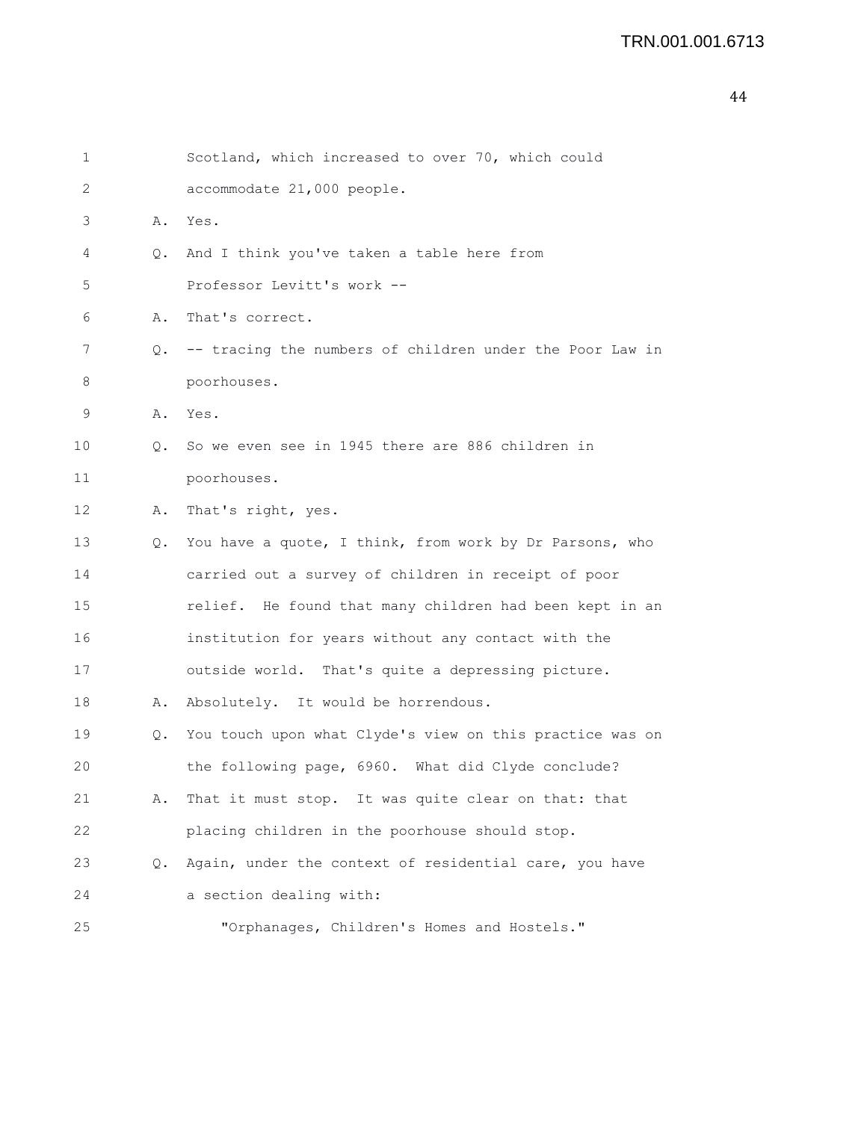```
44
```

```
1 Scotland, which increased to over 70, which could
2 accommodate 21,000 people.
3 A. Yes.
4 Q. And I think you've taken a table here from
5 Professor Levitt's work --
6 A. That's correct.
7 Q. -- tracing the numbers of children under the Poor Law in
8 poorhouses.
9 A. Yes.
10 Q. So we even see in 1945 there are 886 children in
11 poorhouses.
12 A. That's right, yes.
13 Q. You have a quote, I think, from work by Dr Parsons, who
14 carried out a survey of children in receipt of poor
15 relief. He found that many children had been kept in an
16 institution for years without any contact with the
17 outside world. That's quite a depressing picture.
18 A. Absolutely. It would be horrendous.
19 Q. You touch upon what Clyde's view on this practice was on
20 the following page, 6960. What did Clyde conclude?
21 A. That it must stop. It was quite clear on that: that
22 placing children in the poorhouse should stop.
23 Q. Again, under the context of residential care, you have
24 a section dealing with:
25 "Orphanages, Children's Homes and Hostels."
```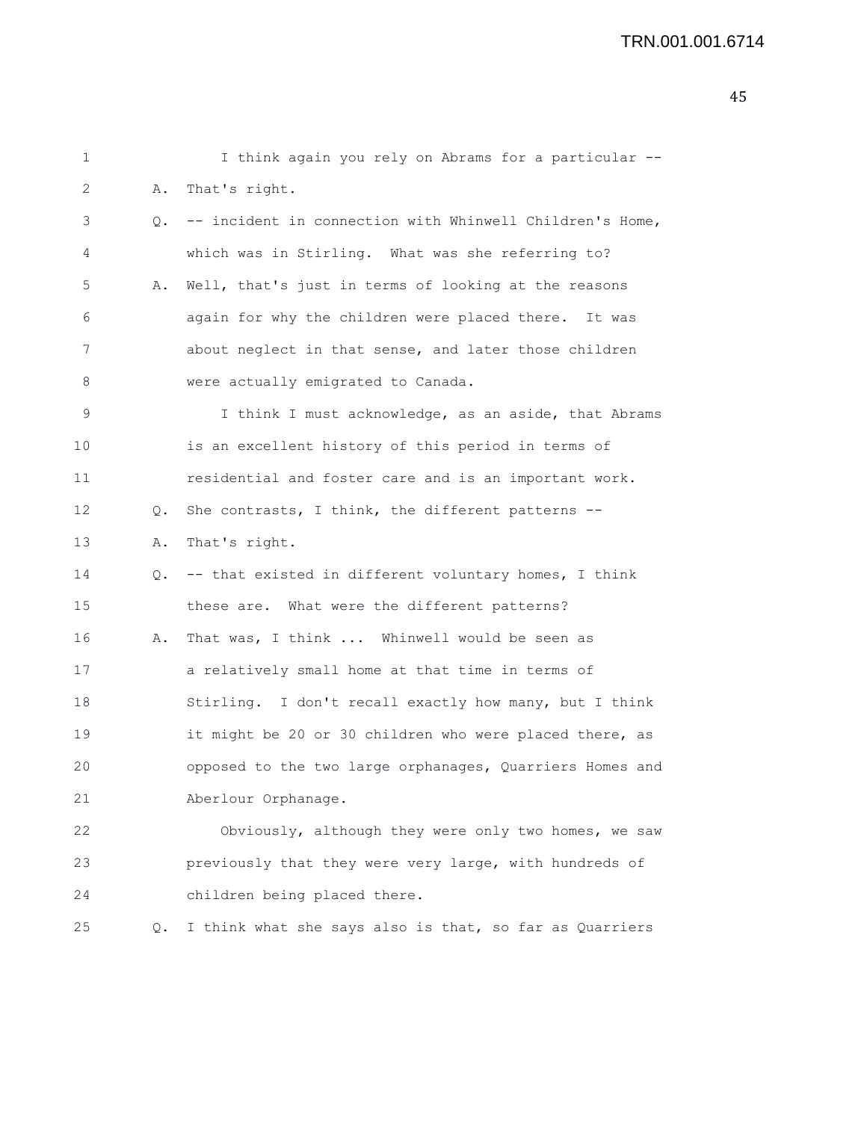| 1  |    | I think again you rely on Abrams for a particular --     |
|----|----|----------------------------------------------------------|
| 2  | Α. | That's right.                                            |
| 3  | Q. | -- incident in connection with Whinwell Children's Home, |
| 4  |    | which was in Stirling. What was she referring to?        |
| 5  | Α. | Well, that's just in terms of looking at the reasons     |
| 6  |    | again for why the children were placed there. It was     |
| 7  |    | about neglect in that sense, and later those children    |
| 8  |    | were actually emigrated to Canada.                       |
| 9  |    | I think I must acknowledge, as an aside, that Abrams     |
| 10 |    | is an excellent history of this period in terms of       |
| 11 |    | residential and foster care and is an important work.    |
| 12 | Q. | She contrasts, I think, the different patterns --        |
| 13 | Α. | That's right.                                            |
| 14 | Q. | -- that existed in different voluntary homes, I think    |
| 15 |    | these are. What were the different patterns?             |
| 16 | Α. | That was, I think  Whinwell would be seen as             |
| 17 |    | a relatively small home at that time in terms of         |
| 18 |    | Stirling. I don't recall exactly how many, but I think   |
| 19 |    | it might be 20 or 30 children who were placed there, as  |
| 20 |    | opposed to the two large orphanages, Quarriers Homes and |
| 21 |    | Aberlour Orphanage.                                      |
| 22 |    | Obviously, although they were only two homes, we saw     |
| 23 |    | previously that they were very large, with hundreds of   |
| 24 |    | children being placed there.                             |
| 25 | Q. | I think what she says also is that, so far as Quarriers  |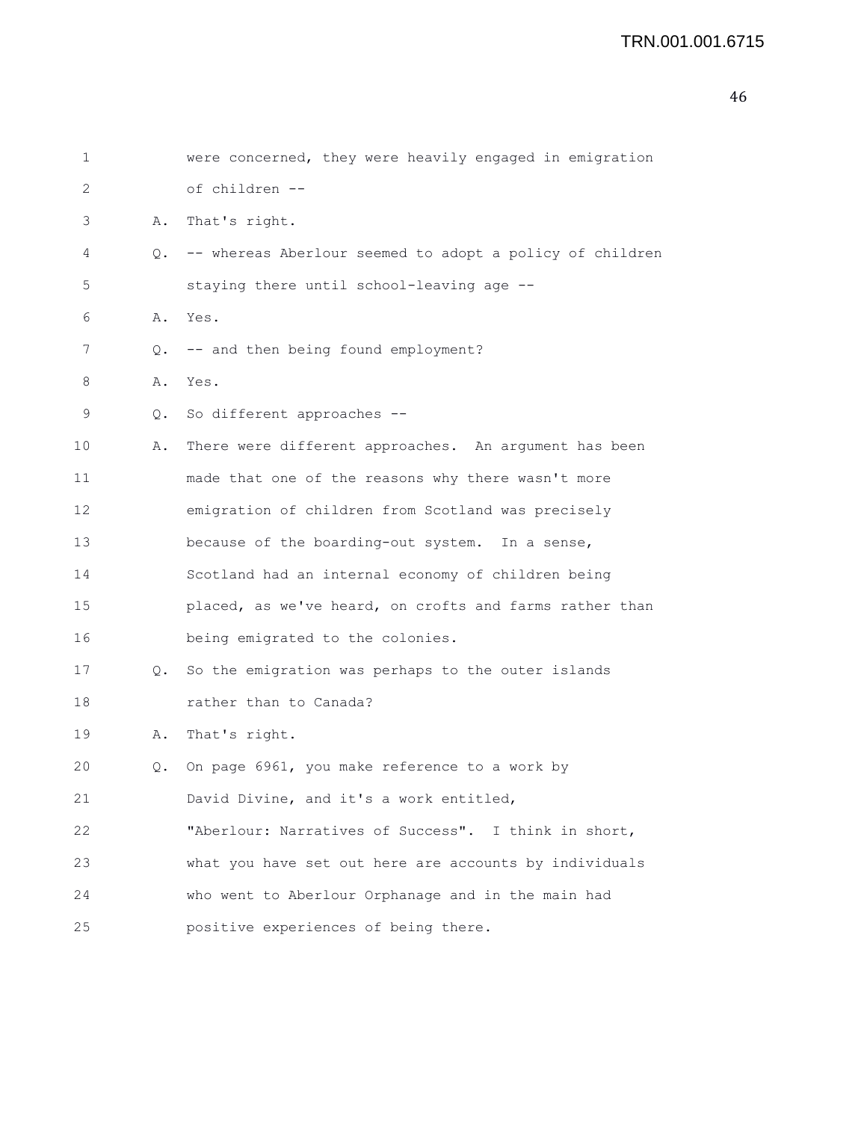| 1  |    | were concerned, they were heavily engaged in emigration  |
|----|----|----------------------------------------------------------|
| 2  |    | of children --                                           |
| 3  | Α. | That's right.                                            |
| 4  | 0. | -- whereas Aberlour seemed to adopt a policy of children |
| 5  |    | staying there until school-leaving age --                |
| 6  |    | A. Yes.                                                  |
| 7  | Q. | -- and then being found employment?                      |
| 8  | Α. | Yes.                                                     |
| 9  |    | Q. So different approaches --                            |
| 10 | Α. | There were different approaches. An argument has been    |
| 11 |    | made that one of the reasons why there wasn't more       |
| 12 |    | emigration of children from Scotland was precisely       |
| 13 |    | because of the boarding-out system. In a sense,          |
| 14 |    | Scotland had an internal economy of children being       |
| 15 |    | placed, as we've heard, on crofts and farms rather than  |
| 16 |    | being emigrated to the colonies.                         |
| 17 |    | Q. So the emigration was perhaps to the outer islands    |
| 18 |    | rather than to Canada?                                   |
| 19 | Α. | That's right.                                            |
| 20 | Q. | On page 6961, you make reference to a work by            |
| 21 |    | David Divine, and it's a work entitled,                  |
| 22 |    | "Aberlour: Narratives of Success". I think in short,     |
| 23 |    | what you have set out here are accounts by individuals   |
| 24 |    | who went to Aberlour Orphanage and in the main had       |
| 25 |    | positive experiences of being there.                     |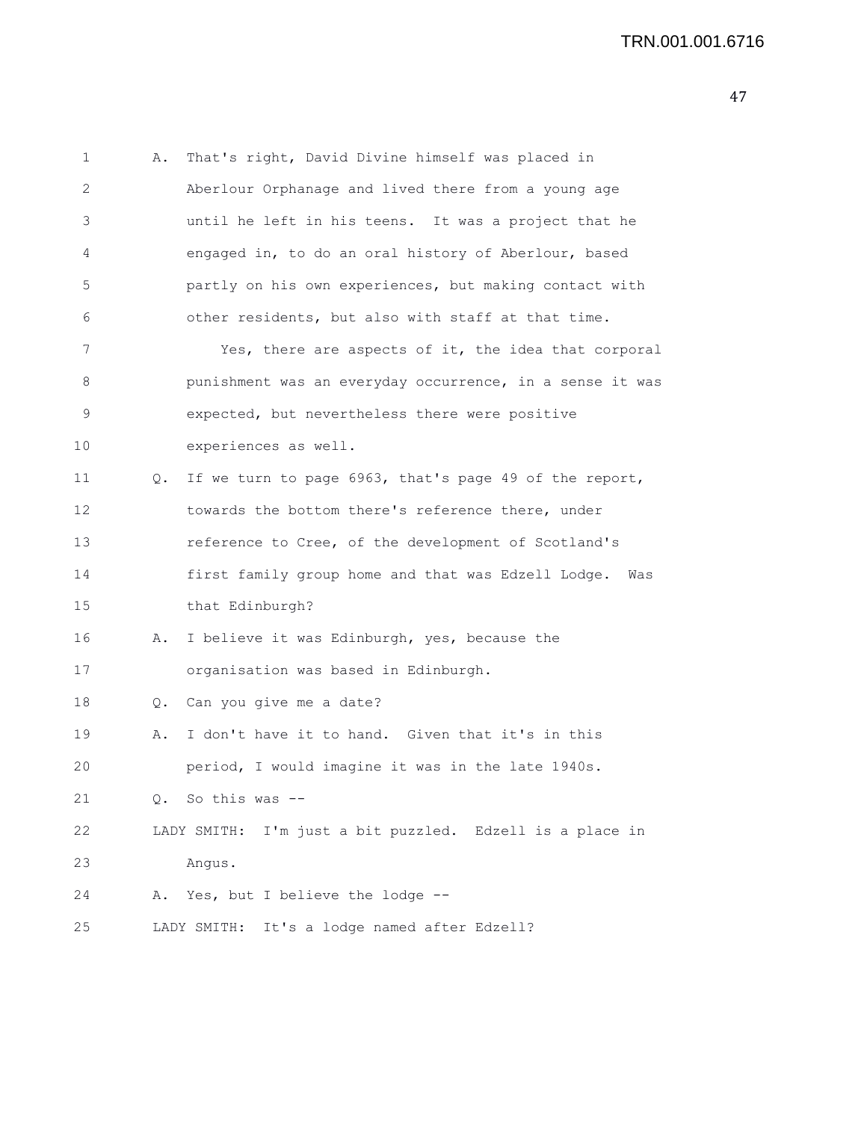1 A. That's right, David Divine himself was placed in 2 Aberlour Orphanage and lived there from a young age 3 until he left in his teens. It was a project that he 4 engaged in, to do an oral history of Aberlour, based 5 partly on his own experiences, but making contact with 6 other residents, but also with staff at that time. 7 Yes, there are aspects of it, the idea that corporal 8 punishment was an everyday occurrence, in a sense it was 9 expected, but nevertheless there were positive 10 experiences as well. 11 Q. If we turn to page 6963, that's page 49 of the report, 12 towards the bottom there's reference there, under 13 reference to Cree, of the development of Scotland's 14 first family group home and that was Edzell Lodge. Was 15 that Edinburgh? 16 A. I believe it was Edinburgh, yes, because the 17 organisation was based in Edinburgh. 18 Q. Can you give me a date? 19 A. I don't have it to hand. Given that it's in this 20 period, I would imagine it was in the late 1940s. 21 Q. So this was -- 22 LADY SMITH: I'm just a bit puzzled. Edzell is a place in 23 Angus. 24 A. Yes, but I believe the lodge -- 25 LADY SMITH: It's a lodge named after Edzell?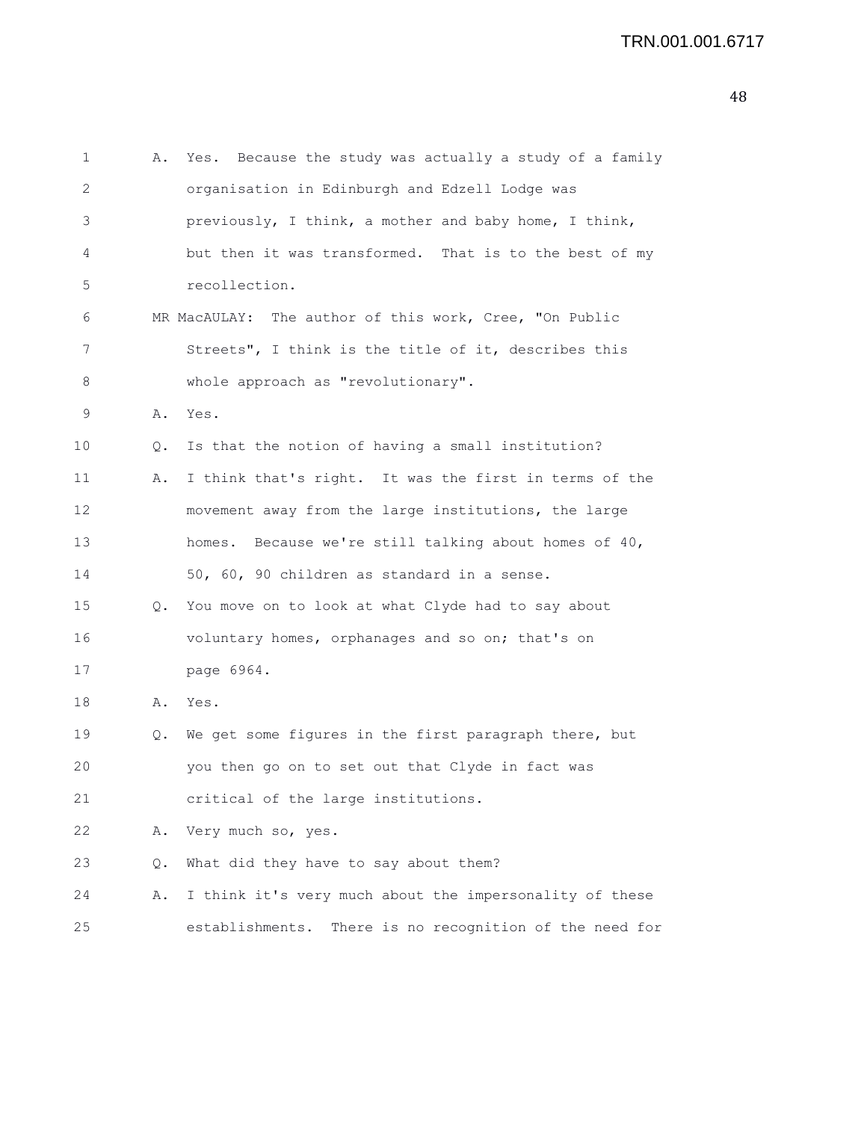```
1 A. Yes. Because the study was actually a study of a family
2 organisation in Edinburgh and Edzell Lodge was
3 previously, I think, a mother and baby home, I think,
4 but then it was transformed. That is to the best of my
5 recollection.
6 MR MacAULAY: The author of this work, Cree, "On Public
7 Streets", I think is the title of it, describes this
8 whole approach as "revolutionary".
9 A. Yes.
10 Q. Is that the notion of having a small institution?
11 A. I think that's right. It was the first in terms of the
12 movement away from the large institutions, the large
13 homes. Because we're still talking about homes of 40,
14 50, 60, 90 children as standard in a sense.
15 Q. You move on to look at what Clyde had to say about
16 voluntary homes, orphanages and so on; that's on
17 page 6964.
18 A. Yes.
19 Q. We get some figures in the first paragraph there, but
20 you then go on to set out that Clyde in fact was
21 critical of the large institutions.
22 A. Very much so, yes.
23 Q. What did they have to say about them?
24 A. I think it's very much about the impersonality of these
25 establishments. There is no recognition of the need for
```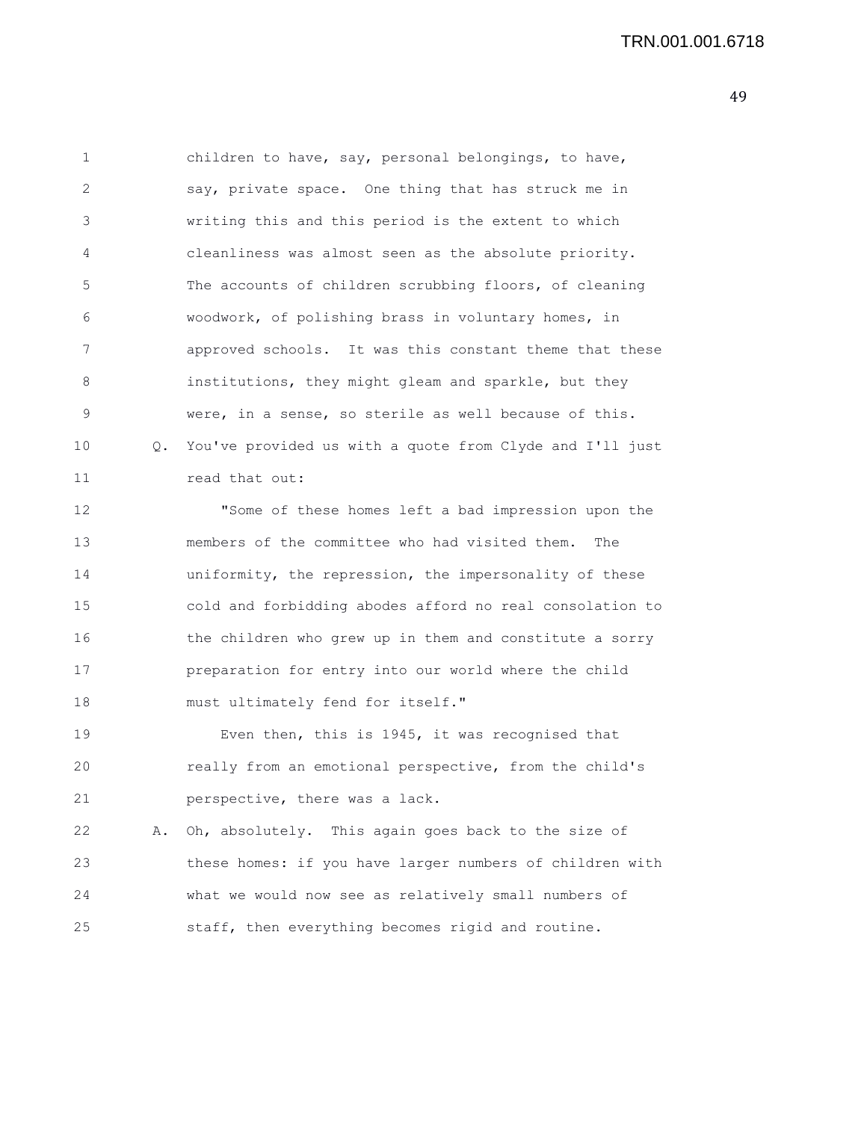| 1  |    | children to have, say, personal belongings, to have,     |
|----|----|----------------------------------------------------------|
| 2  |    | say, private space. One thing that has struck me in      |
| 3  |    | writing this and this period is the extent to which      |
| 4  |    | cleanliness was almost seen as the absolute priority.    |
| 5  |    | The accounts of children scrubbing floors, of cleaning   |
| 6  |    | woodwork, of polishing brass in voluntary homes, in      |
| 7  |    | approved schools. It was this constant theme that these  |
| 8  |    | institutions, they might gleam and sparkle, but they     |
| 9  |    | were, in a sense, so sterile as well because of this.    |
| 10 | Q. | You've provided us with a quote from Clyde and I'll just |
| 11 |    | read that out:                                           |
| 12 |    | "Some of these homes left a bad impression upon the      |
| 13 |    | members of the committee who had visited them.<br>The    |
| 14 |    | uniformity, the repression, the impersonality of these   |
| 15 |    | cold and forbidding abodes afford no real consolation to |
| 16 |    | the children who grew up in them and constitute a sorry  |
| 17 |    | preparation for entry into our world where the child     |
| 18 |    | must ultimately fend for itself."                        |
| 19 |    | Even then, this is 1945, it was recognised that          |
| 20 |    | really from an emotional perspective, from the child's   |
| 21 |    | perspective, there was a lack.                           |
| 22 | Α. | Oh, absolutely. This again goes back to the size of      |
| 23 |    | these homes: if you have larger numbers of children with |
| 24 |    | what we would now see as relatively small numbers of     |
| 25 |    | staff, then everything becomes rigid and routine.        |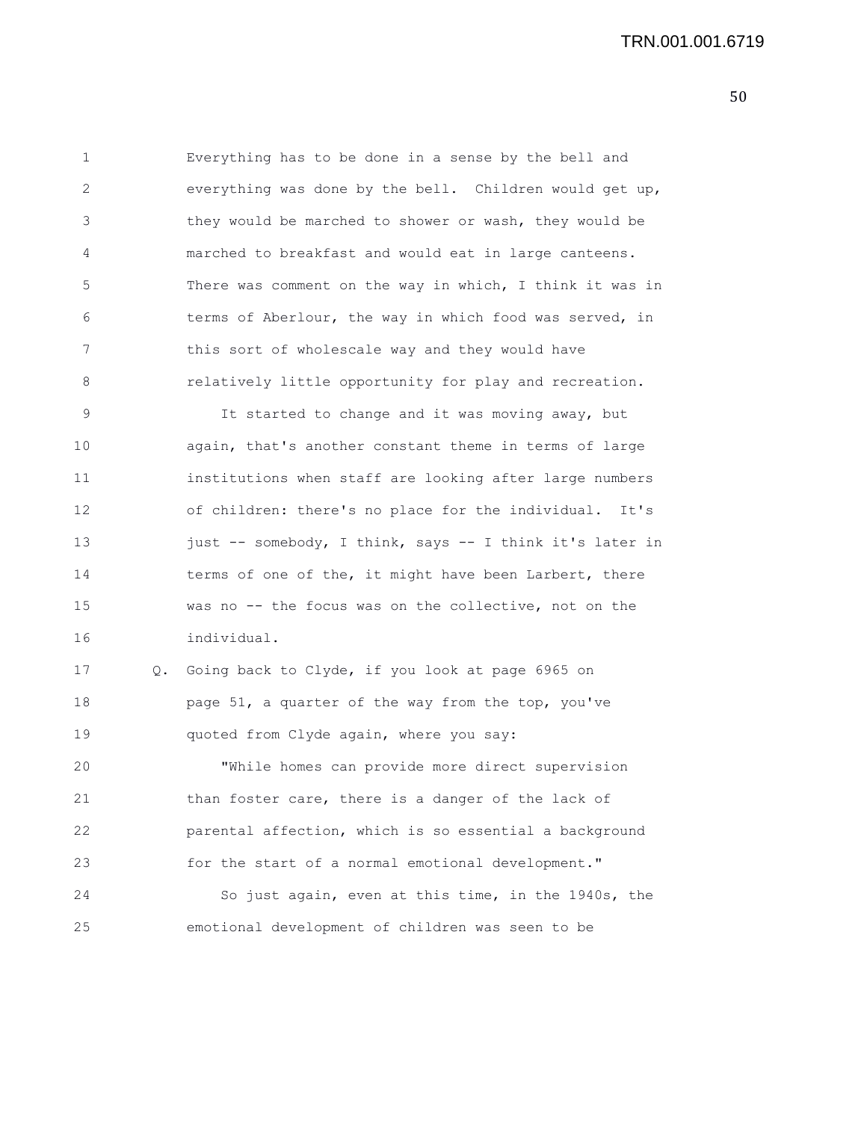1 Everything has to be done in a sense by the bell and 2 everything was done by the bell. Children would get up, 3 they would be marched to shower or wash, they would be 4 marched to breakfast and would eat in large canteens. 5 There was comment on the way in which, I think it was in 6 terms of Aberlour, the way in which food was served, in 7 this sort of wholescale way and they would have 8 relatively little opportunity for play and recreation.

9 It started to change and it was moving away, but 10 again, that's another constant theme in terms of large 11 institutions when staff are looking after large numbers 12 of children: there's no place for the individual. It's 13 just -- somebody, I think, says -- I think it's later in 14 terms of one of the, it might have been Larbert, there 15 was no -- the focus was on the collective, not on the 16 individual.

17 Q. Going back to Clyde, if you look at page 6965 on 18 **page 51, a quarter of the way from the top, you've** 19 quoted from Clyde again, where you say: 20 "While homes can provide more direct supervision 21 than foster care, there is a danger of the lack of

22 parental affection, which is so essential a background 23 for the start of a normal emotional development."

24 So just again, even at this time, in the 1940s, the 25 emotional development of children was seen to be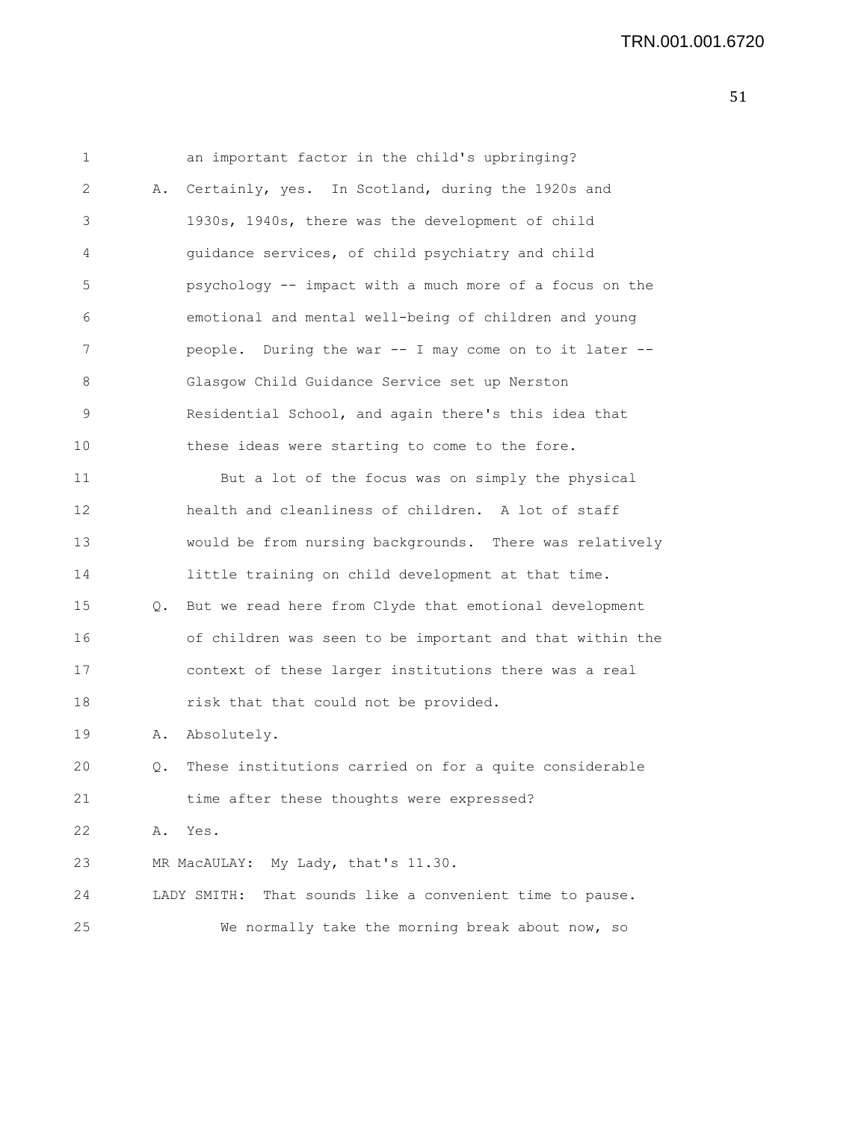| $\mathbf 1$     |    | an important factor in the child's upbringing?           |
|-----------------|----|----------------------------------------------------------|
| 2               | Α. | Certainly, yes. In Scotland, during the 1920s and        |
| 3               |    | 1930s, 1940s, there was the development of child         |
| 4               |    | quidance services, of child psychiatry and child         |
| 5               |    | psychology -- impact with a much more of a focus on the  |
| 6               |    | emotional and mental well-being of children and young    |
| 7               |    | people. During the war -- I may come on to it later --   |
| 8               |    | Glasgow Child Guidance Service set up Nerston            |
| 9               |    | Residential School, and again there's this idea that     |
| 10              |    | these ideas were starting to come to the fore.           |
| 11              |    | But a lot of the focus was on simply the physical        |
| 12              |    | health and cleanliness of children. A lot of staff       |
| 13              |    | would be from nursing backgrounds. There was relatively  |
| 14              |    | little training on child development at that time.       |
| 15 <sub>1</sub> | Q. | But we read here from Clyde that emotional development   |
| 16              |    | of children was seen to be important and that within the |
| 17              |    | context of these larger institutions there was a real    |
| 18              |    | risk that that could not be provided.                    |
| 19              | Α. | Absolutely.                                              |
| 20              | Q. | These institutions carried on for a quite considerable   |
| 21              |    | time after these thoughts were expressed?                |
| 22              | Α. | Yes.                                                     |
| 23              |    | MR MacAULAY: My Lady, that's 11.30.                      |
| 24              |    | LADY SMITH: That sounds like a convenient time to pause. |
| 25              |    | We normally take the morning break about now, so         |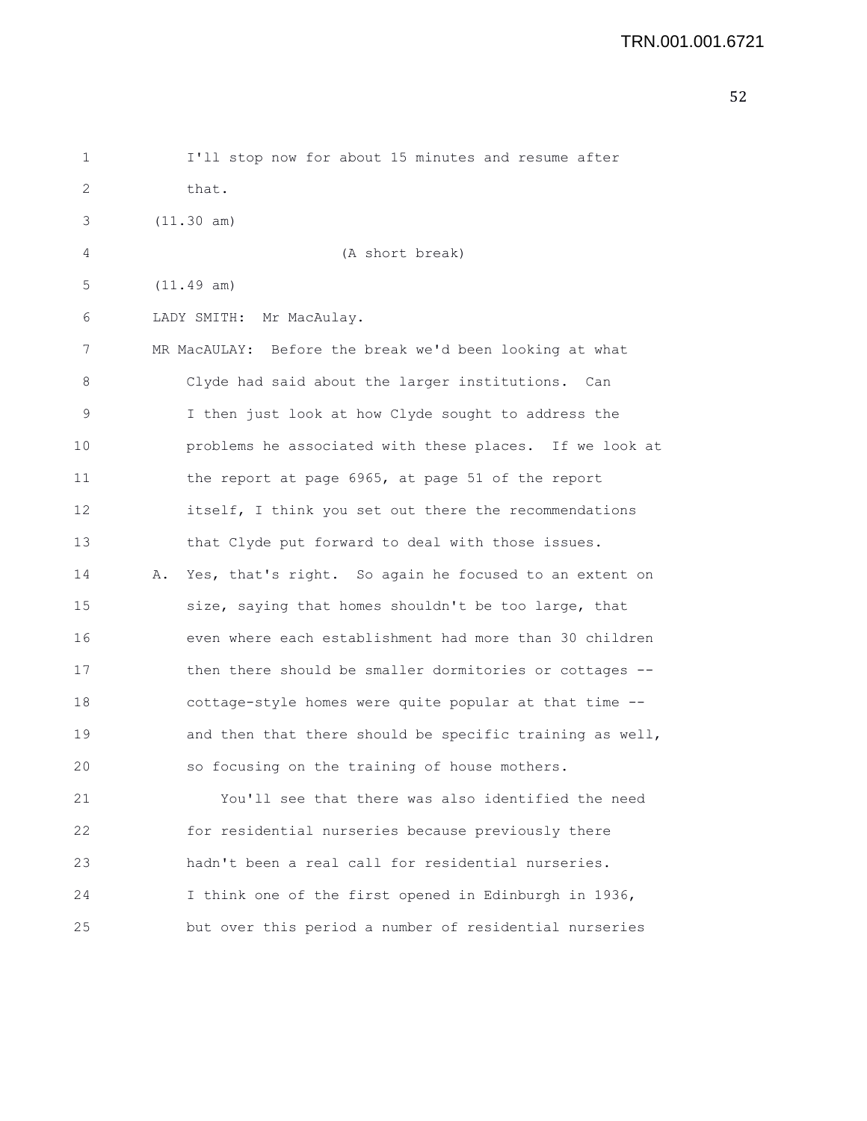| 1  | I'll stop now for about 15 minutes and resume after          |
|----|--------------------------------------------------------------|
| 2  | that.                                                        |
| 3  | (11.30 am)                                                   |
| 4  | (A short break)                                              |
| 5  | (11.49 am)                                                   |
| 6  | LADY SMITH: Mr MacAulay.                                     |
| 7  | MR MacAULAY: Before the break we'd been looking at what      |
| 8  | Clyde had said about the larger institutions. Can            |
| 9  | I then just look at how Clyde sought to address the          |
| 10 | problems he associated with these places. If we look at      |
| 11 | the report at page 6965, at page 51 of the report            |
| 12 | itself, I think you set out there the recommendations        |
| 13 | that Clyde put forward to deal with those issues.            |
| 14 | Yes, that's right. So again he focused to an extent on<br>Α. |
| 15 | size, saying that homes shouldn't be too large, that         |
| 16 | even where each establishment had more than 30 children      |
| 17 | then there should be smaller dormitories or cottages --      |
| 18 | cottage-style homes were quite popular at that time --       |
| 19 | and then that there should be specific training as well,     |
| 20 | so focusing on the training of house mothers.                |
| 21 | You'll see that there was also identified the need           |
| 22 | for residential nurseries because previously there           |
| 23 | hadn't been a real call for residential nurseries.           |
| 24 | I think one of the first opened in Edinburgh in 1936,        |
| 25 | but over this period a number of residential nurseries       |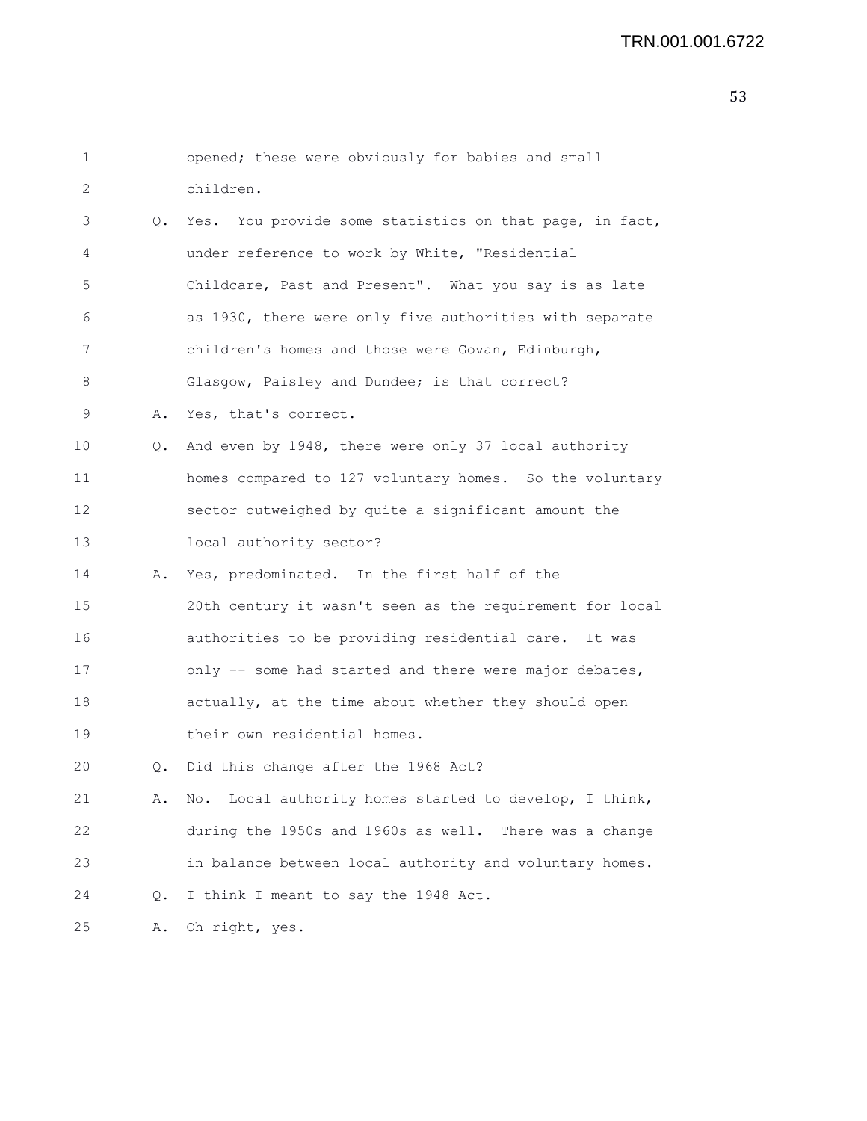| 1                 |           | opened; these were obviously for babies and small         |
|-------------------|-----------|-----------------------------------------------------------|
| 2                 |           | children.                                                 |
| 3                 | $\circ$ . | Yes. You provide some statistics on that page, in fact,   |
| 4                 |           | under reference to work by White, "Residential            |
| 5                 |           | Childcare, Past and Present". What you say is as late     |
| 6                 |           | as 1930, there were only five authorities with separate   |
| 7                 |           | children's homes and those were Govan, Edinburgh,         |
| 8                 |           | Glasgow, Paisley and Dundee; is that correct?             |
| 9                 | Α.        | Yes, that's correct.                                      |
| 10                | Q.        | And even by 1948, there were only 37 local authority      |
| 11                |           | homes compared to 127 voluntary homes. So the voluntary   |
| $12 \overline{ }$ |           | sector outweighed by quite a significant amount the       |
| 13                |           | local authority sector?                                   |
| 14                | Α.        | Yes, predominated. In the first half of the               |
| 15                |           | 20th century it wasn't seen as the requirement for local  |
| 16                |           | authorities to be providing residential care. It was      |
| 17                |           | only -- some had started and there were major debates,    |
| 18                |           | actually, at the time about whether they should open      |
| 19                |           | their own residential homes.                              |
| 20                | Q.        | Did this change after the 1968 Act?                       |
| 21                | Α.        | Local authority homes started to develop, I think,<br>No. |
| 22                |           | during the 1950s and 1960s as well. There was a change    |
| 23                |           | in balance between local authority and voluntary homes.   |
| 24                | Q.        | I think I meant to say the 1948 Act.                      |
| 25                | Α.        | Oh right, yes.                                            |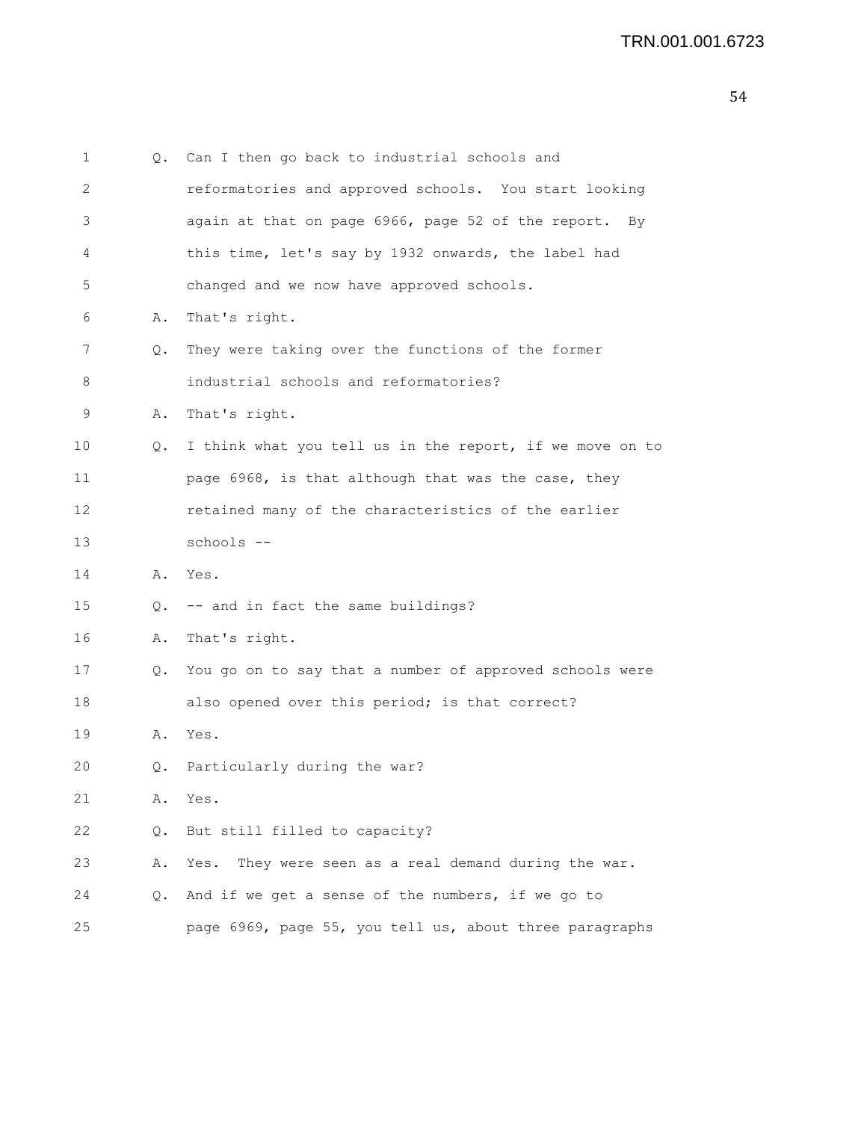| 1  | Q. | Can I then go back to industrial schools and             |
|----|----|----------------------------------------------------------|
| 2  |    | reformatories and approved schools. You start looking    |
| 3  |    | again at that on page 6966, page 52 of the report. By    |
| 4  |    | this time, let's say by 1932 onwards, the label had      |
| 5  |    | changed and we now have approved schools.                |
| 6  | Α. | That's right.                                            |
| 7  | Q. | They were taking over the functions of the former        |
| 8  |    | industrial schools and reformatories?                    |
| 9  | Α. | That's right.                                            |
| 10 | Q. | I think what you tell us in the report, if we move on to |
| 11 |    | page 6968, is that although that was the case, they      |
| 12 |    | retained many of the characteristics of the earlier      |
| 13 |    | schools --                                               |
| 14 |    | A. Yes.                                                  |
| 15 | Q. | -- and in fact the same buildings?                       |
| 16 | Α. | That's right.                                            |
| 17 | Q. | You go on to say that a number of approved schools were  |
| 18 |    | also opened over this period; is that correct?           |
| 19 | Α. | Yes.                                                     |
| 20 | 0. | Particularly during the war?                             |
| 21 | Α. | Yes.                                                     |
| 22 | Q. | But still filled to capacity?                            |
| 23 | Α. | They were seen as a real demand during the war.<br>Yes.  |
| 24 | Q. | And if we get a sense of the numbers, if we go to        |
| 25 |    | page 6969, page 55, you tell us, about three paragraphs  |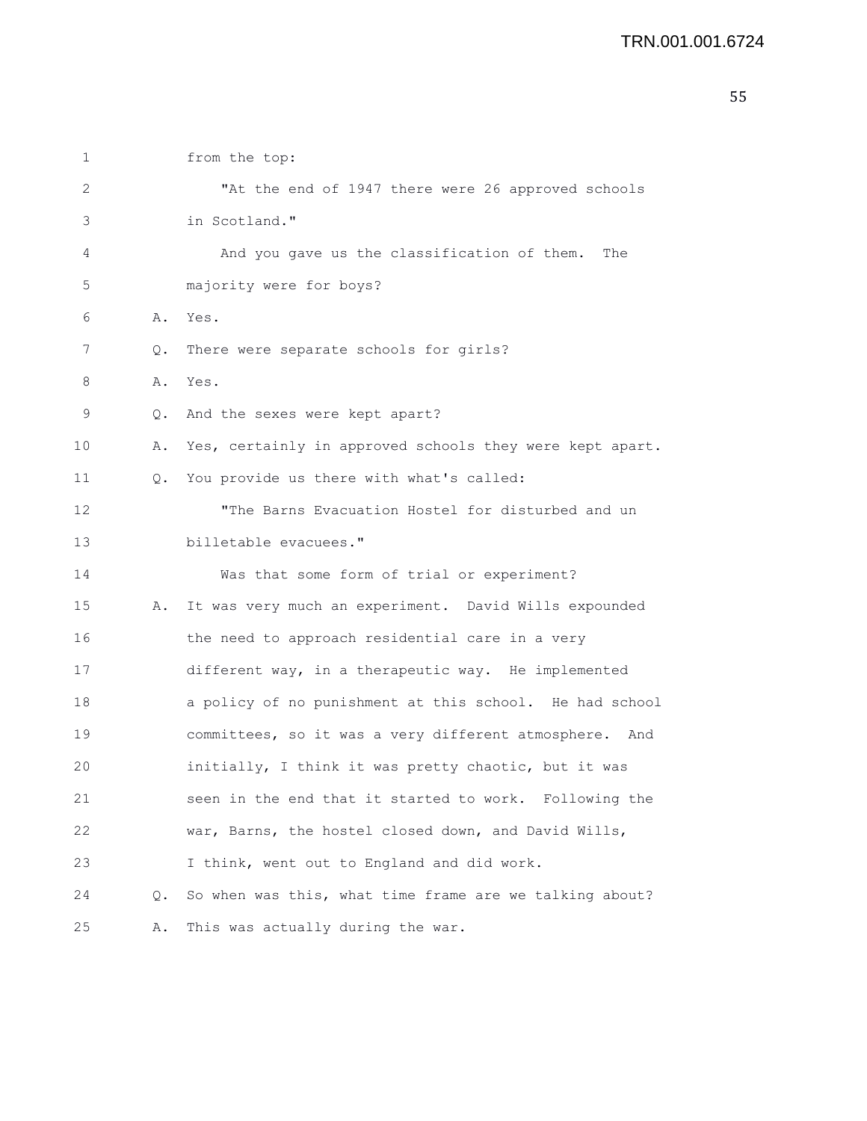| 1  |           | from the top:                                            |
|----|-----------|----------------------------------------------------------|
| 2  |           | "At the end of 1947 there were 26 approved schools       |
| 3  |           | in Scotland."                                            |
| 4  |           | And you gave us the classification of them.<br>The       |
| 5  |           | majority were for boys?                                  |
| 6  | Α.        | Yes.                                                     |
| 7  | Q.        | There were separate schools for girls?                   |
| 8  | Α.        | Yes.                                                     |
| 9  | $\circ$ . | And the sexes were kept apart?                           |
| 10 | Α.        | Yes, certainly in approved schools they were kept apart. |
| 11 | Q.        | You provide us there with what's called:                 |
| 12 |           | "The Barns Evacuation Hostel for disturbed and un        |
| 13 |           | billetable evacuees."                                    |
| 14 |           | Was that some form of trial or experiment?               |
| 15 | Α.        | It was very much an experiment. David Wills expounded    |
| 16 |           | the need to approach residential care in a very          |
| 17 |           | different way, in a therapeutic way. He implemented      |
| 18 |           | a policy of no punishment at this school. He had school  |
| 19 |           | committees, so it was a very different atmosphere. And   |
| 20 |           | initially, I think it was pretty chaotic, but it was     |
| 21 |           | seen in the end that it started to work. Following the   |
| 22 |           | war, Barns, the hostel closed down, and David Wills,     |
| 23 |           | I think, went out to England and did work.               |
| 24 | Q.        | So when was this, what time frame are we talking about?  |
| 25 | Α.        | This was actually during the war.                        |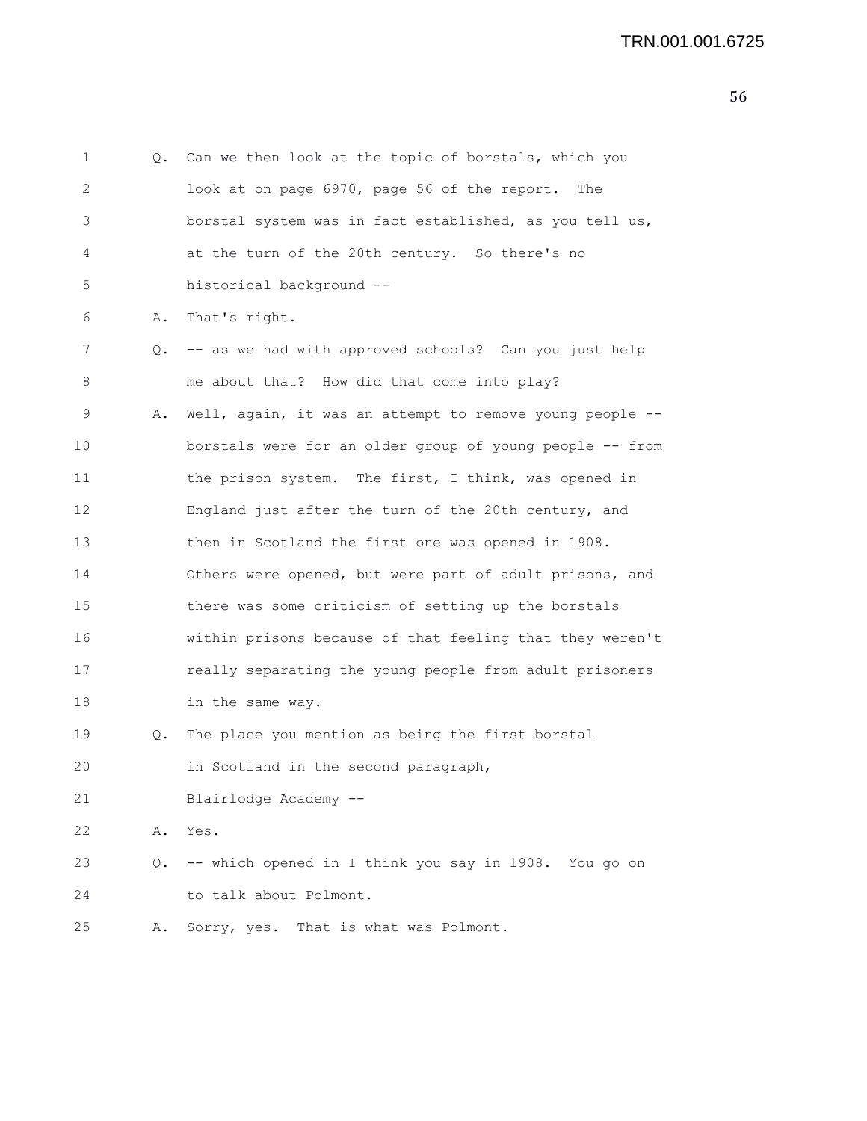1 Q. Can we then look at the topic of borstals, which you 2 look at on page 6970, page 56 of the report. The 3 borstal system was in fact established, as you tell us, 4 at the turn of the 20th century. So there's no 5 historical background -- 6 A. That's right. 7 Q. -- as we had with approved schools? Can you just help 8 me about that? How did that come into play? 9 A. Well, again, it was an attempt to remove young people -- 10 borstals were for an older group of young people -- from 11 the prison system. The first, I think, was opened in 12 England just after the turn of the 20th century, and 13 then in Scotland the first one was opened in 1908. 14 Others were opened, but were part of adult prisons, and 15 there was some criticism of setting up the borstals 16 within prisons because of that feeling that they weren't 17 really separating the young people from adult prisoners 18 in the same way. 19 Q. The place you mention as being the first borstal 20 in Scotland in the second paragraph, 21 Blairlodge Academy -- 22 A. Yes. 23 Q. -- which opened in I think you say in 1908. You go on 24 to talk about Polmont. 25 A. Sorry, yes. That is what was Polmont.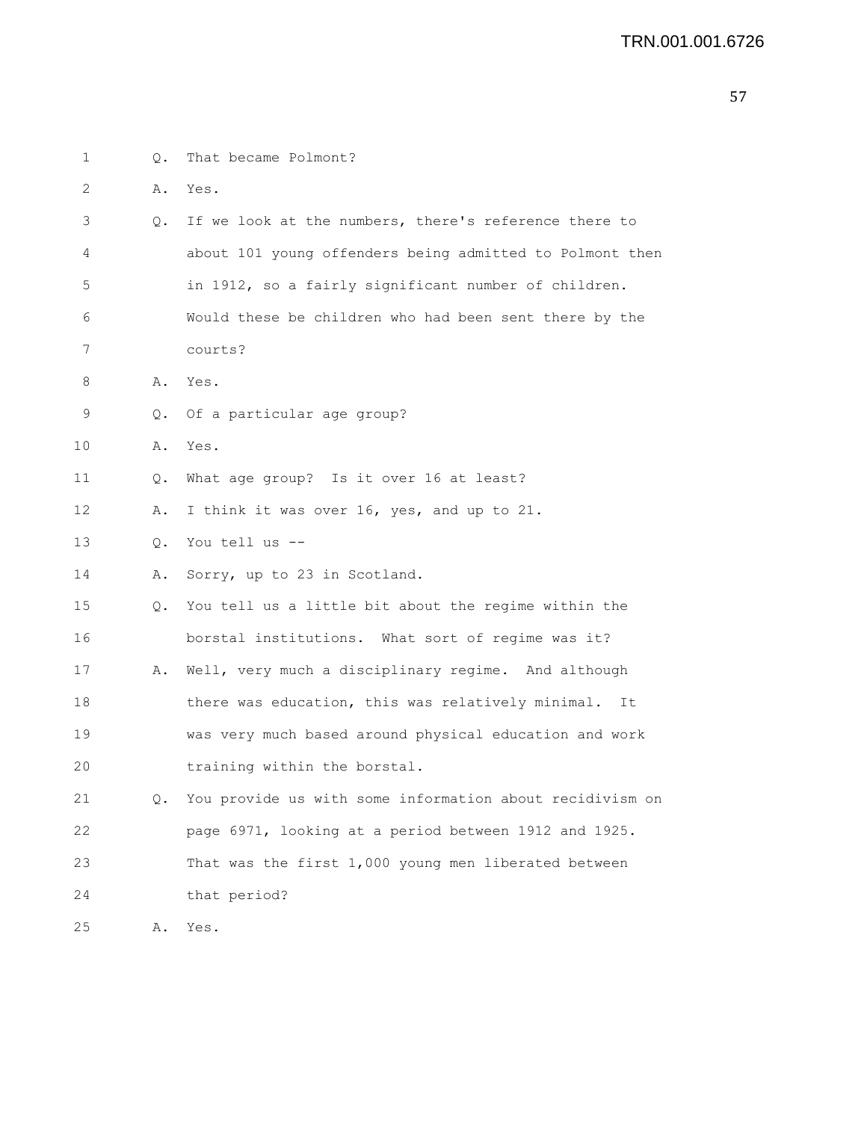| 1  | Q.        | That became Polmont?                                        |
|----|-----------|-------------------------------------------------------------|
| 2  | Α.        | Yes.                                                        |
| 3  |           | Q. If we look at the numbers, there's reference there to    |
| 4  |           | about 101 young offenders being admitted to Polmont then    |
| 5  |           | in 1912, so a fairly significant number of children.        |
| 6  |           | Would these be children who had been sent there by the      |
| 7  |           | courts?                                                     |
| 8  | Α.        | Yes.                                                        |
| 9  | Q.        | Of a particular age group?                                  |
| 10 | Α.        | Yes.                                                        |
| 11 | Q.        | What age group? Is it over 16 at least?                     |
| 12 | Α.        | I think it was over 16, yes, and up to 21.                  |
| 13 | $\circ$ . | You tell us --                                              |
| 14 | Α.        | Sorry, up to 23 in Scotland.                                |
| 15 | 0.        | You tell us a little bit about the regime within the        |
| 16 |           | borstal institutions. What sort of regime was it?           |
| 17 | Α.        | Well, very much a disciplinary regime. And although         |
| 18 |           | there was education, this was relatively minimal.<br>It     |
| 19 |           | was very much based around physical education and work      |
| 20 |           | training within the borstal.                                |
| 21 |           | Q. You provide us with some information about recidivism on |
| 22 |           | page 6971, looking at a period between 1912 and 1925.       |
| 23 |           | That was the first 1,000 young men liberated between        |
| 24 |           | that period?                                                |
| 25 | Α.        | Yes.                                                        |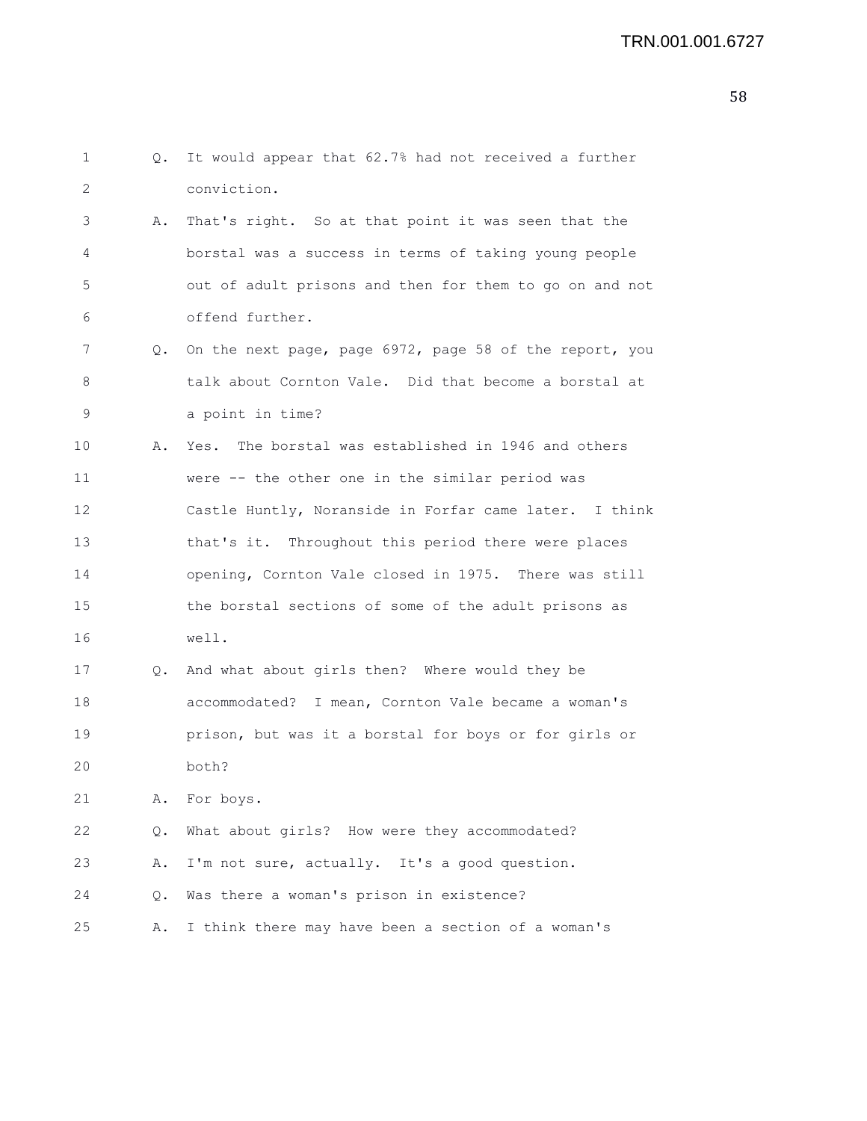| 1  | Q. | It would appear that 62.7% had not received a further      |
|----|----|------------------------------------------------------------|
| 2  |    | conviction.                                                |
| 3  | Α. | That's right. So at that point it was seen that the        |
| 4  |    | borstal was a success in terms of taking young people      |
| 5  |    | out of adult prisons and then for them to go on and not    |
| 6  |    | offend further.                                            |
| 7  |    | Q. On the next page, page 6972, page 58 of the report, you |
| 8  |    | talk about Cornton Vale. Did that become a borstal at      |
| 9  |    | a point in time?                                           |
| 10 | Α. | The borstal was established in 1946 and others<br>Yes.     |
| 11 |    | were -- the other one in the similar period was            |
| 12 |    | Castle Huntly, Noranside in Forfar came later. I think     |
| 13 |    | that's it. Throughout this period there were places        |
| 14 |    | opening, Cornton Vale closed in 1975. There was still      |
| 15 |    | the borstal sections of some of the adult prisons as       |
| 16 |    | well.                                                      |
| 17 | Q. | And what about girls then? Where would they be             |
| 18 |    | accommodated? I mean, Cornton Vale became a woman's        |
| 19 |    | prison, but was it a borstal for boys or for girls or      |
| 20 |    | both?                                                      |
| 21 | Α. | For boys.                                                  |
| 22 | Q. | What about girls? How were they accommodated?              |
| 23 | Α. | I'm not sure, actually. It's a good question.              |
| 24 | Q. | Was there a woman's prison in existence?                   |
| 25 | Α. | I think there may have been a section of a woman's         |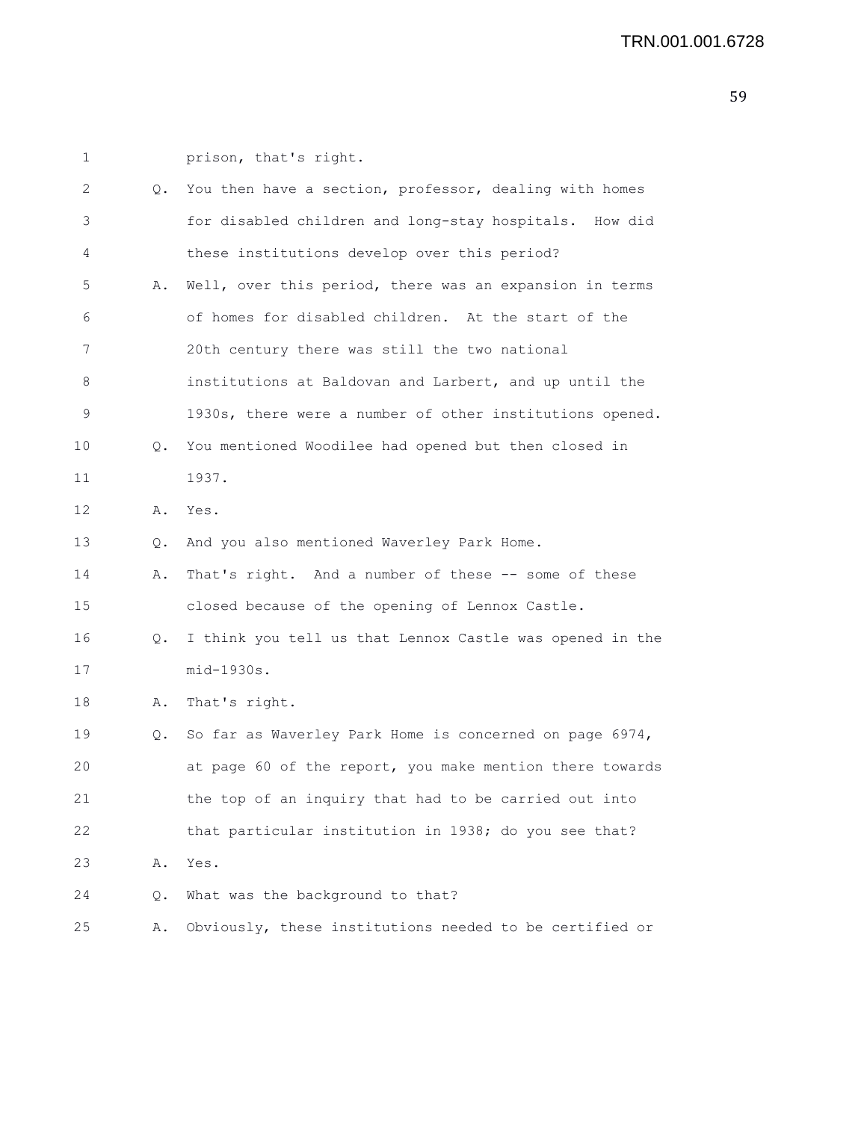1 prison, that's right. 2 Q. You then have a section, professor, dealing with homes 3 for disabled children and long-stay hospitals. How did 4 these institutions develop over this period? 5 A. Well, over this period, there was an expansion in terms 6 of homes for disabled children. At the start of the 7 20th century there was still the two national 8 institutions at Baldovan and Larbert, and up until the 9 1930s, there were a number of other institutions opened. 10 Q. You mentioned Woodilee had opened but then closed in 11 1937. 12 A. Yes. 13 Q. And you also mentioned Waverley Park Home. 14 A. That's right. And a number of these -- some of these 15 closed because of the opening of Lennox Castle. 16 Q. I think you tell us that Lennox Castle was opened in the 17 mid-1930s. 18 A. That's right. 19 Q. So far as Waverley Park Home is concerned on page 6974, 20 at page 60 of the report, you make mention there towards 21 the top of an inquiry that had to be carried out into 22 that particular institution in 1938; do you see that? 23 A. Yes. 24 Q. What was the background to that? 25 A. Obviously, these institutions needed to be certified or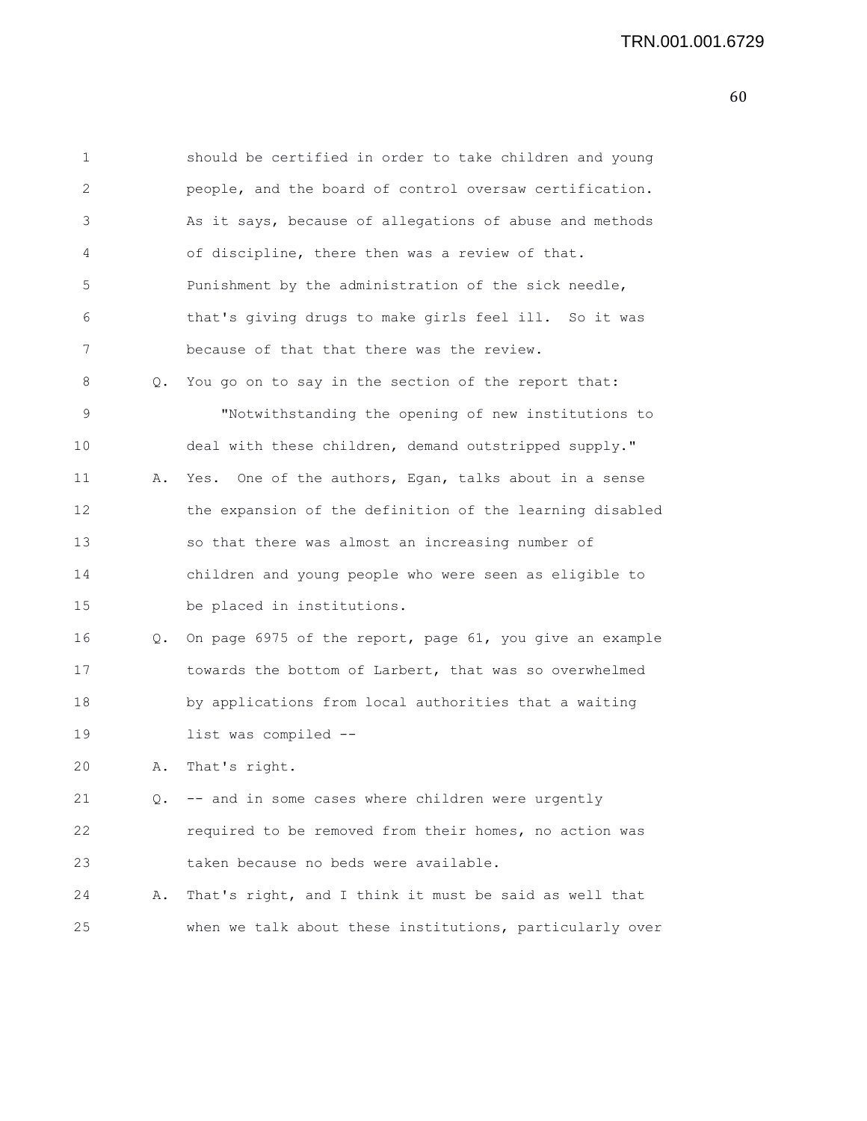| 1  |    | should be certified in order to take children and young  |
|----|----|----------------------------------------------------------|
| 2  |    | people, and the board of control oversaw certification.  |
| 3  |    | As it says, because of allegations of abuse and methods  |
| 4  |    | of discipline, there then was a review of that.          |
| 5  |    | Punishment by the administration of the sick needle,     |
| 6  |    | that's giving drugs to make girls feel ill. So it was    |
| 7  |    | because of that that there was the review.               |
| 8  | Q. | You go on to say in the section of the report that:      |
| 9  |    | "Notwithstanding the opening of new institutions to      |
| 10 |    | deal with these children, demand outstripped supply."    |
| 11 | Α. | Yes. One of the authors, Egan, talks about in a sense    |
| 12 |    | the expansion of the definition of the learning disabled |
| 13 |    | so that there was almost an increasing number of         |
| 14 |    | children and young people who were seen as eligible to   |
| 15 |    | be placed in institutions.                               |
| 16 | Q. | On page 6975 of the report, page 61, you give an example |
| 17 |    | towards the bottom of Larbert, that was so overwhelmed   |
| 18 |    | by applications from local authorities that a waiting    |
| 19 |    | list was compiled --                                     |
| 20 | Α. | That's right.                                            |
| 21 | 0. | -- and in some cases where children were urgently        |
| 22 |    | required to be removed from their homes, no action was   |
| 23 |    | taken because no beds were available.                    |
| 24 | Α. | That's right, and I think it must be said as well that   |
| 25 |    | when we talk about these institutions, particularly over |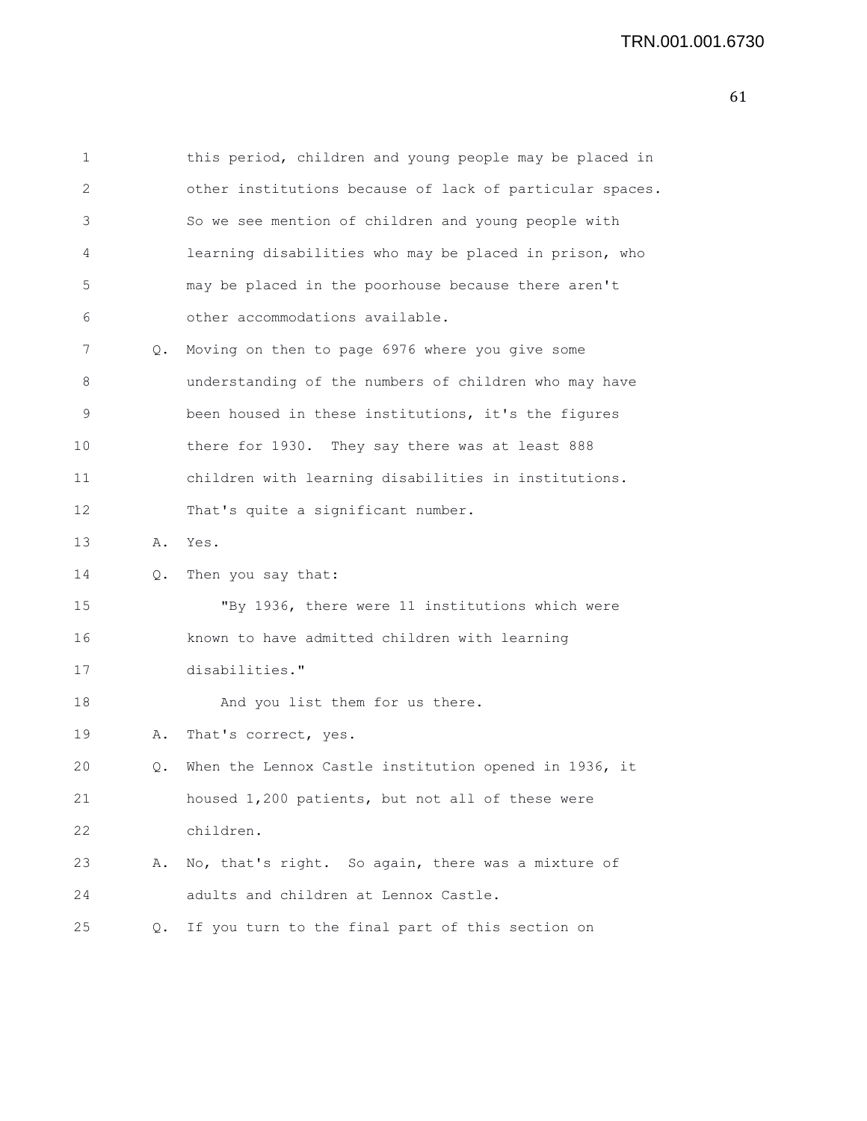| 1  |    | this period, children and young people may be placed in  |
|----|----|----------------------------------------------------------|
| 2  |    | other institutions because of lack of particular spaces. |
| 3  |    | So we see mention of children and young people with      |
| 4  |    | learning disabilities who may be placed in prison, who   |
| 5  |    | may be placed in the poorhouse because there aren't      |
| 6  |    | other accommodations available.                          |
| 7  | Q. | Moving on then to page 6976 where you give some          |
| 8  |    | understanding of the numbers of children who may have    |
| 9  |    | been housed in these institutions, it's the figures      |
| 10 |    | there for 1930. They say there was at least 888          |
| 11 |    | children with learning disabilities in institutions.     |
| 12 |    | That's quite a significant number.                       |
| 13 | Α. | Yes.                                                     |
| 14 | Q. | Then you say that:                                       |
| 15 |    | "By 1936, there were 11 institutions which were          |
| 16 |    | known to have admitted children with learning            |
| 17 |    | disabilities."                                           |
| 18 |    | And you list them for us there.                          |
| 19 | Α. | That's correct, yes.                                     |
| 20 | Q. | When the Lennox Castle institution opened in 1936, it    |
| 21 |    | housed 1,200 patients, but not all of these were         |
| 22 |    | children.                                                |
| 23 | Α. | No, that's right. So again, there was a mixture of       |
| 24 |    | adults and children at Lennox Castle.                    |
| 25 | Q. | If you turn to the final part of this section on         |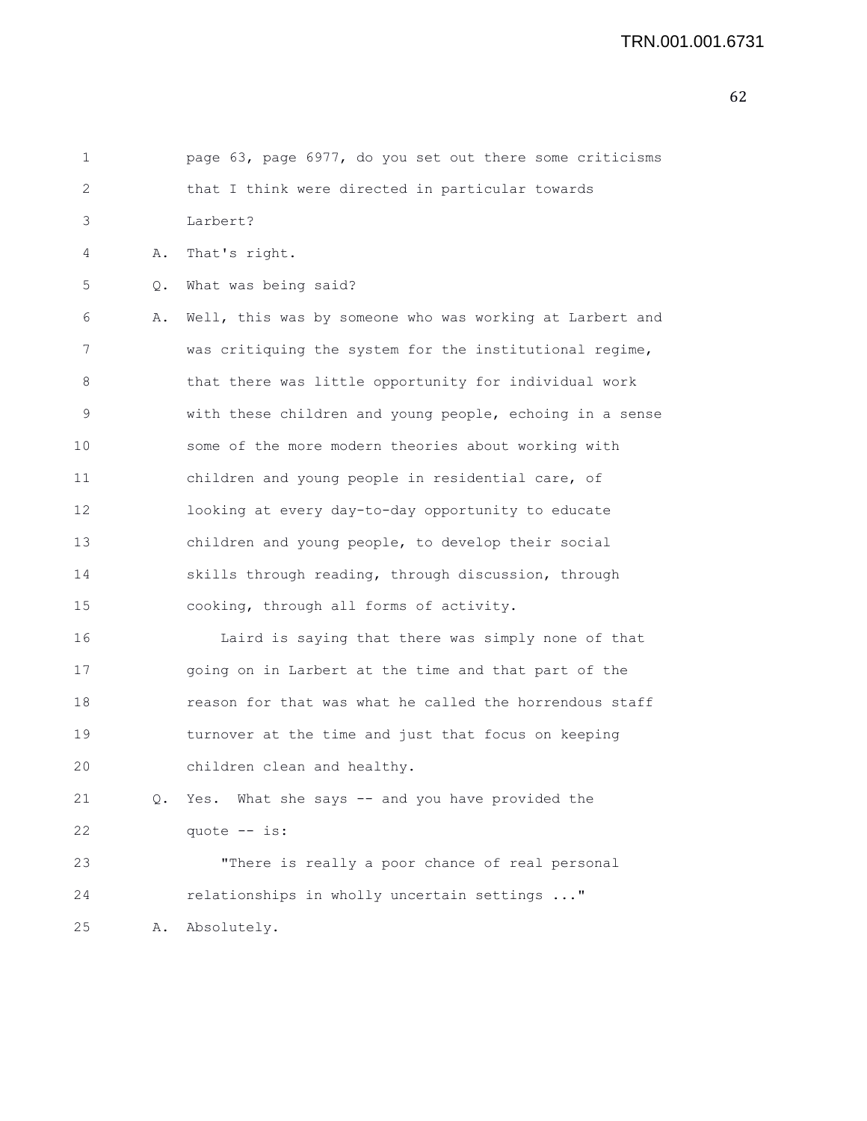| 1               |    | page 63, page 6977, do you set out there some criticisms |
|-----------------|----|----------------------------------------------------------|
| 2               |    | that I think were directed in particular towards         |
| 3               |    | Larbert?                                                 |
| 4               | Α. | That's right.                                            |
| 5               | Q. | What was being said?                                     |
| 6               | Α. | Well, this was by someone who was working at Larbert and |
| 7               |    | was critiquing the system for the institutional regime,  |
| 8               |    | that there was little opportunity for individual work    |
| 9               |    | with these children and young people, echoing in a sense |
| 10              |    | some of the more modern theories about working with      |
| 11              |    | children and young people in residential care, of        |
| 12 <sup>2</sup> |    | looking at every day-to-day opportunity to educate       |
| 13              |    | children and young people, to develop their social       |
| 14              |    | skills through reading, through discussion, through      |
| 15              |    | cooking, through all forms of activity.                  |
| 16              |    | Laird is saying that there was simply none of that       |
| 17              |    | going on in Larbert at the time and that part of the     |
| 18              |    | reason for that was what he called the horrendous staff  |
| 19              |    | turnover at the time and just that focus on keeping      |
| 20              |    | children clean and healthy.                              |
| 21              | Q. | Yes. What she says -- and you have provided the          |
| 22              |    | quote -- is:                                             |
| 23              |    | "There is really a poor chance of real personal          |
| 24              |    | relationships in wholly uncertain settings "             |
| 25              | Α. | Absolutely.                                              |
|                 |    |                                                          |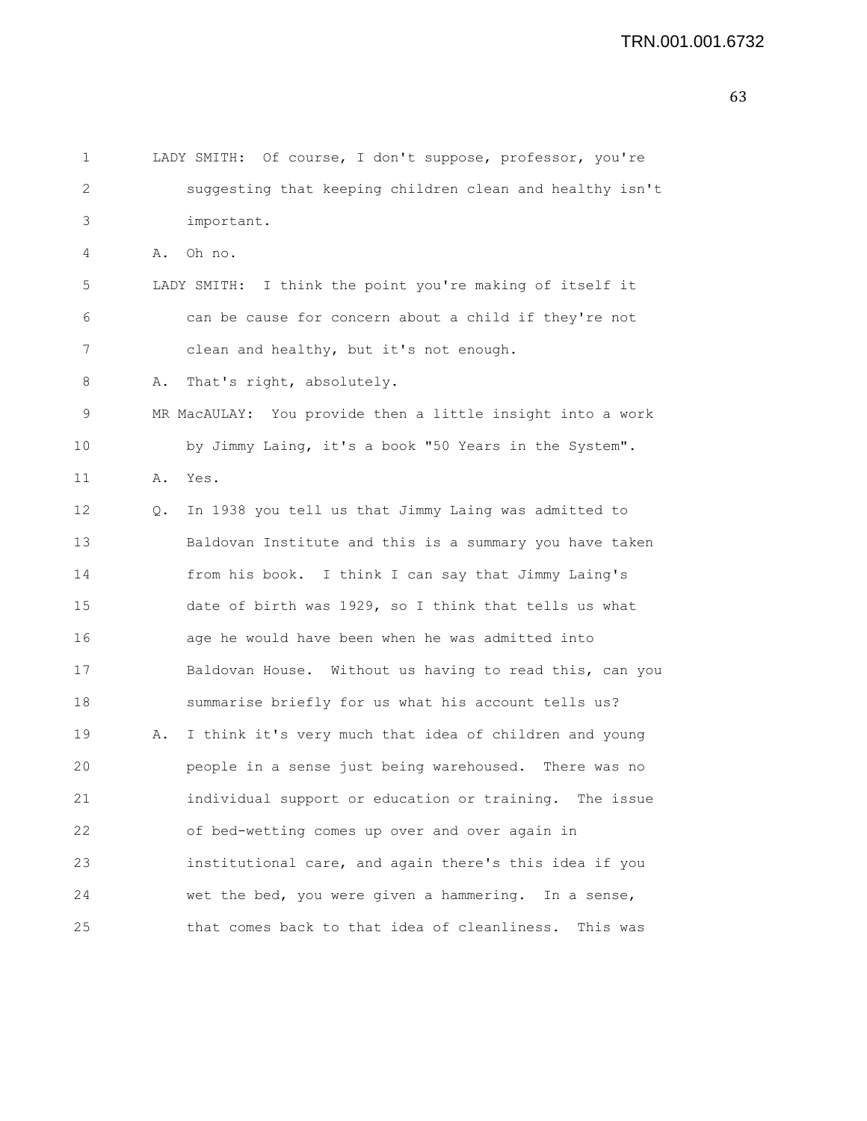```
1 LADY SMITH: Of course, I don't suppose, professor, you're
2 suggesting that keeping children clean and healthy isn't
3 important.
4 A. Oh no.
5 LADY SMITH: I think the point you're making of itself it
6 can be cause for concern about a child if they're not
7 clean and healthy, but it's not enough.
8 A. That's right, absolutely.
9 MR MacAULAY: You provide then a little insight into a work
10 by Jimmy Laing, it's a book "50 Years in the System".
11 A. Yes.
12 Q. In 1938 you tell us that Jimmy Laing was admitted to
13 Baldovan Institute and this is a summary you have taken
14 from his book. I think I can say that Jimmy Laing's
15 date of birth was 1929, so I think that tells us what
16 age he would have been when he was admitted into
17 Baldovan House. Without us having to read this, can you
18 summarise briefly for us what his account tells us?
19 A. I think it's very much that idea of children and young
20 people in a sense just being warehoused. There was no
21 individual support or education or training. The issue
22 of bed-wetting comes up over and over again in
23 institutional care, and again there's this idea if you
24 wet the bed, you were given a hammering. In a sense,
25 that comes back to that idea of cleanliness. This was
```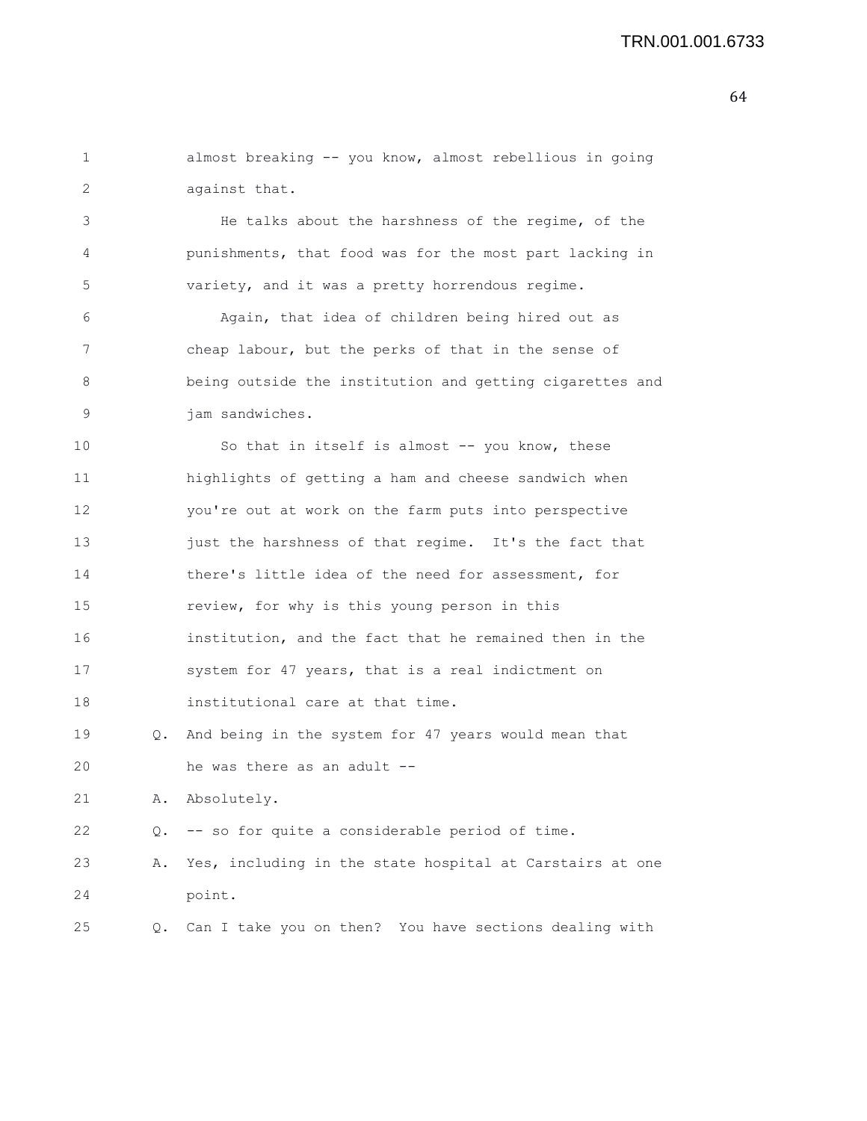| 2  |    | against that.                                            |
|----|----|----------------------------------------------------------|
| 3  |    | He talks about the harshness of the regime, of the       |
| 4  |    | punishments, that food was for the most part lacking in  |
| 5  |    | variety, and it was a pretty horrendous regime.          |
| 6  |    | Again, that idea of children being hired out as          |
| 7  |    | cheap labour, but the perks of that in the sense of      |
| 8  |    | being outside the institution and getting cigarettes and |
| 9  |    | jam sandwiches.                                          |
| 10 |    | So that in itself is almost -- you know, these           |
| 11 |    | highlights of getting a ham and cheese sandwich when     |
| 12 |    | you're out at work on the farm puts into perspective     |
| 13 |    | just the harshness of that regime. It's the fact that    |
| 14 |    | there's little idea of the need for assessment, for      |
| 15 |    | review, for why is this young person in this             |
| 16 |    | institution, and the fact that he remained then in the   |
| 17 |    | system for 47 years, that is a real indictment on        |
| 18 |    | institutional care at that time.                         |
| 19 | Q. | And being in the system for 47 years would mean that     |
| 20 |    | he was there as an adult --                              |
| 21 | Α. | Absolutely.                                              |
| 22 | Q. | -- so for quite a considerable period of time.           |
| 23 | Α. | Yes, including in the state hospital at Carstairs at one |
| 24 |    | point.                                                   |
| 25 | Q. | Can I take you on then? You have sections dealing with   |

1 almost breaking -- you know, almost rebellious in going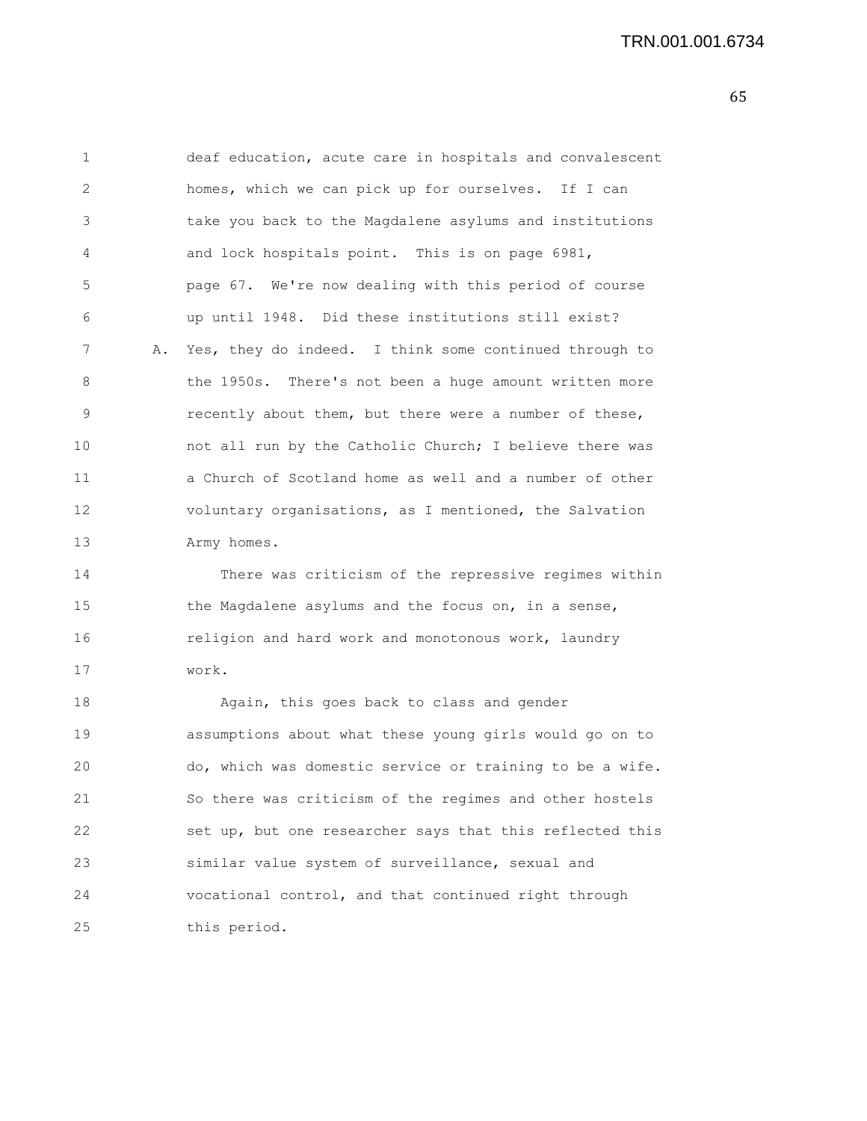| 1  |    | deaf education, acute care in hospitals and convalescent |
|----|----|----------------------------------------------------------|
| 2  |    | homes, which we can pick up for ourselves. If I can      |
| 3  |    | take you back to the Magdalene asylums and institutions  |
| 4  |    | and lock hospitals point. This is on page 6981,          |
| 5  |    | page 67. We're now dealing with this period of course    |
| 6  |    | up until 1948. Did these institutions still exist?       |
| 7  | Α. | Yes, they do indeed. I think some continued through to   |
| 8  |    | the 1950s. There's not been a huge amount written more   |
| 9  |    | recently about them, but there were a number of these,   |
| 10 |    | not all run by the Catholic Church; I believe there was  |
| 11 |    | a Church of Scotland home as well and a number of other  |
| 12 |    | voluntary organisations, as I mentioned, the Salvation   |
| 13 |    | Army homes.                                              |
| 14 |    | There was criticism of the repressive regimes within     |
| 15 |    | the Magdalene asylums and the focus on, in a sense,      |
| 16 |    | religion and hard work and monotonous work, laundry      |
| 17 |    | work.                                                    |
| 18 |    | Again, this goes back to class and gender                |
| 19 |    | assumptions about what these young girls would go on to  |
| 20 |    | do, which was domestic service or training to be a wife. |
| 21 |    | So there was criticism of the regimes and other hostels  |
| 22 |    | set up, but one researcher says that this reflected this |
| 23 |    | similar value system of surveillance, sexual and         |
| 24 |    | vocational control, and that continued right through     |
| 25 |    | this period.                                             |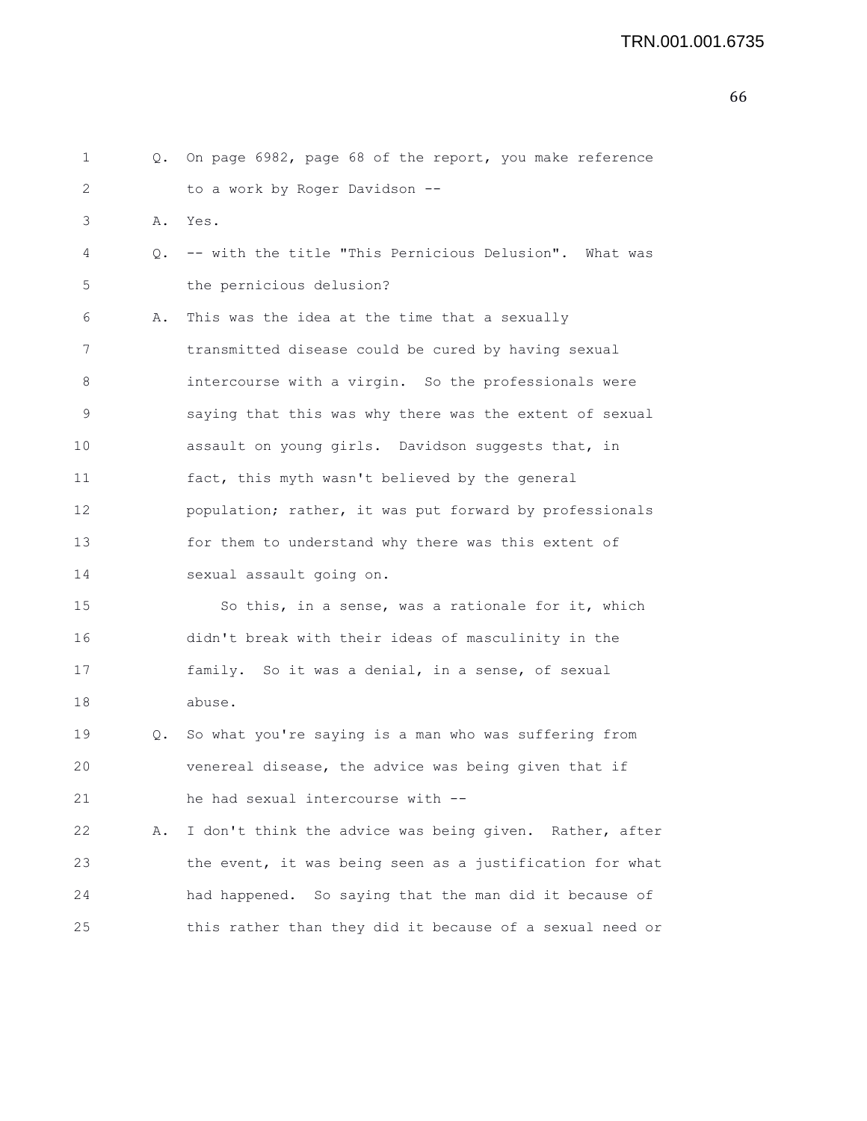```
66
```

| 1  |    | Q. On page 6982, page 68 of the report, you make reference |
|----|----|------------------------------------------------------------|
| 2  |    | to a work by Roger Davidson --                             |
| 3  | Α. | Yes.                                                       |
| 4  | Q. | -- with the title "This Pernicious Delusion". What was     |
| 5  |    | the pernicious delusion?                                   |
| 6  | Α. | This was the idea at the time that a sexually              |
| 7  |    | transmitted disease could be cured by having sexual        |
| 8  |    | intercourse with a virgin. So the professionals were       |
| 9  |    | saying that this was why there was the extent of sexual    |
| 10 |    | assault on young girls. Davidson suggests that, in         |
| 11 |    | fact, this myth wasn't believed by the general             |
| 12 |    | population; rather, it was put forward by professionals    |
| 13 |    | for them to understand why there was this extent of        |
| 14 |    | sexual assault going on.                                   |
| 15 |    | So this, in a sense, was a rationale for it, which         |
| 16 |    | didn't break with their ideas of masculinity in the        |
| 17 |    | family. So it was a denial, in a sense, of sexual          |
| 18 |    | abuse.                                                     |
| 19 | Q. | So what you're saying is a man who was suffering from      |
| 20 |    | venereal disease, the advice was being given that if       |
| 21 |    | he had sexual intercourse with --                          |
| 22 | Α. | I don't think the advice was being given. Rather, after    |
| 23 |    | the event, it was being seen as a justification for what   |
| 24 |    | had happened. So saying that the man did it because of     |
| 25 |    | this rather than they did it because of a sexual need or   |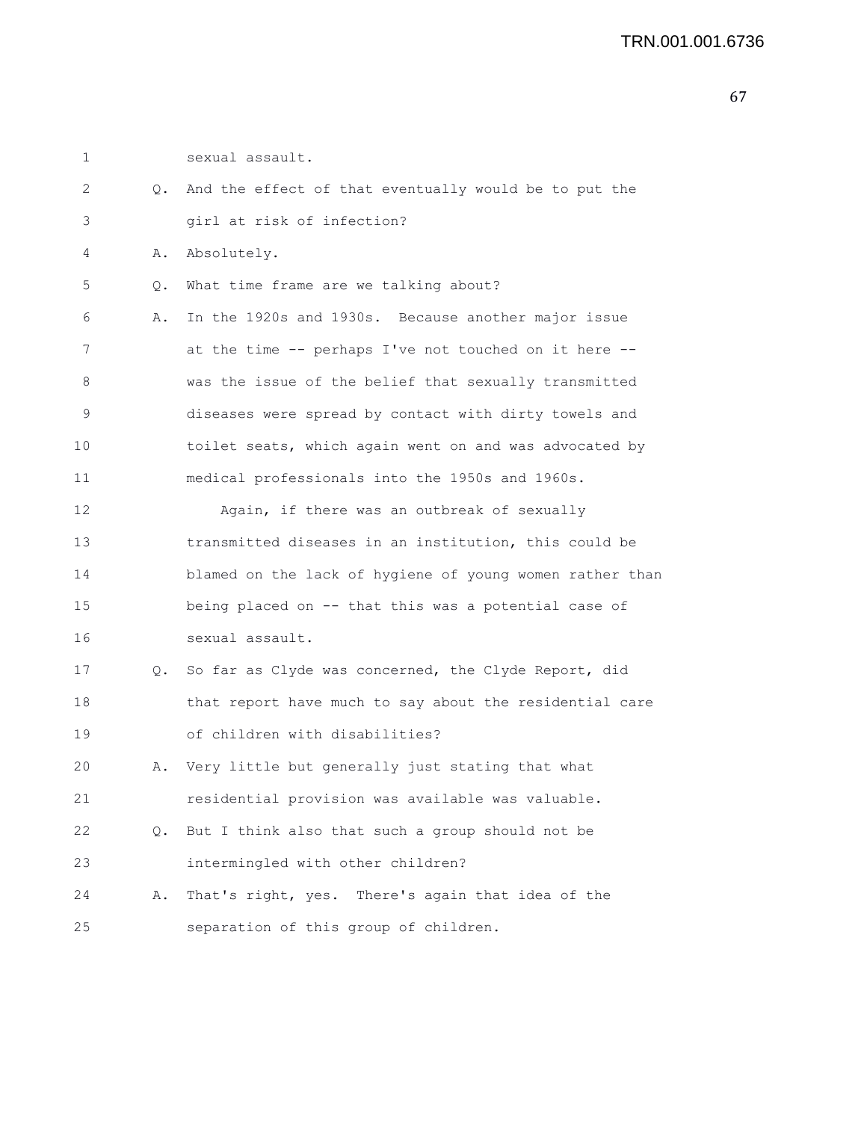1 sexual assault.

| 2  | Q. | And the effect of that eventually would be to put the    |
|----|----|----------------------------------------------------------|
| 3  |    | girl at risk of infection?                               |
| 4  | Α. | Absolutely.                                              |
| 5  | Q. | What time frame are we talking about?                    |
| 6  | Α. | In the 1920s and 1930s. Because another major issue      |
| 7  |    | at the time -- perhaps I've not touched on it here --    |
| 8  |    | was the issue of the belief that sexually transmitted    |
| 9  |    | diseases were spread by contact with dirty towels and    |
| 10 |    | toilet seats, which again went on and was advocated by   |
| 11 |    | medical professionals into the 1950s and 1960s.          |
| 12 |    | Again, if there was an outbreak of sexually              |
| 13 |    | transmitted diseases in an institution, this could be    |
| 14 |    | blamed on the lack of hygiene of young women rather than |
| 15 |    | being placed on -- that this was a potential case of     |
| 16 |    | sexual assault.                                          |
| 17 | Q. | So far as Clyde was concerned, the Clyde Report, did     |
| 18 |    | that report have much to say about the residential care  |
| 19 |    | of children with disabilities?                           |
| 20 | Α. | Very little but generally just stating that what         |
| 21 |    | residential provision was available was valuable.        |
| 22 | Q. | But I think also that such a group should not be         |
| 23 |    | intermingled with other children?                        |
| 24 | Α. | That's right, yes. There's again that idea of the        |
| 25 |    | separation of this group of children.                    |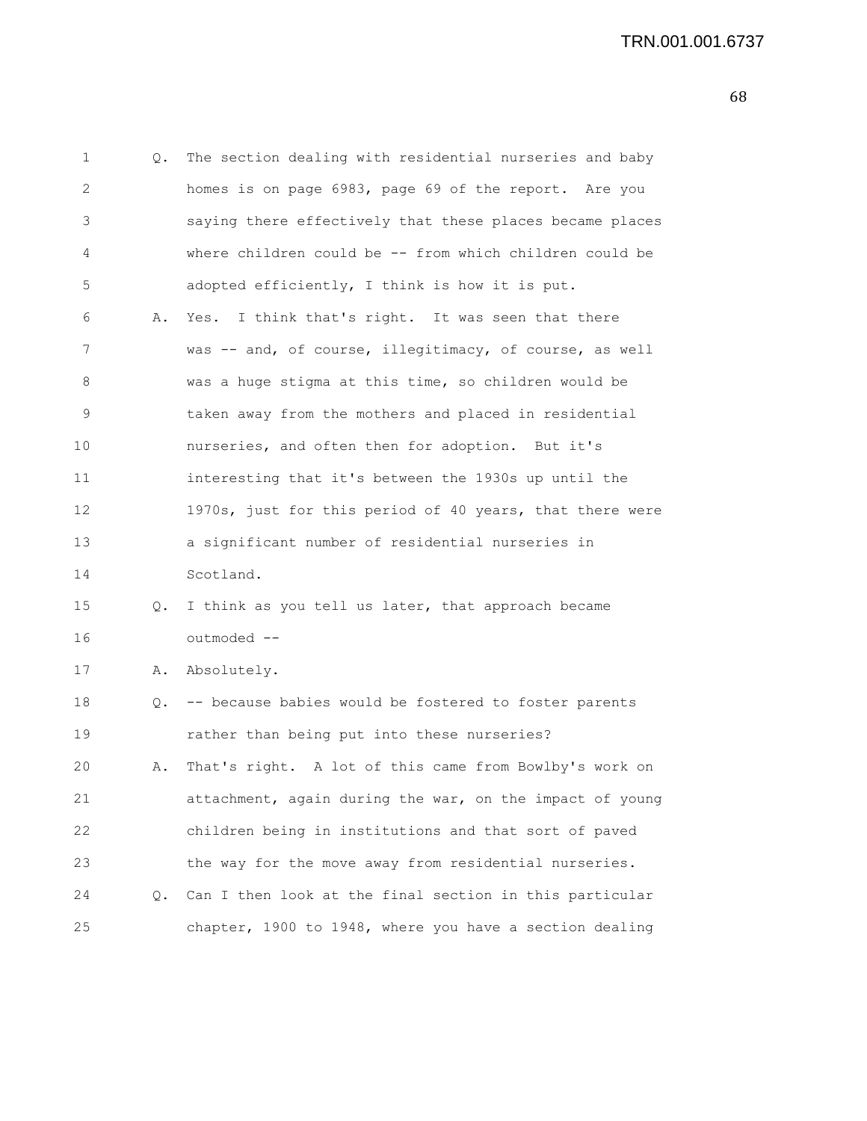1 Q. The section dealing with residential nurseries and baby 2 homes is on page 6983, page 69 of the report. Are you 3 saying there effectively that these places became places 4 where children could be -- from which children could be 5 adopted efficiently, I think is how it is put. 6 A. Yes. I think that's right. It was seen that there 7 was -- and, of course, illegitimacy, of course, as well 8 was a huge stigma at this time, so children would be 9 taken away from the mothers and placed in residential 10 nurseries, and often then for adoption. But it's 11 interesting that it's between the 1930s up until the 12 1970s, just for this period of 40 years, that there were 13 a significant number of residential nurseries in 14 Scotland. 15 Q. I think as you tell us later, that approach became 16 outmoded -- 17 A. Absolutely. 18 Q. -- because babies would be fostered to foster parents 19 rather than being put into these nurseries? 20 A. That's right. A lot of this came from Bowlby's work on 21 attachment, again during the war, on the impact of young 22 children being in institutions and that sort of paved 23 the way for the move away from residential nurseries. 24 Q. Can I then look at the final section in this particular

25 chapter, 1900 to 1948, where you have a section dealing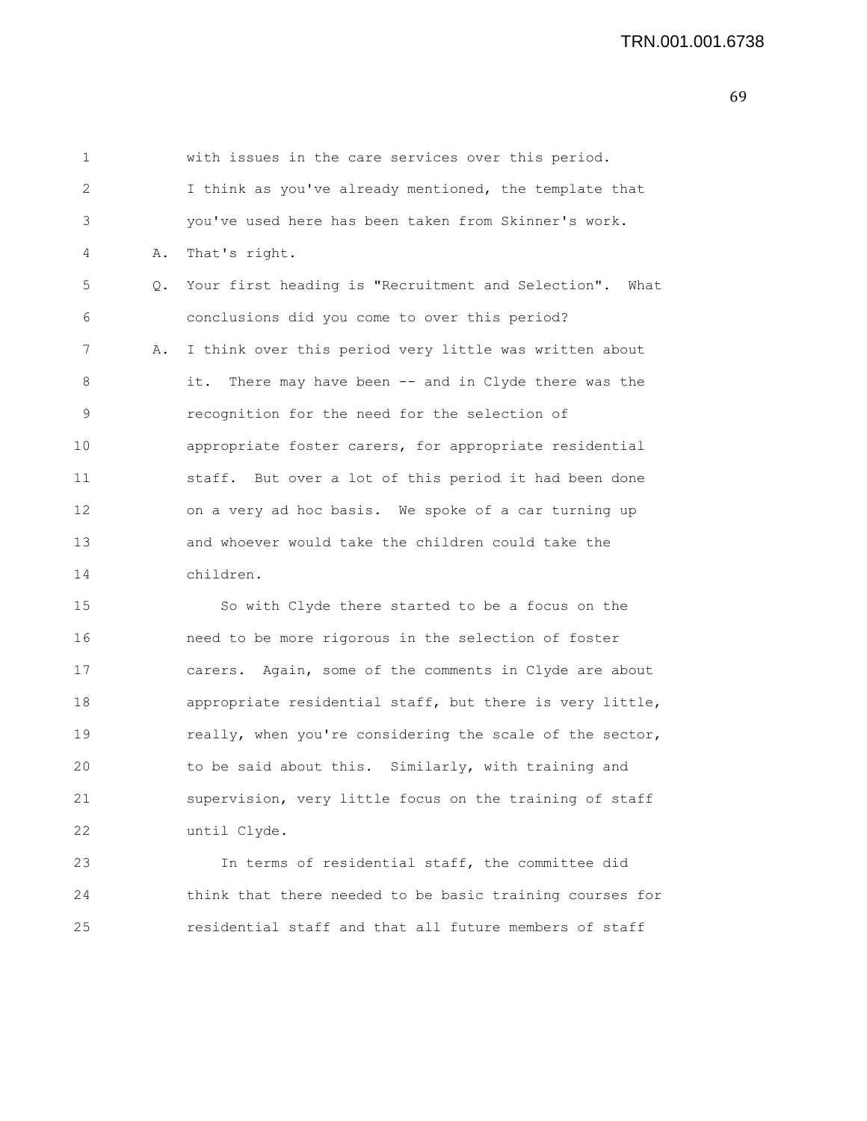| $\mathbf 1$    |           | with issues in the care services over this period.      |
|----------------|-----------|---------------------------------------------------------|
| $\overline{2}$ |           | I think as you've already mentioned, the template that  |
| 3              |           | you've used here has been taken from Skinner's work.    |
| 4              | Α.        | That's right.                                           |
| 5              | $\circ$ . | Your first heading is "Recruitment and Selection". What |
| 6              |           | conclusions did you come to over this period?           |
| 7              | Α.        | I think over this period very little was written about  |
| 8              |           | it. There may have been -- and in Clyde there was the   |
| 9              |           | recognition for the need for the selection of           |
| 10             |           | appropriate foster carers, for appropriate residential  |
| 11             |           | staff. But over a lot of this period it had been done   |
| 12             |           | on a very ad hoc basis. We spoke of a car turning up    |
| 13             |           | and whoever would take the children could take the      |
| 14             |           | children.                                               |

15 So with Clyde there started to be a focus on the 16 need to be more rigorous in the selection of foster 17 carers. Again, some of the comments in Clyde are about 18 appropriate residential staff, but there is very little, 19 really, when you're considering the scale of the sector, 20 to be said about this. Similarly, with training and 21 supervision, very little focus on the training of staff 22 until Clyde.

23 In terms of residential staff, the committee did 24 think that there needed to be basic training courses for 25 residential staff and that all future members of staff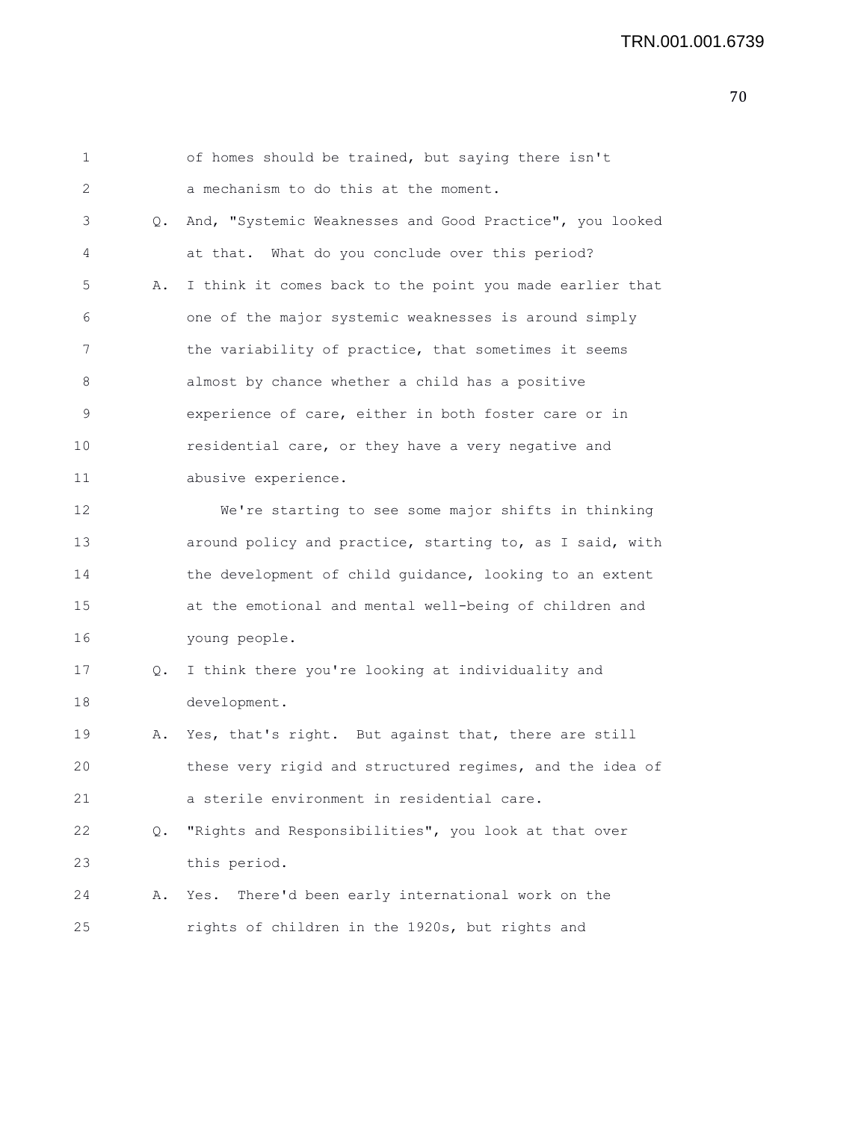| $\mathbf 1$ |    | of homes should be trained, but saying there isn't       |
|-------------|----|----------------------------------------------------------|
| 2           |    | a mechanism to do this at the moment.                    |
| 3           | Q. | And, "Systemic Weaknesses and Good Practice", you looked |
| 4           |    | at that. What do you conclude over this period?          |
| 5           | Α. | I think it comes back to the point you made earlier that |
| 6           |    | one of the major systemic weaknesses is around simply    |
| 7           |    | the variability of practice, that sometimes it seems     |
| 8           |    | almost by chance whether a child has a positive          |
| 9           |    | experience of care, either in both foster care or in     |
| 10          |    | residential care, or they have a very negative and       |
| 11          |    | abusive experience.                                      |
| 12          |    | We're starting to see some major shifts in thinking      |
| 13          |    | around policy and practice, starting to, as I said, with |
| 14          |    | the development of child guidance, looking to an extent  |
| 15          |    | at the emotional and mental well-being of children and   |
| 16          |    | young people.                                            |
| 17          | Q. | I think there you're looking at individuality and        |
| 18          |    | development.                                             |
| 19          | Α. | Yes, that's right. But against that, there are still     |
| 20          |    | these very rigid and structured regimes, and the idea of |
| 21          |    | a sterile environment in residential care.               |
| 22          | Q. | "Rights and Responsibilities", you look at that over     |
| 23          |    | this period.                                             |
| 24          | Α. | There'd been early international work on the<br>Yes.     |
| 25          |    | rights of children in the 1920s, but rights and          |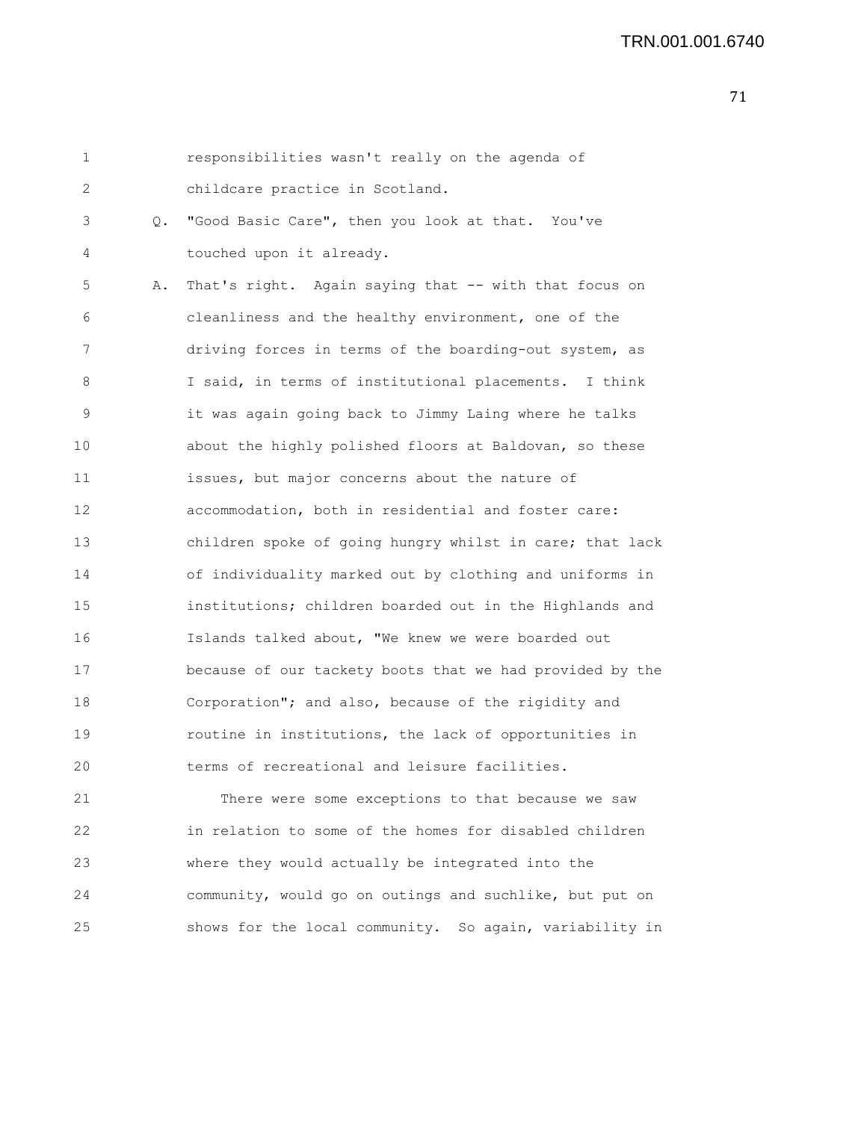| 1  |    | responsibilities wasn't really on the agenda of          |
|----|----|----------------------------------------------------------|
| 2  |    | childcare practice in Scotland.                          |
| 3  | Q. | "Good Basic Care", then you look at that. You've         |
| 4  |    | touched upon it already.                                 |
| 5  | Α. | That's right. Again saying that -- with that focus on    |
| 6  |    | cleanliness and the healthy environment, one of the      |
| 7  |    | driving forces in terms of the boarding-out system, as   |
| 8  |    | I said, in terms of institutional placements. I think    |
| 9  |    | it was again going back to Jimmy Laing where he talks    |
| 10 |    | about the highly polished floors at Baldovan, so these   |
| 11 |    | issues, but major concerns about the nature of           |
| 12 |    | accommodation, both in residential and foster care:      |
| 13 |    | children spoke of going hungry whilst in care; that lack |
| 14 |    | of individuality marked out by clothing and uniforms in  |
| 15 |    | institutions; children boarded out in the Highlands and  |
| 16 |    | Islands talked about, "We knew we were boarded out       |
| 17 |    | because of our tackety boots that we had provided by the |
| 18 |    | Corporation"; and also, because of the rigidity and      |
| 19 |    | routine in institutions, the lack of opportunities in    |
| 20 |    | terms of recreational and leisure facilities.            |
| 21 |    | There were some exceptions to that because we saw        |
| 22 |    | in relation to some of the homes for disabled children   |
| 23 |    | where they would actually be integrated into the         |
| 24 |    | community, would go on outings and suchlike, but put on  |
| 25 |    | shows for the local community. So again, variability in  |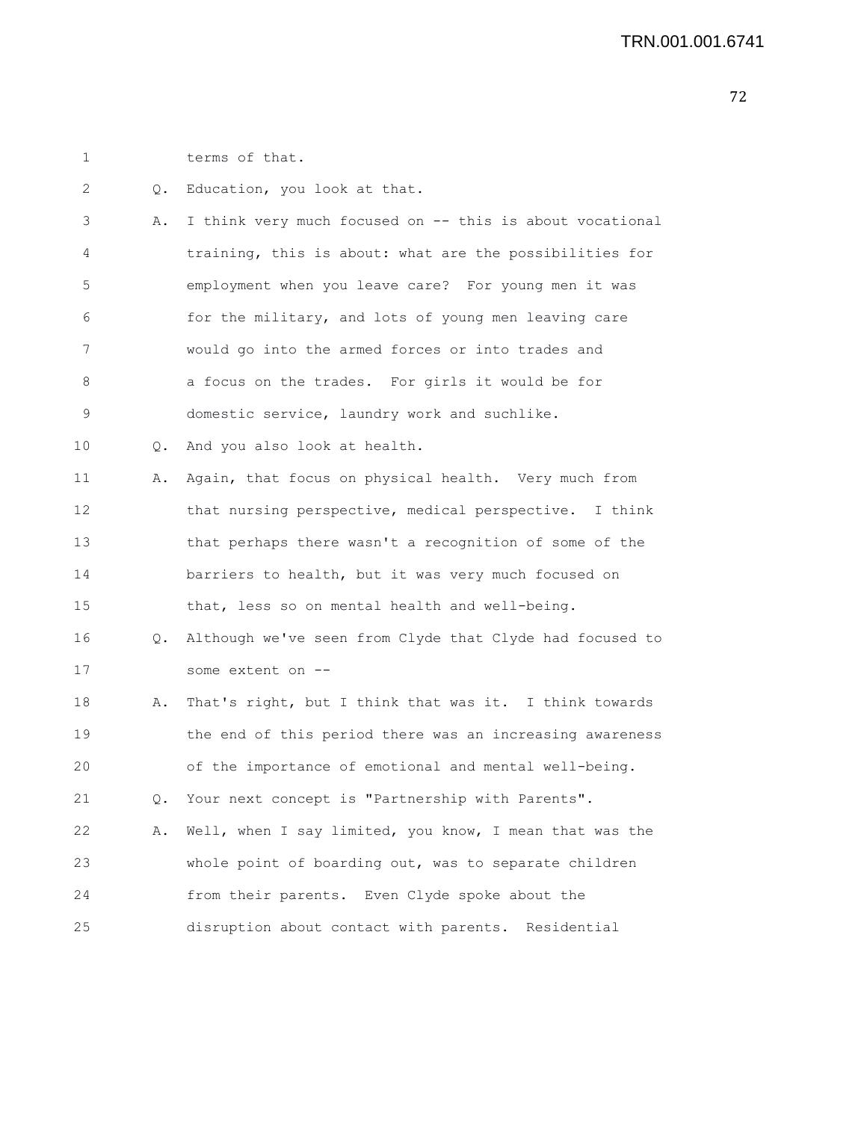1 terms of that.

2 Q. Education, you look at that. 3 A. I think very much focused on -- this is about vocational 4 training, this is about: what are the possibilities for 5 employment when you leave care? For young men it was 6 for the military, and lots of young men leaving care 7 would go into the armed forces or into trades and 8 a focus on the trades. For girls it would be for 9 domestic service, laundry work and suchlike. 10 Q. And you also look at health. 11 A. Again, that focus on physical health. Very much from 12 that nursing perspective, medical perspective. I think 13 that perhaps there wasn't a recognition of some of the 14 barriers to health, but it was very much focused on 15 that, less so on mental health and well-being. 16 Q. Although we've seen from Clyde that Clyde had focused to 17 some extent on -- 18 A. That's right, but I think that was it. I think towards 19 the end of this period there was an increasing awareness 20 of the importance of emotional and mental well-being. 21 Q. Your next concept is "Partnership with Parents". 22 A. Well, when I say limited, you know, I mean that was the 23 whole point of boarding out, was to separate children 24 from their parents. Even Clyde spoke about the 25 disruption about contact with parents. Residential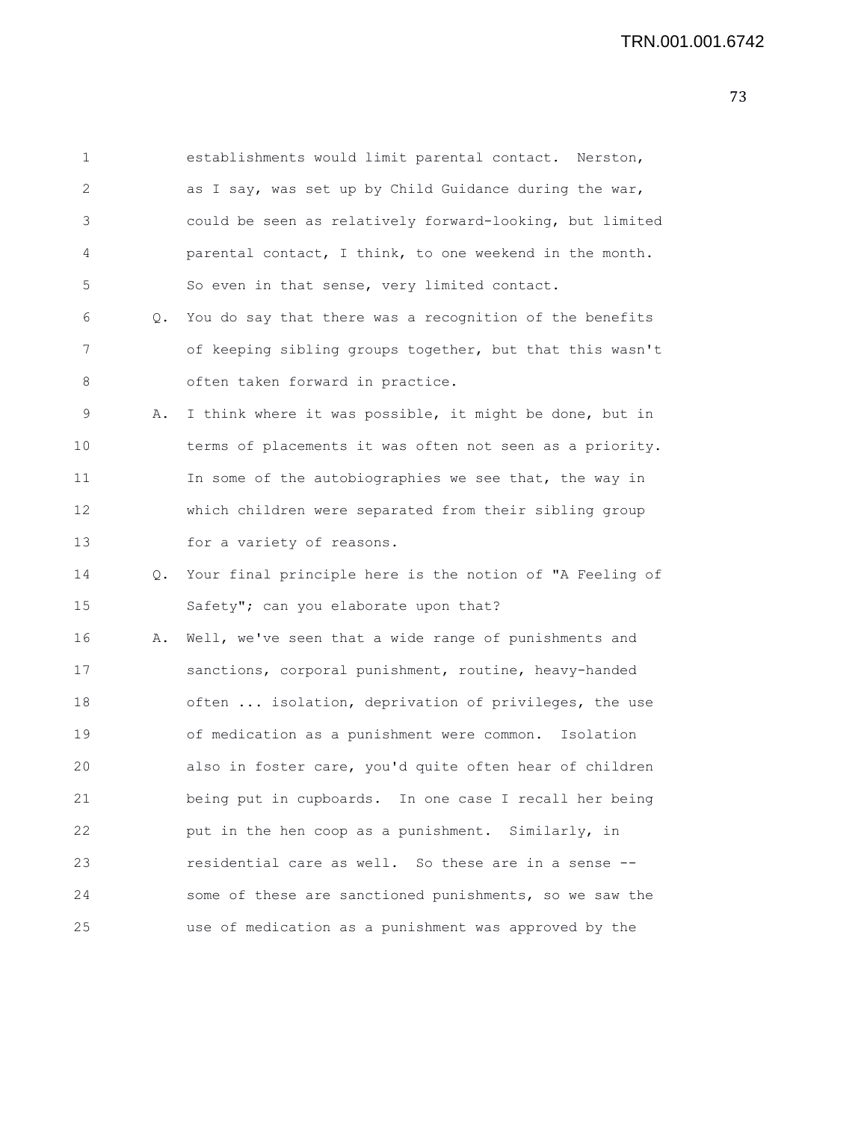1 establishments would limit parental contact. Nerston, 2 as I say, was set up by Child Guidance during the war, 3 could be seen as relatively forward-looking, but limited 4 parental contact, I think, to one weekend in the month. 5 So even in that sense, very limited contact. 6 Q. You do say that there was a recognition of the benefits 7 of keeping sibling groups together, but that this wasn't 8 often taken forward in practice. 9 A. I think where it was possible, it might be done, but in 10 terms of placements it was often not seen as a priority. 11 In some of the autobiographies we see that, the way in 12 which children were separated from their sibling group 13 for a variety of reasons. 14 Q. Your final principle here is the notion of "A Feeling of 15 Safety"; can you elaborate upon that? 16 A. Well, we've seen that a wide range of punishments and 17 sanctions, corporal punishment, routine, heavy-handed 18 often ... isolation, deprivation of privileges, the use 19 of medication as a punishment were common. Isolation 20 also in foster care, you'd quite often hear of children 21 being put in cupboards. In one case I recall her being 22 put in the hen coop as a punishment. Similarly, in 23 residential care as well. So these are in a sense -- 24 some of these are sanctioned punishments, so we saw the 25 use of medication as a punishment was approved by the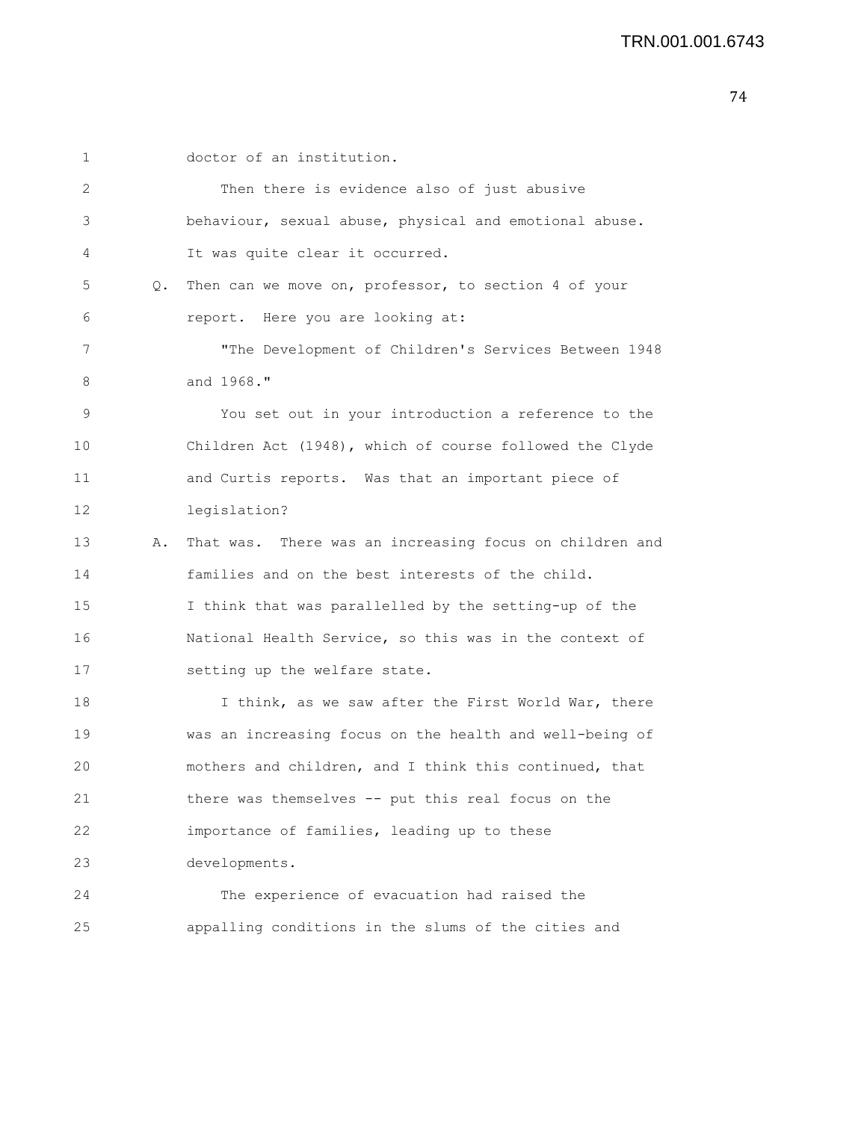| 1  |    | doctor of an institution.                               |
|----|----|---------------------------------------------------------|
| 2  |    | Then there is evidence also of just abusive             |
| 3  |    | behaviour, sexual abuse, physical and emotional abuse.  |
| 4  |    | It was quite clear it occurred.                         |
| 5  | Q. | Then can we move on, professor, to section 4 of your    |
| 6  |    | report. Here you are looking at:                        |
| 7  |    | "The Development of Children's Services Between 1948    |
| 8  |    | and 1968."                                              |
| 9  |    | You set out in your introduction a reference to the     |
| 10 |    | Children Act (1948), which of course followed the Clyde |
| 11 |    | and Curtis reports. Was that an important piece of      |
| 12 |    | legislation?                                            |
| 13 | Α. | That was. There was an increasing focus on children and |
| 14 |    | families and on the best interests of the child.        |
| 15 |    | I think that was parallelled by the setting-up of the   |
| 16 |    | National Health Service, so this was in the context of  |
| 17 |    | setting up the welfare state.                           |
| 18 |    | I think, as we saw after the First World War, there     |
| 19 |    | was an increasing focus on the health and well-being of |
| 20 |    | mothers and children, and I think this continued, that  |
| 21 |    | there was themselves -- put this real focus on the      |
| 22 |    | importance of families, leading up to these             |
| 23 |    | developments.                                           |
| 24 |    | The experience of evacuation had raised the             |
| 25 |    | appalling conditions in the slums of the cities and     |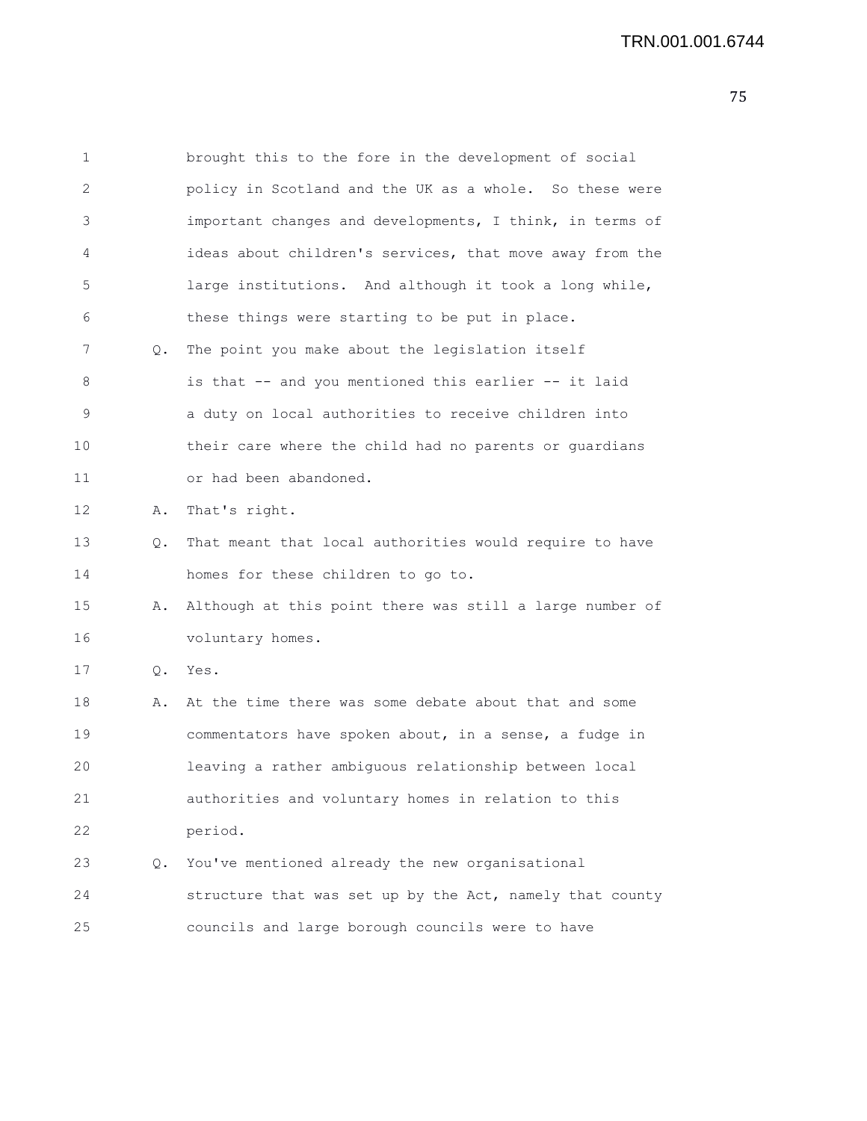| 1  |    | brought this to the fore in the development of social    |
|----|----|----------------------------------------------------------|
| 2  |    | policy in Scotland and the UK as a whole. So these were  |
| 3  |    | important changes and developments, I think, in terms of |
| 4  |    | ideas about children's services, that move away from the |
| 5  |    | large institutions. And although it took a long while,   |
| 6  |    | these things were starting to be put in place.           |
| 7  | Q. | The point you make about the legislation itself          |
| 8  |    | is that -- and you mentioned this earlier -- it laid     |
| 9  |    | a duty on local authorities to receive children into     |
| 10 |    | their care where the child had no parents or guardians   |
| 11 |    | or had been abandoned.                                   |
| 12 | Α. | That's right.                                            |
| 13 | Q. | That meant that local authorities would require to have  |
| 14 |    | homes for these children to go to.                       |
| 15 | Α. | Although at this point there was still a large number of |
| 16 |    | voluntary homes.                                         |
| 17 | Q. | Yes.                                                     |
| 18 | Α. | At the time there was some debate about that and some    |
| 19 |    | commentators have spoken about, in a sense, a fudge in   |
| 20 |    | leaving a rather ambiguous relationship between local    |
| 21 |    | authorities and voluntary homes in relation to this      |
| 22 |    | period.                                                  |
| 23 | Q. | You've mentioned already the new organisational          |
| 24 |    | structure that was set up by the Act, namely that county |
| 25 |    | councils and large borough councils were to have         |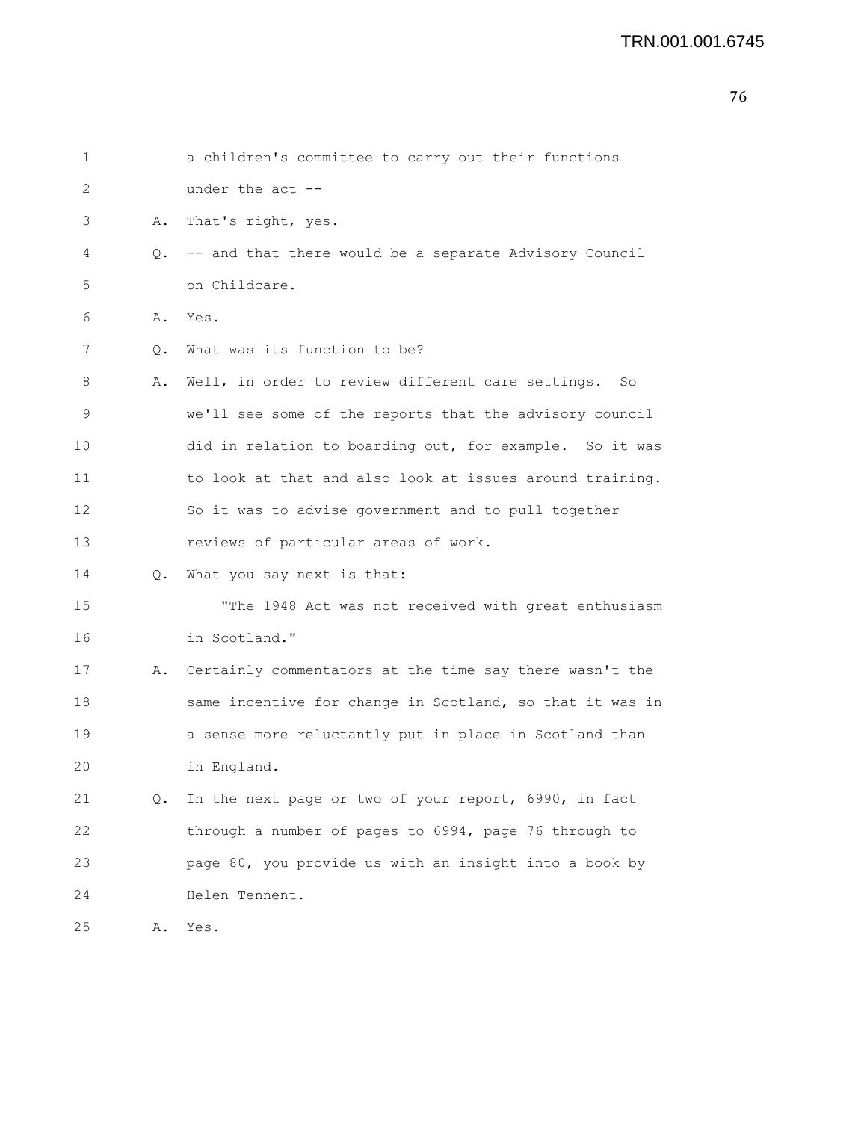| 1  |    | a children's committee to carry out their functions      |
|----|----|----------------------------------------------------------|
| 2  |    | under the $act$ $-$                                      |
| 3  | Α. | That's right, yes.                                       |
| 4  | Q. | -- and that there would be a separate Advisory Council   |
| 5  |    | on Childcare.                                            |
| 6  | Α. | Yes.                                                     |
| 7  | Q. | What was its function to be?                             |
| 8  | Α. | Well, in order to review different care settings.<br>So  |
| 9  |    | we'll see some of the reports that the advisory council  |
| 10 |    | did in relation to boarding out, for example. So it was  |
| 11 |    | to look at that and also look at issues around training. |
| 12 |    | So it was to advise government and to pull together      |
| 13 |    | reviews of particular areas of work.                     |
| 14 | 0. | What you say next is that:                               |
| 15 |    | "The 1948 Act was not received with great enthusiasm     |
| 16 |    | in Scotland."                                            |
| 17 | Α. | Certainly commentators at the time say there wasn't the  |
| 18 |    | same incentive for change in Scotland, so that it was in |
| 19 |    | a sense more reluctantly put in place in Scotland than   |
| 20 |    | in England.                                              |
| 21 | Q. | In the next page or two of your report, 6990, in fact    |
| 22 |    | through a number of pages to 6994, page 76 through to    |
| 23 |    | page 80, you provide us with an insight into a book by   |
| 24 |    | Helen Tennent.                                           |
| 25 | Α. | Yes.                                                     |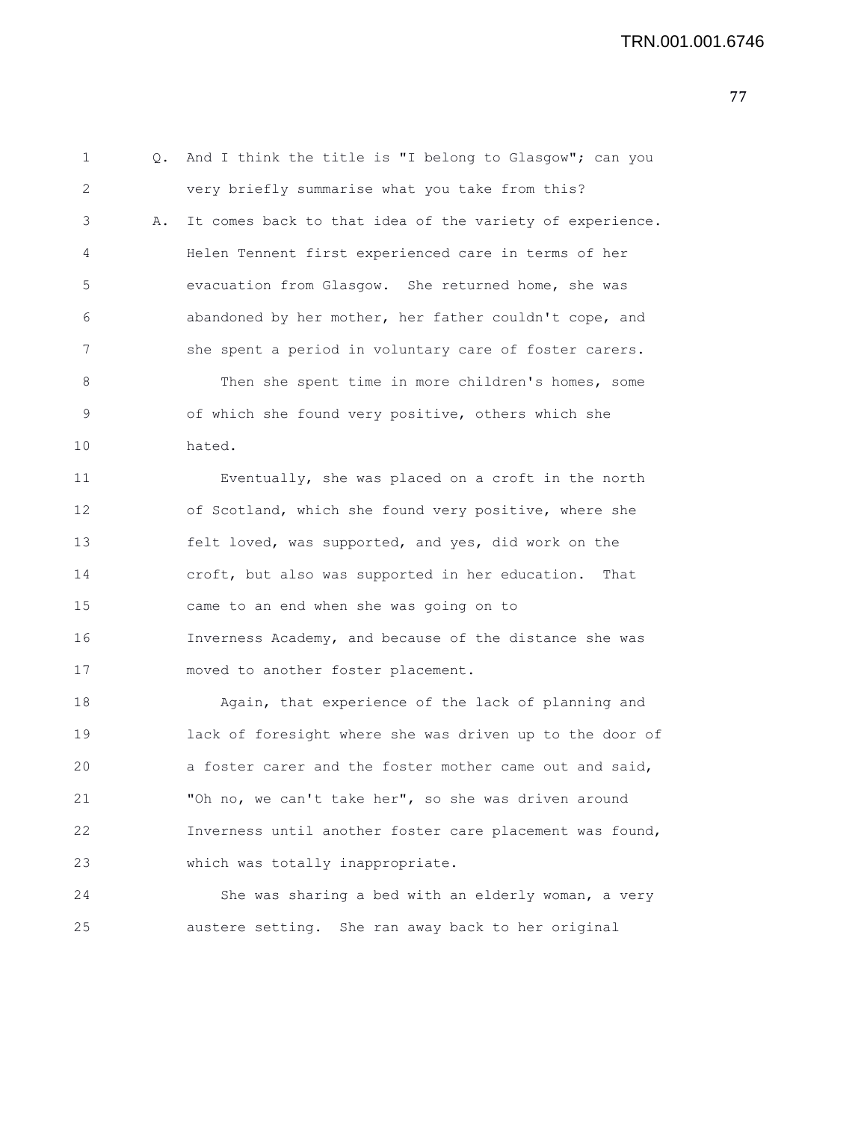1 Q. And I think the title is "I belong to Glasgow"; can you 2 very briefly summarise what you take from this? 3 A. It comes back to that idea of the variety of experience. 4 Helen Tennent first experienced care in terms of her 5 evacuation from Glasgow. She returned home, she was 6 abandoned by her mother, her father couldn't cope, and 7 she spent a period in voluntary care of foster carers. 8 Then she spent time in more children's homes, some 9 of which she found very positive, others which she 10 hated. 11 Eventually, she was placed on a croft in the north 12 of Scotland, which she found very positive, where she 13 felt loved, was supported, and yes, did work on the 14 croft, but also was supported in her education. That 15 came to an end when she was going on to

16 Inverness Academy, and because of the distance she was 17 moved to another foster placement.

18 Again, that experience of the lack of planning and 19 lack of foresight where she was driven up to the door of 20 a foster carer and the foster mother came out and said, 21 "Oh no, we can't take her", so she was driven around 22 Inverness until another foster care placement was found, 23 which was totally inappropriate.

24 She was sharing a bed with an elderly woman, a very 25 austere setting. She ran away back to her original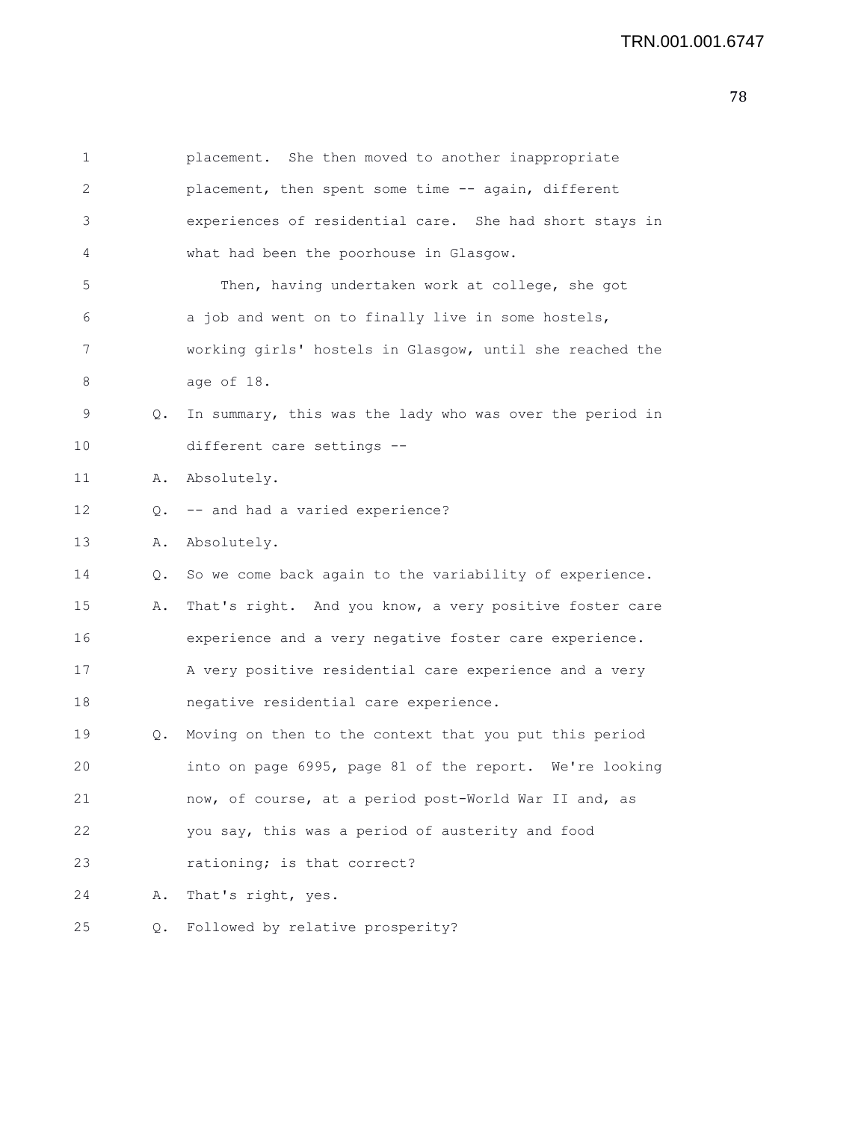## TRN.001.001.6747

| 1  |               | placement. She then moved to another inappropriate       |
|----|---------------|----------------------------------------------------------|
| 2  |               | placement, then spent some time -- again, different      |
| 3  |               | experiences of residential care. She had short stays in  |
| 4  |               | what had been the poorhouse in Glasgow.                  |
| 5  |               | Then, having undertaken work at college, she got         |
| 6  |               | a job and went on to finally live in some hostels,       |
| 7  |               | working girls' hostels in Glasgow, until she reached the |
| 8  |               | age of 18.                                               |
| 9  | 0.            | In summary, this was the lady who was over the period in |
| 10 |               | different care settings --                               |
| 11 | Α.            | Absolutely.                                              |
| 12 | О.            | -- and had a varied experience?                          |
| 13 | Α.            | Absolutely.                                              |
| 14 | $Q_{\bullet}$ | So we come back again to the variability of experience.  |
|    |               |                                                          |
| 15 | Α.            | That's right. And you know, a very positive foster care  |
| 16 |               | experience and a very negative foster care experience.   |
| 17 |               | A very positive residential care experience and a very   |
| 18 |               | negative residential care experience.                    |
| 19 | Q.            | Moving on then to the context that you put this period   |
| 20 |               | into on page 6995, page 81 of the report. We're looking  |
| 21 |               | now, of course, at a period post-World War II and, as    |
| 22 |               | you say, this was a period of austerity and food         |
| 23 |               | rationing; is that correct?                              |
| 24 | Α.            | That's right, yes.                                       |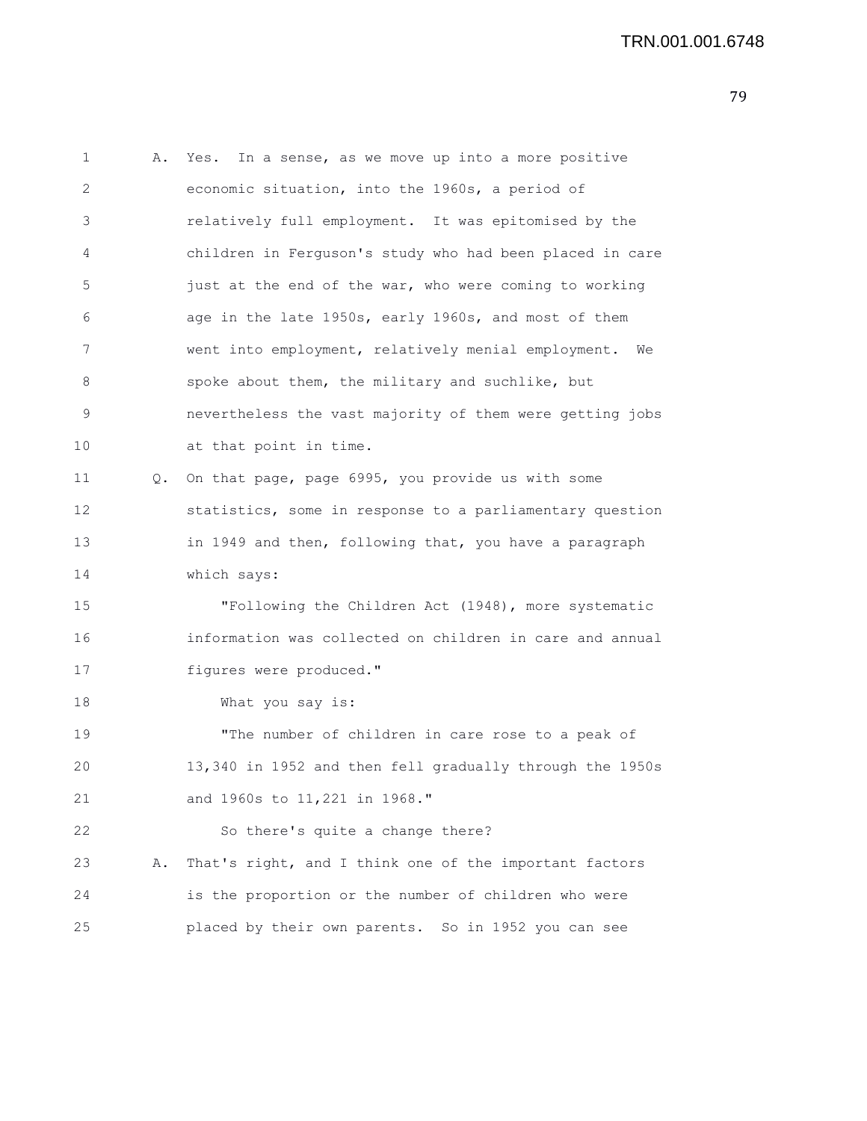```
1 A. Yes. In a sense, as we move up into a more positive
2 economic situation, into the 1960s, a period of
3 relatively full employment. It was epitomised by the
4 children in Ferguson's study who had been placed in care
5 just at the end of the war, who were coming to working
6 age in the late 1950s, early 1960s, and most of them
7 went into employment, relatively menial employment. We
8 spoke about them, the military and suchlike, but
9 nevertheless the vast majority of them were getting jobs
10 at that point in time.
11 Q. On that page, page 6995, you provide us with some
12 statistics, some in response to a parliamentary question
13 in 1949 and then, following that, you have a paragraph
14 which says:
15 "Following the Children Act (1948), more systematic
16 information was collected on children in care and annual
17 figures were produced."
18 What you say is:
19 "The number of children in care rose to a peak of
20 13,340 in 1952 and then fell gradually through the 1950s
21 and 1960s to 11,221 in 1968."
22 So there's quite a change there?
23 A. That's right, and I think one of the important factors
24 is the proportion or the number of children who were
25 placed by their own parents. So in 1952 you can see
```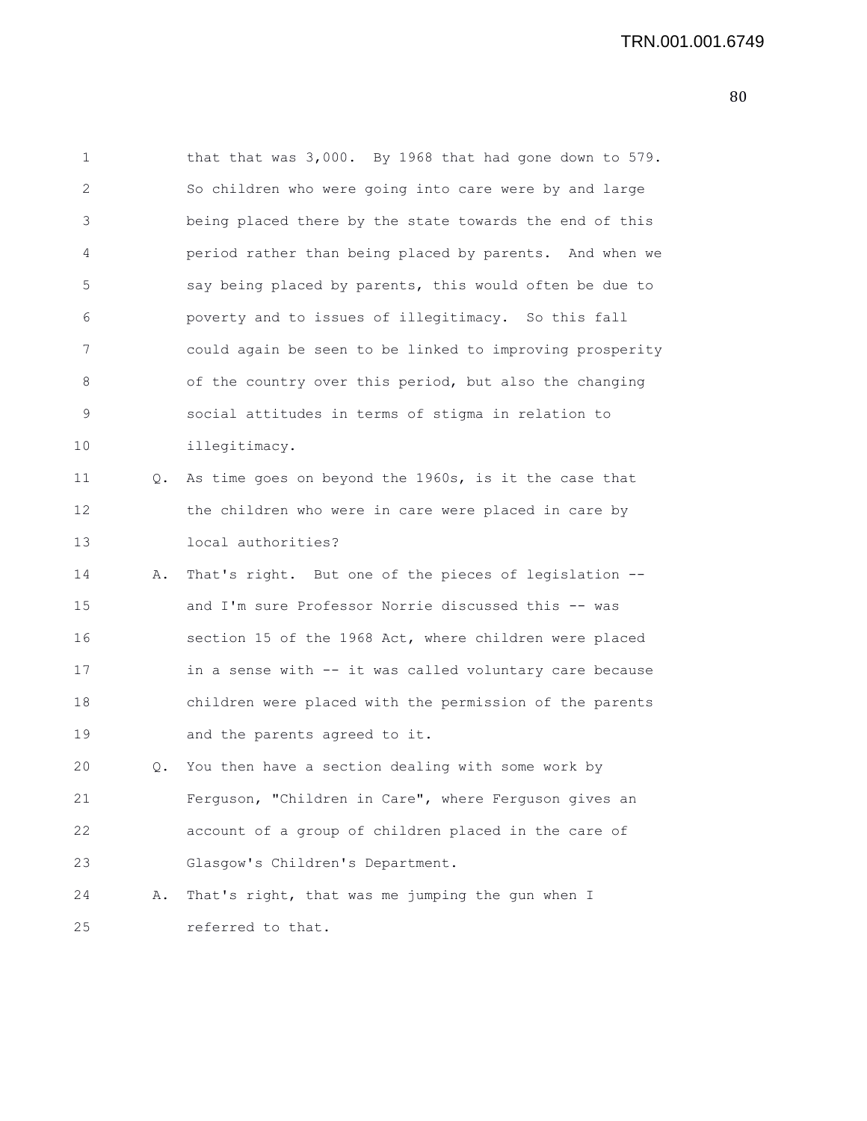1 that that was 3,000. By 1968 that had gone down to 579. 2 So children who were going into care were by and large 3 being placed there by the state towards the end of this 4 period rather than being placed by parents. And when we 5 say being placed by parents, this would often be due to 6 poverty and to issues of illegitimacy. So this fall 7 could again be seen to be linked to improving prosperity 8 of the country over this period, but also the changing 9 social attitudes in terms of stigma in relation to 10 illegitimacy. 11 Q. As time goes on beyond the 1960s, is it the case that 12 the children who were in care were placed in care by 13 local authorities? 14 A. That's right. But one of the pieces of legislation -- 15 and I'm sure Professor Norrie discussed this -- was 16 section 15 of the 1968 Act, where children were placed 17 in a sense with -- it was called voluntary care because 18 children were placed with the permission of the parents 19 and the parents agreed to it. 20 Q. You then have a section dealing with some work by 21 Ferguson, "Children in Care", where Ferguson gives an 22 account of a group of children placed in the care of 23 Glasgow's Children's Department. 24 A. That's right, that was me jumping the gun when I 25 referred to that.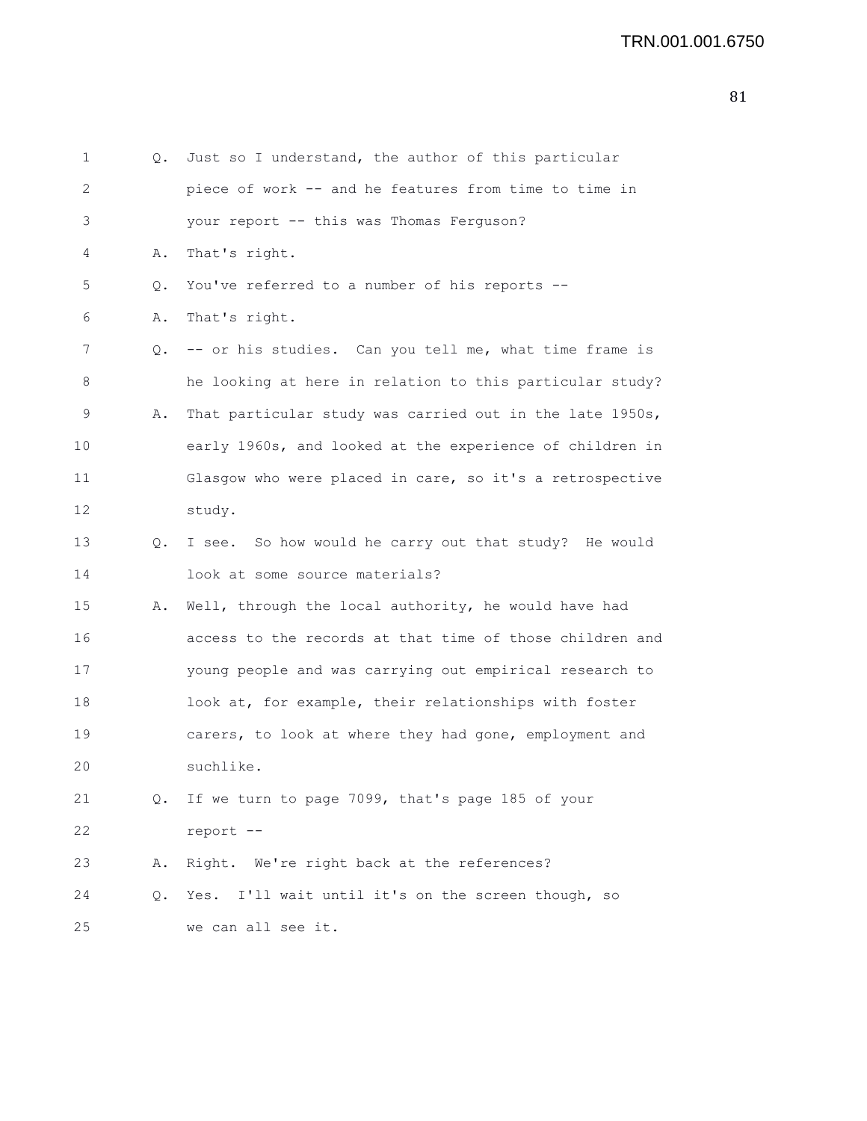| 1  | Q. | Just so I understand, the author of this particular      |
|----|----|----------------------------------------------------------|
| 2  |    | piece of work -- and he features from time to time in    |
| 3  |    | your report -- this was Thomas Ferguson?                 |
| 4  | Α. | That's right.                                            |
| 5  | Q. | You've referred to a number of his reports --            |
| 6  | Α. | That's right.                                            |
| 7  | Q. | -- or his studies. Can you tell me, what time frame is   |
| 8  |    | he looking at here in relation to this particular study? |
| 9  | Α. | That particular study was carried out in the late 1950s, |
| 10 |    | early 1960s, and looked at the experience of children in |
| 11 |    | Glasgow who were placed in care, so it's a retrospective |
| 12 |    | study.                                                   |
| 13 | Q. | I see. So how would he carry out that study? He would    |
| 14 |    | look at some source materials?                           |
| 15 | Α. | Well, through the local authority, he would have had     |
| 16 |    | access to the records at that time of those children and |
| 17 |    | young people and was carrying out empirical research to  |
| 18 |    | look at, for example, their relationships with foster    |
| 19 |    | carers, to look at where they had gone, employment and   |
| 20 |    | suchlike.                                                |
| 21 | Q. | If we turn to page 7099, that's page 185 of your         |
| 22 |    | report --                                                |
| 23 | Α. | Right. We're right back at the references?               |
| 24 | Q. | Yes. I'll wait until it's on the screen though, so       |
| 25 |    | we can all see it.                                       |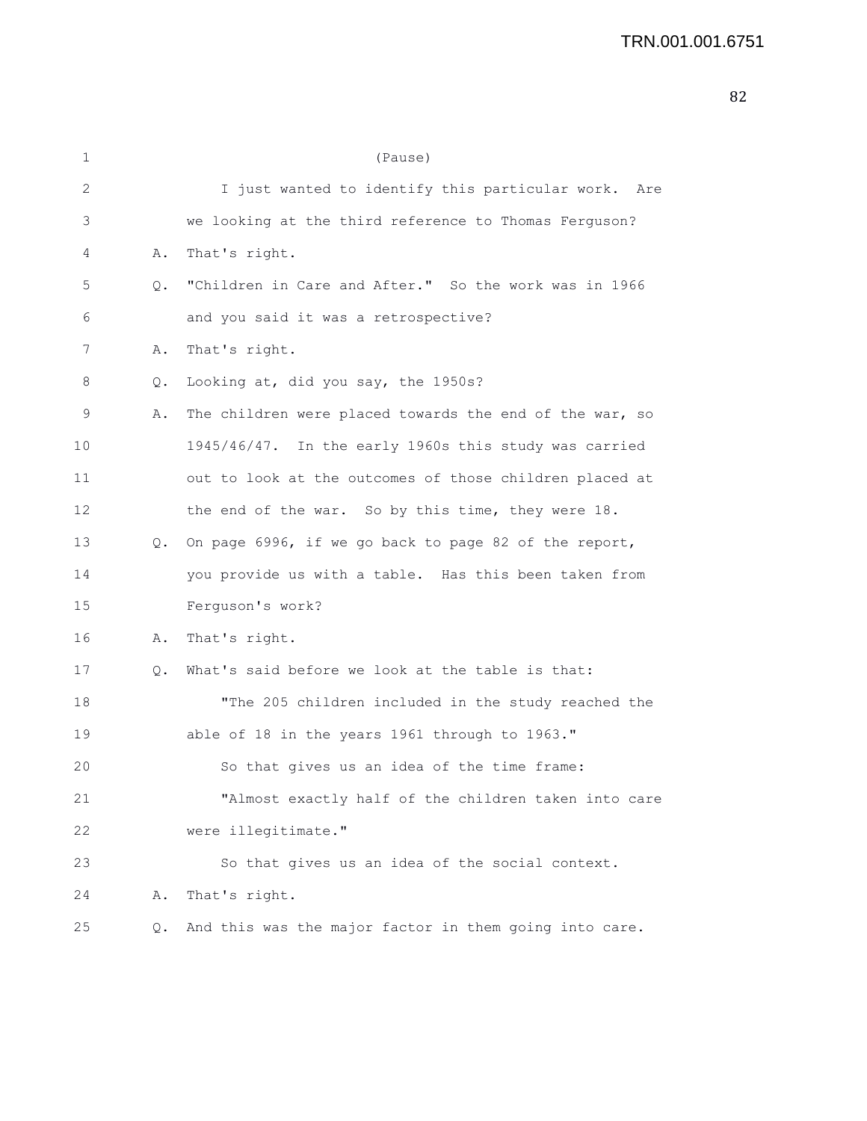1 (Pause) 2 I just wanted to identify this particular work. Are 3 we looking at the third reference to Thomas Ferguson? 4 A. That's right. 5 Q. "Children in Care and After." So the work was in 1966 6 and you said it was a retrospective? 7 A. That's right. 8 Q. Looking at, did you say, the 1950s? 9 A. The children were placed towards the end of the war, so 10 1945/46/47. In the early 1960s this study was carried 11 out to look at the outcomes of those children placed at 12 the end of the war. So by this time, they were 18. 13 Q. On page 6996, if we go back to page 82 of the report, 14 you provide us with a table. Has this been taken from 15 Ferguson's work? 16 A. That's right. 17 Q. What's said before we look at the table is that: 18 "The 205 children included in the study reached the 19 able of 18 in the years 1961 through to 1963." 20 So that gives us an idea of the time frame: 21 "Almost exactly half of the children taken into care 22 were illegitimate." 23 So that gives us an idea of the social context. 24 A. That's right. 25 Q. And this was the major factor in them going into care.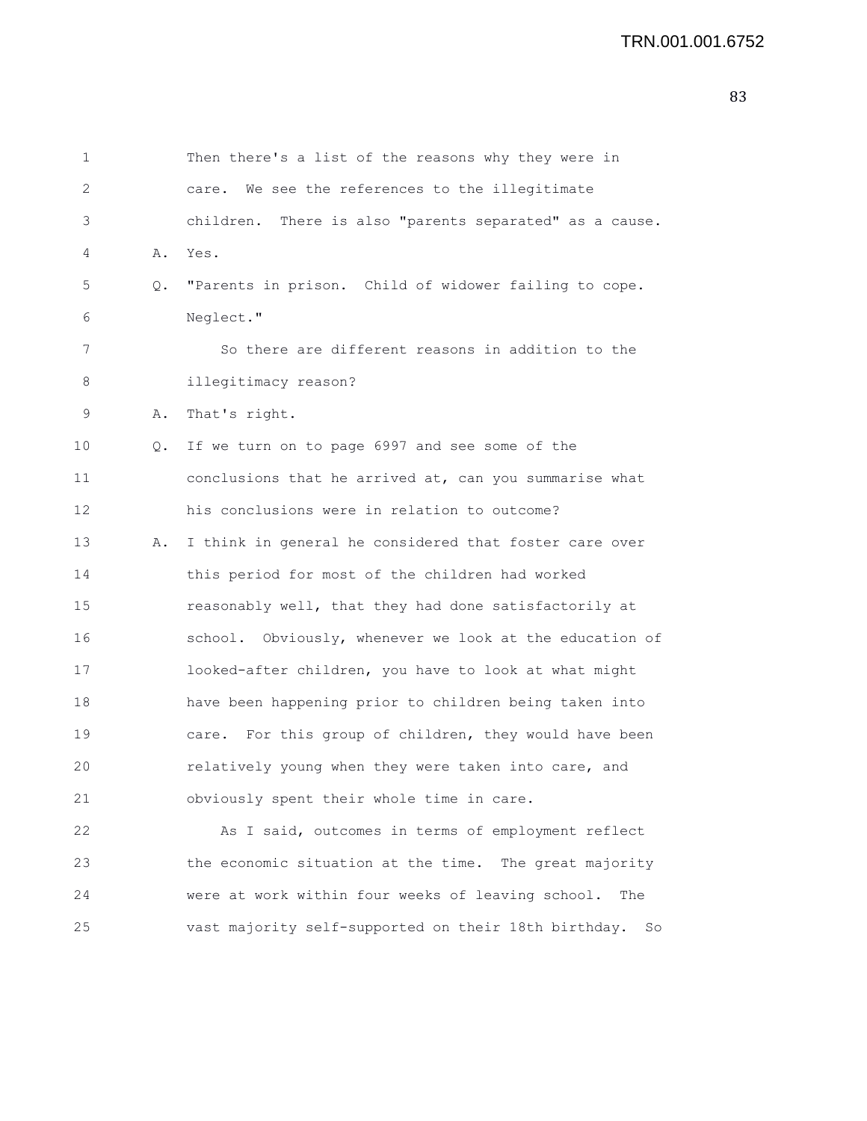1 Then there's a list of the reasons why they were in 2 care. We see the references to the illegitimate 3 children. There is also "parents separated" as a cause. 4 A. Yes. 5 Q. "Parents in prison. Child of widower failing to cope. 6 Neglect." 7 So there are different reasons in addition to the 8 illegitimacy reason? 9 A. That's right. 10 Q. If we turn on to page 6997 and see some of the 11 conclusions that he arrived at, can you summarise what 12 his conclusions were in relation to outcome? 13 A. I think in general he considered that foster care over 14 this period for most of the children had worked 15 reasonably well, that they had done satisfactorily at 16 school. Obviously, whenever we look at the education of 17 looked-after children, you have to look at what might 18 have been happening prior to children being taken into 19 care. For this group of children, they would have been 20 relatively young when they were taken into care, and 21 obviously spent their whole time in care. 22 As I said, outcomes in terms of employment reflect

23 the economic situation at the time. The great majority 24 were at work within four weeks of leaving school. The 25 vast majority self-supported on their 18th birthday. So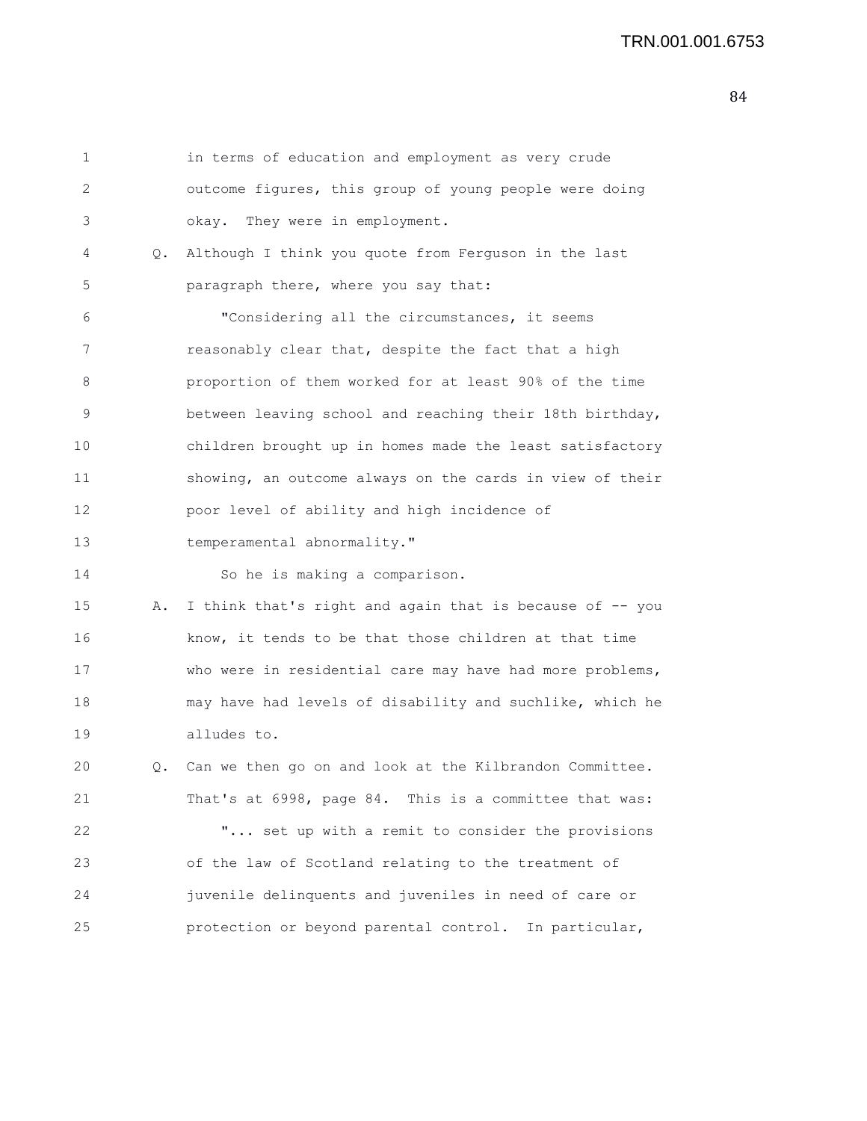1 in terms of education and employment as very crude 2 outcome figures, this group of young people were doing 3 okay. They were in employment. 4 Q. Although I think you quote from Ferguson in the last 5 paragraph there, where you say that: 6 "Considering all the circumstances, it seems 7 reasonably clear that, despite the fact that a high 8 proportion of them worked for at least 90% of the time 9 between leaving school and reaching their 18th birthday, 10 children brought up in homes made the least satisfactory 11 showing, an outcome always on the cards in view of their 12 poor level of ability and high incidence of 13 temperamental abnormality." 14 So he is making a comparison. 15 A. I think that's right and again that is because of -- you 16 know, it tends to be that those children at that time 17 who were in residential care may have had more problems, 18 may have had levels of disability and suchlike, which he 19 alludes to. 20 Q. Can we then go on and look at the Kilbrandon Committee. 21 That's at 6998, page 84. This is a committee that was: 22 "... set up with a remit to consider the provisions 23 of the law of Scotland relating to the treatment of 24 juvenile delinquents and juveniles in need of care or 25 protection or beyond parental control. In particular,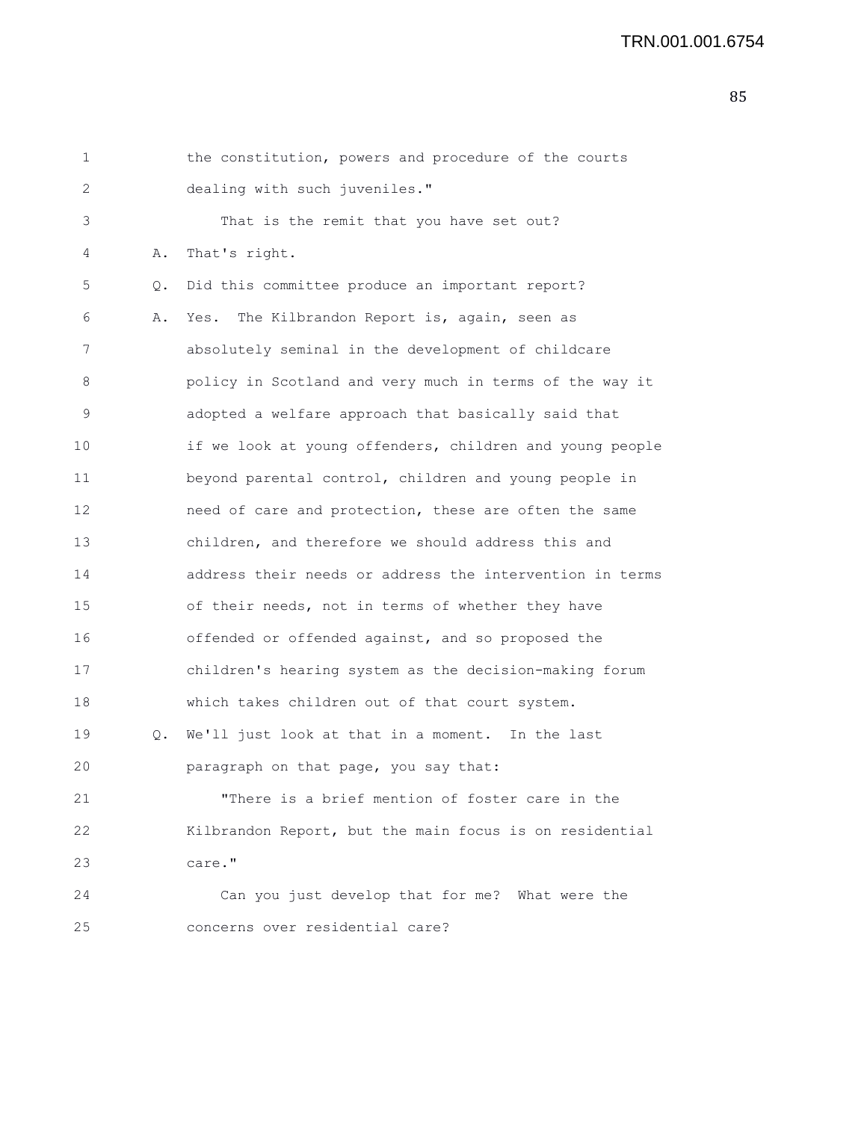| 1  |    | the constitution, powers and procedure of the courts     |
|----|----|----------------------------------------------------------|
| 2  |    | dealing with such juveniles."                            |
| 3  |    | That is the remit that you have set out?                 |
| 4  | Α. | That's right.                                            |
| 5  | Q. | Did this committee produce an important report?          |
| 6  | Α. | Yes. The Kilbrandon Report is, again, seen as            |
| 7  |    | absolutely seminal in the development of childcare       |
| 8  |    | policy in Scotland and very much in terms of the way it  |
| 9  |    | adopted a welfare approach that basically said that      |
| 10 |    | if we look at young offenders, children and young people |
| 11 |    | beyond parental control, children and young people in    |
| 12 |    | need of care and protection, these are often the same    |
| 13 |    | children, and therefore we should address this and       |
| 14 |    | address their needs or address the intervention in terms |
| 15 |    | of their needs, not in terms of whether they have        |
| 16 |    | offended or offended against, and so proposed the        |
| 17 |    | children's hearing system as the decision-making forum   |
| 18 |    | which takes children out of that court system.           |
| 19 | Q. | We'll just look at that in a moment. In the last         |
| 20 |    | paragraph on that page, you say that:                    |
| 21 |    | "There is a brief mention of foster care in the          |
| 22 |    | Kilbrandon Report, but the main focus is on residential  |
| 23 |    | care."                                                   |
| 24 |    | Can you just develop that for me? What were the          |
| 25 |    | concerns over residential care?                          |
|    |    |                                                          |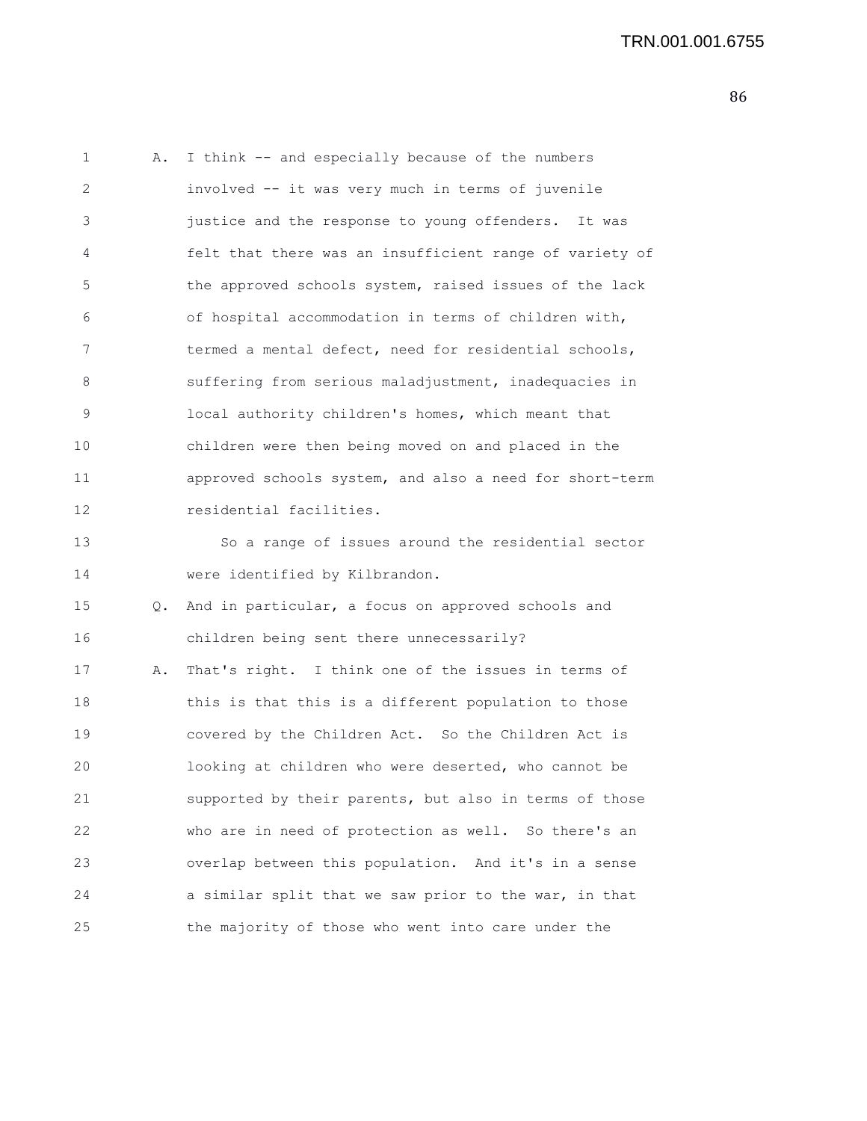1 A. I think -- and especially because of the numbers 2 involved -- it was very much in terms of juvenile 3 justice and the response to young offenders. It was 4 felt that there was an insufficient range of variety of 5 the approved schools system, raised issues of the lack 6 of hospital accommodation in terms of children with, 7 termed a mental defect, need for residential schools, 8 suffering from serious maladjustment, inadequacies in 9 local authority children's homes, which meant that 10 children were then being moved on and placed in the 11 approved schools system, and also a need for short-term 12 residential facilities. 13 So a range of issues around the residential sector 14 were identified by Kilbrandon. 15 Q. And in particular, a focus on approved schools and 16 children being sent there unnecessarily? 17 A. That's right. I think one of the issues in terms of 18 this is that this is a different population to those 19 covered by the Children Act. So the Children Act is 20 looking at children who were deserted, who cannot be 21 supported by their parents, but also in terms of those 22 who are in need of protection as well. So there's an 23 overlap between this population. And it's in a sense 24 a similar split that we saw prior to the war, in that 25 the majority of those who went into care under the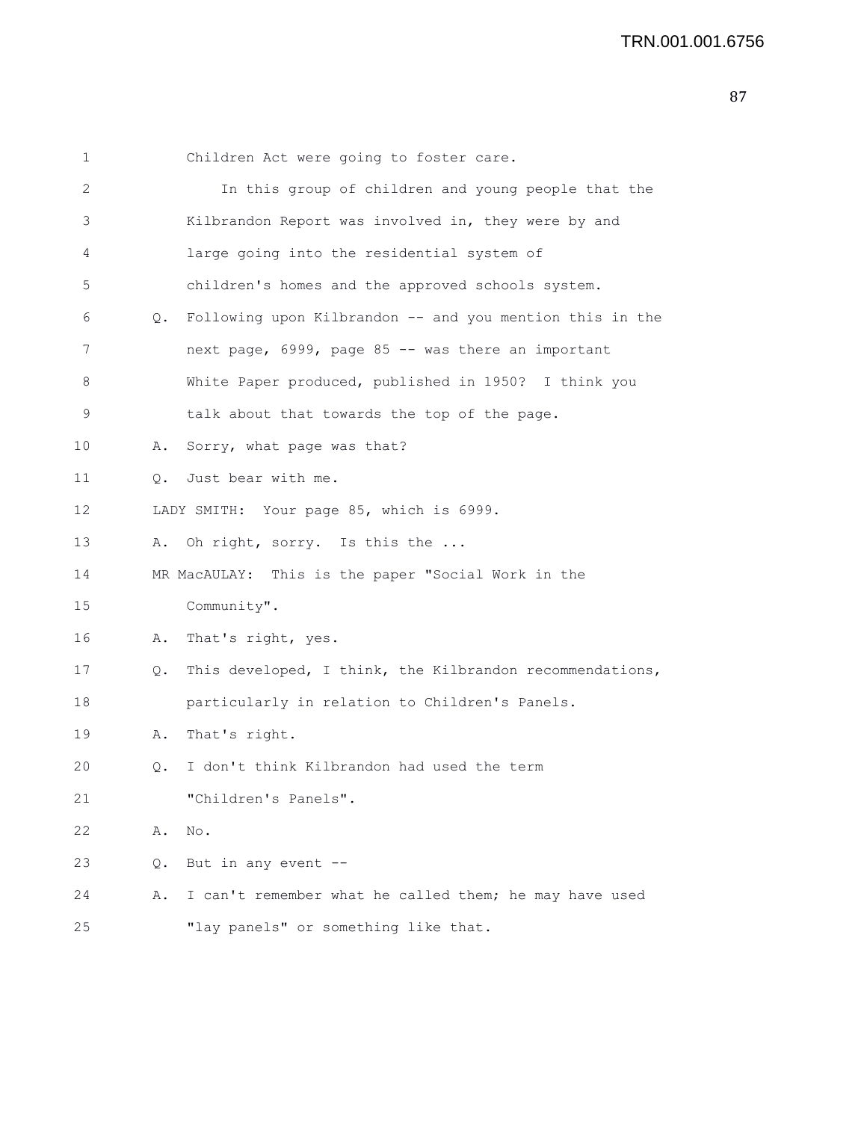| $\mathbf 1$ |    | Children Act were going to foster care.                  |
|-------------|----|----------------------------------------------------------|
| 2           |    | In this group of children and young people that the      |
| 3           |    | Kilbrandon Report was involved in, they were by and      |
| 4           |    | large going into the residential system of               |
| 5           |    | children's homes and the approved schools system.        |
| 6           | Q. | Following upon Kilbrandon -- and you mention this in the |
| 7           |    | next page, 6999, page 85 -- was there an important       |
| 8           |    | White Paper produced, published in 1950? I think you     |
| 9           |    | talk about that towards the top of the page.             |
| 10          | Α. | Sorry, what page was that?                               |
| 11          | Q. | Just bear with me.                                       |
| 12          |    | LADY SMITH: Your page 85, which is 6999.                 |
| 13          | Α. | Oh right, sorry. Is this the                             |
| 14          |    | MR MacAULAY: This is the paper "Social Work in the       |
| 15          |    | Community".                                              |
| 16          | Α. | That's right, yes.                                       |
| 17          | Q. | This developed, I think, the Kilbrandon recommendations, |
| 18          |    | particularly in relation to Children's Panels.           |
| 19          | Α. | That's right.                                            |
| 20          | Q. | I don't think Kilbrandon had used the term               |
| 21          |    | "Children's Panels".                                     |
| 22          | Α. | No.                                                      |
| 23          | Q. | But in any event --                                      |
| 24          | Α. | I can't remember what he called them; he may have used   |
| 25          |    | "lay panels" or something like that.                     |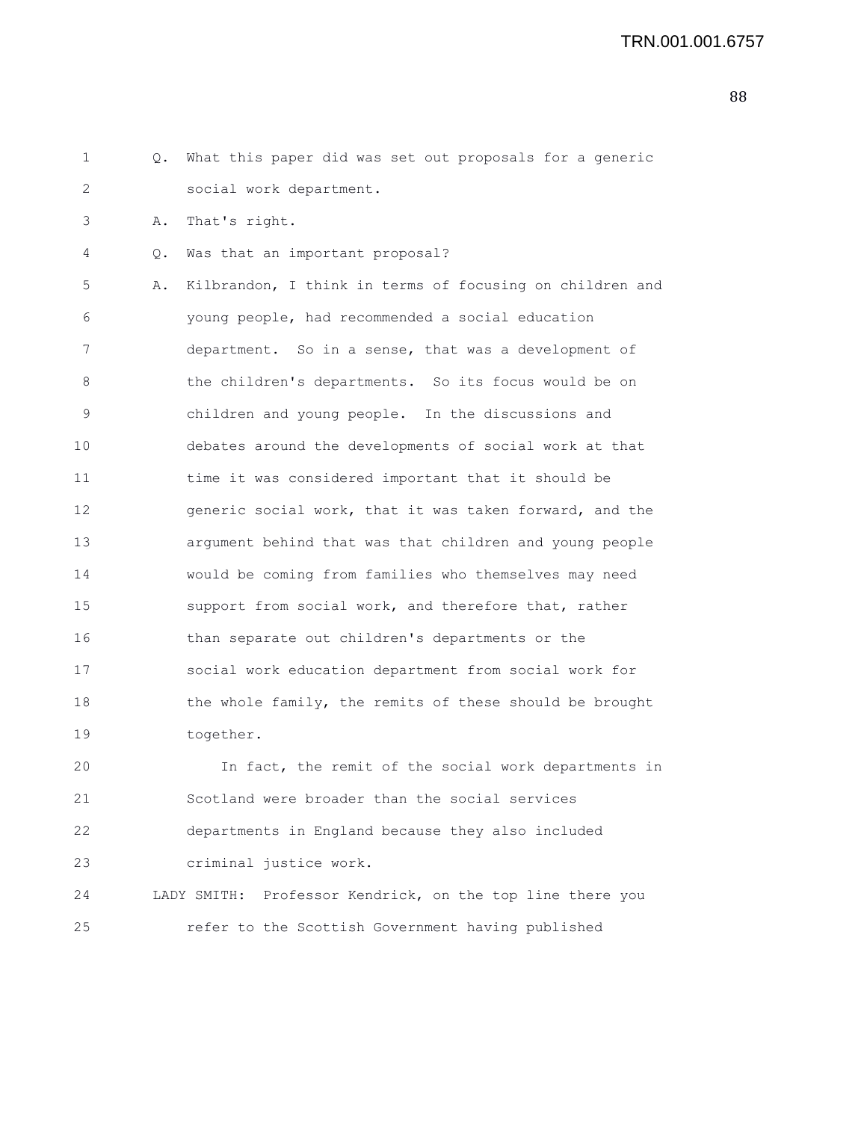| 1  | Q. | What this paper did was set out proposals for a generic   |
|----|----|-----------------------------------------------------------|
| 2  |    | social work department.                                   |
| 3  | Α. | That's right.                                             |
| 4  | Q. | Was that an important proposal?                           |
| 5  | Α. | Kilbrandon, I think in terms of focusing on children and  |
| 6  |    | young people, had recommended a social education          |
| 7  |    | department. So in a sense, that was a development of      |
| 8  |    | the children's departments. So its focus would be on      |
| 9  |    | children and young people. In the discussions and         |
| 10 |    | debates around the developments of social work at that    |
| 11 |    | time it was considered important that it should be        |
| 12 |    | generic social work, that it was taken forward, and the   |
| 13 |    | argument behind that was that children and young people   |
| 14 |    | would be coming from families who themselves may need     |
| 15 |    | support from social work, and therefore that, rather      |
| 16 |    | than separate out children's departments or the           |
| 17 |    | social work education department from social work for     |
| 18 |    | the whole family, the remits of these should be brought   |
| 19 |    | together.                                                 |
| 20 |    | In fact, the remit of the social work departments in      |
| 21 |    | Scotland were broader than the social services            |
| 22 |    | departments in England because they also included         |
| 23 |    | criminal justice work.                                    |
| 24 |    | LADY SMITH: Professor Kendrick, on the top line there you |
| 25 |    | refer to the Scottish Government having published         |
|    |    |                                                           |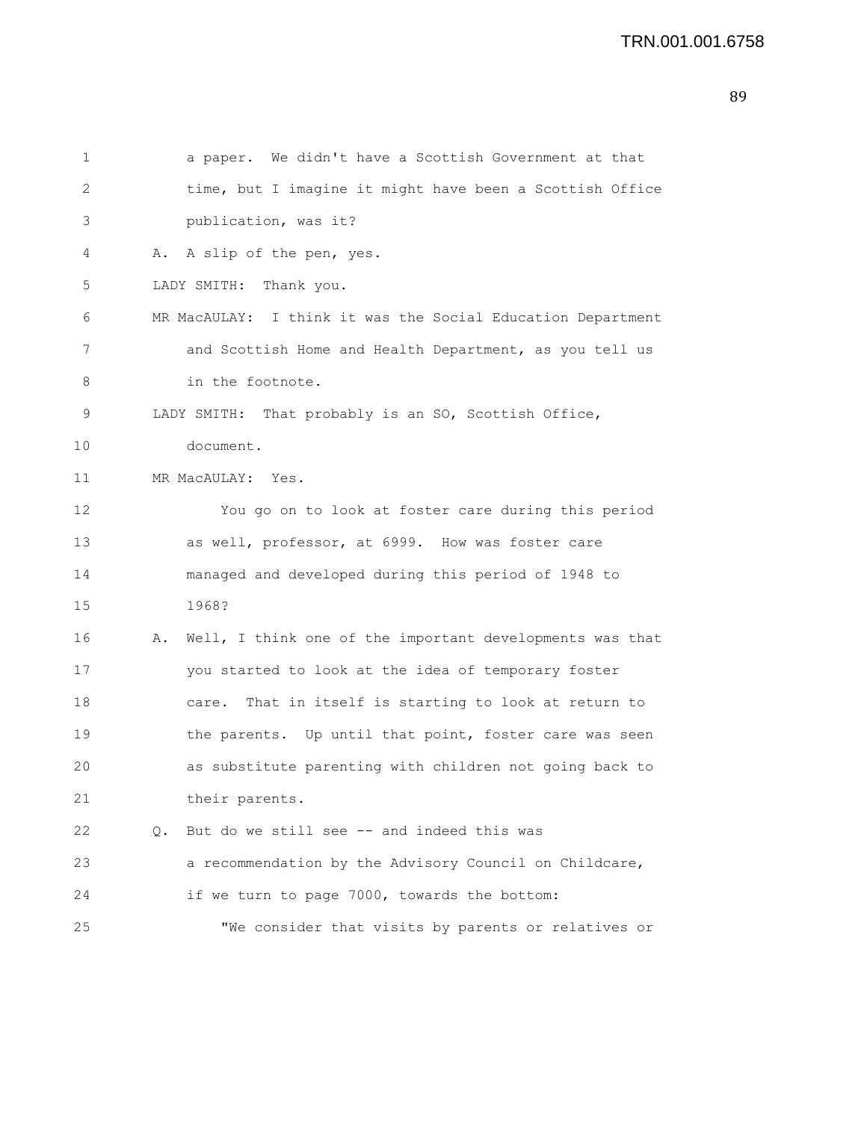```
1 a paper. We didn't have a Scottish Government at that
2 time, but I imagine it might have been a Scottish Office
3 publication, was it?
4 A. A slip of the pen, yes.
5 LADY SMITH: Thank you.
6 MR MacAULAY: I think it was the Social Education Department
7 and Scottish Home and Health Department, as you tell us
8 in the footnote.
9 LADY SMITH: That probably is an SO, Scottish Office,
10 document.
11 MR MacAULAY: Yes.
12 You go on to look at foster care during this period
13 as well, professor, at 6999. How was foster care
14 managed and developed during this period of 1948 to
15 1968?
16 A. Well, I think one of the important developments was that
17 you started to look at the idea of temporary foster
18 care. That in itself is starting to look at return to
19 the parents. Up until that point, foster care was seen
20 as substitute parenting with children not going back to
21 their parents.
22 Q. But do we still see -- and indeed this was
23 a recommendation by the Advisory Council on Childcare,
24 if we turn to page 7000, towards the bottom:
25 "We consider that visits by parents or relatives or
```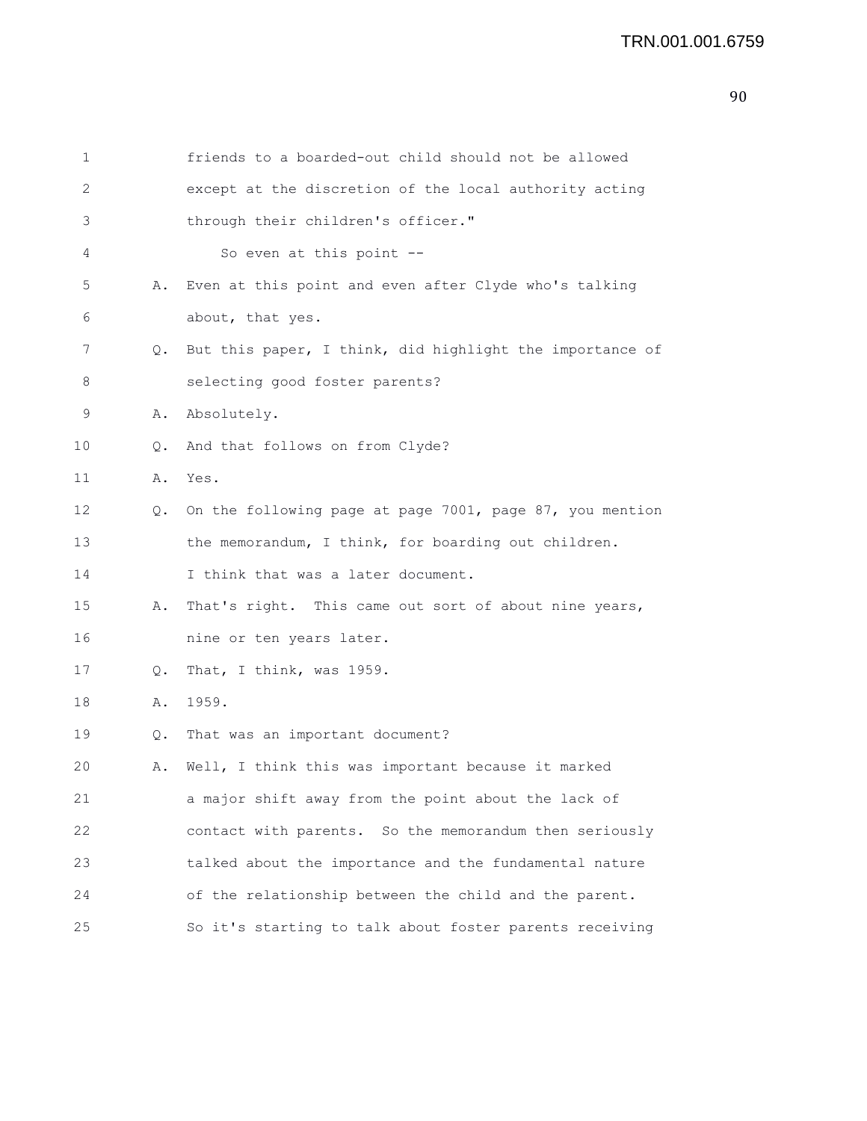| 1  |    | friends to a boarded-out child should not be allowed     |
|----|----|----------------------------------------------------------|
| 2  |    | except at the discretion of the local authority acting   |
| 3  |    | through their children's officer."                       |
| 4  |    | So even at this point --                                 |
| 5  | Α. | Even at this point and even after Clyde who's talking    |
| 6  |    | about, that yes.                                         |
| 7  | Q. | But this paper, I think, did highlight the importance of |
| 8  |    | selecting good foster parents?                           |
| 9  | Α. | Absolutely.                                              |
| 10 | Q. | And that follows on from Clyde?                          |
| 11 | Α. | Yes.                                                     |
| 12 | Q. | On the following page at page 7001, page 87, you mention |
| 13 |    | the memorandum, I think, for boarding out children.      |
| 14 |    | I think that was a later document.                       |
| 15 | Α. | That's right. This came out sort of about nine years,    |
| 16 |    | nine or ten years later.                                 |
| 17 | Q. | That, I think, was 1959.                                 |
| 18 | Α. | 1959.                                                    |
| 19 | Q. | That was an important document?                          |
| 20 | Α. | Well, I think this was important because it marked       |
| 21 |    | a major shift away from the point about the lack of      |
| 22 |    | contact with parents. So the memorandum then seriously   |
| 23 |    | talked about the importance and the fundamental nature   |
| 24 |    | of the relationship between the child and the parent.    |
| 25 |    | So it's starting to talk about foster parents receiving  |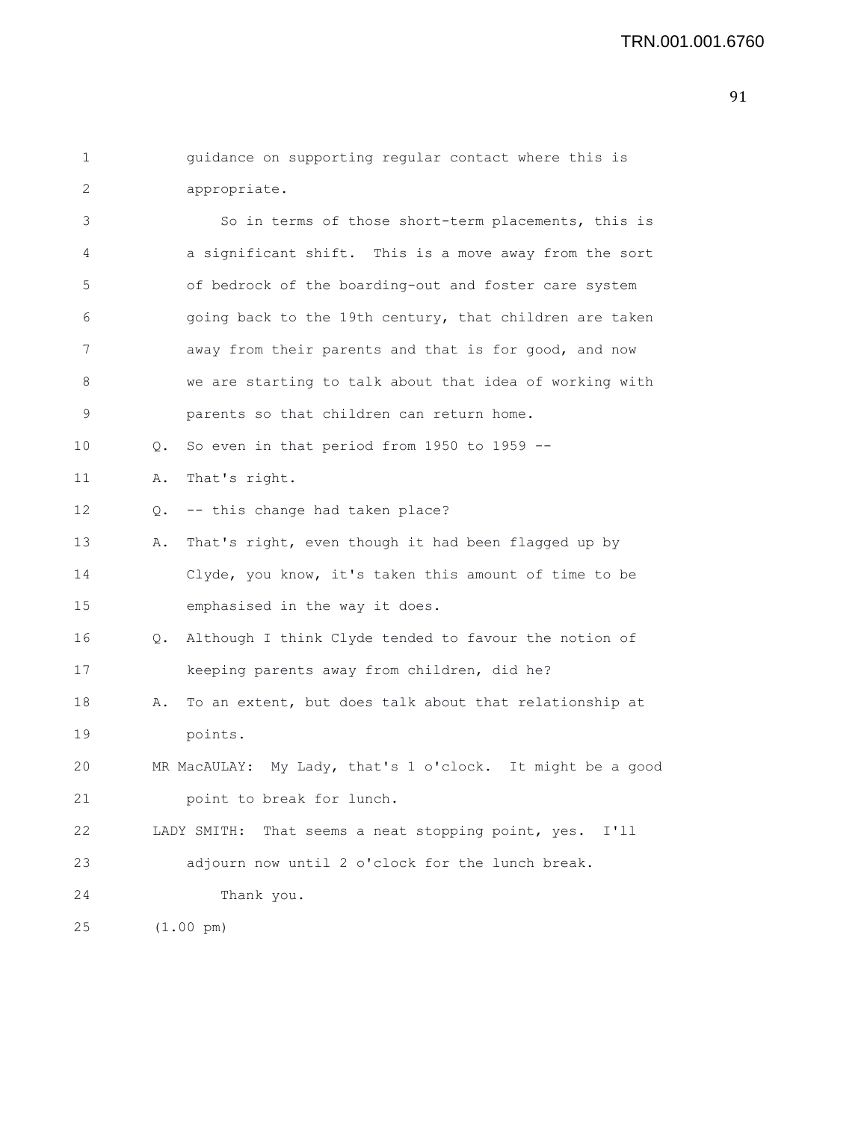```
1 guidance on supporting regular contact where this is
2 appropriate.
```

| 3              | So in terms of those short-term placements, this is          |
|----------------|--------------------------------------------------------------|
| $\overline{4}$ | a significant shift. This is a move away from the sort       |
| 5              | of bedrock of the boarding-out and foster care system        |
| 6              | going back to the 19th century, that children are taken      |
| 7              | away from their parents and that is for good, and now        |
| 8              | we are starting to talk about that idea of working with      |
| 9              | parents so that children can return home.                    |
| 10             | So even in that period from 1950 to 1959 $-$ -<br>$\circ$ .  |
| 11             | That's right.<br>Α.                                          |
| 12             | -- this change had taken place?<br>Q.                        |
| 13             | That's right, even though it had been flagged up by<br>Α.    |
| 14             | Clyde, you know, it's taken this amount of time to be        |
| 15             | emphasised in the way it does.                               |
| 16             | Although I think Clyde tended to favour the notion of<br>Q.  |
| 17             | keeping parents away from children, did he?                  |
| 18             | To an extent, but does talk about that relationship at<br>Α. |
| 19             | points.                                                      |
| 20             | MR MacAULAY: My Lady, that's 1 o'clock. It might be a good   |
| 21             | point to break for lunch.                                    |
| 22             | LADY SMITH:<br>That seems a neat stopping point, yes. I'll   |
| 23             | adjourn now until 2 o'clock for the lunch break.             |
| 24             | Thank you.                                                   |
| 25             | $(1.00 \text{ pm})$                                          |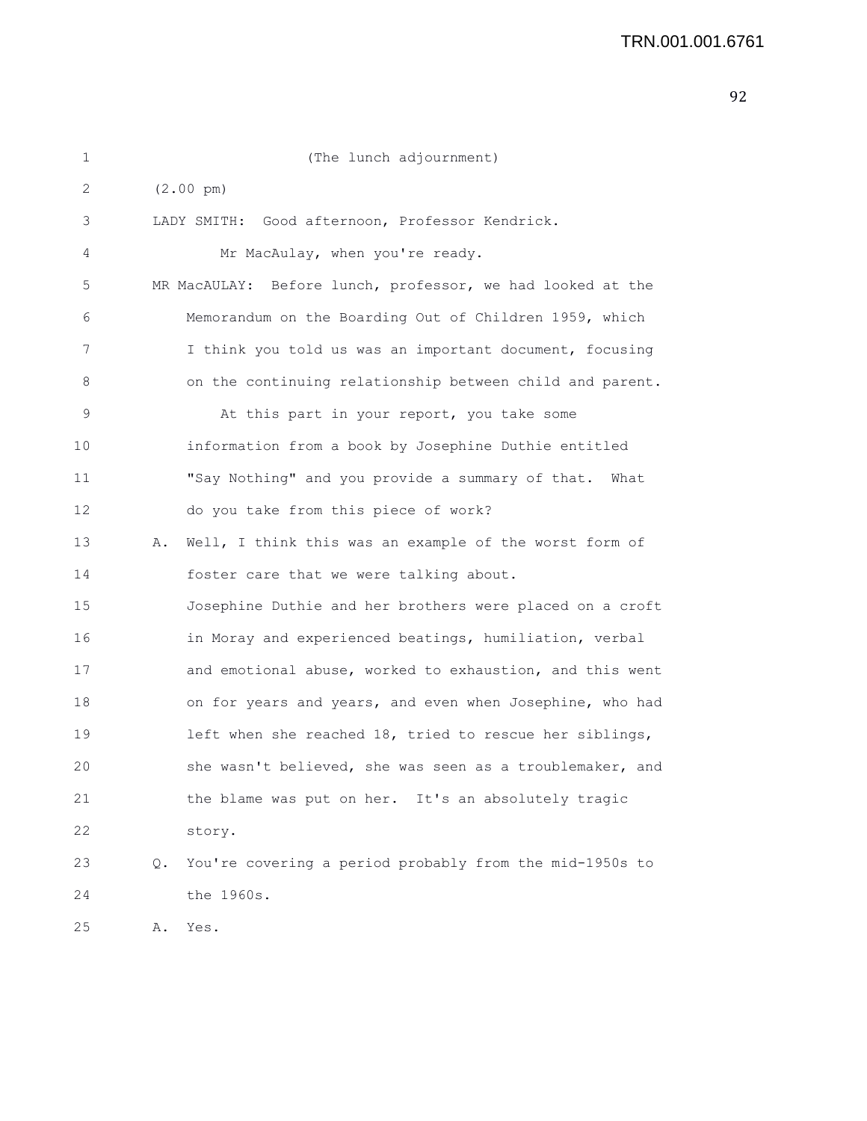| 1               |    | (The lunch adjournment)                                    |
|-----------------|----|------------------------------------------------------------|
| 2               |    | $(2.00 \text{ pm})$                                        |
| 3               |    | LADY SMITH: Good afternoon, Professor Kendrick.            |
| 4               |    | Mr MacAulay, when you're ready.                            |
| 5               |    | MR MacAULAY: Before lunch, professor, we had looked at the |
| 6               |    | Memorandum on the Boarding Out of Children 1959, which     |
| 7               |    | I think you told us was an important document, focusing    |
| 8               |    | on the continuing relationship between child and parent.   |
| 9               |    | At this part in your report, you take some                 |
| 10              |    | information from a book by Josephine Duthie entitled       |
| 11              |    | "Say Nothing" and you provide a summary of that.<br>What   |
| 12 <sup>2</sup> |    | do you take from this piece of work?                       |
| 13              | Α. | Well, I think this was an example of the worst form of     |
| 14              |    | foster care that we were talking about.                    |
| 15              |    | Josephine Duthie and her brothers were placed on a croft   |
| 16              |    | in Moray and experienced beatings, humiliation, verbal     |
| 17              |    | and emotional abuse, worked to exhaustion, and this went   |
| 18              |    | on for years and years, and even when Josephine, who had   |
| 19              |    | left when she reached 18, tried to rescue her siblings,    |
| 20              |    | she wasn't believed, she was seen as a troublemaker, and   |
| 21              |    | the blame was put on her. It's an absolutely tragic        |
| 22              |    | story.                                                     |
| 23              | Q. | You're covering a period probably from the mid-1950s to    |
| 24              |    | the 1960s.                                                 |
| 25              | Α. | Yes.                                                       |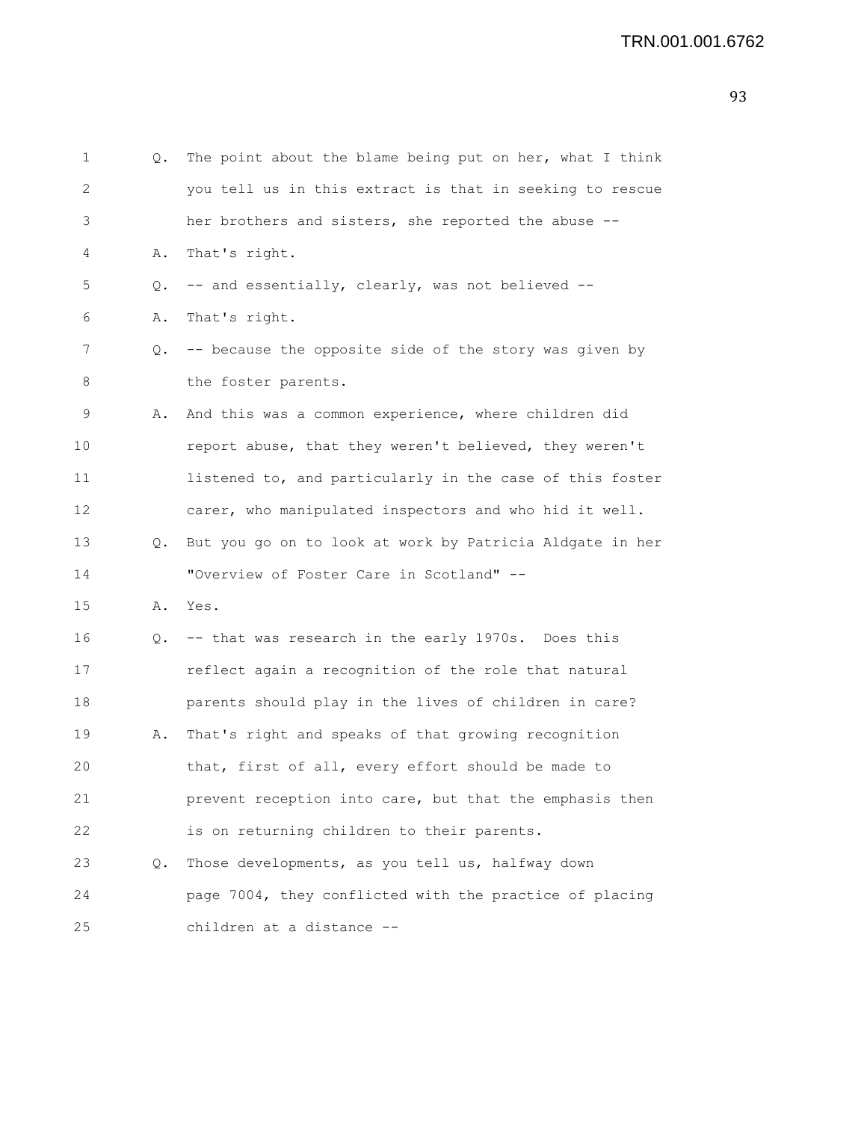```
1 Q. The point about the blame being put on her, what I think
2 you tell us in this extract is that in seeking to rescue
3 her brothers and sisters, she reported the abuse --
4 A. That's right.
5 Q. -- and essentially, clearly, was not believed --
6 A. That's right.
7 Q. -- because the opposite side of the story was given by
8 the foster parents.
9 A. And this was a common experience, where children did
10 report abuse, that they weren't believed, they weren't
11 listened to, and particularly in the case of this foster
12 carer, who manipulated inspectors and who hid it well.
13 Q. But you go on to look at work by Patricia Aldgate in her
14 "Overview of Foster Care in Scotland" --
15 A. Yes.
16 Q. -- that was research in the early 1970s. Does this
17 reflect again a recognition of the role that natural
18 parents should play in the lives of children in care?
19 A. That's right and speaks of that growing recognition
20 that, first of all, every effort should be made to
21 prevent reception into care, but that the emphasis then
22 is on returning children to their parents.
23 Q. Those developments, as you tell us, halfway down
24 page 7004, they conflicted with the practice of placing
25 children at a distance --
```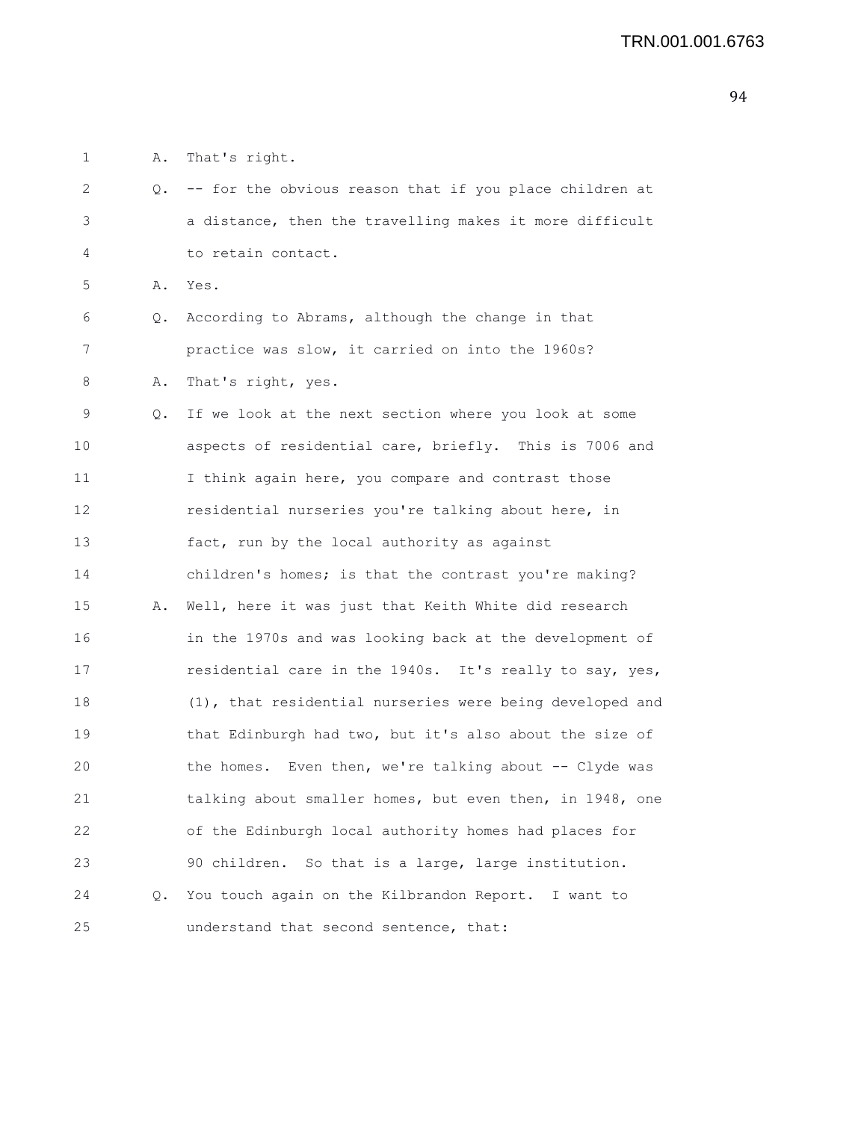1 A. That's right.

| 2  | Q. | -- for the obvious reason that if you place children at  |
|----|----|----------------------------------------------------------|
| 3  |    | a distance, then the travelling makes it more difficult  |
| 4  |    | to retain contact.                                       |
| 5  | Α. | Yes.                                                     |
| 6  | Q. | According to Abrams, although the change in that         |
| 7  |    | practice was slow, it carried on into the 1960s?         |
| 8  | Α. | That's right, yes.                                       |
| 9  | Q. | If we look at the next section where you look at some    |
| 10 |    | aspects of residential care, briefly. This is 7006 and   |
| 11 |    | I think again here, you compare and contrast those       |
| 12 |    | residential nurseries you're talking about here, in      |
| 13 |    | fact, run by the local authority as against              |
| 14 |    | children's homes; is that the contrast you're making?    |
| 15 | Α. | Well, here it was just that Keith White did research     |
| 16 |    | in the 1970s and was looking back at the development of  |
| 17 |    | residential care in the 1940s. It's really to say, yes,  |
| 18 |    | (1), that residential nurseries were being developed and |
| 19 |    | that Edinburgh had two, but it's also about the size of  |
| 20 |    | the homes. Even then, we're talking about -- Clyde was   |
| 21 |    | talking about smaller homes, but even then, in 1948, one |
| 22 |    | of the Edinburgh local authority homes had places for    |
| 23 |    | 90 children. So that is a large, large institution.      |
| 24 | Q. | You touch again on the Kilbrandon Report. I want to      |
| 25 |    | understand that second sentence, that:                   |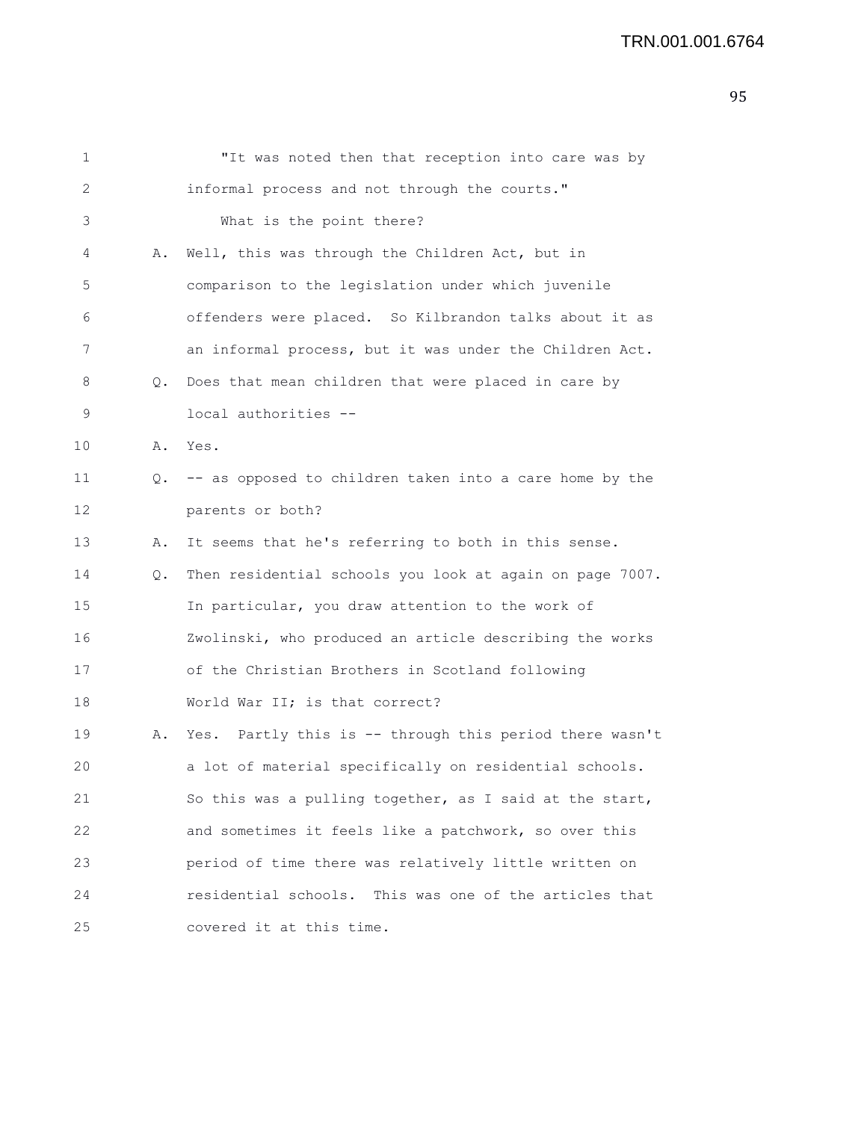| 2<br>informal process and not through the courts."<br>3<br>What is the point there?<br>4<br>Well, this was through the Children Act, but in<br>Α.<br>5<br>comparison to the legislation under which juvenile<br>offenders were placed. So Kilbrandon talks about it as<br>6<br>an informal process, but it was under the Children Act.<br>7<br>8<br>Does that mean children that were placed in care by<br>Q.<br>9<br>local authorities --<br>10<br>Yes.<br>Α.<br>11<br>-- as opposed to children taken into a care home by the<br>Q.<br>12<br>parents or both?<br>13<br>It seems that he's referring to both in this sense.<br>Α.<br>Then residential schools you look at again on page 7007.<br>14<br>Q.<br>15<br>In particular, you draw attention to the work of<br>Zwolinski, who produced an article describing the works<br>16<br>of the Christian Brothers in Scotland following<br>17 |  |
|------------------------------------------------------------------------------------------------------------------------------------------------------------------------------------------------------------------------------------------------------------------------------------------------------------------------------------------------------------------------------------------------------------------------------------------------------------------------------------------------------------------------------------------------------------------------------------------------------------------------------------------------------------------------------------------------------------------------------------------------------------------------------------------------------------------------------------------------------------------------------------------------|--|
|                                                                                                                                                                                                                                                                                                                                                                                                                                                                                                                                                                                                                                                                                                                                                                                                                                                                                                |  |
|                                                                                                                                                                                                                                                                                                                                                                                                                                                                                                                                                                                                                                                                                                                                                                                                                                                                                                |  |
|                                                                                                                                                                                                                                                                                                                                                                                                                                                                                                                                                                                                                                                                                                                                                                                                                                                                                                |  |
|                                                                                                                                                                                                                                                                                                                                                                                                                                                                                                                                                                                                                                                                                                                                                                                                                                                                                                |  |
|                                                                                                                                                                                                                                                                                                                                                                                                                                                                                                                                                                                                                                                                                                                                                                                                                                                                                                |  |
|                                                                                                                                                                                                                                                                                                                                                                                                                                                                                                                                                                                                                                                                                                                                                                                                                                                                                                |  |
|                                                                                                                                                                                                                                                                                                                                                                                                                                                                                                                                                                                                                                                                                                                                                                                                                                                                                                |  |
|                                                                                                                                                                                                                                                                                                                                                                                                                                                                                                                                                                                                                                                                                                                                                                                                                                                                                                |  |
|                                                                                                                                                                                                                                                                                                                                                                                                                                                                                                                                                                                                                                                                                                                                                                                                                                                                                                |  |
|                                                                                                                                                                                                                                                                                                                                                                                                                                                                                                                                                                                                                                                                                                                                                                                                                                                                                                |  |
|                                                                                                                                                                                                                                                                                                                                                                                                                                                                                                                                                                                                                                                                                                                                                                                                                                                                                                |  |
|                                                                                                                                                                                                                                                                                                                                                                                                                                                                                                                                                                                                                                                                                                                                                                                                                                                                                                |  |
|                                                                                                                                                                                                                                                                                                                                                                                                                                                                                                                                                                                                                                                                                                                                                                                                                                                                                                |  |
|                                                                                                                                                                                                                                                                                                                                                                                                                                                                                                                                                                                                                                                                                                                                                                                                                                                                                                |  |
|                                                                                                                                                                                                                                                                                                                                                                                                                                                                                                                                                                                                                                                                                                                                                                                                                                                                                                |  |
|                                                                                                                                                                                                                                                                                                                                                                                                                                                                                                                                                                                                                                                                                                                                                                                                                                                                                                |  |
| World War II; is that correct?<br>18                                                                                                                                                                                                                                                                                                                                                                                                                                                                                                                                                                                                                                                                                                                                                                                                                                                           |  |
| 19<br>Yes. Partly this is -- through this period there wasn't<br>Α.                                                                                                                                                                                                                                                                                                                                                                                                                                                                                                                                                                                                                                                                                                                                                                                                                            |  |
| 20<br>a lot of material specifically on residential schools.                                                                                                                                                                                                                                                                                                                                                                                                                                                                                                                                                                                                                                                                                                                                                                                                                                   |  |
| 21<br>So this was a pulling together, as I said at the start,                                                                                                                                                                                                                                                                                                                                                                                                                                                                                                                                                                                                                                                                                                                                                                                                                                  |  |
| 22<br>and sometimes it feels like a patchwork, so over this                                                                                                                                                                                                                                                                                                                                                                                                                                                                                                                                                                                                                                                                                                                                                                                                                                    |  |
| 23<br>period of time there was relatively little written on                                                                                                                                                                                                                                                                                                                                                                                                                                                                                                                                                                                                                                                                                                                                                                                                                                    |  |
| residential schools. This was one of the articles that<br>24                                                                                                                                                                                                                                                                                                                                                                                                                                                                                                                                                                                                                                                                                                                                                                                                                                   |  |
| 25<br>covered it at this time.                                                                                                                                                                                                                                                                                                                                                                                                                                                                                                                                                                                                                                                                                                                                                                                                                                                                 |  |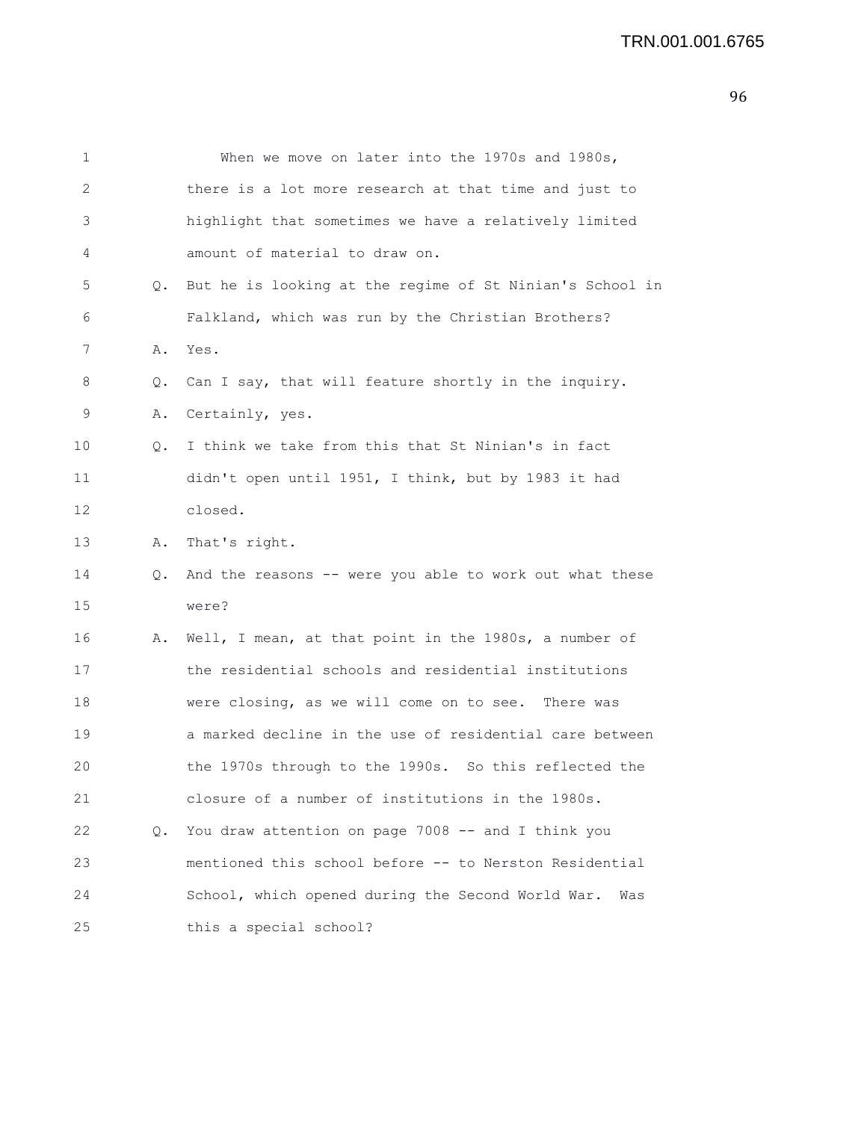| 1  |       | When we move on later into the 1970s and 1980s,          |
|----|-------|----------------------------------------------------------|
| 2  |       | there is a lot more research at that time and just to    |
| 3  |       | highlight that sometimes we have a relatively limited    |
| 4  |       | amount of material to draw on.                           |
| 5  | Q.    | But he is looking at the regime of St Ninian's School in |
| 6  |       | Falkland, which was run by the Christian Brothers?       |
| 7  | Α.    | Yes.                                                     |
| 8  | Q.    | Can I say, that will feature shortly in the inquiry.     |
| 9  | Α.    | Certainly, yes.                                          |
| 10 | Q.    | I think we take from this that St Ninian's in fact       |
| 11 |       | didn't open until 1951, I think, but by 1983 it had      |
| 12 |       | closed.                                                  |
| 13 | Α.    | That's right.                                            |
| 14 | $Q$ . | And the reasons -- were you able to work out what these  |
| 15 |       | were?                                                    |
| 16 | Α.    | Well, I mean, at that point in the 1980s, a number of    |
| 17 |       | the residential schools and residential institutions     |
| 18 |       | were closing, as we will come on to see. There was       |
| 19 |       | a marked decline in the use of residential care between  |
| 20 |       | the 1970s through to the 1990s. So this reflected the    |
| 21 |       | closure of a number of institutions in the 1980s.        |
| 22 | Q.    | You draw attention on page 7008 -- and I think you       |
| 23 |       | mentioned this school before -- to Nerston Residential   |
| 24 |       | School, which opened during the Second World War.<br>Was |
| 25 |       | this a special school?                                   |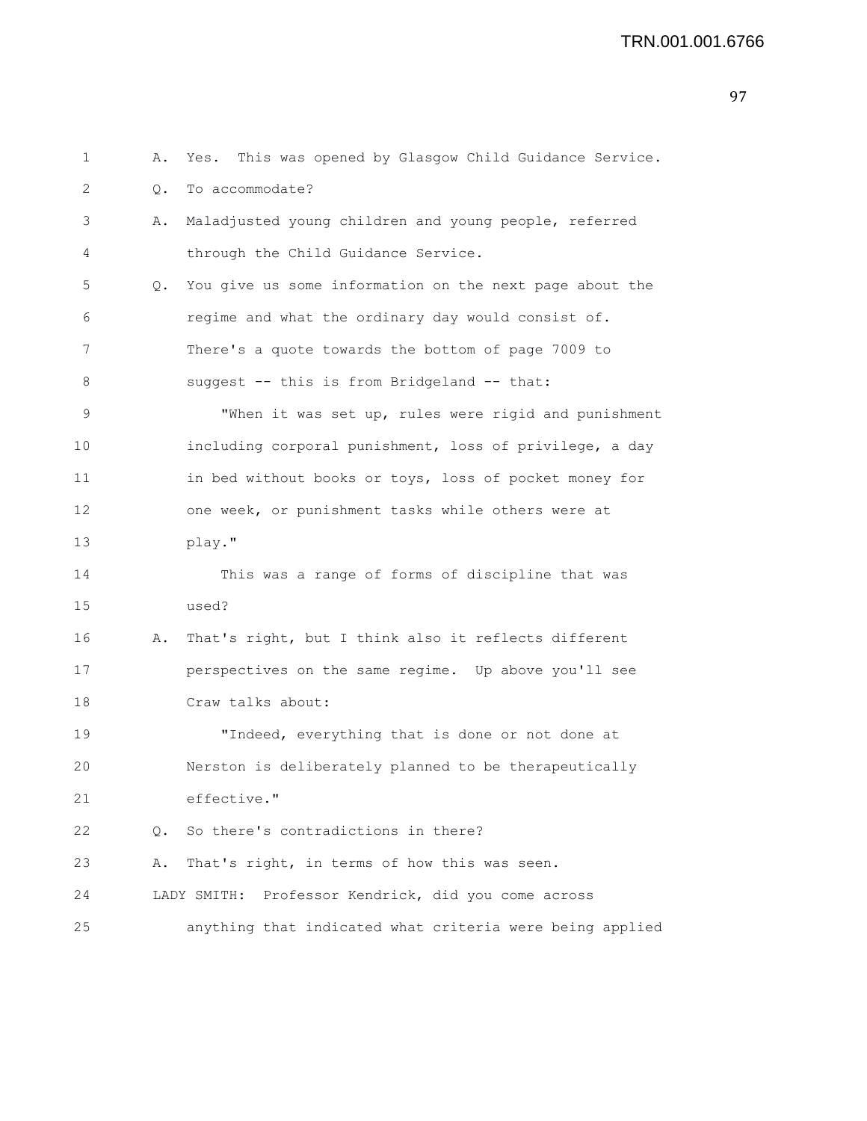```
1 A. Yes. This was opened by Glasgow Child Guidance Service.
2 0. To accommodate?
3 A. Maladjusted young children and young people, referred
4 through the Child Guidance Service.
5 Q. You give us some information on the next page about the
6 regime and what the ordinary day would consist of.
7 There's a quote towards the bottom of page 7009 to
8 suggest -- this is from Bridgeland -- that:
9 "When it was set up, rules were rigid and punishment
10 including corporal punishment, loss of privilege, a day
11 in bed without books or toys, loss of pocket money for
12 one week, or punishment tasks while others were at
13 play."
14 This was a range of forms of discipline that was
15 used?
16 A. That's right, but I think also it reflects different
17 perspectives on the same regime. Up above you'll see
18 Craw talks about:
19 "Indeed, everything that is done or not done at
20 Nerston is deliberately planned to be therapeutically
21 effective."
22 Q. So there's contradictions in there?
23 A. That's right, in terms of how this was seen.
24 LADY SMITH: Professor Kendrick, did you come across
25 anything that indicated what criteria were being applied
```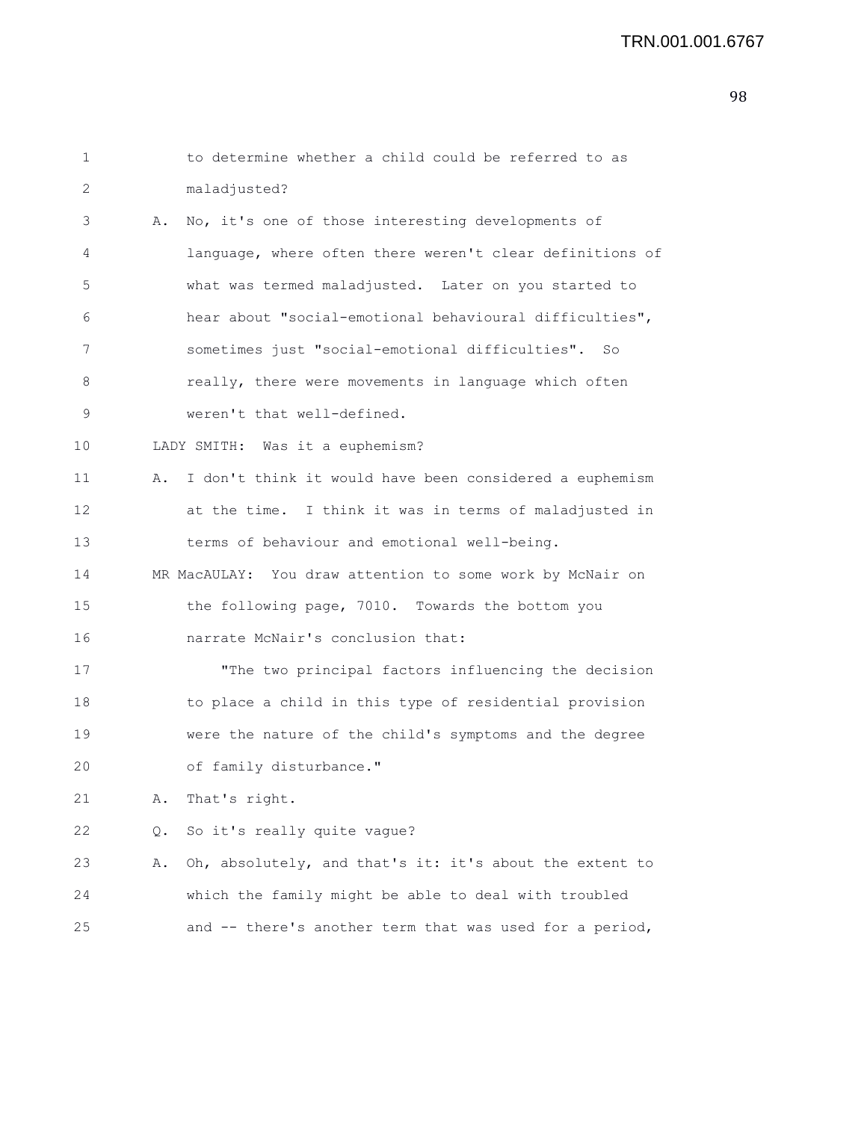## TRN.001.001.6767

| 1  |    | to determine whether a child could be referred to as      |
|----|----|-----------------------------------------------------------|
| 2  |    | maladjusted?                                              |
| 3  | Α. | No, it's one of those interesting developments of         |
| 4  |    | language, where often there weren't clear definitions of  |
| 5  |    | what was termed maladjusted. Later on you started to      |
| 6  |    | hear about "social-emotional behavioural difficulties",   |
| 7  |    | sometimes just "social-emotional difficulties". So        |
| 8  |    | really, there were movements in language which often      |
| 9  |    | weren't that well-defined.                                |
| 10 |    | LADY SMITH: Was it a euphemism?                           |
| 11 | Α. | I don't think it would have been considered a euphemism   |
| 12 |    | at the time. I think it was in terms of maladjusted in    |
| 13 |    | terms of behaviour and emotional well-being.              |
| 14 |    | MR MacAULAY: You draw attention to some work by McNair on |
| 15 |    | the following page, 7010. Towards the bottom you          |
| 16 |    | narrate McNair's conclusion that:                         |
| 17 |    | "The two principal factors influencing the decision       |
| 18 |    | to place a child in this type of residential provision    |
| 19 |    | were the nature of the child's symptoms and the degree    |
| 20 |    | of family disturbance."                                   |
| 21 | Α. | That's right.                                             |
| 22 | Q. | So it's really quite vague?                               |
| 23 | Α. | Oh, absolutely, and that's it: it's about the extent to   |
| 24 |    | which the family might be able to deal with troubled      |
| 25 |    | and -- there's another term that was used for a period,   |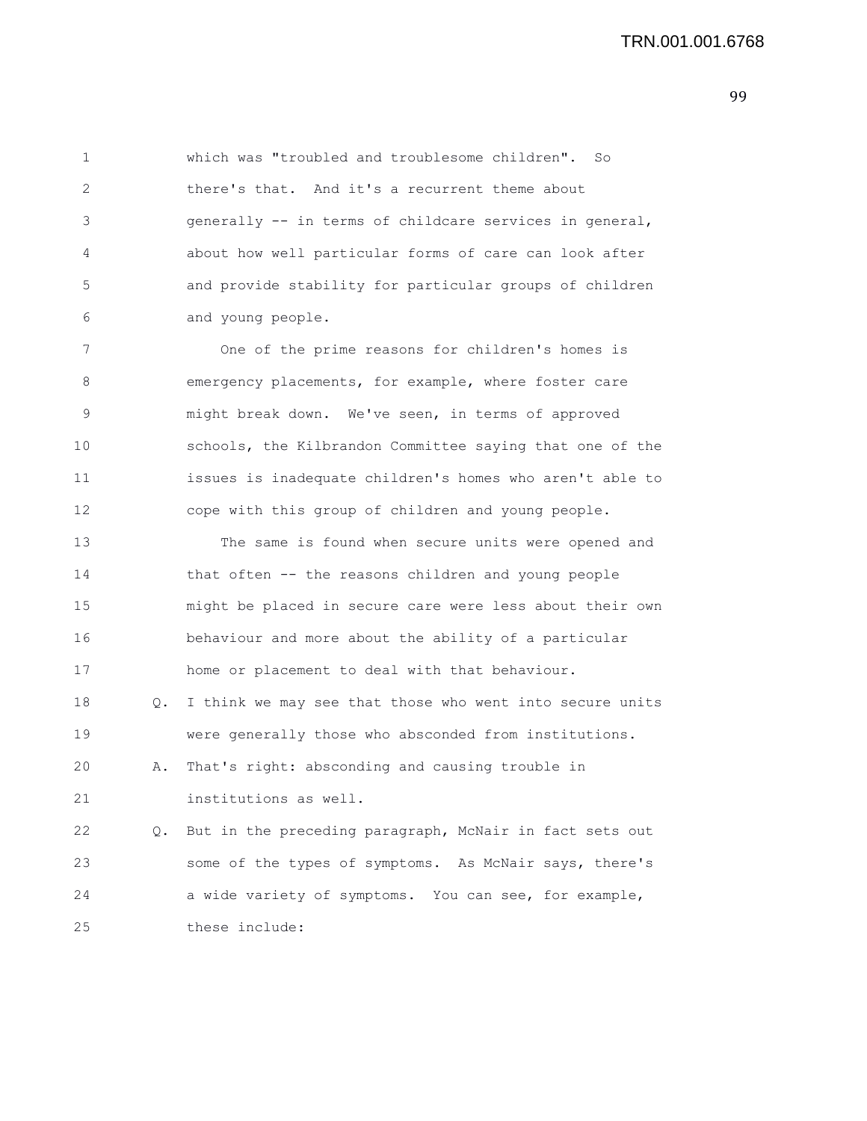1 which was "troubled and troublesome children". So 2 there's that. And it's a recurrent theme about 3 generally -- in terms of childcare services in general, 4 about how well particular forms of care can look after 5 and provide stability for particular groups of children 6 and young people. 7 One of the prime reasons for children's homes is 8 emergency placements, for example, where foster care 9 might break down. We've seen, in terms of approved 10 schools, the Kilbrandon Committee saying that one of the 11 issues is inadequate children's homes who aren't able to 12 cope with this group of children and young people. 13 The same is found when secure units were opened and 14 that often -- the reasons children and young people 15 might be placed in secure care were less about their own 16 behaviour and more about the ability of a particular 17 home or placement to deal with that behaviour. 18 Q. I think we may see that those who went into secure units 19 were generally those who absconded from institutions. 20 A. That's right: absconding and causing trouble in 21 institutions as well. 22 Q. But in the preceding paragraph, McNair in fact sets out 23 some of the types of symptoms. As McNair says, there's 24 a wide variety of symptoms. You can see, for example, 25 these include: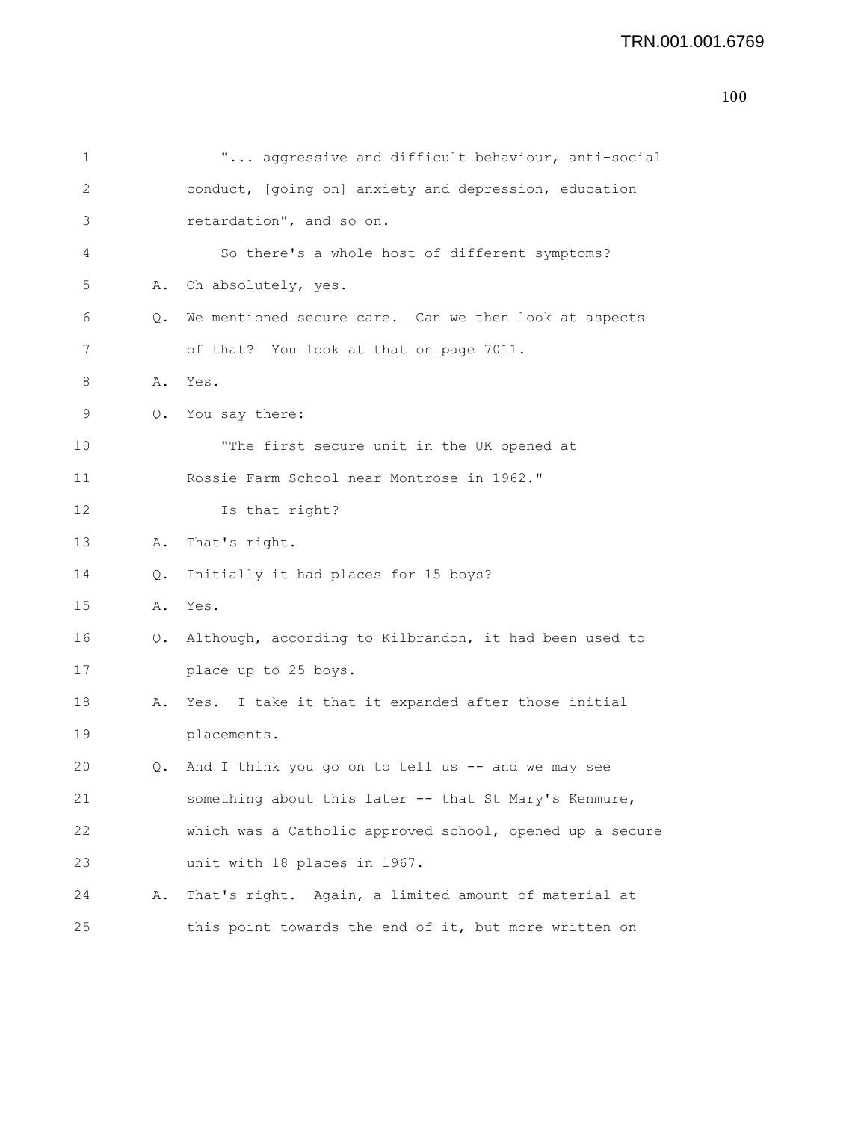## TRN.001.001.6769

| 1  |               | " aggressive and difficult behaviour, anti-social         |
|----|---------------|-----------------------------------------------------------|
| 2  |               | conduct, [going on] anxiety and depression, education     |
| 3  |               | retardation", and so on.                                  |
| 4  |               | So there's a whole host of different symptoms?            |
| 5  | Α.            | Oh absolutely, yes.                                       |
| 6  | Q.            | We mentioned secure care. Can we then look at aspects     |
| 7  |               | of that? You look at that on page 7011.                   |
| 8  | Α.            | Yes.                                                      |
| 9  | 0.            | You say there:                                            |
| 10 |               | "The first secure unit in the UK opened at                |
| 11 |               | Rossie Farm School near Montrose in 1962."                |
| 12 |               | Is that right?                                            |
| 13 | Α.            | That's right.                                             |
| 14 | $Q_{\bullet}$ | Initially it had places for 15 boys?                      |
| 15 | Α.            | Yes.                                                      |
| 16 |               | Q. Although, according to Kilbrandon, it had been used to |
| 17 |               | place up to 25 boys.                                      |
| 18 | Α.            | Yes. I take it that it expanded after those initial       |
| 19 |               | placements.                                               |
| 20 | 0.            | And I think you go on to tell us -- and we may see        |
| 21 |               | something about this later -- that St Mary's Kenmure,     |
| 22 |               | which was a Catholic approved school, opened up a secure  |
| 23 |               | unit with 18 places in 1967.                              |
| 24 | Α.            | That's right. Again, a limited amount of material at      |
| 25 |               | this point towards the end of it, but more written on     |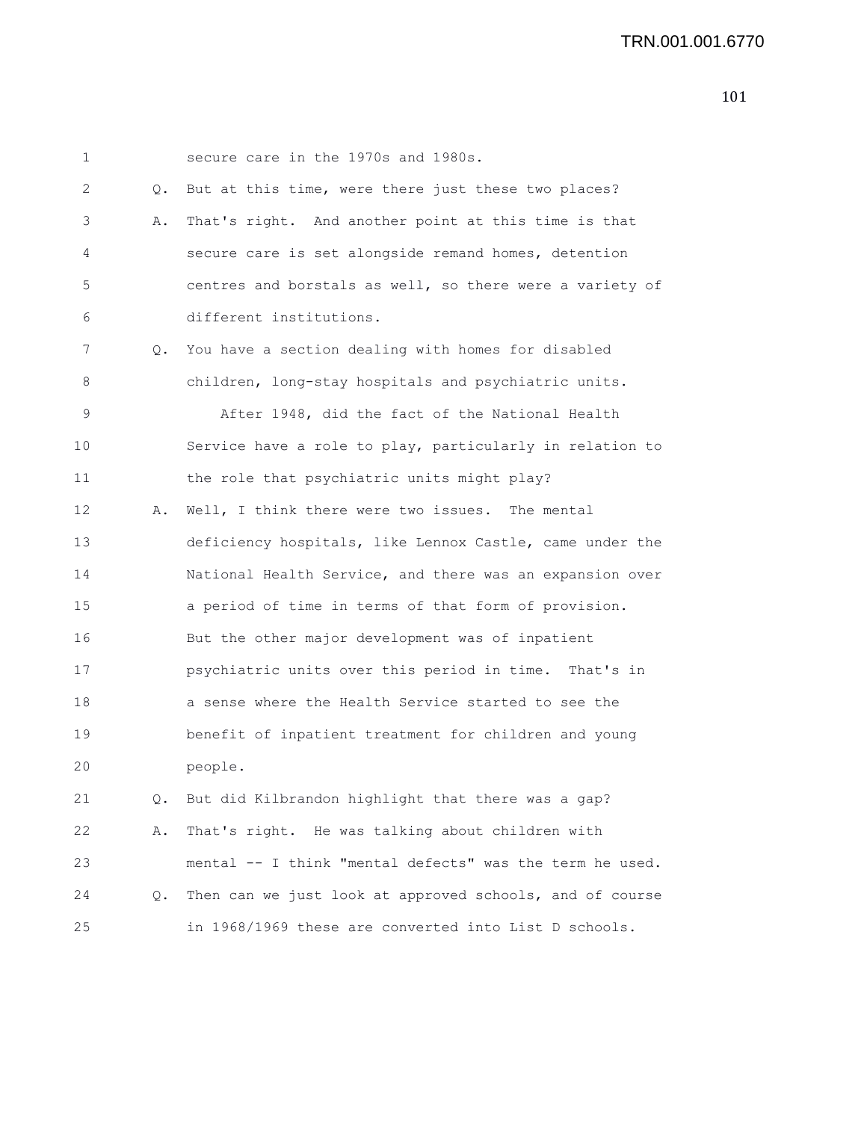1 secure care in the 1970s and 1980s. 2 Q. But at this time, were there just these two places? 3 A. That's right. And another point at this time is that 4 secure care is set alongside remand homes, detention 5 centres and borstals as well, so there were a variety of 6 different institutions. 7 Q. You have a section dealing with homes for disabled 8 children, long-stay hospitals and psychiatric units. 9 After 1948, did the fact of the National Health 10 Service have a role to play, particularly in relation to 11 the role that psychiatric units might play? 12 A. Well, I think there were two issues. The mental 13 deficiency hospitals, like Lennox Castle, came under the 14 National Health Service, and there was an expansion over 15 a period of time in terms of that form of provision. 16 But the other major development was of inpatient 17 psychiatric units over this period in time. That's in 18 a sense where the Health Service started to see the 19 benefit of inpatient treatment for children and young 20 people. 21 Q. But did Kilbrandon highlight that there was a gap? 22 A. That's right. He was talking about children with 23 mental -- I think "mental defects" was the term he used. 24 Q. Then can we just look at approved schools, and of course

25 in 1968/1969 these are converted into List D schools.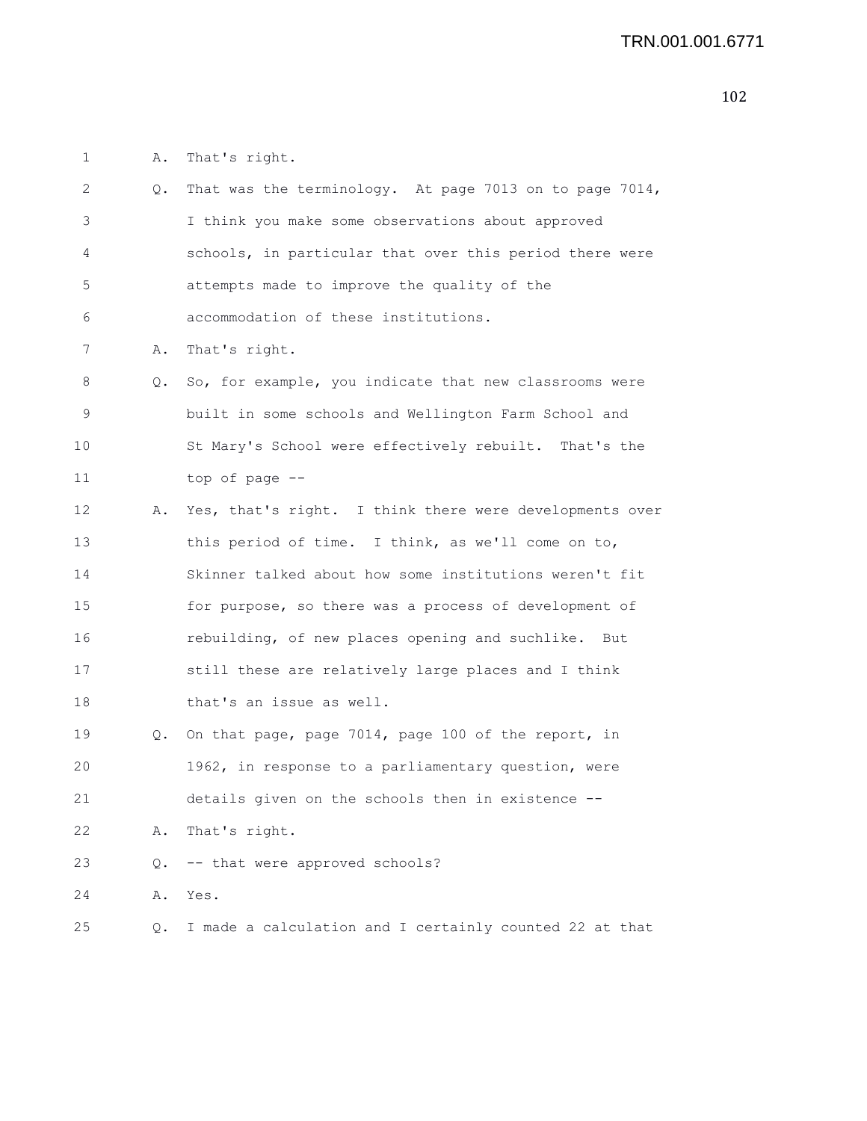1 A. That's right.

| 2  | Q. | That was the terminology. At page 7013 on to page 7014, |
|----|----|---------------------------------------------------------|
| 3  |    | I think you make some observations about approved       |
| 4  |    | schools, in particular that over this period there were |
| 5  |    | attempts made to improve the quality of the             |
| 6  |    | accommodation of these institutions.                    |
| 7  | Α. | That's right.                                           |
| 8  | Q. | So, for example, you indicate that new classrooms were  |
| 9  |    | built in some schools and Wellington Farm School and    |
| 10 |    | St Mary's School were effectively rebuilt. That's the   |
| 11 |    | top of page --                                          |
| 12 | Α. | Yes, that's right. I think there were developments over |
| 13 |    | this period of time. I think, as we'll come on to,      |
| 14 |    | Skinner talked about how some institutions weren't fit  |
| 15 |    | for purpose, so there was a process of development of   |
| 16 |    | rebuilding, of new places opening and suchlike. But     |
| 17 |    | still these are relatively large places and I think     |
| 18 |    | that's an issue as well.                                |
| 19 | Q. | On that page, page 7014, page 100 of the report, in     |
| 20 |    | 1962, in response to a parliamentary question, were     |
| 21 |    | details given on the schools then in existence --       |
| 22 | Α. | That's right.                                           |
| 23 | Q. | -- that were approved schools?                          |
| 24 | Α. | Yes.                                                    |
| 25 | Q. | I made a calculation and I certainly counted 22 at that |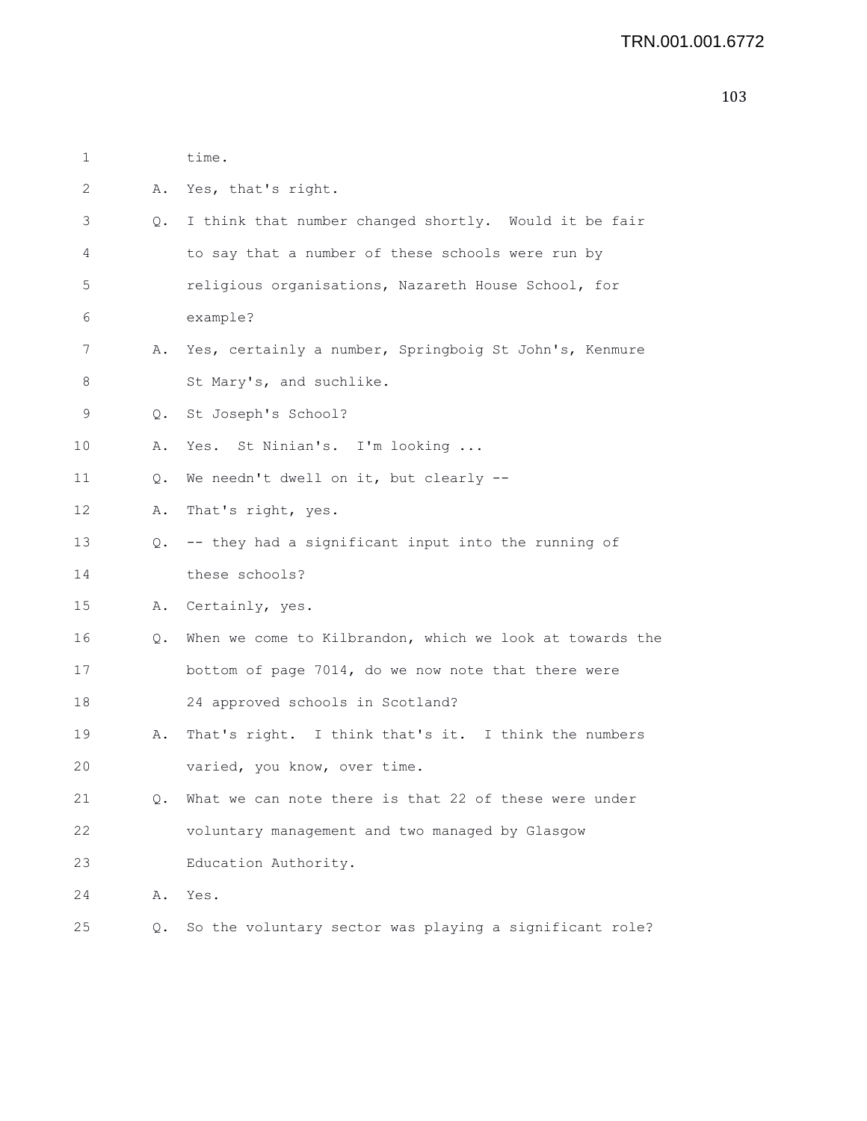| 1  |           | time.                                                     |
|----|-----------|-----------------------------------------------------------|
| 2  | Α.        | Yes, that's right.                                        |
| 3  | Q.        | I think that number changed shortly. Would it be fair     |
| 4  |           | to say that a number of these schools were run by         |
| 5  |           | religious organisations, Nazareth House School, for       |
| 6  |           | example?                                                  |
| 7  |           | A. Yes, certainly a number, Springboig St John's, Kenmure |
| 8  |           | St Mary's, and suchlike.                                  |
| 9  | $\circ$ . | St Joseph's School?                                       |
| 10 | Α.        | Yes. St Ninian's. I'm looking                             |
| 11 | Q.        | We needn't dwell on it, but clearly --                    |
| 12 | Α.        | That's right, yes.                                        |
| 13 |           | Q. -- they had a significant input into the running of    |
| 14 |           | these schools?                                            |
| 15 |           | A. Certainly, yes.                                        |
| 16 | Q.        | When we come to Kilbrandon, which we look at towards the  |
| 17 |           | bottom of page 7014, do we now note that there were       |
| 18 |           | 24 approved schools in Scotland?                          |
| 19 | Α.        | That's right. I think that's it. I think the numbers      |
| 20 |           | varied, you know, over time.                              |
| 21 | Q.        | What we can note there is that 22 of these were under     |
| 22 |           | voluntary management and two managed by Glasgow           |
| 23 |           | Education Authority.                                      |
| 24 | Α.        | Yes.                                                      |
| 25 | Q.        | So the voluntary sector was playing a significant role?   |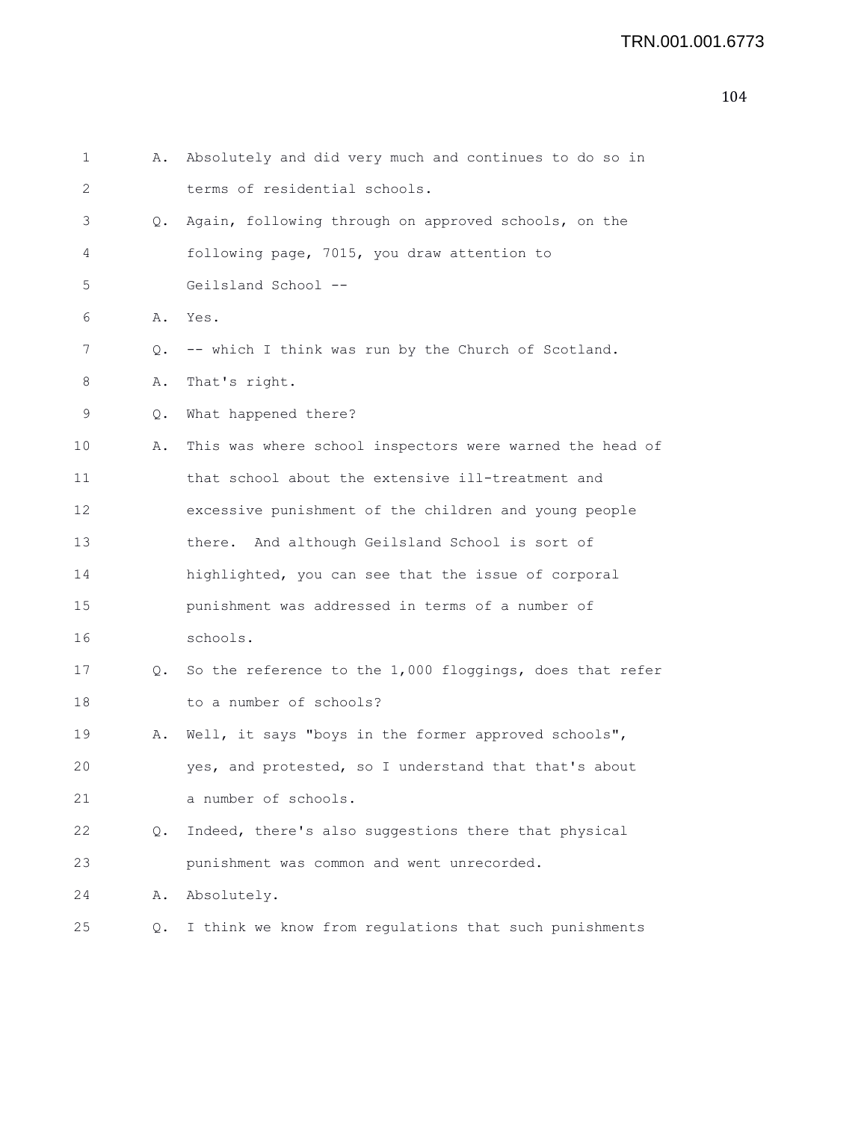| 1  | Α. | Absolutely and did very much and continues to do so in   |
|----|----|----------------------------------------------------------|
| 2  |    | terms of residential schools.                            |
| 3  | Q. | Again, following through on approved schools, on the     |
| 4  |    | following page, 7015, you draw attention to              |
| 5  |    | Geilsland School --                                      |
| 6  | Α. | Yes.                                                     |
| 7  | Q. | -- which I think was run by the Church of Scotland.      |
| 8  | Α. | That's right.                                            |
| 9  | Q. | What happened there?                                     |
| 10 | Α. | This was where school inspectors were warned the head of |
| 11 |    | that school about the extensive ill-treatment and        |
| 12 |    | excessive punishment of the children and young people    |
| 13 |    | there. And although Geilsland School is sort of          |
| 14 |    | highlighted, you can see that the issue of corporal      |
| 15 |    | punishment was addressed in terms of a number of         |
| 16 |    | schools.                                                 |
| 17 | Q. | So the reference to the 1,000 floggings, does that refer |
| 18 |    | to a number of schools?                                  |
| 19 | Α. | Well, it says "boys in the former approved schools",     |
| 20 |    | yes, and protested, so I understand that that's about    |
| 21 |    | a number of schools.                                     |
| 22 | Q. | Indeed, there's also suggestions there that physical     |
| 23 |    | punishment was common and went unrecorded.               |
| 24 | Α. | Absolutely.                                              |
| 25 | Q. | I think we know from regulations that such punishments   |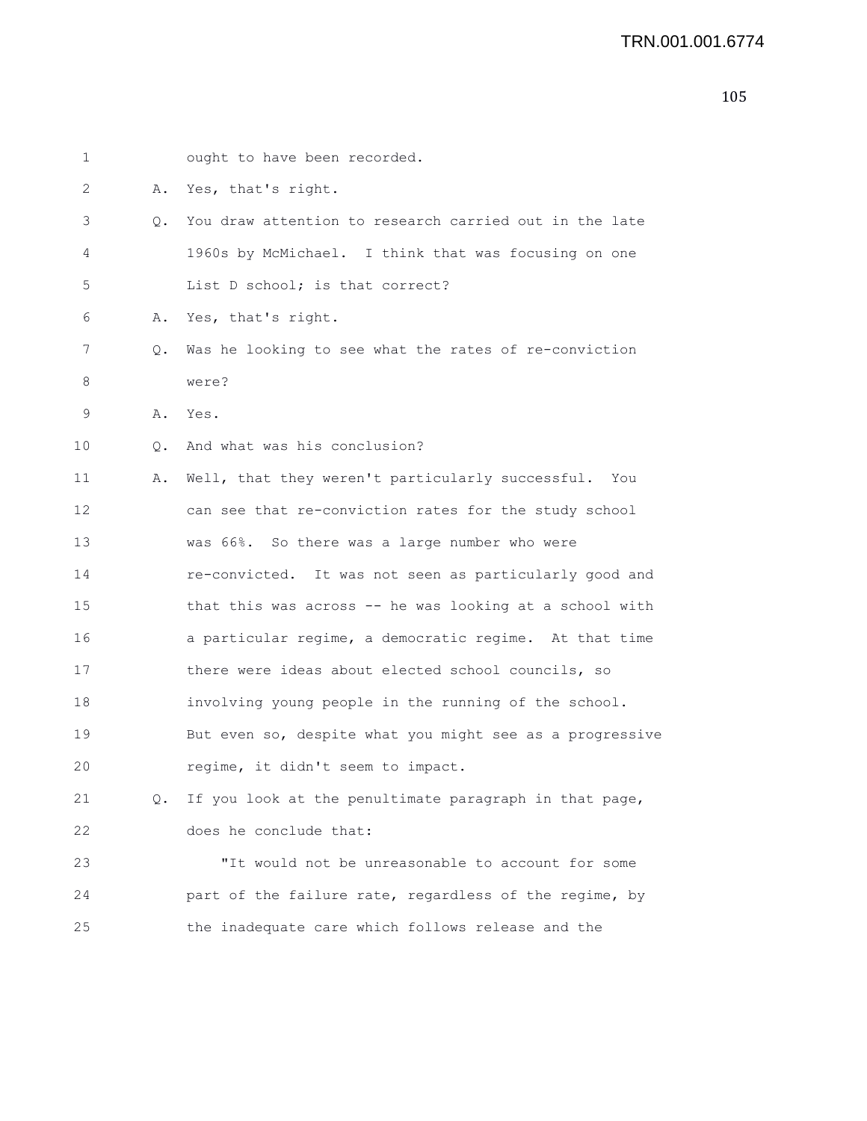1 ought to have been recorded. 2 A. Yes, that's right. 3 Q. You draw attention to research carried out in the late 4 1960s by McMichael. I think that was focusing on one 5 List D school; is that correct? 6 A. Yes, that's right. 7 Q. Was he looking to see what the rates of re-conviction 8 were? 9 A. Yes. 10 Q. And what was his conclusion? 11 A. Well, that they weren't particularly successful. You 12 can see that re-conviction rates for the study school 13 was 66%. So there was a large number who were 14 re-convicted. It was not seen as particularly good and 15 that this was across -- he was looking at a school with 16 a particular regime, a democratic regime. At that time 17 there were ideas about elected school councils, so 18 involving young people in the running of the school. 19 But even so, despite what you might see as a progressive 20 regime, it didn't seem to impact. 21 Q. If you look at the penultimate paragraph in that page, 22 does he conclude that: 23 "It would not be unreasonable to account for some 24 part of the failure rate, regardless of the regime, by 25 the inadequate care which follows release and the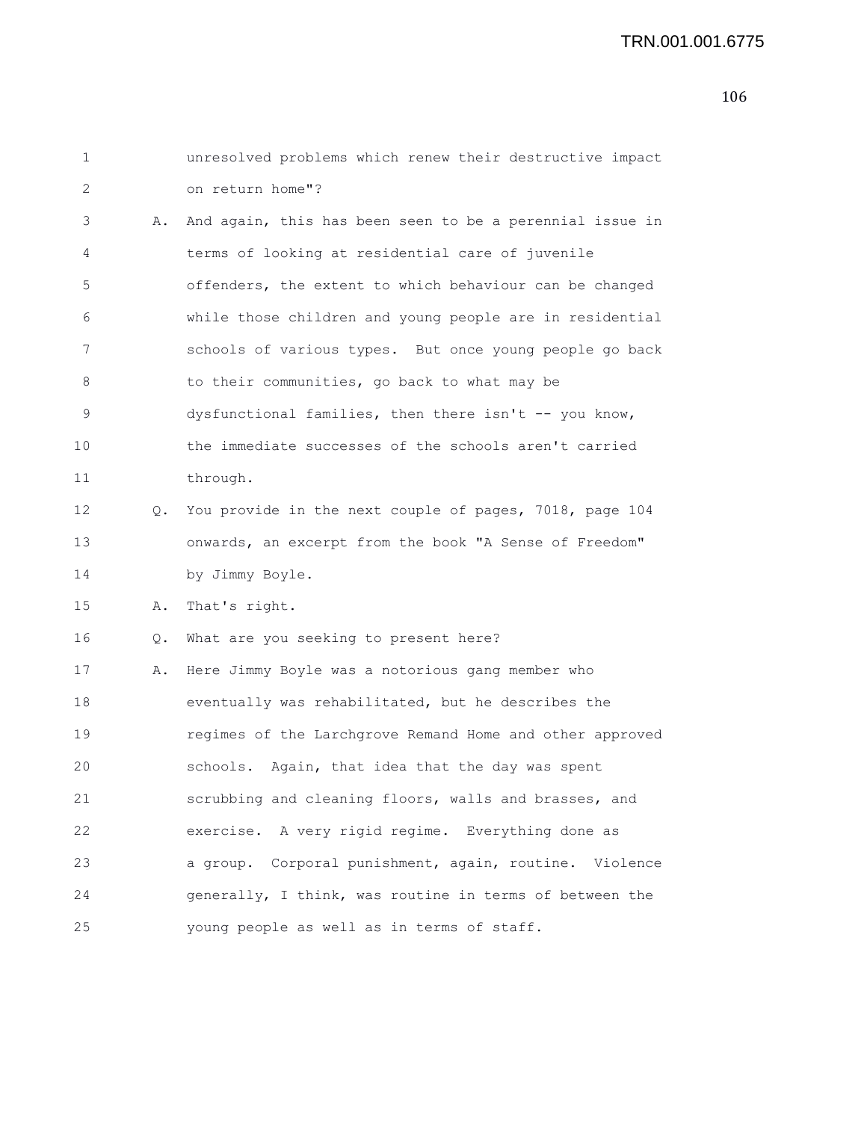```
1 unresolved problems which renew their destructive impact
2 on return home"?
3 A. And again, this has been seen to be a perennial issue in
4 terms of looking at residential care of juvenile
5 offenders, the extent to which behaviour can be changed
6 while those children and young people are in residential
7 schools of various types. But once young people go back
8 to their communities, go back to what may be
9 dysfunctional families, then there isn't -- you know,
10 the immediate successes of the schools aren't carried
11 through.
12 Q. You provide in the next couple of pages, 7018, page 104
13 onwards, an excerpt from the book "A Sense of Freedom"
14 by Jimmy Boyle.
15 A. That's right.
16 Q. What are you seeking to present here?
17 A. Here Jimmy Boyle was a notorious gang member who
18 eventually was rehabilitated, but he describes the
19 regimes of the Larchgrove Remand Home and other approved
20 schools. Again, that idea that the day was spent
21 scrubbing and cleaning floors, walls and brasses, and
22 exercise. A very rigid regime. Everything done as
23 a group. Corporal punishment, again, routine. Violence
24 generally, I think, was routine in terms of between the
25 young people as well as in terms of staff.
```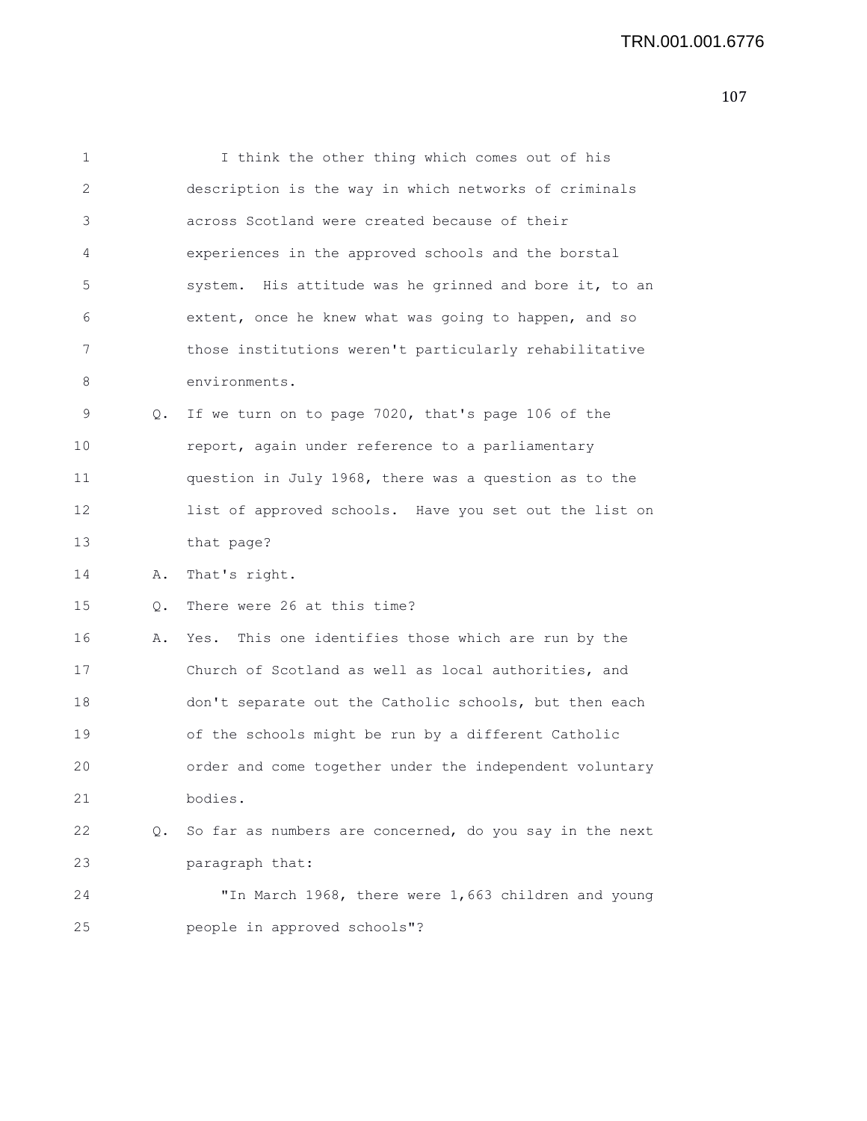| 1  |    | I think the other thing which comes out of his          |
|----|----|---------------------------------------------------------|
| 2  |    | description is the way in which networks of criminals   |
| 3  |    | across Scotland were created because of their           |
| 4  |    | experiences in the approved schools and the borstal     |
| 5  |    | system. His attitude was he grinned and bore it, to an  |
| 6  |    | extent, once he knew what was going to happen, and so   |
| 7  |    | those institutions weren't particularly rehabilitative  |
| 8  |    | environments.                                           |
| 9  | Q. | If we turn on to page 7020, that's page 106 of the      |
| 10 |    | report, again under reference to a parliamentary        |
| 11 |    | question in July 1968, there was a question as to the   |
| 12 |    | list of approved schools. Have you set out the list on  |
| 13 |    | that page?                                              |
| 14 | Α. | That's right.                                           |
| 15 | Q. | There were 26 at this time?                             |
| 16 | Α. | Yes. This one identifies those which are run by the     |
| 17 |    | Church of Scotland as well as local authorities, and    |
| 18 |    | don't separate out the Catholic schools, but then each  |
| 19 |    | of the schools might be run by a different Catholic     |
| 20 |    | order and come together under the independent voluntary |
| 21 |    | bodies.                                                 |
| 22 | Q. | So far as numbers are concerned, do you say in the next |
| 23 |    | paragraph that:                                         |
| 24 |    | "In March 1968, there were 1,663 children and young     |
| 25 |    | people in approved schools"?                            |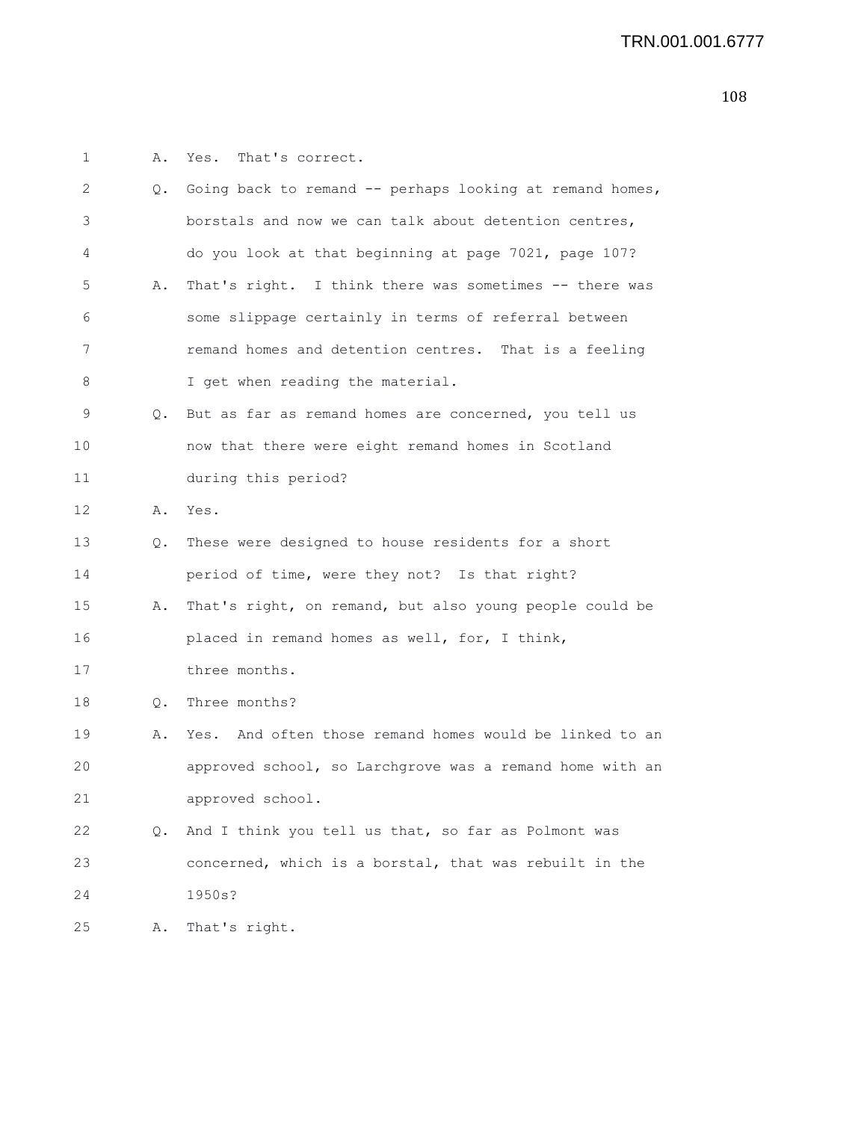1 A. Yes. That's correct. 2 Q. Going back to remand -- perhaps looking at remand homes, 3 borstals and now we can talk about detention centres, 4 do you look at that beginning at page 7021, page 107? 5 A. That's right. I think there was sometimes -- there was 6 some slippage certainly in terms of referral between 7 remand homes and detention centres. That is a feeling 8 I get when reading the material. 9 Q. But as far as remand homes are concerned, you tell us 10 now that there were eight remand homes in Scotland 11 during this period? 12 A. Yes. 13 Q. These were designed to house residents for a short 14 period of time, were they not? Is that right? 15 A. That's right, on remand, but also young people could be 16 placed in remand homes as well, for, I think, 17 three months. 18 Q. Three months? 19 A. Yes. And often those remand homes would be linked to an 20 approved school, so Larchgrove was a remand home with an 21 approved school. 22 Q. And I think you tell us that, so far as Polmont was 23 concerned, which is a borstal, that was rebuilt in the 24 1950s? 25 A. That's right.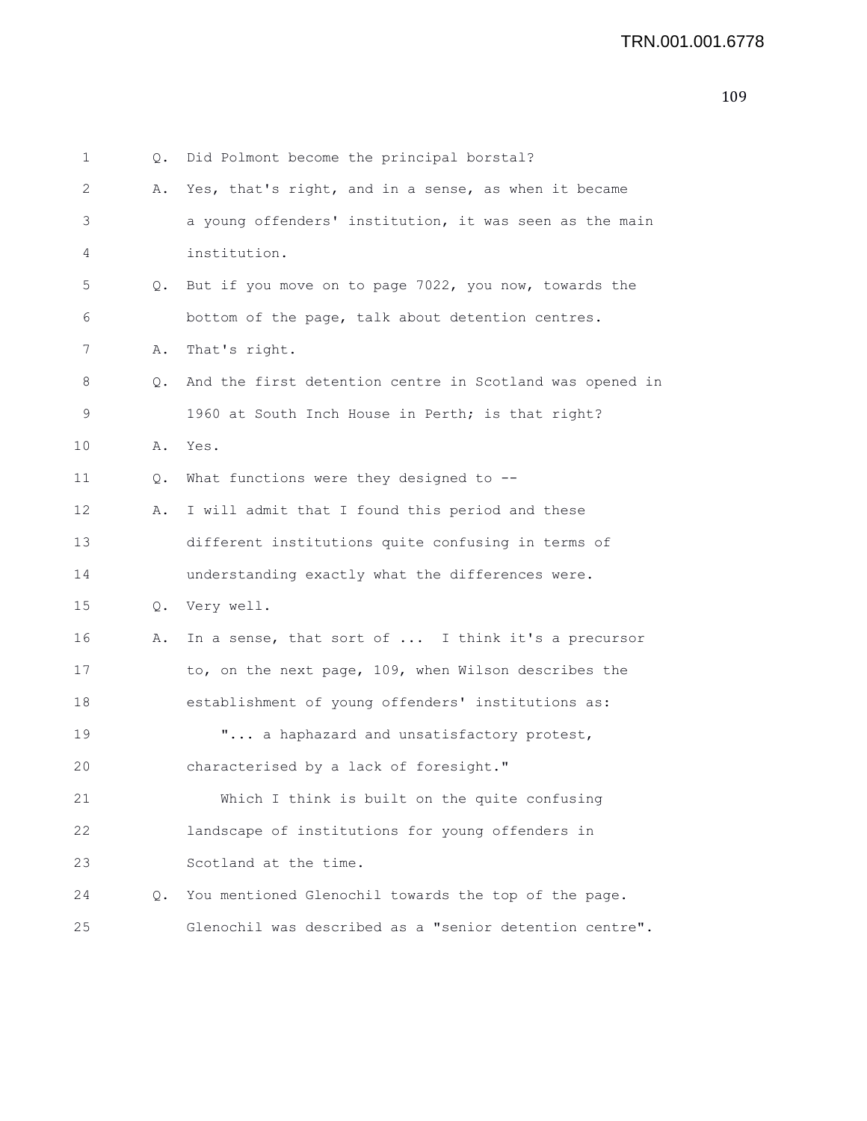| 1  | Q.        | Did Polmont become the principal borstal?                |
|----|-----------|----------------------------------------------------------|
| 2  | Α.        | Yes, that's right, and in a sense, as when it became     |
| 3  |           | a young offenders' institution, it was seen as the main  |
| 4  |           | institution.                                             |
| 5  | Q.        | But if you move on to page 7022, you now, towards the    |
| 6  |           | bottom of the page, talk about detention centres.        |
| 7  | Α.        | That's right.                                            |
| 8  | Q.        | And the first detention centre in Scotland was opened in |
| 9  |           | 1960 at South Inch House in Perth; is that right?        |
| 10 | Α.        | Yes.                                                     |
| 11 | Q.        | What functions were they designed to --                  |
| 12 | Α.        | I will admit that I found this period and these          |
| 13 |           | different institutions quite confusing in terms of       |
| 14 |           | understanding exactly what the differences were.         |
| 15 | Q.        | Very well.                                               |
| 16 | Α.        | In a sense, that sort of  I think it's a precursor       |
| 17 |           | to, on the next page, 109, when Wilson describes the     |
| 18 |           | establishment of young offenders' institutions as:       |
| 19 |           | " a haphazard and unsatisfactory protest,                |
| 20 |           | characterised by a lack of foresight."                   |
| 21 |           | Which I think is built on the quite confusing            |
| 22 |           | landscape of institutions for young offenders in         |
| 23 |           | Scotland at the time.                                    |
| 24 | $\circ$ . | You mentioned Glenochil towards the top of the page.     |
| 25 |           | Glenochil was described as a "senior detention centre".  |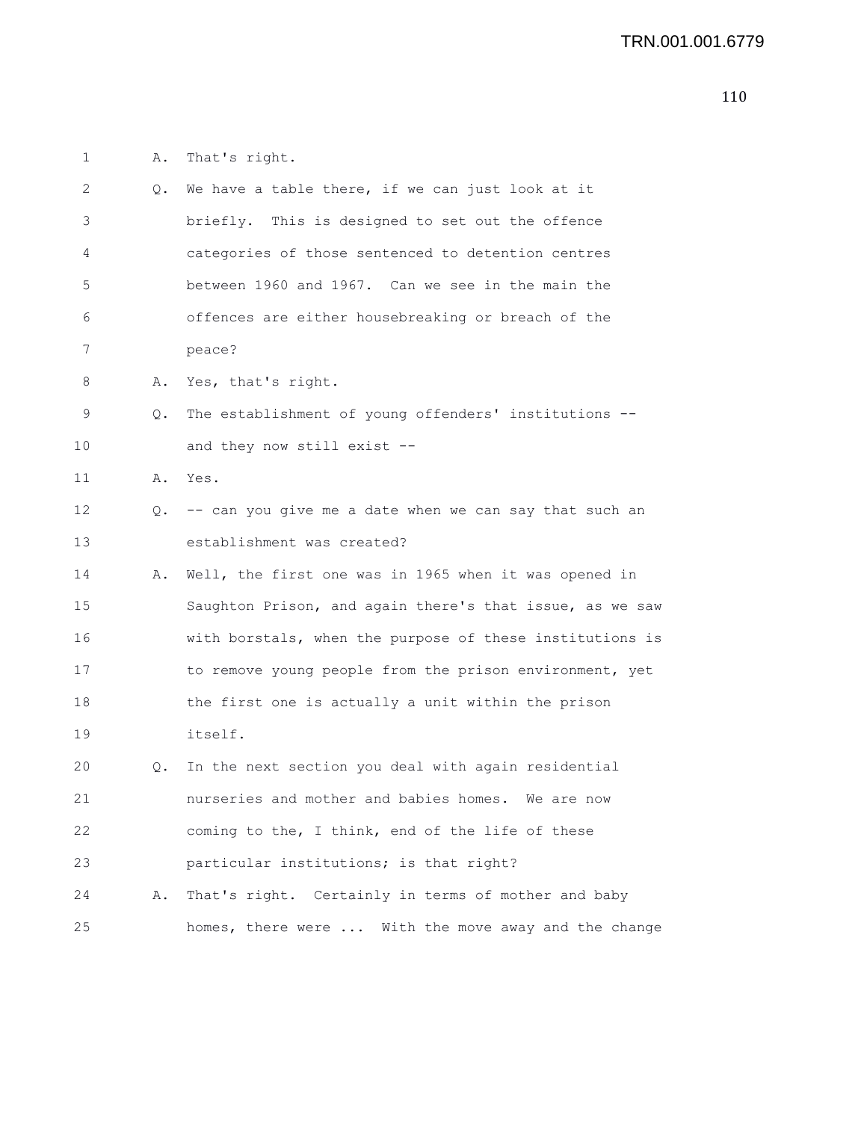1 A. That's right.

| 2               |    | Q. We have a table there, if we can just look at it      |
|-----------------|----|----------------------------------------------------------|
| 3               |    | briefly. This is designed to set out the offence         |
| 4               |    | categories of those sentenced to detention centres       |
| 5               |    | between 1960 and 1967. Can we see in the main the        |
| 6               |    | offences are either housebreaking or breach of the       |
| 7               |    | peace?                                                   |
| 8               |    | A. Yes, that's right.                                    |
| 9               | Q. | The establishment of young offenders' institutions --    |
| 10              |    | and they now still exist --                              |
| 11              | Α. | Yes.                                                     |
| 12 <sup>2</sup> | Q. | -- can you give me a date when we can say that such an   |
| 13              |    | establishment was created?                               |
| 14              | Α. | Well, the first one was in 1965 when it was opened in    |
| 15              |    | Saughton Prison, and again there's that issue, as we saw |
| 16              |    | with borstals, when the purpose of these institutions is |
| 17              |    | to remove young people from the prison environment, yet  |
| 18              |    | the first one is actually a unit within the prison       |
| 19              |    | itself.                                                  |
| 20              | Q. | In the next section you deal with again residential      |
| 21              |    | nurseries and mother and babies homes. We are now        |
| 22              |    | coming to the, I think, end of the life of these         |
| 23              |    | particular institutions; is that right?                  |
| 24              | Α. | That's right. Certainly in terms of mother and baby      |
| 25              |    | homes, there were  With the move away and the change     |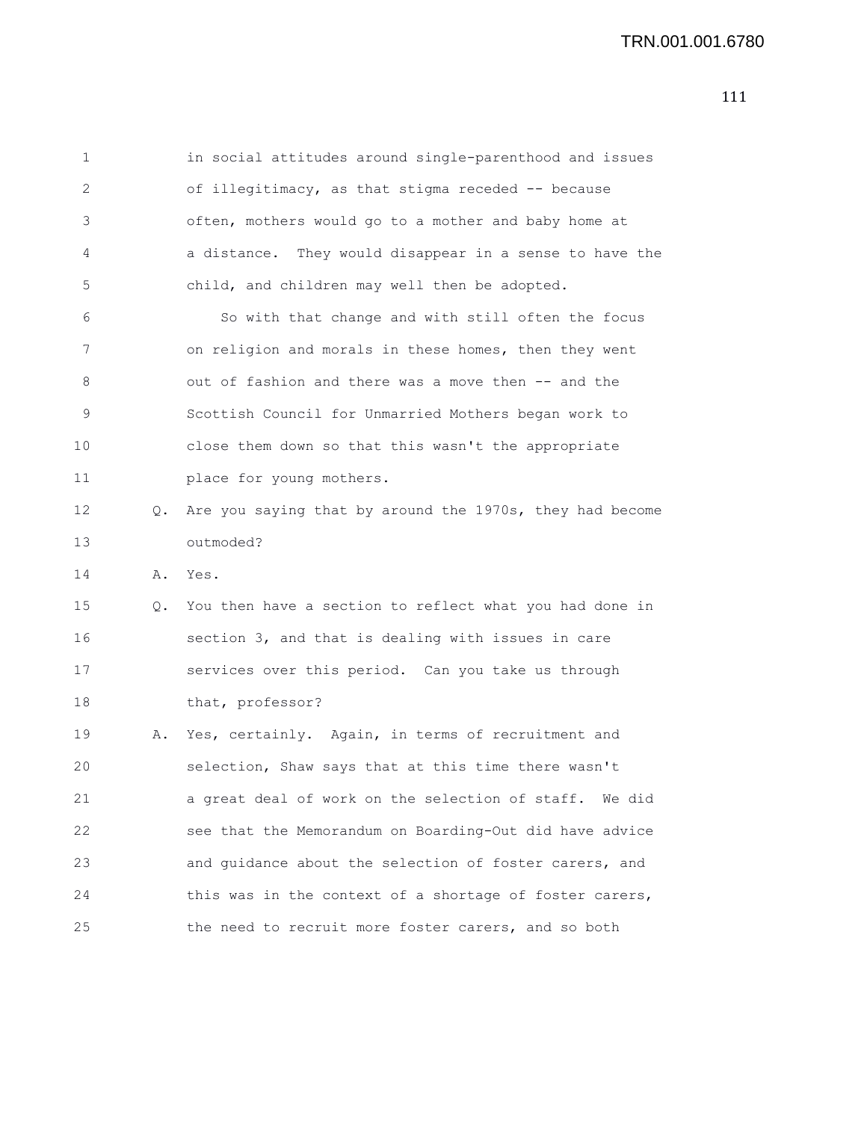1 in social attitudes around single-parenthood and issues 2 of illegitimacy, as that stigma receded -- because 3 often, mothers would go to a mother and baby home at 4 a distance. They would disappear in a sense to have the 5 child, and children may well then be adopted. 6 So with that change and with still often the focus 7 on religion and morals in these homes, then they went 8 out of fashion and there was a move then -- and the 9 Scottish Council for Unmarried Mothers began work to 10 close them down so that this wasn't the appropriate 11 place for young mothers. 12 Q. Are you saying that by around the 1970s, they had become 13 outmoded? 14 A. Yes. 15 Q. You then have a section to reflect what you had done in 16 section 3, and that is dealing with issues in care 17 services over this period. Can you take us through 18 that, professor? 19 A. Yes, certainly. Again, in terms of recruitment and 20 selection, Shaw says that at this time there wasn't 21 a great deal of work on the selection of staff. We did 22 see that the Memorandum on Boarding-Out did have advice 23 and guidance about the selection of foster carers, and

24 this was in the context of a shortage of foster carers,

25 the need to recruit more foster carers, and so both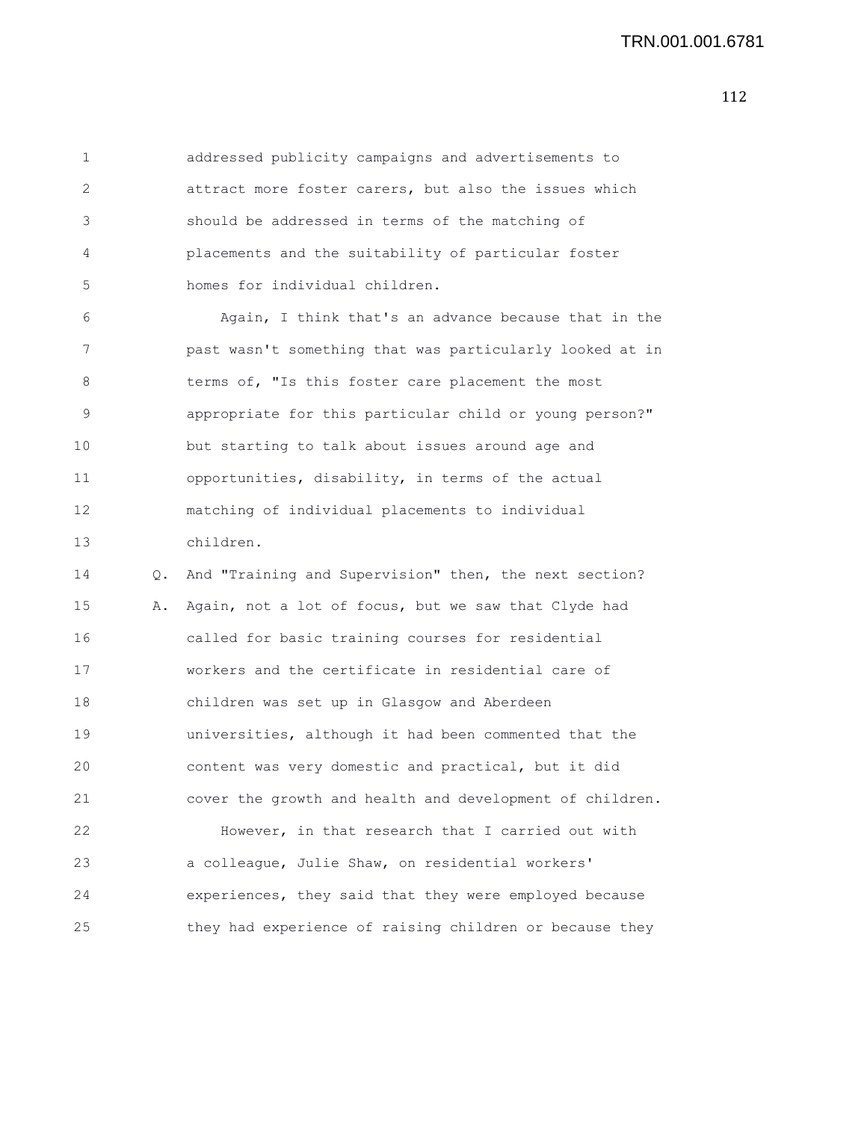1 addressed publicity campaigns and advertisements to 2 attract more foster carers, but also the issues which 3 should be addressed in terms of the matching of 4 placements and the suitability of particular foster 5 homes for individual children.

6 Again, I think that's an advance because that in the 7 past wasn't something that was particularly looked at in 8 terms of, "Is this foster care placement the most 9 appropriate for this particular child or young person?" 10 but starting to talk about issues around age and 11 opportunities, disability, in terms of the actual 12 matching of individual placements to individual 13 children.

14 Q. And "Training and Supervision" then, the next section? 15 A. Again, not a lot of focus, but we saw that Clyde had 16 called for basic training courses for residential 17 workers and the certificate in residential care of 18 children was set up in Glasgow and Aberdeen 19 universities, although it had been commented that the 20 content was very domestic and practical, but it did 21 cover the growth and health and development of children. 22 However, in that research that I carried out with 23 a colleague, Julie Shaw, on residential workers' 24 experiences, they said that they were employed because 25 they had experience of raising children or because they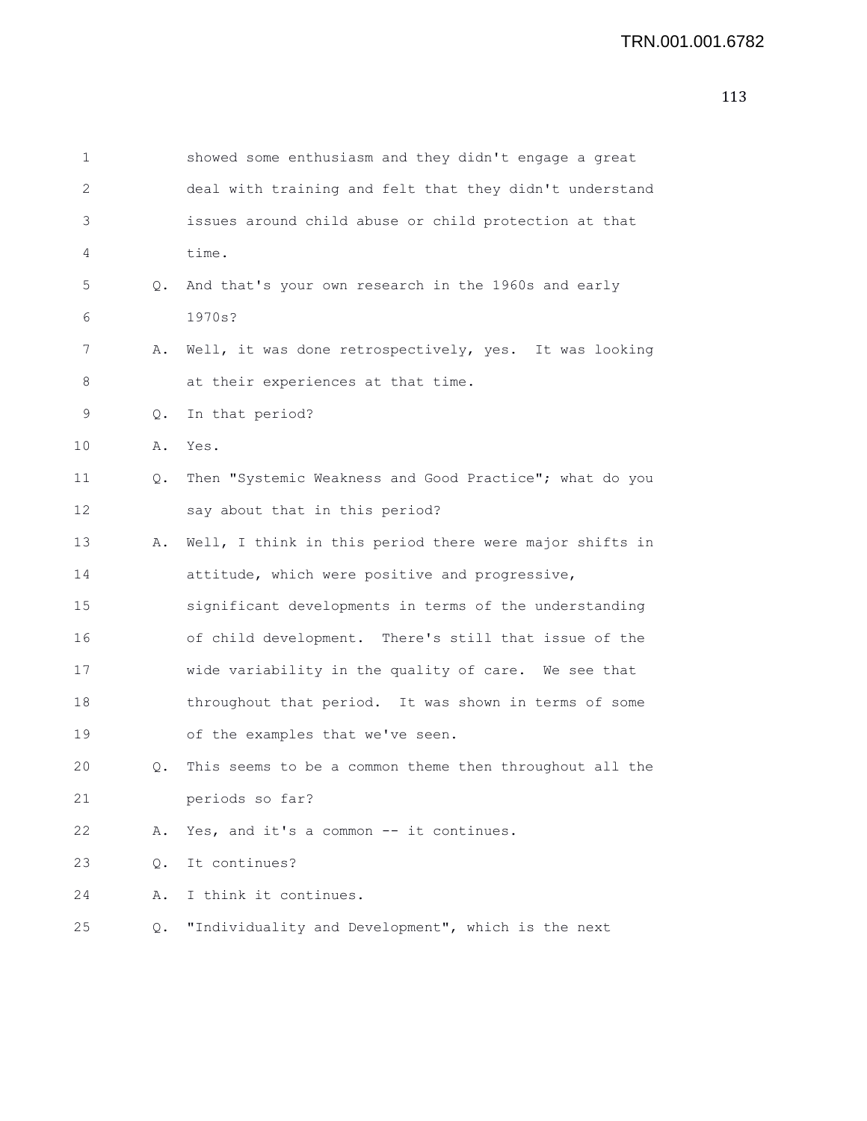| 1  |    | showed some enthusiasm and they didn't engage a great   |
|----|----|---------------------------------------------------------|
| 2  |    | deal with training and felt that they didn't understand |
| 3  |    | issues around child abuse or child protection at that   |
| 4  |    | time.                                                   |
| 5  | 0. | And that's your own research in the 1960s and early     |
| 6  |    | 1970s?                                                  |
| 7  | Α. | Well, it was done retrospectively, yes. It was looking  |
| 8  |    | at their experiences at that time.                      |
| 9  | Q. | In that period?                                         |
| 10 | Α. | Yes.                                                    |
| 11 | Q. | Then "Systemic Weakness and Good Practice"; what do you |
| 12 |    | say about that in this period?                          |
| 13 | Α. | Well, I think in this period there were major shifts in |
| 14 |    | attitude, which were positive and progressive,          |
| 15 |    | significant developments in terms of the understanding  |
| 16 |    | of child development. There's still that issue of the   |
| 17 |    | wide variability in the quality of care. We see that    |
| 18 |    | throughout that period. It was shown in terms of some   |
| 19 |    | of the examples that we've seen.                        |
| 20 | Q. | This seems to be a common theme then throughout all the |
| 21 |    | periods so far?                                         |
| 22 | Α. | Yes, and it's a common -- it continues.                 |
| 23 | Q. | It continues?                                           |
| 24 | Α. | I think it continues.                                   |
| 25 | Q. | "Individuality and Development", which is the next      |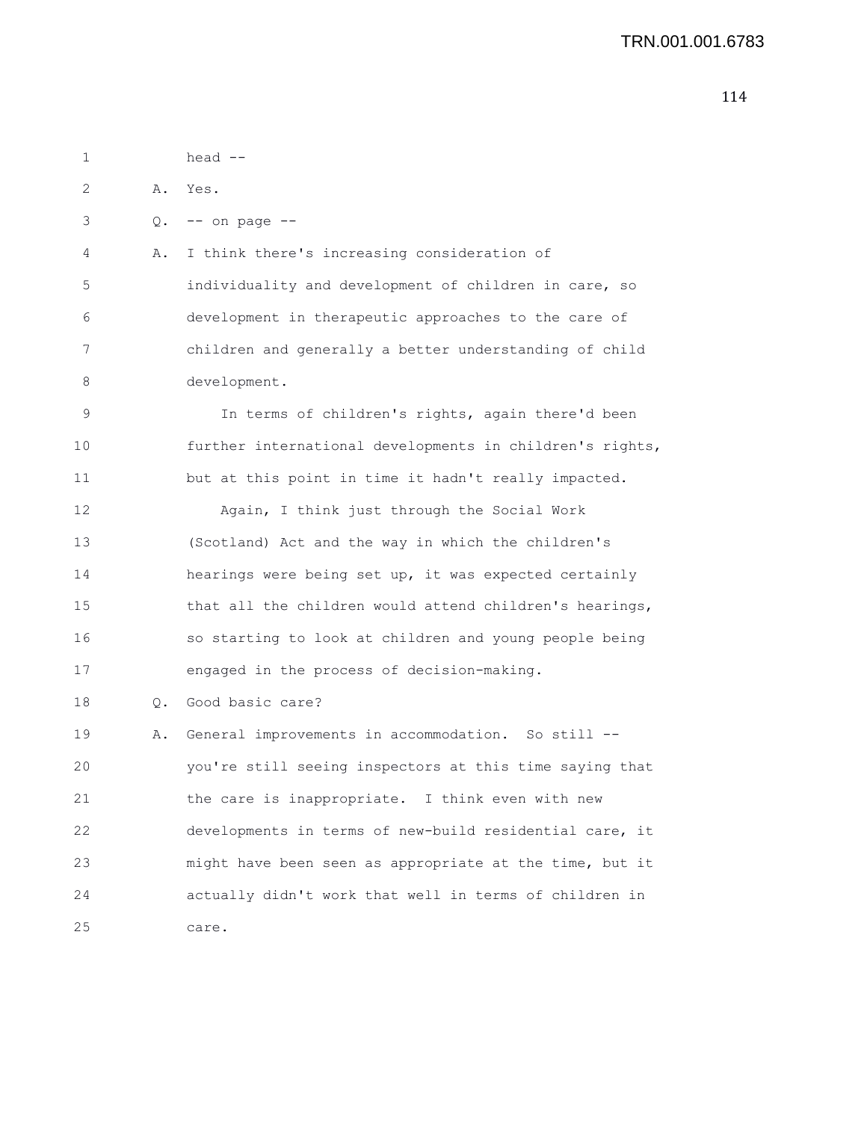1 head -- 2 A. Yes. 3 Q. -- on page -- 4 A. I think there's increasing consideration of 5 individuality and development of children in care, so 6 development in therapeutic approaches to the care of 7 children and generally a better understanding of child 8 development. 9 In terms of children's rights, again there'd been 10 further international developments in children's rights, 11 but at this point in time it hadn't really impacted. 12 Again, I think just through the Social Work 13 (Scotland) Act and the way in which the children's 14 hearings were being set up, it was expected certainly 15 that all the children would attend children's hearings, 16 so starting to look at children and young people being 17 engaged in the process of decision-making. 18 Q. Good basic care? 19 A. General improvements in accommodation. So still -- 20 you're still seeing inspectors at this time saying that 21 the care is inappropriate. I think even with new 22 developments in terms of new-build residential care, it 23 might have been seen as appropriate at the time, but it 24 actually didn't work that well in terms of children in

25 care.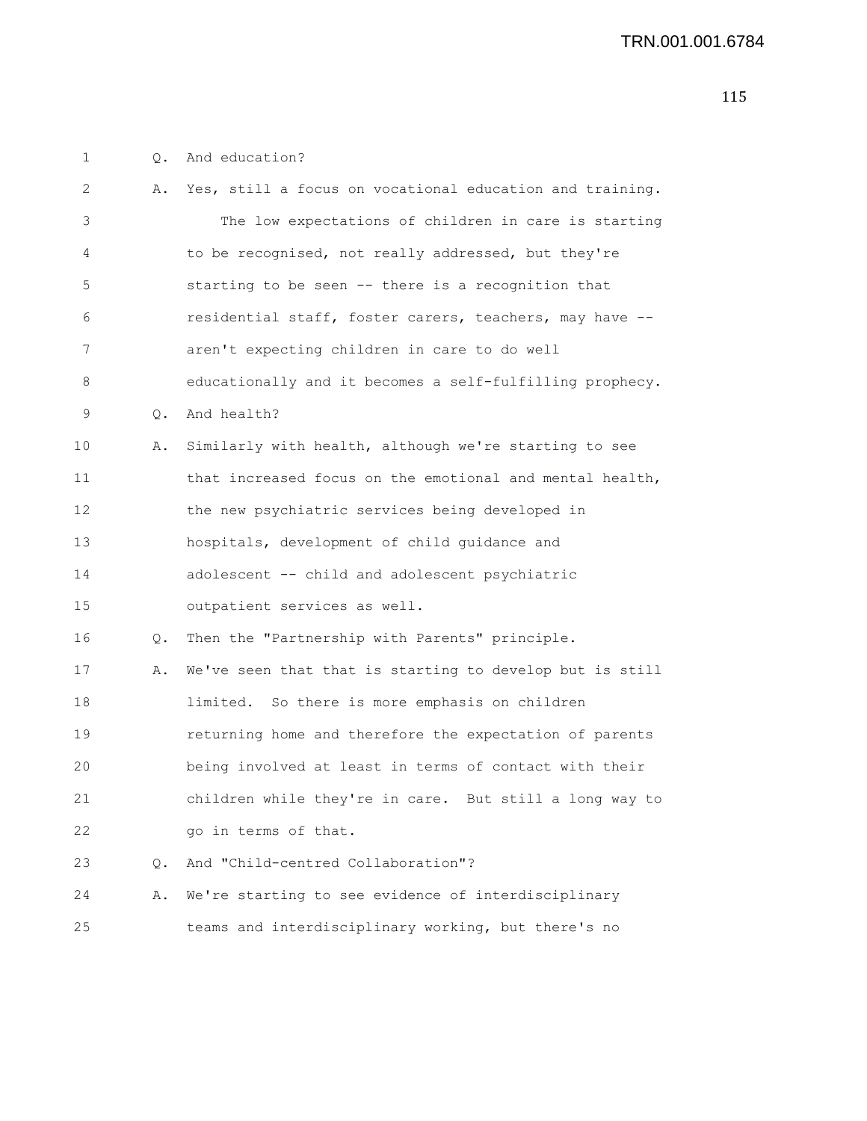1 Q. And education?

| 2  | Α.            | Yes, still a focus on vocational education and training. |
|----|---------------|----------------------------------------------------------|
| 3  |               | The low expectations of children in care is starting     |
| 4  |               | to be recognised, not really addressed, but they're      |
| 5  |               | starting to be seen -- there is a recognition that       |
| 6  |               | residential staff, foster carers, teachers, may have --  |
| 7  |               | aren't expecting children in care to do well             |
| 8  |               | educationally and it becomes a self-fulfilling prophecy. |
| 9  | $Q_{\bullet}$ | And health?                                              |
| 10 | Α.            | Similarly with health, although we're starting to see    |
| 11 |               | that increased focus on the emotional and mental health, |
| 12 |               | the new psychiatric services being developed in          |
| 13 |               | hospitals, development of child guidance and             |
| 14 |               | adolescent -- child and adolescent psychiatric           |
| 15 |               | outpatient services as well.                             |
| 16 | Q.            | Then the "Partnership with Parents" principle.           |
| 17 | Α.            | We've seen that that is starting to develop but is still |
| 18 |               | limited. So there is more emphasis on children           |
| 19 |               | returning home and therefore the expectation of parents  |
| 20 |               | being involved at least in terms of contact with their   |
| 21 |               | children while they're in care. But still a long way to  |
| 22 |               | go in terms of that.                                     |
| 23 | $\circ$ .     | And "Child-centred Collaboration"?                       |
| 24 | Α.            | We're starting to see evidence of interdisciplinary      |
| 25 |               | teams and interdisciplinary working, but there's no      |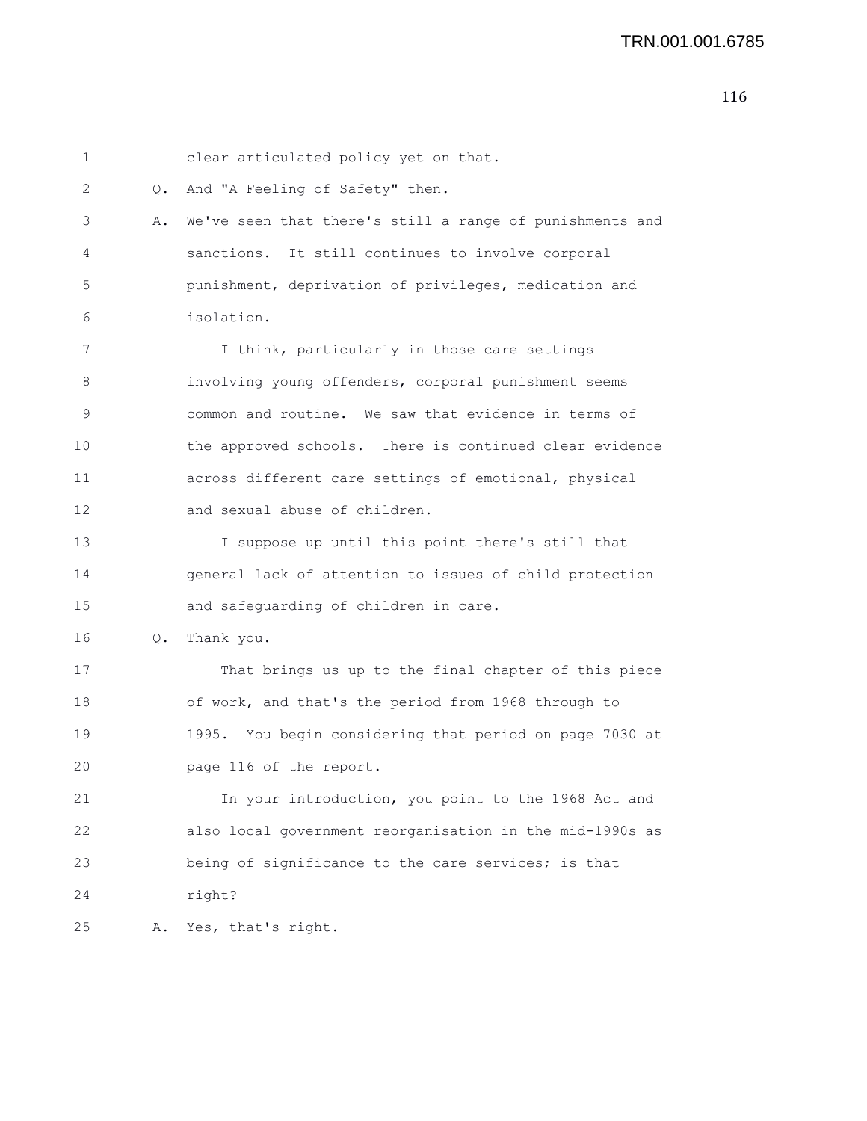| 1  |    | clear articulated policy yet on that.                      |
|----|----|------------------------------------------------------------|
| 2  | Q. | And "A Feeling of Safety" then.                            |
| 3  | Α. | We've seen that there's still a range of punishments and   |
| 4  |    | sanctions. It still continues to involve corporal          |
| 5  |    | punishment, deprivation of privileges, medication and      |
| 6  |    | isolation.                                                 |
| 7  |    | I think, particularly in those care settings               |
| 8  |    | involving young offenders, corporal punishment seems       |
| 9  |    | common and routine. We saw that evidence in terms of       |
| 10 |    | the approved schools. There is continued clear evidence    |
| 11 |    | across different care settings of emotional, physical      |
| 12 |    | and sexual abuse of children.                              |
| 13 |    | I suppose up until this point there's still that           |
| 14 |    | general lack of attention to issues of child protection    |
| 15 |    | and safeguarding of children in care.                      |
| 16 | Q. | Thank you.                                                 |
| 17 |    | That brings us up to the final chapter of this piece       |
| 18 |    | of work, and that's the period from 1968 through to        |
| 19 |    | You begin considering that period on page 7030 at<br>1995. |
| 20 |    | page 116 of the report.                                    |
| 21 |    | In your introduction, you point to the 1968 Act and        |
| 22 |    | also local government reorganisation in the mid-1990s as   |
| 23 |    | being of significance to the care services; is that        |
| 24 |    | right?                                                     |
| 25 | Α. | Yes, that's right.                                         |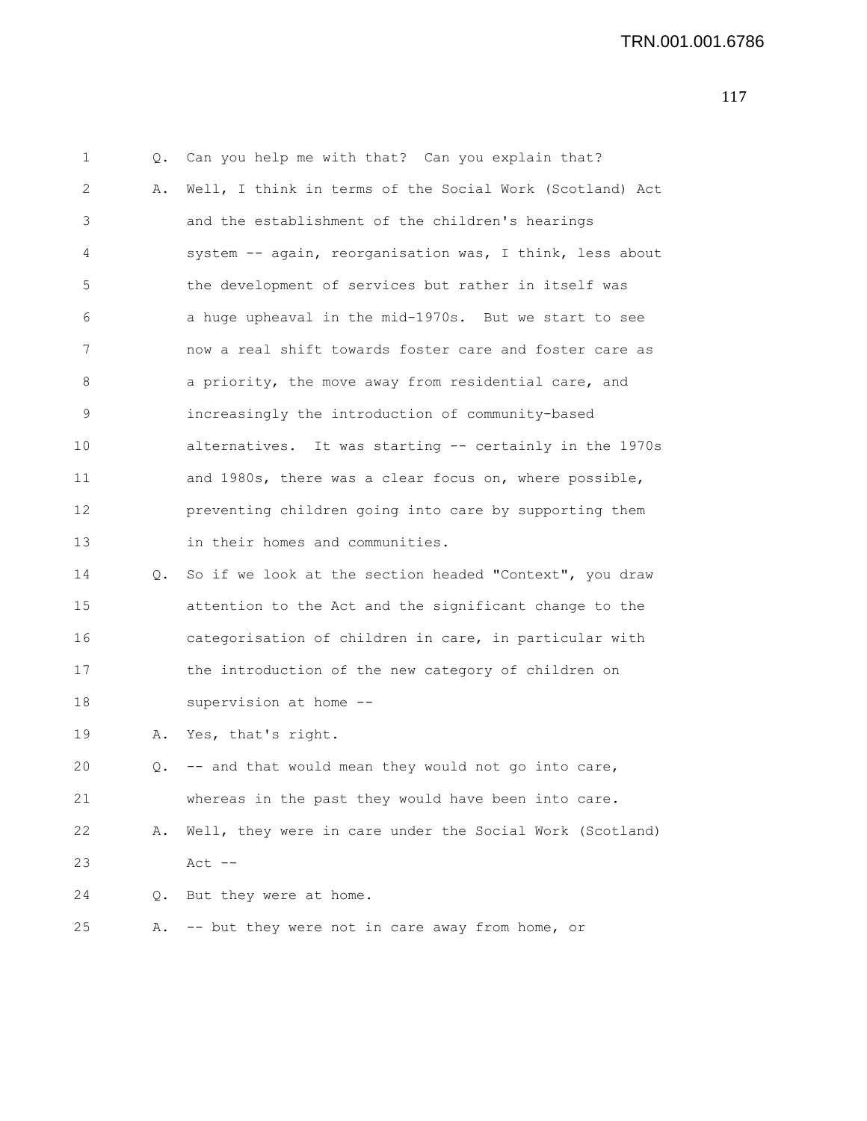| 1  | Q. | Can you help me with that? Can you explain that?         |
|----|----|----------------------------------------------------------|
| 2  | Α. | Well, I think in terms of the Social Work (Scotland) Act |
| 3  |    | and the establishment of the children's hearings         |
| 4  |    | system -- again, reorganisation was, I think, less about |
| 5  |    | the development of services but rather in itself was     |
| 6  |    | a huge upheaval in the mid-1970s. But we start to see    |
| 7  |    | now a real shift towards foster care and foster care as  |
| 8  |    | a priority, the move away from residential care, and     |
| 9  |    | increasingly the introduction of community-based         |
| 10 |    | alternatives. It was starting -- certainly in the 1970s  |
| 11 |    | and 1980s, there was a clear focus on, where possible,   |
| 12 |    | preventing children going into care by supporting them   |
| 13 |    | in their homes and communities.                          |
| 14 | Q. | So if we look at the section headed "Context", you draw  |
| 15 |    | attention to the Act and the significant change to the   |
| 16 |    | categorisation of children in care, in particular with   |
| 17 |    | the introduction of the new category of children on      |
| 18 |    | supervision at home --                                   |
| 19 | Α. | Yes, that's right.                                       |
| 20 | Q. | -- and that would mean they would not go into care,      |
| 21 |    | whereas in the past they would have been into care.      |
| 22 | Α. | Well, they were in care under the Social Work (Scotland) |
| 23 |    | $Act$ $--$                                               |
| 24 | Q. | But they were at home.                                   |
| 25 | Α. | -- but they were not in care away from home, or          |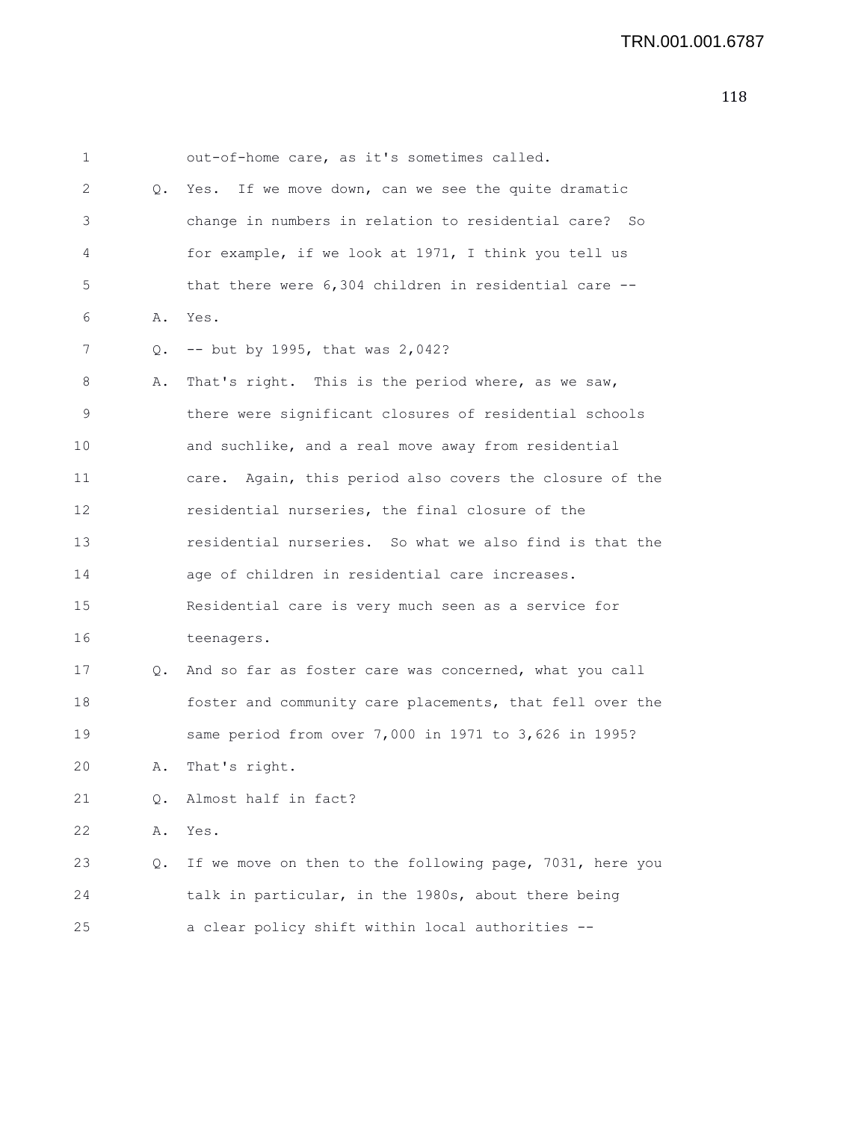| 1  |           | out-of-home care, as it's sometimes called.                |
|----|-----------|------------------------------------------------------------|
| 2  | $\circ$ . | Yes. If we move down, can we see the quite dramatic        |
| 3  |           | change in numbers in relation to residential care? So      |
| 4  |           | for example, if we look at 1971, I think you tell us       |
| 5  |           | that there were $6,304$ children in residential care $-$ - |
| 6  | Α.        | Yes.                                                       |
| 7  | Q.        | $--$ but by 1995, that was 2,042?                          |
| 8  | Α.        | That's right. This is the period where, as we saw,         |
| 9  |           | there were significant closures of residential schools     |
| 10 |           | and suchlike, and a real move away from residential        |
| 11 |           | Again, this period also covers the closure of the<br>care. |
| 12 |           | residential nurseries, the final closure of the            |
| 13 |           | residential nurseries. So what we also find is that the    |
| 14 |           | age of children in residential care increases.             |
| 15 |           | Residential care is very much seen as a service for        |
| 16 |           | teenagers.                                                 |
| 17 | 0.        | And so far as foster care was concerned, what you call     |
| 18 |           | foster and community care placements, that fell over the   |
| 19 |           | same period from over 7,000 in 1971 to 3,626 in 1995?      |
| 20 | Α.        | That's right.                                              |
| 21 | О.        | Almost half in fact?                                       |
| 22 | Α.        | Yes.                                                       |
| 23 | Q.        | If we move on then to the following page, 7031, here you   |
| 24 |           | talk in particular, in the 1980s, about there being        |
| 25 |           | a clear policy shift within local authorities --           |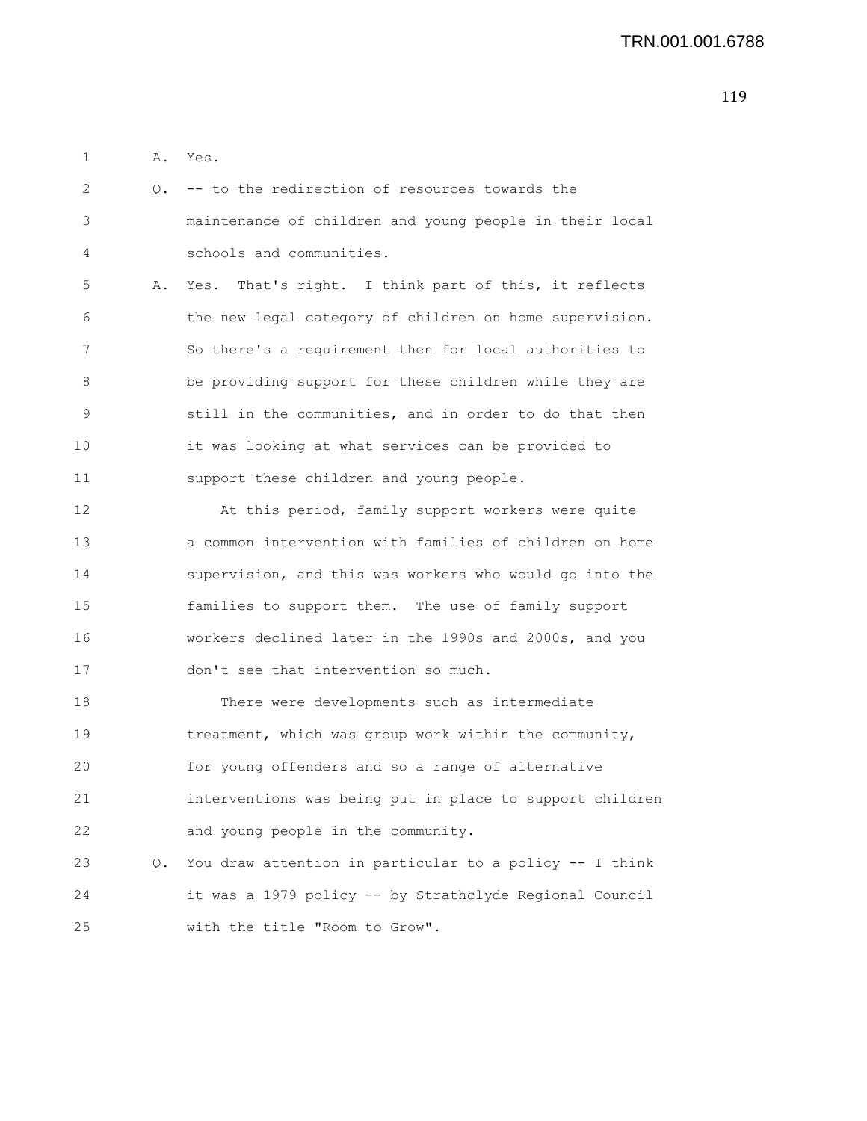1 A. Yes.

| 2  |    | Q. -- to the redirection of resources towards the        |
|----|----|----------------------------------------------------------|
| 3  |    | maintenance of children and young people in their local  |
| 4  |    | schools and communities.                                 |
| 5  | Α. | Yes. That's right. I think part of this, it reflects     |
| 6  |    | the new legal category of children on home supervision.  |
| 7  |    | So there's a requirement then for local authorities to   |
| 8  |    | be providing support for these children while they are   |
| 9  |    | still in the communities, and in order to do that then   |
| 10 |    | it was looking at what services can be provided to       |
| 11 |    | support these children and young people.                 |
| 12 |    | At this period, family support workers were quite        |
| 13 |    | a common intervention with families of children on home  |
| 14 |    | supervision, and this was workers who would go into the  |
| 15 |    | families to support them. The use of family support      |
| 16 |    | workers declined later in the 1990s and 2000s, and you   |
| 17 |    | don't see that intervention so much.                     |
| 18 |    | There were developments such as intermediate             |
| 19 |    | treatment, which was group work within the community,    |
| 20 |    | for young offenders and so a range of alternative        |
| 21 |    | interventions was being put in place to support children |
| 22 |    | and young people in the community.                       |
| 23 | Q. | You draw attention in particular to a policy -- I think  |
| 24 |    | it was a 1979 policy -- by Strathclyde Regional Council  |
| 25 |    | with the title "Room to Grow".                           |
|    |    |                                                          |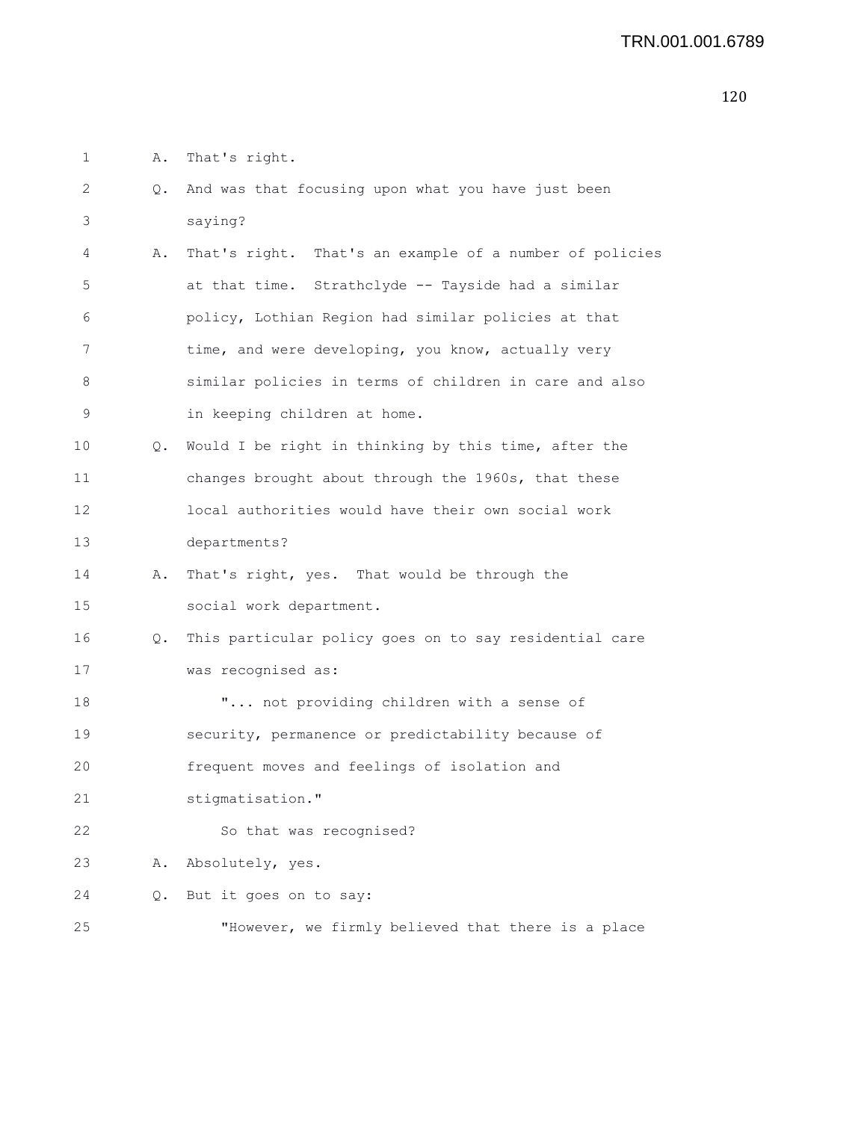1 A. That's right.

| $\mathbf{2}$ | Q. | And was that focusing upon what you have just been      |
|--------------|----|---------------------------------------------------------|
| 3            |    | saying?                                                 |
| 4            | Α. | That's right. That's an example of a number of policies |
| 5            |    | at that time. Strathclyde -- Tayside had a similar      |
| 6            |    | policy, Lothian Region had similar policies at that     |
| 7            |    | time, and were developing, you know, actually very      |
| 8            |    | similar policies in terms of children in care and also  |
| 9            |    | in keeping children at home.                            |
| 10           | Q. | Would I be right in thinking by this time, after the    |
| 11           |    | changes brought about through the 1960s, that these     |
| 12           |    | local authorities would have their own social work      |
| 13           |    | departments?                                            |
| 14           | Α. | That's right, yes. That would be through the            |
| 15           |    | social work department.                                 |
| 16           | Q. | This particular policy goes on to say residential care  |
| 17           |    | was recognised as:                                      |
| 18           |    | " not providing children with a sense of                |
| 19           |    | security, permanence or predictability because of       |
| 20           |    | frequent moves and feelings of isolation and            |
| 21           |    | stigmatisation."                                        |
| 22           |    | So that was recognised?                                 |
| 23           | Α. | Absolutely, yes.                                        |
| 24           | Q. | But it goes on to say:                                  |
| 25           |    | "However, we firmly believed that there is a place      |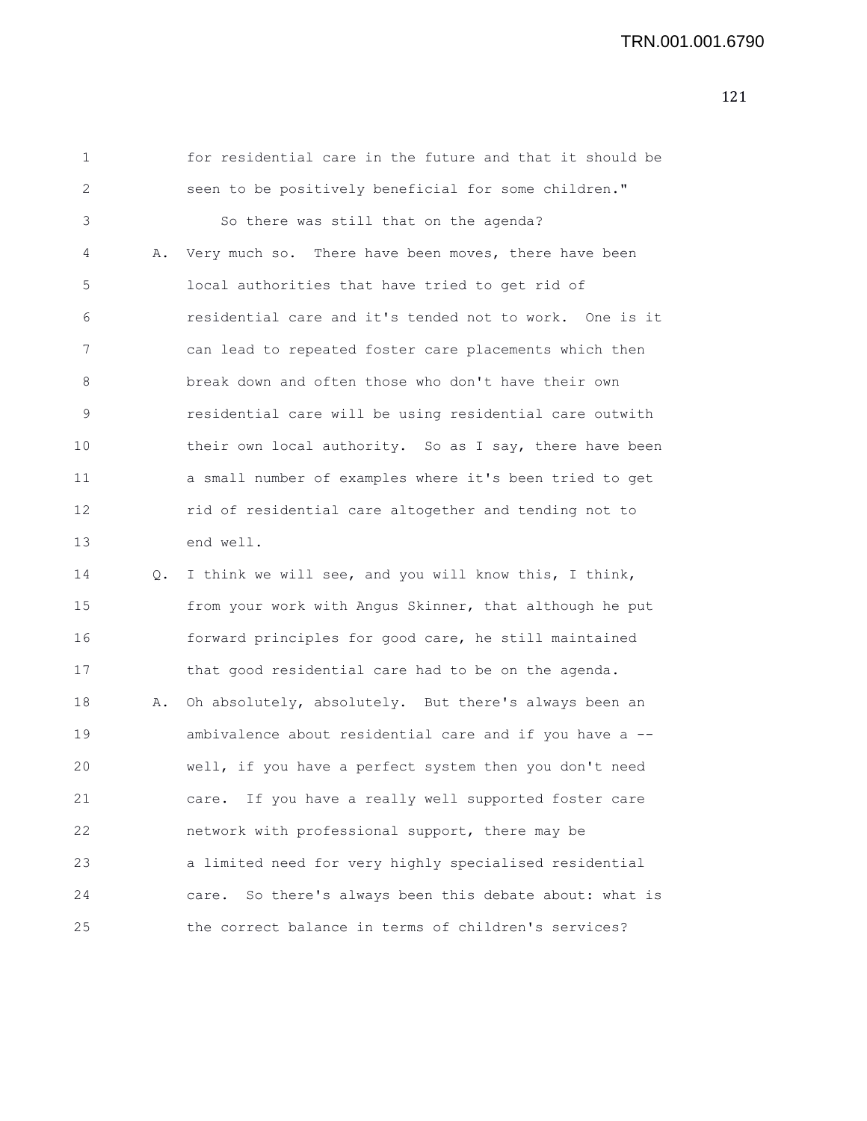| 1  |    | for residential care in the future and that it should be   |
|----|----|------------------------------------------------------------|
| 2  |    | seen to be positively beneficial for some children."       |
| 3  |    | So there was still that on the agenda?                     |
| 4  | Α. | Very much so. There have been moves, there have been       |
| 5  |    | local authorities that have tried to get rid of            |
| 6  |    | residential care and it's tended not to work. One is it    |
| 7  |    | can lead to repeated foster care placements which then     |
| 8  |    | break down and often those who don't have their own        |
| 9  |    | residential care will be using residential care outwith    |
| 10 |    | their own local authority. So as I say, there have been    |
| 11 |    | a small number of examples where it's been tried to get    |
| 12 |    | rid of residential care altogether and tending not to      |
| 13 |    | end well.                                                  |
| 14 | Q. | I think we will see, and you will know this, I think,      |
| 15 |    | from your work with Angus Skinner, that although he put    |
| 16 |    | forward principles for good care, he still maintained      |
| 17 |    | that good residential care had to be on the agenda.        |
| 18 | Α. | Oh absolutely, absolutely. But there's always been an      |
| 19 |    | ambivalence about residential care and if you have a --    |
| 20 |    | well, if you have a perfect system then you don't need     |
| 21 |    | If you have a really well supported foster care<br>care.   |
| 22 |    | network with professional support, there may be            |
| 23 |    | a limited need for very highly specialised residential     |
| 24 |    | So there's always been this debate about: what is<br>care. |
| 25 |    | the correct balance in terms of children's services?       |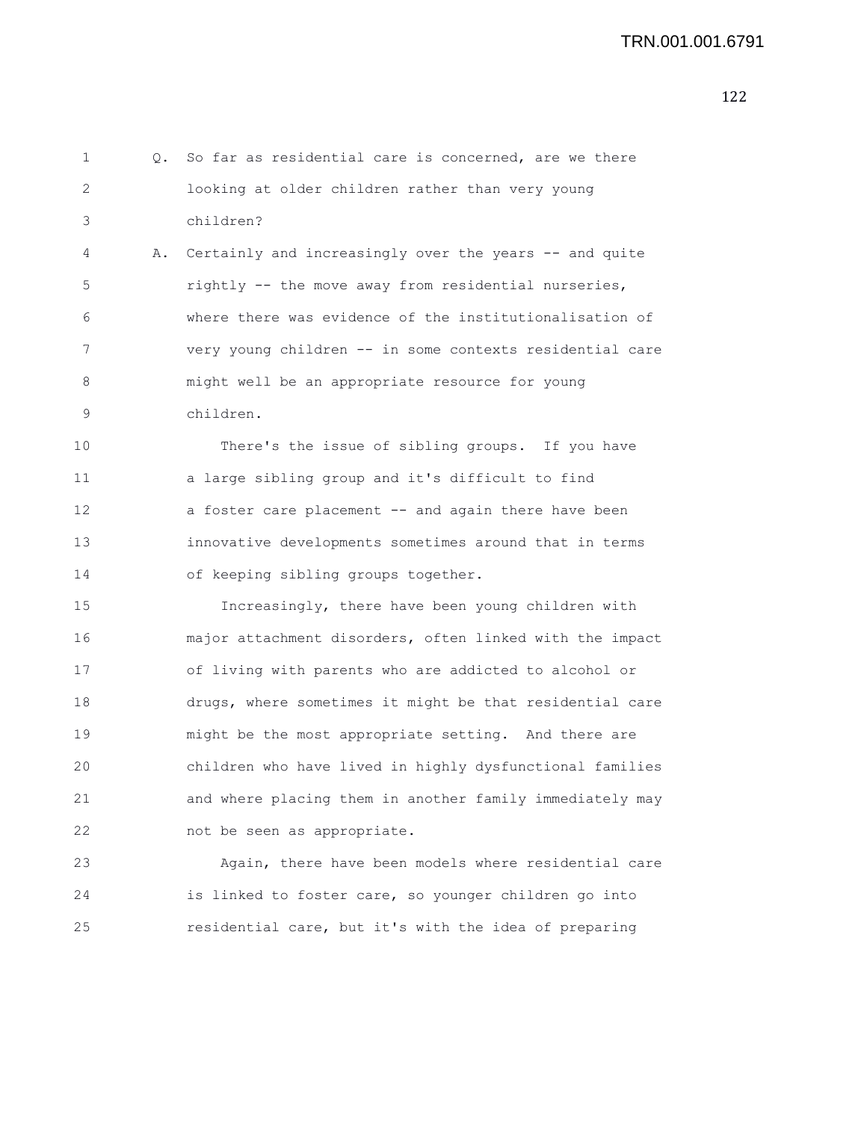1 Q. So far as residential care is concerned, are we there 2 looking at older children rather than very young 3 children? 4 A. Certainly and increasingly over the years -- and quite 5 rightly -- the move away from residential nurseries, 6 where there was evidence of the institutionalisation of 7 very young children -- in some contexts residential care 8 might well be an appropriate resource for young 9 children. 10 There's the issue of sibling groups. If you have 11 a large sibling group and it's difficult to find 12 a foster care placement -- and again there have been 13 innovative developments sometimes around that in terms 14 of keeping sibling groups together. 15 Increasingly, there have been young children with 16 major attachment disorders, often linked with the impact 17 of living with parents who are addicted to alcohol or 18 drugs, where sometimes it might be that residential care 19 might be the most appropriate setting. And there are 20 children who have lived in highly dysfunctional families 21 and where placing them in another family immediately may 22 not be seen as appropriate. 23 Again, there have been models where residential care 24 is linked to foster care, so younger children go into 25 residential care, but it's with the idea of preparing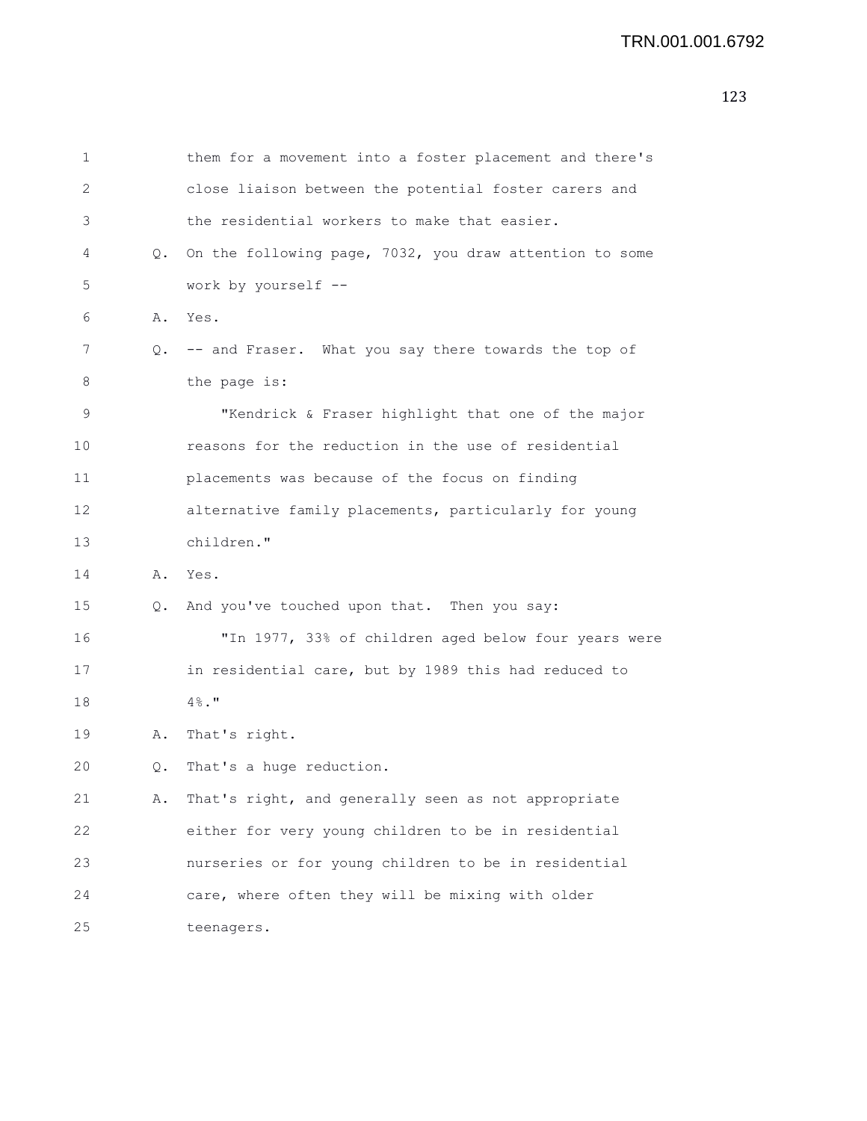```
1 them for a movement into a foster placement and there's
2 close liaison between the potential foster carers and
3 the residential workers to make that easier.
4 Q. On the following page, 7032, you draw attention to some
5 work by yourself --
6 A. Yes.
7 Q. -- and Fraser. What you say there towards the top of
8 the page is:
9 "Kendrick & Fraser highlight that one of the major
10 reasons for the reduction in the use of residential
11 placements was because of the focus on finding
12 alternative family placements, particularly for young
13 children."
14 A. Yes.
15 Q. And you've touched upon that. Then you say:
16 "In 1977, 33% of children aged below four years were
17 in residential care, but by 1989 this had reduced to
18 4%."
19 A. That's right.
20 Q. That's a huge reduction.
21 A. That's right, and generally seen as not appropriate
22 either for very young children to be in residential
23 nurseries or for young children to be in residential
24 care, where often they will be mixing with older
25 teenagers.
```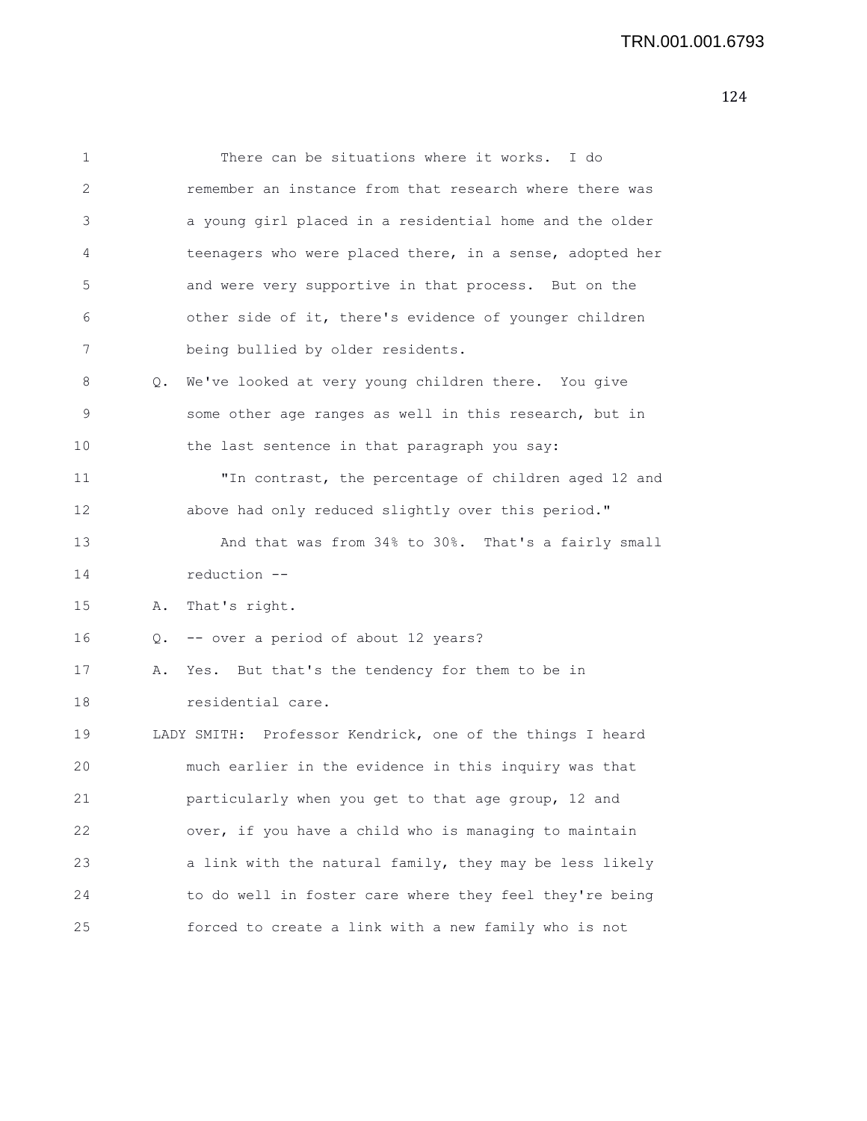| 1  |    | There can be situations where it works. I do              |
|----|----|-----------------------------------------------------------|
| 2  |    | remember an instance from that research where there was   |
| 3  |    | a young girl placed in a residential home and the older   |
| 4  |    | teenagers who were placed there, in a sense, adopted her  |
| 5  |    | and were very supportive in that process. But on the      |
| 6  |    | other side of it, there's evidence of younger children    |
| 7  |    | being bullied by older residents.                         |
| 8  | Q. | We've looked at very young children there. You give       |
| 9  |    | some other age ranges as well in this research, but in    |
| 10 |    | the last sentence in that paragraph you say:              |
| 11 |    | "In contrast, the percentage of children aged 12 and      |
| 12 |    | above had only reduced slightly over this period."        |
| 13 |    | And that was from 34% to 30%. That's a fairly small       |
| 14 |    | reduction --                                              |
| 15 | Α. | That's right.                                             |
| 16 |    | Q. -- over a period of about 12 years?                    |
| 17 | Α. | Yes. But that's the tendency for them to be in            |
| 18 |    | residential care.                                         |
| 19 |    | LADY SMITH: Professor Kendrick, one of the things I heard |
| 20 |    | much earlier in the evidence in this inquiry was that     |
| 21 |    | particularly when you get to that age group, 12 and       |
| 22 |    | over, if you have a child who is managing to maintain     |
| 23 |    | a link with the natural family, they may be less likely   |
| 24 |    | to do well in foster care where they feel they're being   |
| 25 |    | forced to create a link with a new family who is not      |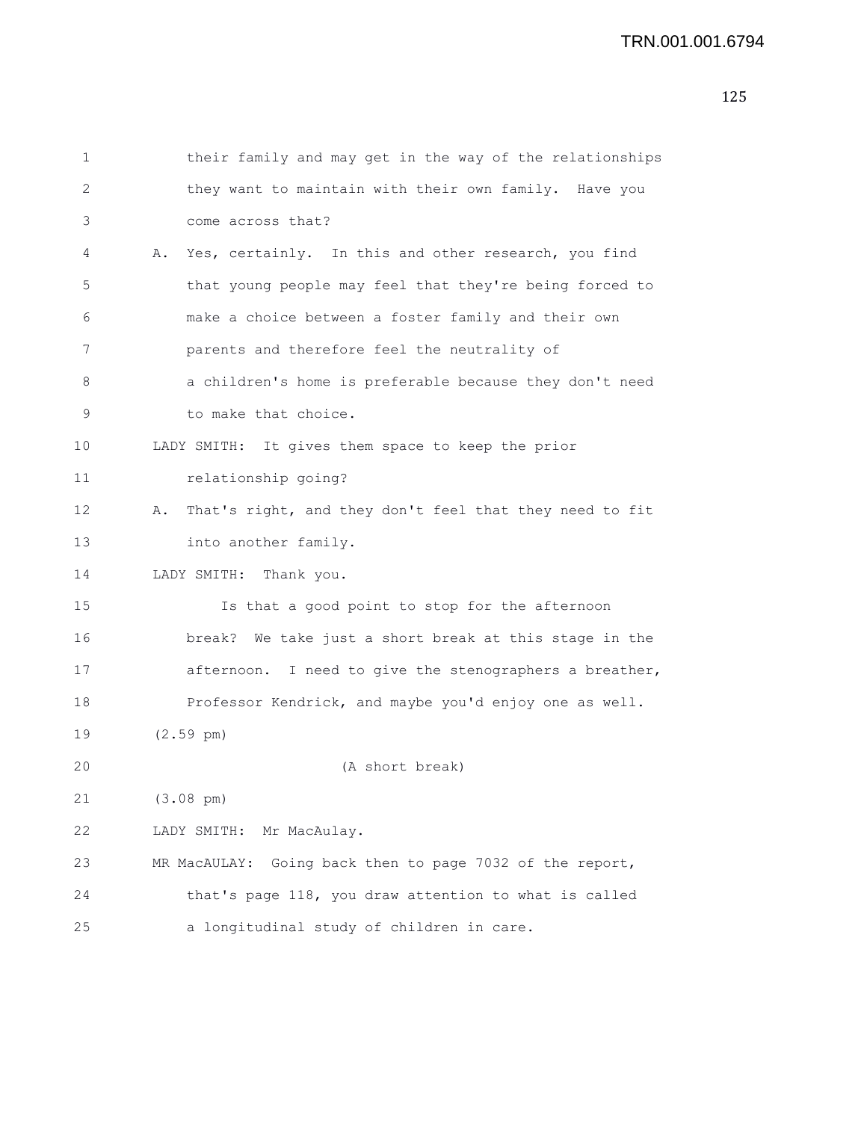```
1 their family and may get in the way of the relationships
2 they want to maintain with their own family. Have you
3 come across that?
4 A. Yes, certainly. In this and other research, you find
5 that young people may feel that they're being forced to
6 make a choice between a foster family and their own
7 parents and therefore feel the neutrality of
8 a children's home is preferable because they don't need
9 to make that choice.
10 LADY SMITH: It gives them space to keep the prior
11 relationship going?
12 A. That's right, and they don't feel that they need to fit
13 into another family.
14 LADY SMITH: Thank you.
15 Is that a good point to stop for the afternoon
16 break? We take just a short break at this stage in the
17 afternoon. I need to give the stenographers a breather,
18 Professor Kendrick, and maybe you'd enjoy one as well.
19 (2.59 pm)
20 (A short break)
21 (3.08 pm)
22 LADY SMITH: Mr MacAulay.
23 MR MacAULAY: Going back then to page 7032 of the report,
24 that's page 118, you draw attention to what is called
25 a longitudinal study of children in care.
```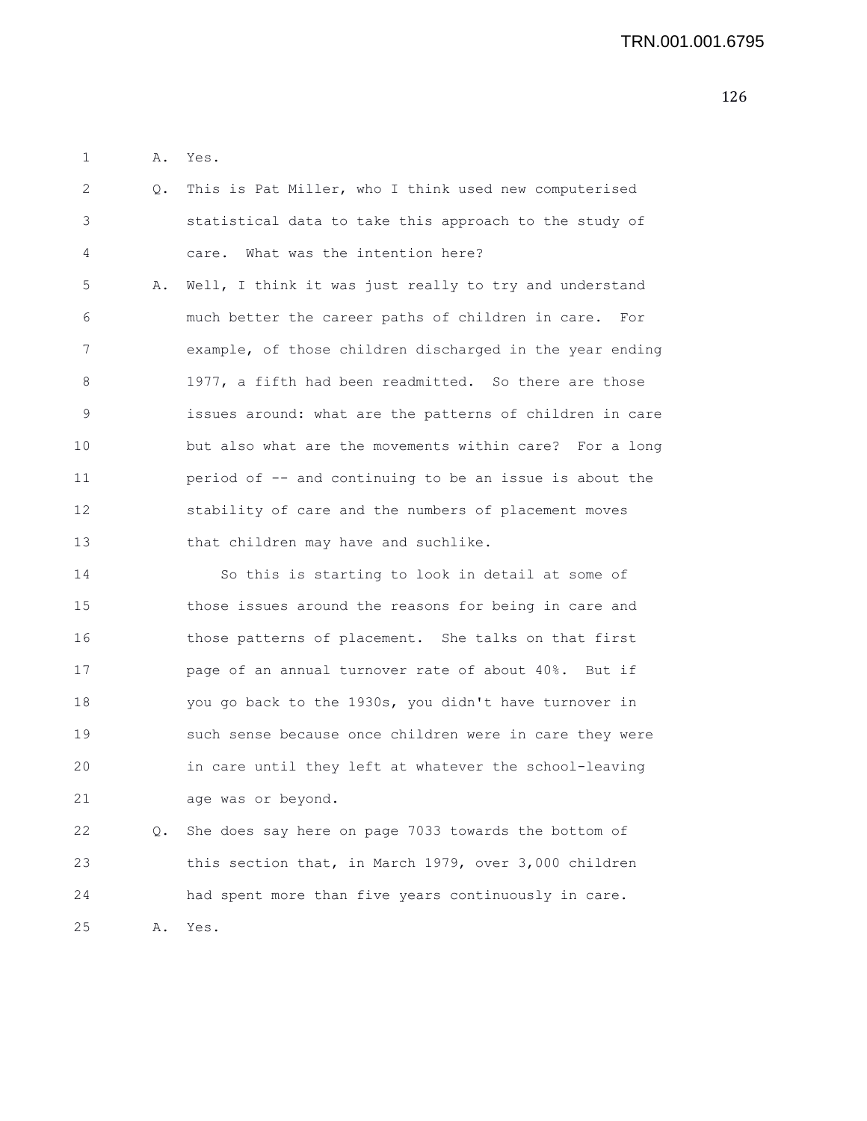1 A. Yes.

| $\overline{2}$ | Q. This is Pat Miller, who I think used new computerised  |
|----------------|-----------------------------------------------------------|
| 3              | statistical data to take this approach to the study of    |
| 4              | care. What was the intention here?                        |
| 5              | A. Well, I think it was just really to try and understand |
| 6              | much better the career paths of children in care. For     |
| 7              | example, of those children discharged in the year ending  |
| 8              | 1977, a fifth had been readmitted. So there are those     |
| 9              | issues around: what are the patterns of children in care  |
| 10             | but also what are the movements within care? For a long   |
| 11             | period of -- and continuing to be an issue is about the   |
| 12             | stability of care and the numbers of placement moves      |
| 13             | that children may have and suchlike.                      |
| 14             | So this is starting to look in detail at some of          |

15 those issues around the reasons for being in care and 16 those patterns of placement. She talks on that first 17 page of an annual turnover rate of about 40%. But if 18 you go back to the 1930s, you didn't have turnover in 19 such sense because once children were in care they were 20 in care until they left at whatever the school-leaving 21 age was or beyond.

22 Q. She does say here on page 7033 towards the bottom of 23 this section that, in March 1979, over 3,000 children 24 had spent more than five years continuously in care. 25 A. Yes.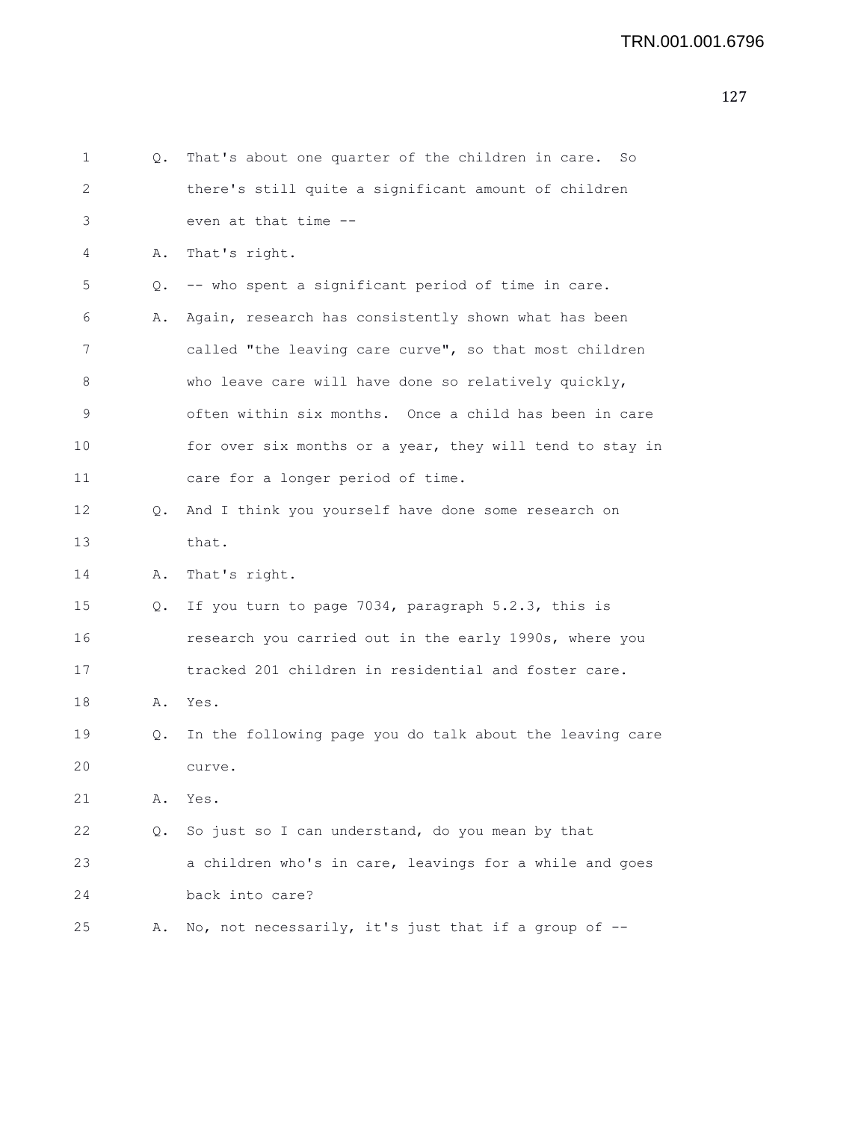| 1  | Q. | That's about one quarter of the children in care.<br>So  |
|----|----|----------------------------------------------------------|
| 2  |    | there's still quite a significant amount of children     |
| 3  |    | even at that time --                                     |
| 4  | Α. | That's right.                                            |
| 5  | Q. | -- who spent a significant period of time in care.       |
| 6  | Α. | Again, research has consistently shown what has been     |
| 7  |    | called "the leaving care curve", so that most children   |
| 8  |    | who leave care will have done so relatively quickly,     |
| 9  |    | often within six months. Once a child has been in care   |
| 10 |    | for over six months or a year, they will tend to stay in |
| 11 |    | care for a longer period of time.                        |
| 12 | Q. | And I think you yourself have done some research on      |
| 13 |    | that.                                                    |
| 14 | Α. | That's right.                                            |
| 15 | Q. | If you turn to page 7034, paragraph 5.2.3, this is       |
| 16 |    | research you carried out in the early 1990s, where you   |
| 17 |    | tracked 201 children in residential and foster care.     |
| 18 |    | A. Yes.                                                  |
| 19 | Q. | In the following page you do talk about the leaving care |
| 20 |    | curve.                                                   |
| 21 | Α. | Yes.                                                     |
| 22 | Q. | So just so I can understand, do you mean by that         |
| 23 |    | a children who's in care, leavings for a while and goes  |
| 24 |    | back into care?                                          |
| 25 | Α. | No, not necessarily, it's just that if a group of --     |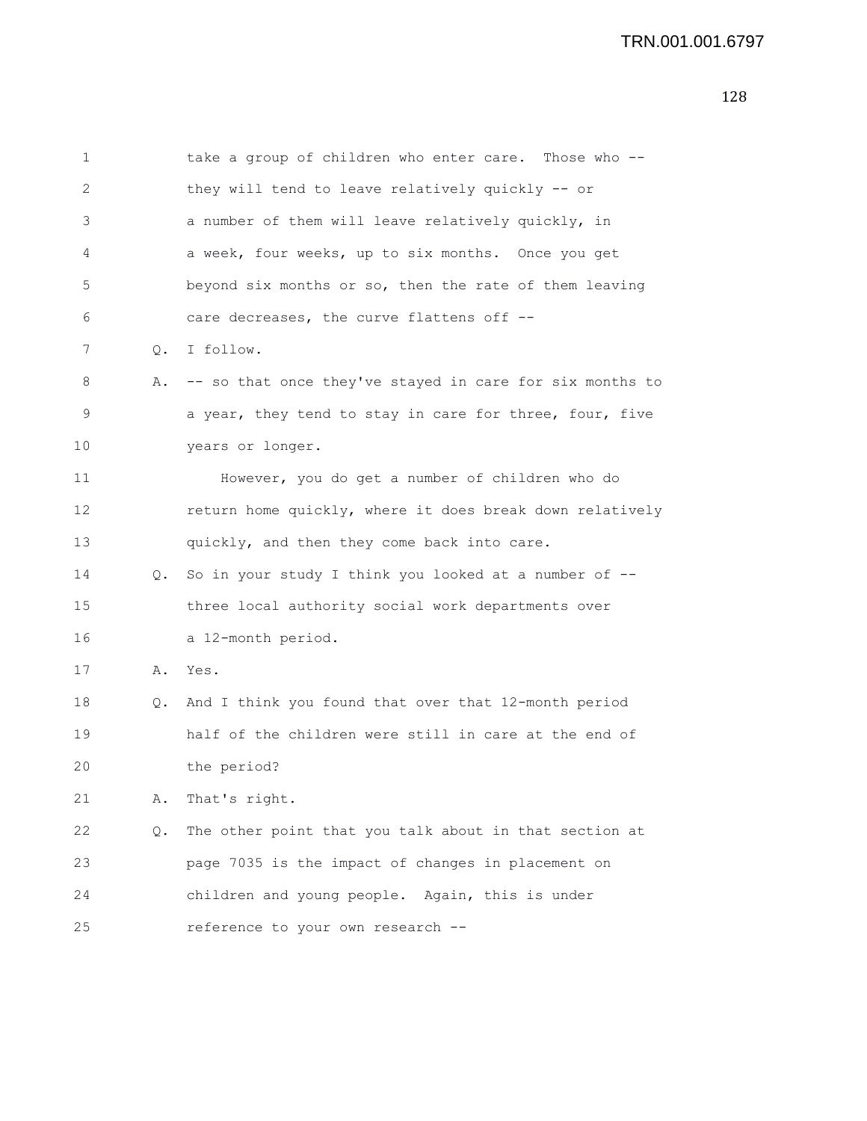| 1  |    | take a group of children who enter care. Those who --    |
|----|----|----------------------------------------------------------|
| 2  |    | they will tend to leave relatively quickly -- or         |
| 3  |    | a number of them will leave relatively quickly, in       |
| 4  |    | a week, four weeks, up to six months. Once you get       |
| 5  |    | beyond six months or so, then the rate of them leaving   |
| 6  |    | care decreases, the curve flattens off --                |
| 7  | Q. | I follow.                                                |
| 8  | Α. | -- so that once they've stayed in care for six months to |
| 9  |    | a year, they tend to stay in care for three, four, five  |
| 10 |    | years or longer.                                         |
| 11 |    | However, you do get a number of children who do          |
| 12 |    | return home quickly, where it does break down relatively |
| 13 |    | quickly, and then they come back into care.              |
| 14 | Q. | So in your study I think you looked at a number of --    |
| 15 |    | three local authority social work departments over       |
| 16 |    | a 12-month period.                                       |
| 17 | Α. | Yes.                                                     |
| 18 | Q. | And I think you found that over that 12-month period     |
| 19 |    | half of the children were still in care at the end of    |
| 20 |    | the period?                                              |
| 21 | Α. | That's right.                                            |
| 22 | Q. | The other point that you talk about in that section at   |
| 23 |    | page 7035 is the impact of changes in placement on       |
| 24 |    | children and young people. Again, this is under          |
| 25 |    | reference to your own research --                        |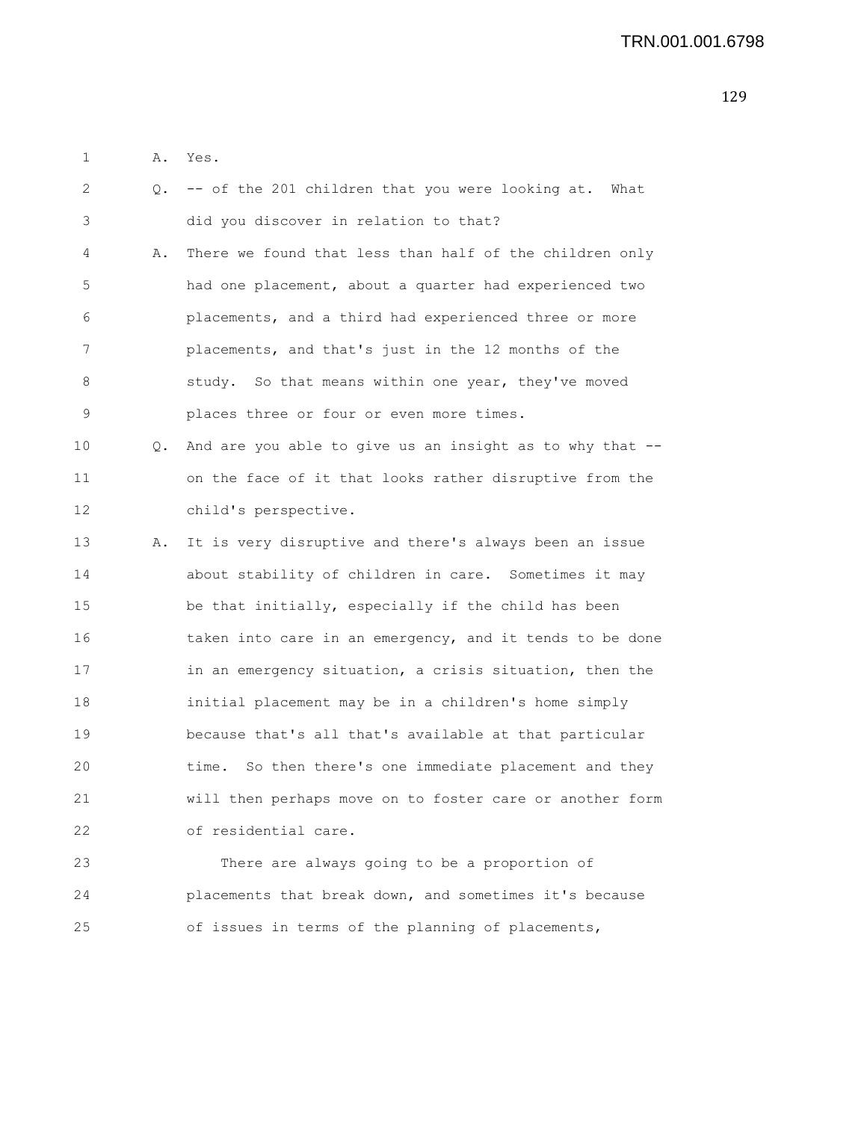1 A. Yes.

| 2  | 0. | -- of the 201 children that you were looking at. What    |
|----|----|----------------------------------------------------------|
| 3  |    | did you discover in relation to that?                    |
| 4  | Α. | There we found that less than half of the children only  |
| 5  |    | had one placement, about a quarter had experienced two   |
| 6  |    | placements, and a third had experienced three or more    |
| 7  |    | placements, and that's just in the 12 months of the      |
| 8  |    | study. So that means within one year, they've moved      |
| 9  |    | places three or four or even more times.                 |
| 10 | Q. | And are you able to give us an insight as to why that -- |
| 11 |    | on the face of it that looks rather disruptive from the  |
| 12 |    | child's perspective.                                     |
| 13 | Α. | It is very disruptive and there's always been an issue   |
| 14 |    | about stability of children in care. Sometimes it may    |
| 15 |    | be that initially, especially if the child has been      |
| 16 |    | taken into care in an emergency, and it tends to be done |
| 17 |    | in an emergency situation, a crisis situation, then the  |
| 18 |    | initial placement may be in a children's home simply     |
| 19 |    | because that's all that's available at that particular   |
| 20 |    | time. So then there's one immediate placement and they   |
| 21 |    | will then perhaps move on to foster care or another form |
| 22 |    | of residential care.                                     |
| 23 |    | There are always going to be a proportion of             |
| 24 |    | placements that break down, and sometimes it's because   |
| 25 |    | of issues in terms of the planning of placements,        |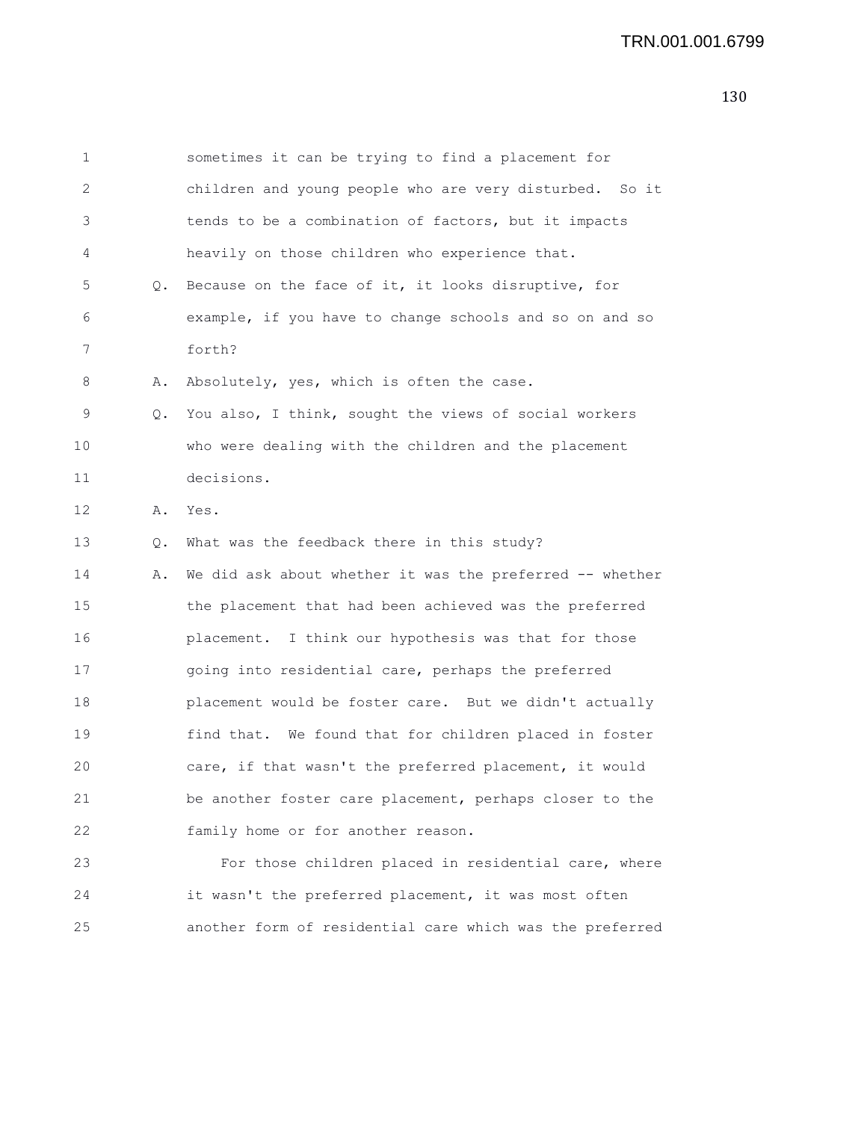| 1  |    | sometimes it can be trying to find a placement for       |
|----|----|----------------------------------------------------------|
| 2  |    | children and young people who are very disturbed. So it  |
| 3  |    | tends to be a combination of factors, but it impacts     |
| 4  |    | heavily on those children who experience that.           |
| 5  | Q. | Because on the face of it, it looks disruptive, for      |
| 6  |    | example, if you have to change schools and so on and so  |
| 7  |    | forth?                                                   |
| 8  | Α. | Absolutely, yes, which is often the case.                |
| 9  | Q. | You also, I think, sought the views of social workers    |
| 10 |    | who were dealing with the children and the placement     |
| 11 |    | decisions.                                               |
| 12 | Α. | Yes.                                                     |
| 13 | Q. | What was the feedback there in this study?               |
| 14 | Α. | We did ask about whether it was the preferred -- whether |
| 15 |    | the placement that had been achieved was the preferred   |
| 16 |    | placement. I think our hypothesis was that for those     |
| 17 |    | going into residential care, perhaps the preferred       |
| 18 |    | placement would be foster care. But we didn't actually   |
| 19 |    | find that. We found that for children placed in foster   |
| 20 |    | care, if that wasn't the preferred placement, it would   |
| 21 |    | be another foster care placement, perhaps closer to the  |
| 22 |    | family home or for another reason.                       |
| 23 |    | For those children placed in residential care, where     |
| 24 |    | it wasn't the preferred placement, it was most often     |
| 25 |    | another form of residential care which was the preferred |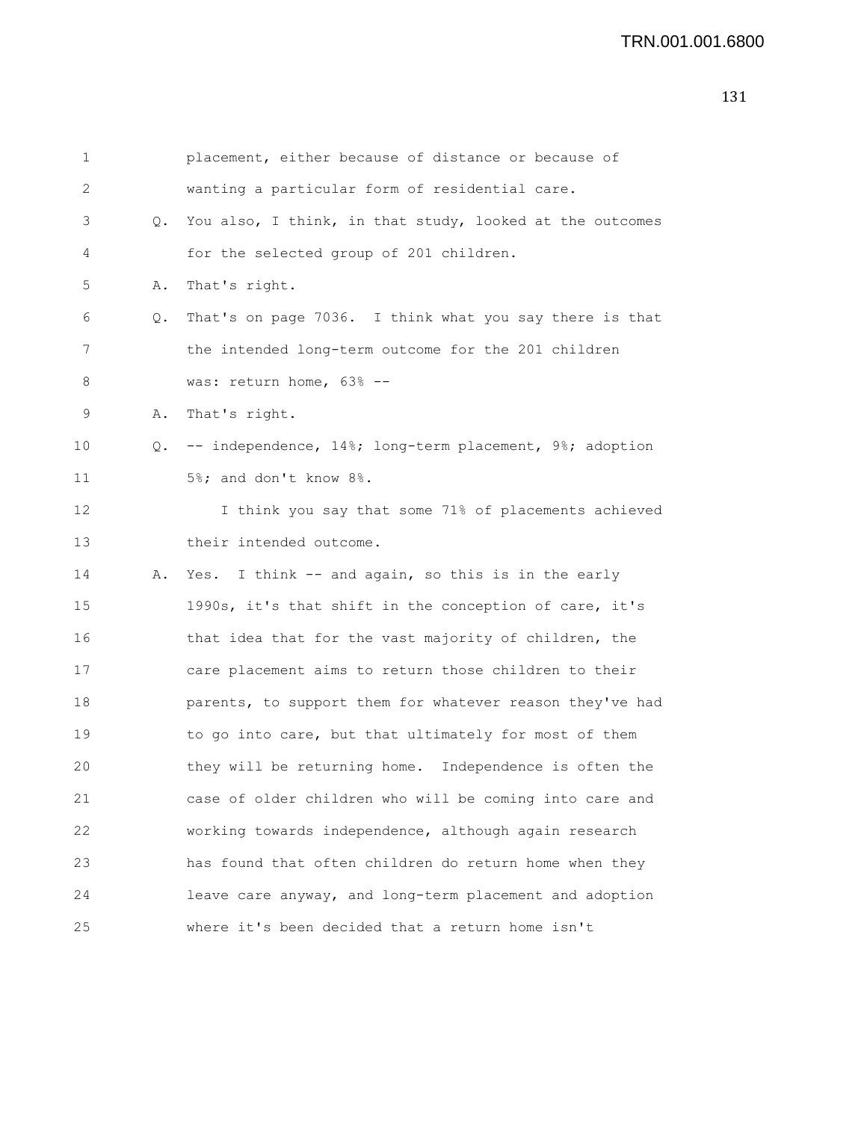| 1  |    | placement, either because of distance or because of        |
|----|----|------------------------------------------------------------|
| 2  |    | wanting a particular form of residential care.             |
| 3  | Q. | You also, I think, in that study, looked at the outcomes   |
| 4  |    | for the selected group of 201 children.                    |
| 5  | Α. | That's right.                                              |
| 6  | Q. | That's on page 7036. I think what you say there is that    |
| 7  |    | the intended long-term outcome for the 201 children        |
| 8  |    | was: return home, 63% --                                   |
| 9  | Α. | That's right.                                              |
| 10 |    | Q. -- independence, 14%; long-term placement, 9%; adoption |
| 11 |    | 5%; and don't know 8%.                                     |
| 12 |    | I think you say that some 71% of placements achieved       |
| 13 |    | their intended outcome.                                    |
| 14 | Α. | Yes. I think -- and again, so this is in the early         |
| 15 |    | 1990s, it's that shift in the conception of care, it's     |
| 16 |    | that idea that for the vast majority of children, the      |
| 17 |    | care placement aims to return those children to their      |
| 18 |    | parents, to support them for whatever reason they've had   |
| 19 |    | to go into care, but that ultimately for most of them      |
| 20 |    | they will be returning home. Independence is often the     |
| 21 |    | case of older children who will be coming into care and    |
| 22 |    | working towards independence, although again research      |
| 23 |    | has found that often children do return home when they     |
| 24 |    | leave care anyway, and long-term placement and adoption    |
| 25 |    | where it's been decided that a return home isn't           |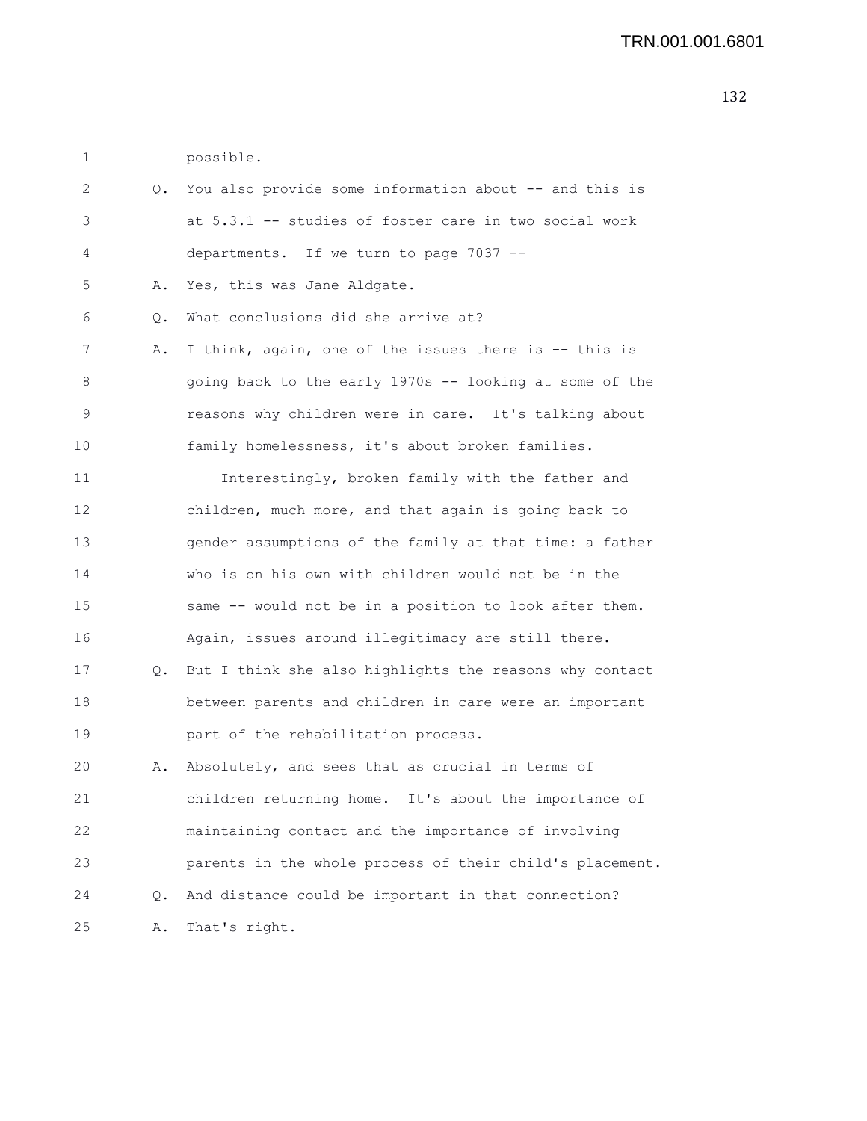| possible. |
|-----------|
|           |

| 2  | Q. | You also provide some information about -- and this is   |
|----|----|----------------------------------------------------------|
| 3  |    | at 5.3.1 -- studies of foster care in two social work    |
| 4  |    | departments. If we turn to page 7037 --                  |
| 5  | Α. | Yes, this was Jane Aldgate.                              |
| 6  | Q. | What conclusions did she arrive at?                      |
| 7  | Α. | I think, again, one of the issues there is -- this is    |
| 8  |    | going back to the early 1970s -- looking at some of the  |
| 9  |    | reasons why children were in care. It's talking about    |
| 10 |    | family homelessness, it's about broken families.         |
| 11 |    | Interestingly, broken family with the father and         |
| 12 |    | children, much more, and that again is going back to     |
| 13 |    | gender assumptions of the family at that time: a father  |
| 14 |    | who is on his own with children would not be in the      |
| 15 |    | same -- would not be in a position to look after them.   |
| 16 |    | Again, issues around illegitimacy are still there.       |
| 17 | Q. | But I think she also highlights the reasons why contact  |
| 18 |    | between parents and children in care were an important   |
| 19 |    | part of the rehabilitation process.                      |
| 20 | Α. | Absolutely, and sees that as crucial in terms of         |
| 21 |    | children returning home. It's about the importance of    |
| 22 |    | maintaining contact and the importance of involving      |
| 23 |    | parents in the whole process of their child's placement. |
| 24 | Q. | And distance could be important in that connection?      |
| 25 | Α. | That's right.                                            |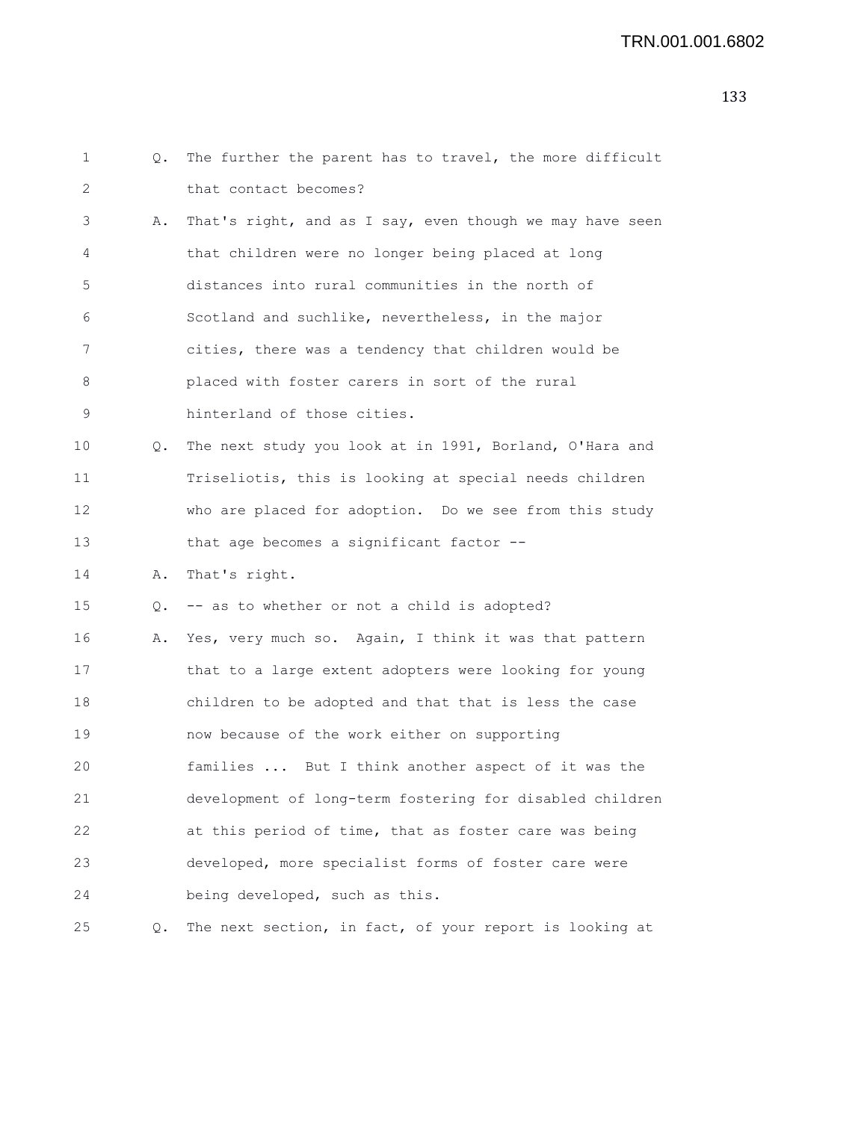```
1 Q. The further the parent has to travel, the more difficult
2 that contact becomes?
3 A. That's right, and as I say, even though we may have seen
4 that children were no longer being placed at long
5 distances into rural communities in the north of
6 Scotland and suchlike, nevertheless, in the major
7 cities, there was a tendency that children would be
8 placed with foster carers in sort of the rural
9 hinterland of those cities.
10 Q. The next study you look at in 1991, Borland, O'Hara and
11 Triseliotis, this is looking at special needs children
12 who are placed for adoption. Do we see from this study
13 that age becomes a significant factor --
14 A. That's right.
15 Q. -- as to whether or not a child is adopted?
16 A. Yes, very much so. Again, I think it was that pattern
17 that to a large extent adopters were looking for young
18 children to be adopted and that that is less the case
19 now because of the work either on supporting
20 families ... But I think another aspect of it was the
21 development of long-term fostering for disabled children
22 at this period of time, that as foster care was being
23 developed, more specialist forms of foster care were
24 being developed, such as this.
25 Q. The next section, in fact, of your report is looking at
```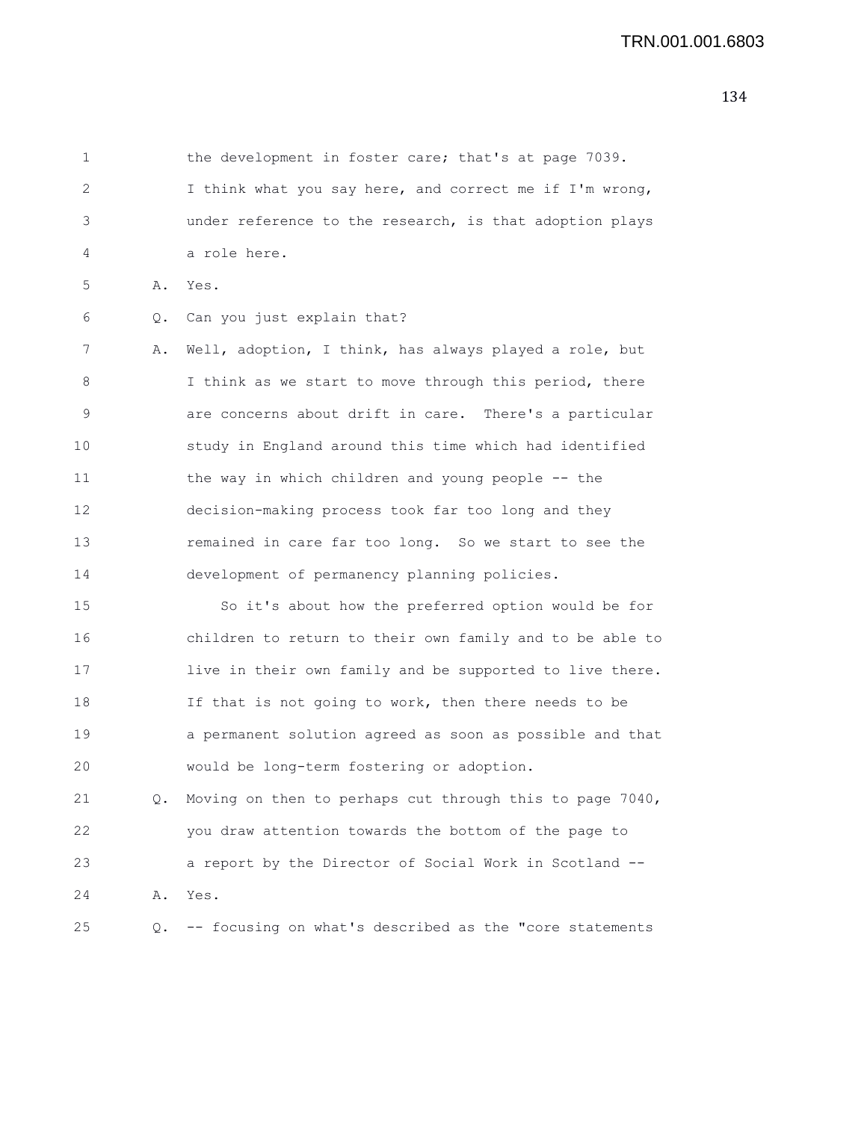1 the development in foster care; that's at page 7039. 2 I think what you say here, and correct me if I'm wrong, 3 under reference to the research, is that adoption plays 4 a role here. 5 A. Yes. 6 Q. Can you just explain that? 7 A. Well, adoption, I think, has always played a role, but 8 I think as we start to move through this period, there 9 are concerns about drift in care. There's a particular 10 study in England around this time which had identified 11 the way in which children and young people -- the 12 decision-making process took far too long and they 13 remained in care far too long. So we start to see the 14 development of permanency planning policies. 15 So it's about how the preferred option would be for 16 children to return to their own family and to be able to 17 live in their own family and be supported to live there. 18 If that is not going to work, then there needs to be 19 a permanent solution agreed as soon as possible and that 20 would be long-term fostering or adoption. 21 Q. Moving on then to perhaps cut through this to page 7040, 22 you draw attention towards the bottom of the page to 23 a report by the Director of Social Work in Scotland -- 24 A. Yes. 25 Q. -- focusing on what's described as the "core statements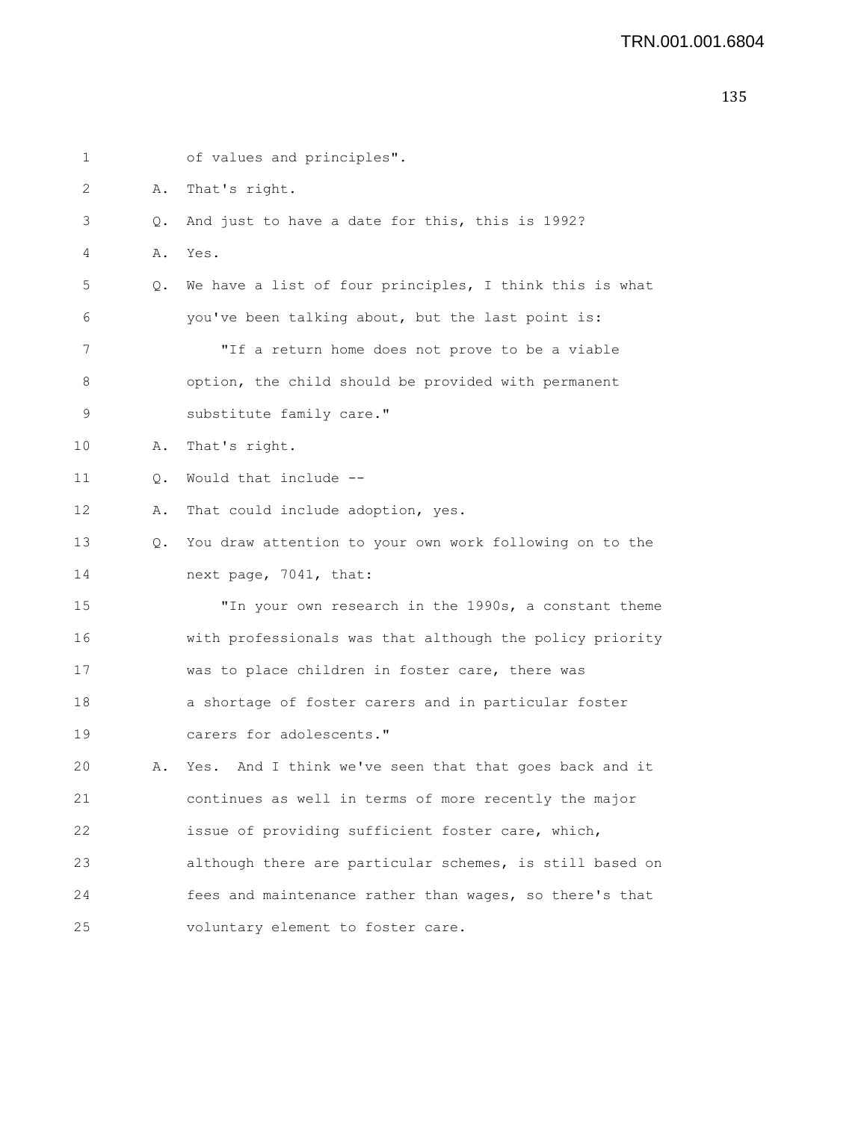```
1 of values and principles".
2 A. That's right.
3 Q. And just to have a date for this, this is 1992?
4 A. Yes.
5 Q. We have a list of four principles, I think this is what
6 you've been talking about, but the last point is:
7 "If a return home does not prove to be a viable
8 option, the child should be provided with permanent
9 substitute family care."
10 A. That's right.
11 Q. Would that include --
12 A. That could include adoption, yes.
13 Q. You draw attention to your own work following on to the
14 next page, 7041, that:
15 "In your own research in the 1990s, a constant theme
16 with professionals was that although the policy priority
17 was to place children in foster care, there was
18 a shortage of foster carers and in particular foster
19 carers for adolescents."
20 A. Yes. And I think we've seen that that goes back and it
21 continues as well in terms of more recently the major
22 issue of providing sufficient foster care, which,
23 although there are particular schemes, is still based on
24 fees and maintenance rather than wages, so there's that
25 voluntary element to foster care.
```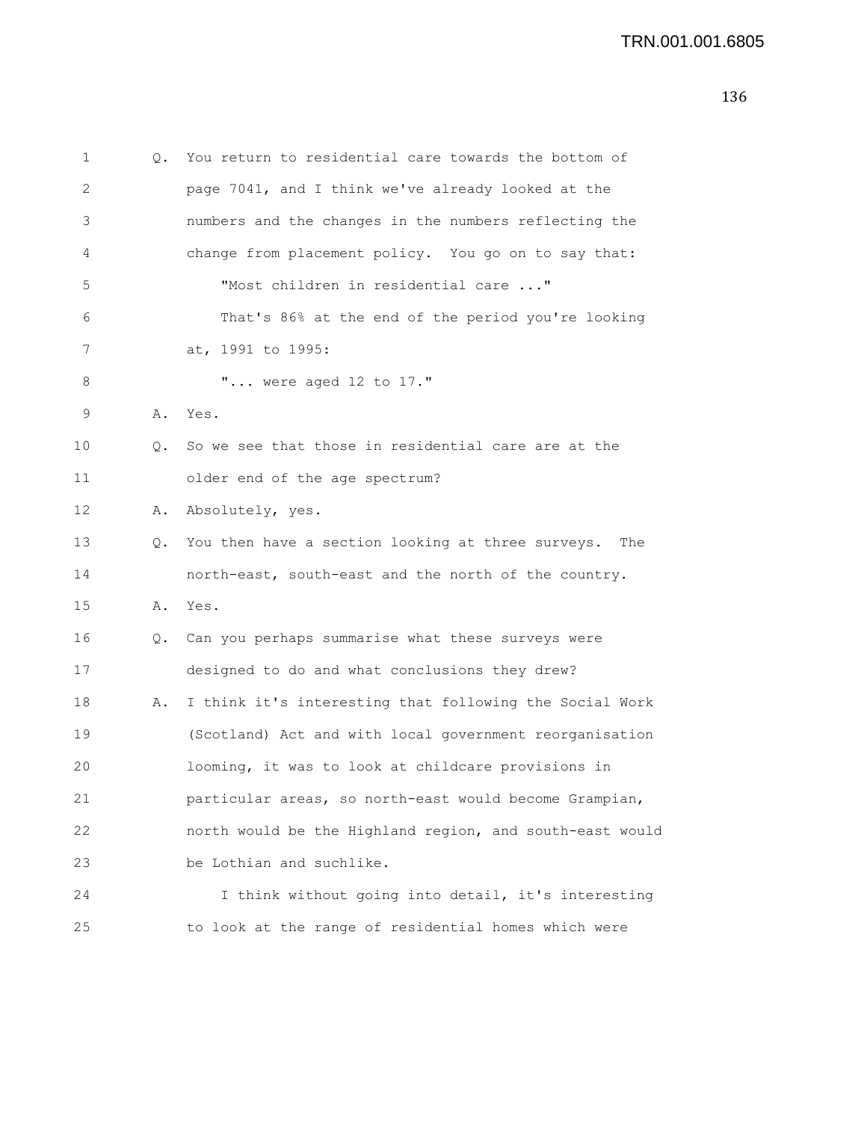1 Q. You return to residential care towards the bottom of 2 page 7041, and I think we've already looked at the 3 numbers and the changes in the numbers reflecting the 4 change from placement policy. You go on to say that: 5 "Most children in residential care ..." 6 That's 86% at the end of the period you're looking 7 at, 1991 to 1995: 8 "... were aged 12 to 17." 9 A. Yes. 10 Q. So we see that those in residential care are at the 11 older end of the age spectrum? 12 A. Absolutely, yes. 13 Q. You then have a section looking at three surveys. The 14 north-east, south-east and the north of the country. 15 A. Yes. 16 Q. Can you perhaps summarise what these surveys were 17 designed to do and what conclusions they drew? 18 A. I think it's interesting that following the Social Work 19 (Scotland) Act and with local government reorganisation 20 looming, it was to look at childcare provisions in 21 particular areas, so north-east would become Grampian, 22 north would be the Highland region, and south-east would 23 be Lothian and suchlike. 24 I think without going into detail, it's interesting 25 to look at the range of residential homes which were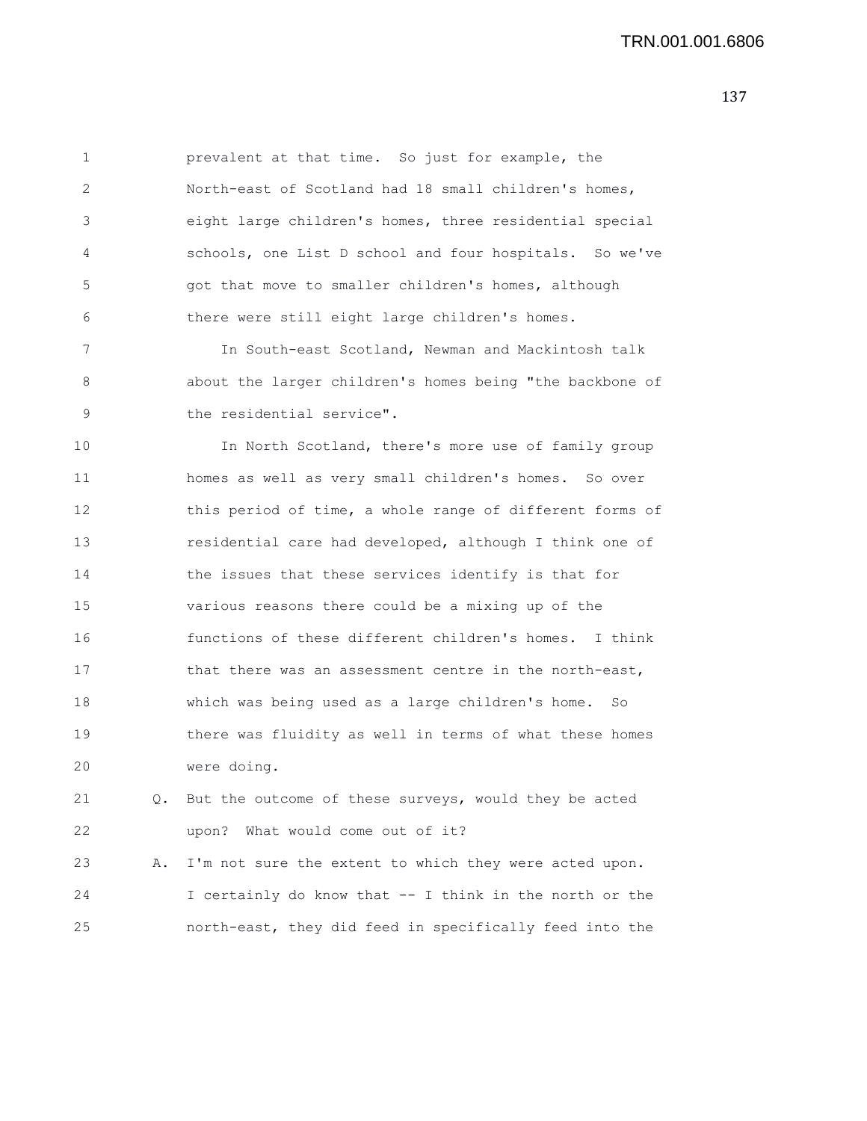1 prevalent at that time. So just for example, the 2 North-east of Scotland had 18 small children's homes, 3 eight large children's homes, three residential special 4 schools, one List D school and four hospitals. So we've 5 got that move to smaller children's homes, although 6 there were still eight large children's homes. 7 In South-east Scotland, Newman and Mackintosh talk 8 about the larger children's homes being "the backbone of 9 the residential service". 10 In North Scotland, there's more use of family group 11 homes as well as very small children's homes. So over 12 this period of time, a whole range of different forms of 13 residential care had developed, although I think one of 14 the issues that these services identify is that for 15 various reasons there could be a mixing up of the 16 functions of these different children's homes. I think

17 that there was an assessment centre in the north-east, 18 which was being used as a large children's home. So 19 there was fluidity as well in terms of what these homes 20 were doing.

21 Q. But the outcome of these surveys, would they be acted 22 upon? What would come out of it?

23 A. I'm not sure the extent to which they were acted upon. 24 I certainly do know that -- I think in the north or the 25 north-east, they did feed in specifically feed into the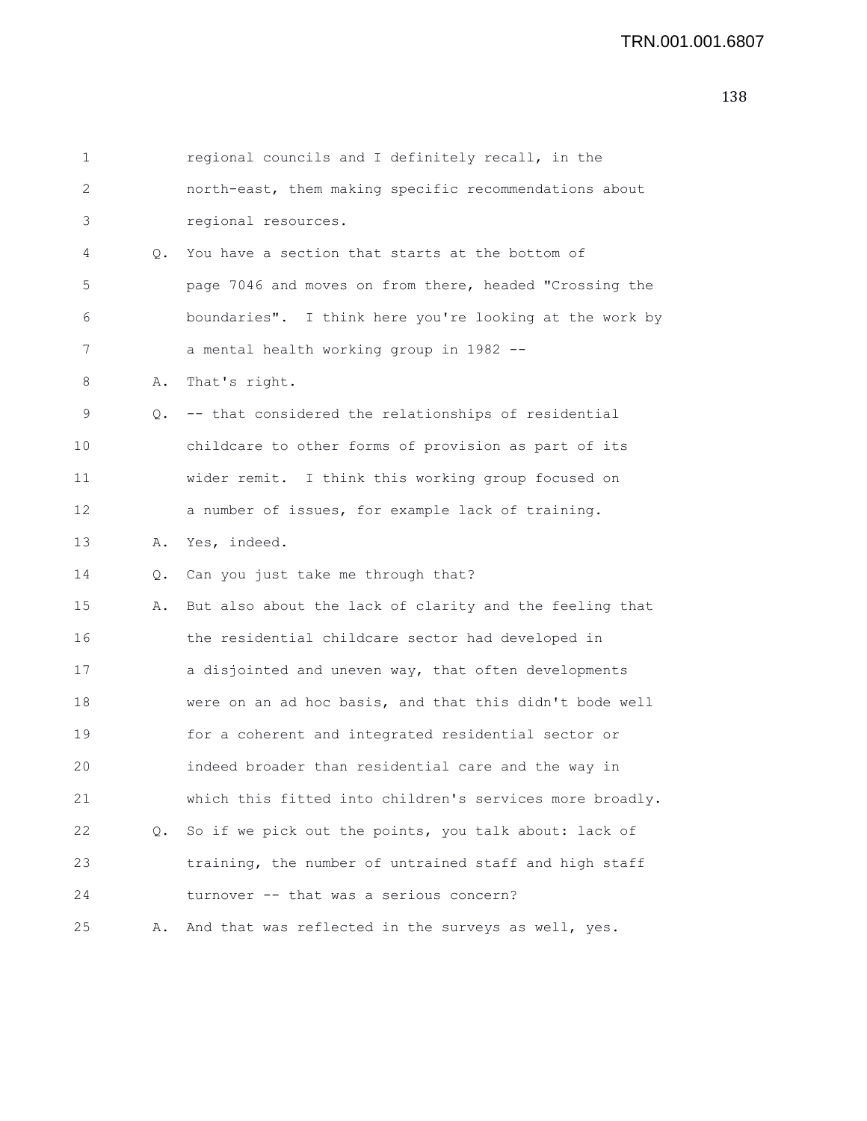| $\mathbf 1$ |    | regional councils and I definitely recall, in the        |
|-------------|----|----------------------------------------------------------|
| 2           |    | north-east, them making specific recommendations about   |
| 3           |    | regional resources.                                      |
| 4           | Q. | You have a section that starts at the bottom of          |
| 5           |    | page 7046 and moves on from there, headed "Crossing the  |
| 6           |    | boundaries". I think here you're looking at the work by  |
| 7           |    | a mental health working group in 1982 --                 |
| 8           | Α. | That's right.                                            |
| 9           | Q. | -- that considered the relationships of residential      |
| 10          |    | childcare to other forms of provision as part of its     |
| 11          |    | wider remit. I think this working group focused on       |
| 12          |    | a number of issues, for example lack of training.        |
| 13          | Α. | Yes, indeed.                                             |
| 14          | Q. | Can you just take me through that?                       |
| 15          | Α. | But also about the lack of clarity and the feeling that  |
| 16          |    | the residential childcare sector had developed in        |
| 17          |    | a disjointed and uneven way, that often developments     |
| 18          |    | were on an ad hoc basis, and that this didn't bode well  |
| 19          |    | for a coherent and integrated residential sector or      |
| 20          |    | indeed broader than residential care and the way in      |
| 21          |    | which this fitted into children's services more broadly. |
| 22          | Q. | So if we pick out the points, you talk about: lack of    |
| 23          |    | training, the number of untrained staff and high staff   |
| 24          |    | turnover -- that was a serious concern?                  |
| 25          | Α. | And that was reflected in the surveys as well, yes.      |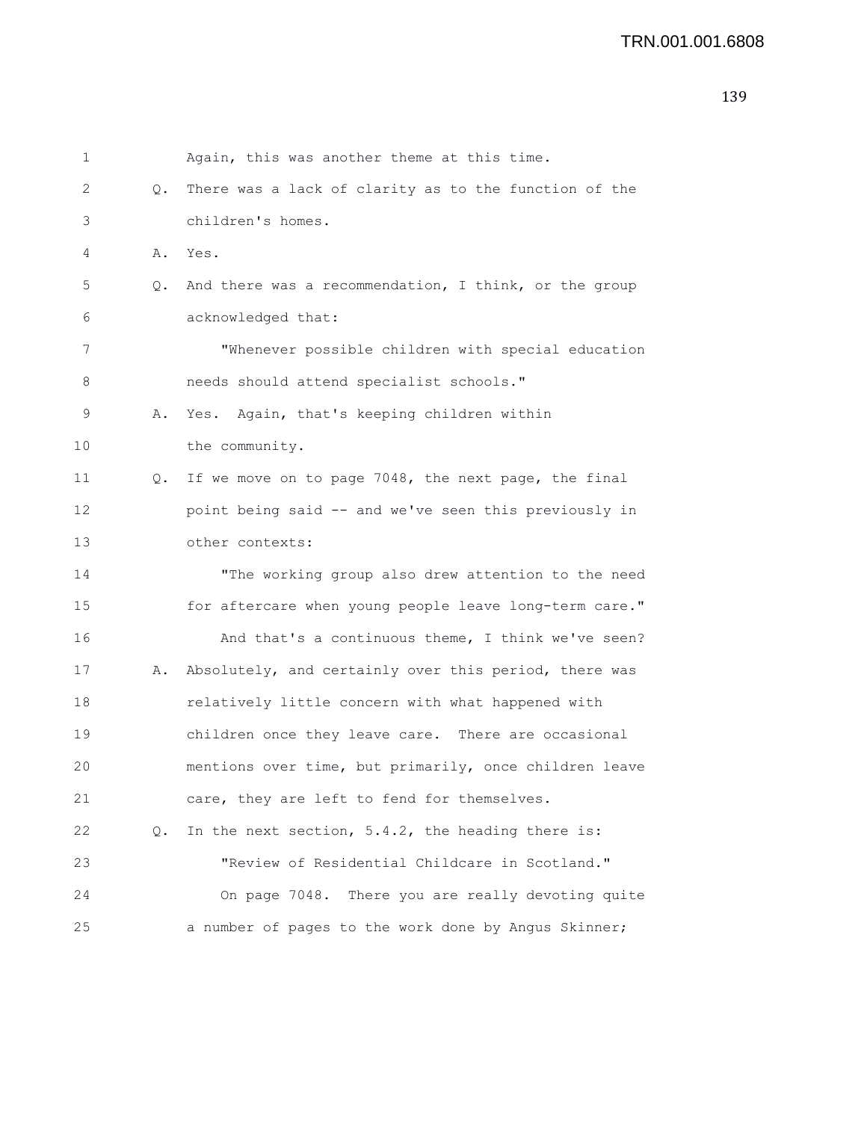```
1 Again, this was another theme at this time.
2 Q. There was a lack of clarity as to the function of the
3 children's homes.
4 A. Yes.
5 Q. And there was a recommendation, I think, or the group
6 acknowledged that:
7 "Whenever possible children with special education
8 needs should attend specialist schools."
9 A. Yes. Again, that's keeping children within
10 the community.
11 Q. If we move on to page 7048, the next page, the final
12 point being said -- and we've seen this previously in
13 other contexts:
14 "The working group also drew attention to the need
15 for aftercare when young people leave long-term care."
16 And that's a continuous theme, I think we've seen?
17 A. Absolutely, and certainly over this period, there was
18 relatively little concern with what happened with
19 children once they leave care. There are occasional
20 mentions over time, but primarily, once children leave
21 care, they are left to fend for themselves.
22 Q. In the next section, 5.4.2, the heading there is:
23 "Review of Residential Childcare in Scotland."
24 On page 7048. There you are really devoting quite
25 a number of pages to the work done by Angus Skinner;
```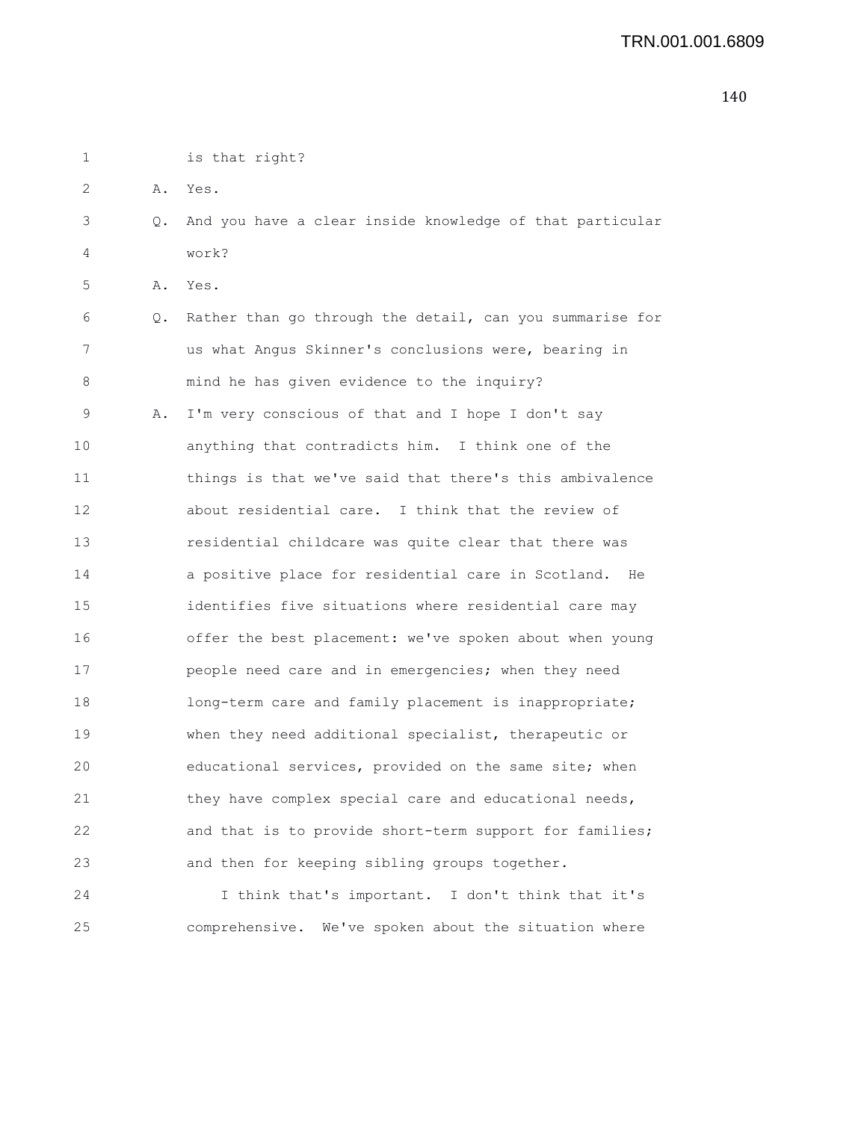| 1  |           | is that right?                                           |
|----|-----------|----------------------------------------------------------|
| 2  | Α.        | Yes.                                                     |
| 3  | $\circ$ . | And you have a clear inside knowledge of that particular |
| 4  |           | work?                                                    |
| 5  | Α.        | Yes.                                                     |
| 6  | Q.        | Rather than go through the detail, can you summarise for |
| 7  |           | us what Angus Skinner's conclusions were, bearing in     |
| 8  |           | mind he has given evidence to the inquiry?               |
| 9  | Α.        | I'm very conscious of that and I hope I don't say        |
| 10 |           | anything that contradicts him. I think one of the        |
| 11 |           | things is that we've said that there's this ambivalence  |
| 12 |           | about residential care. I think that the review of       |
| 13 |           | residential childcare was quite clear that there was     |
| 14 |           | a positive place for residential care in Scotland.<br>He |
| 15 |           | identifies five situations where residential care may    |
| 16 |           | offer the best placement: we've spoken about when young  |
| 17 |           | people need care and in emergencies; when they need      |
| 18 |           | long-term care and family placement is inappropriate;    |
| 19 |           | when they need additional specialist, therapeutic or     |
| 20 |           | educational services, provided on the same site; when    |
| 21 |           | they have complex special care and educational needs,    |
| 22 |           | and that is to provide short-term support for families;  |
| 23 |           | and then for keeping sibling groups together.            |
| 24 |           | I think that's important. I don't think that it's        |
| 25 |           | comprehensive. We've spoken about the situation where    |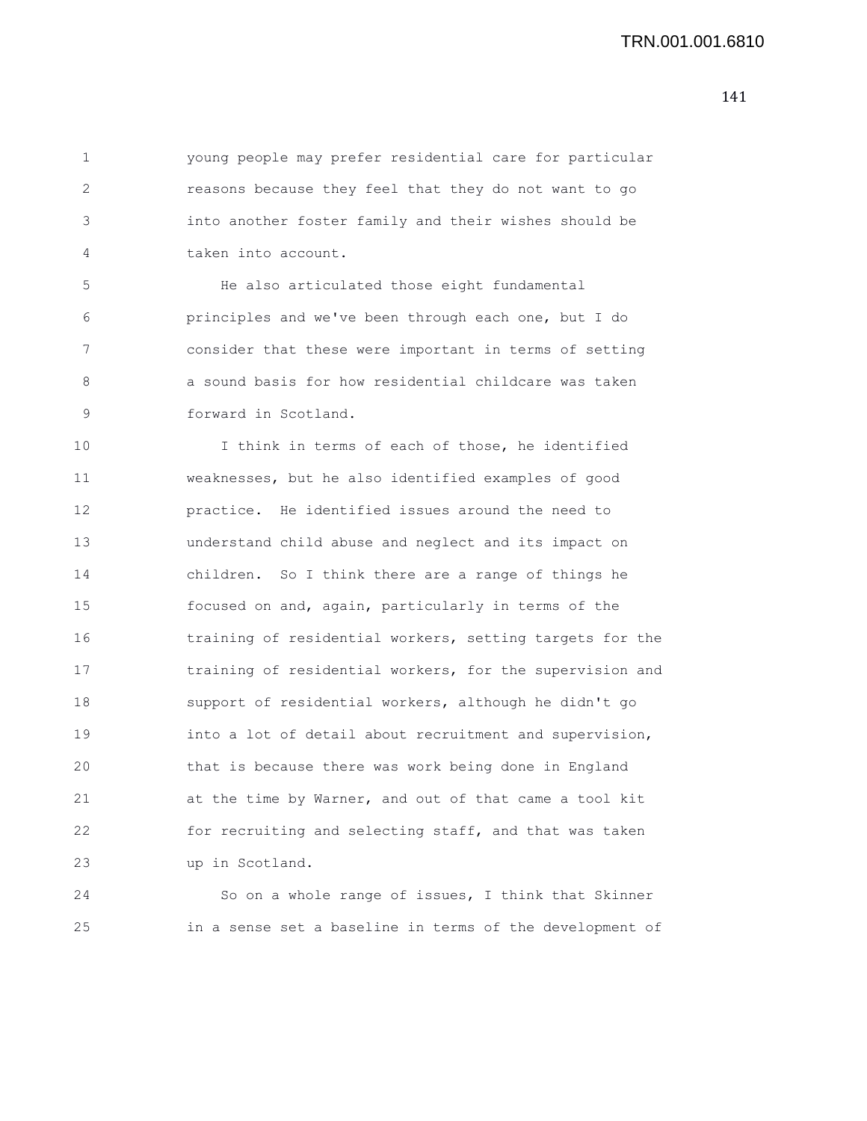1 young people may prefer residential care for particular 2 reasons because they feel that they do not want to go 3 into another foster family and their wishes should be 4 taken into account. 5 He also articulated those eight fundamental 6 principles and we've been through each one, but I do

7 consider that these were important in terms of setting 8 a sound basis for how residential childcare was taken 9 forward in Scotland.

10 I think in terms of each of those, he identified 11 weaknesses, but he also identified examples of good 12 practice. He identified issues around the need to 13 understand child abuse and neglect and its impact on 14 children. So I think there are a range of things he 15 focused on and, again, particularly in terms of the 16 training of residential workers, setting targets for the 17 training of residential workers, for the supervision and 18 support of residential workers, although he didn't go 19 into a lot of detail about recruitment and supervision, 20 that is because there was work being done in England 21 at the time by Warner, and out of that came a tool kit 22 for recruiting and selecting staff, and that was taken 23 up in Scotland.

24 So on a whole range of issues, I think that Skinner 25 in a sense set a baseline in terms of the development of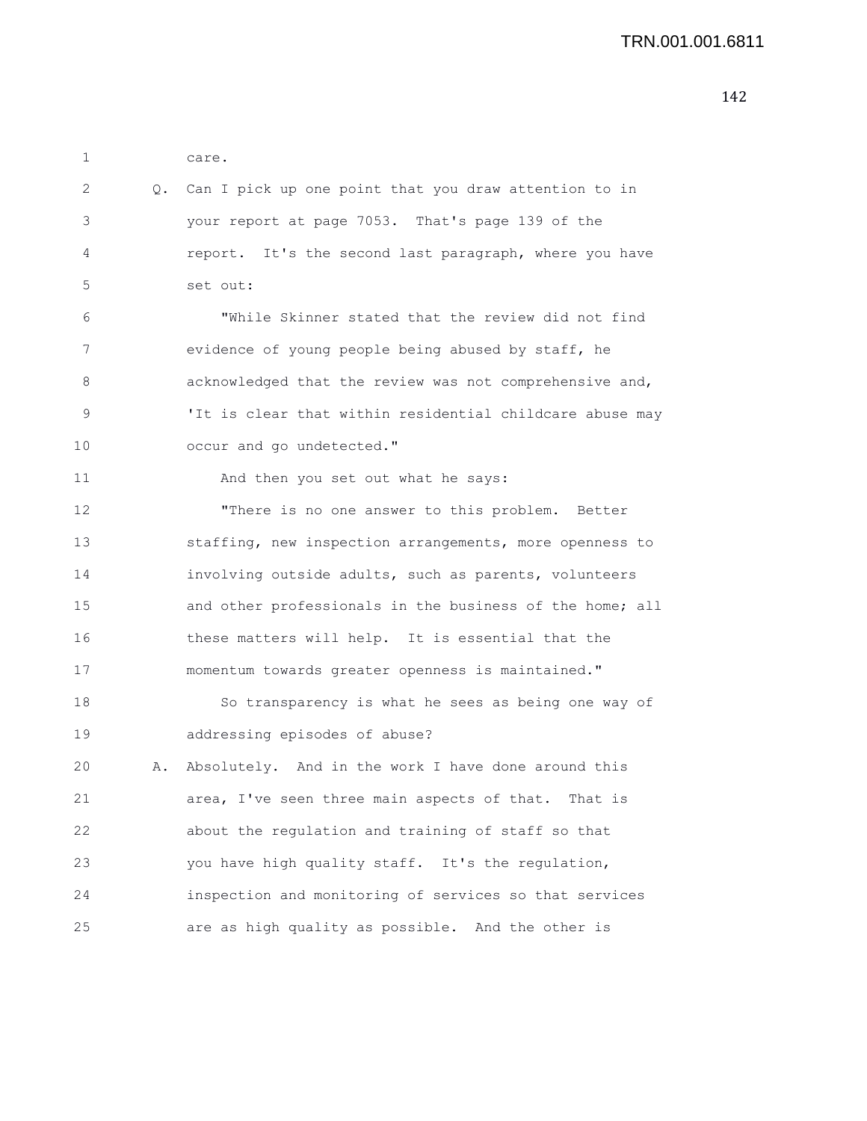| 1  |    | care.                                                    |
|----|----|----------------------------------------------------------|
| 2  | Q. | Can I pick up one point that you draw attention to in    |
| 3  |    | your report at page 7053. That's page 139 of the         |
| 4  |    | report. It's the second last paragraph, where you have   |
| 5  |    | set out:                                                 |
| 6  |    | "While Skinner stated that the review did not find       |
| 7  |    | evidence of young people being abused by staff, he       |
| 8  |    | acknowledged that the review was not comprehensive and,  |
| 9  |    | 'It is clear that within residential childcare abuse may |
| 10 |    | occur and go undetected."                                |
| 11 |    | And then you set out what he says:                       |
| 12 |    | "There is no one answer to this problem. Better          |
| 13 |    | staffing, new inspection arrangements, more openness to  |
| 14 |    | involving outside adults, such as parents, volunteers    |
| 15 |    | and other professionals in the business of the home; all |
| 16 |    | these matters will help. It is essential that the        |
| 17 |    | momentum towards greater openness is maintained."        |
| 18 |    | So transparency is what he sees as being one way of      |
| 19 |    | addressing episodes of abuse?                            |
| 20 | Α. | Absolutely. And in the work I have done around this      |
| 21 |    | area, I've seen three main aspects of that. That is      |
| 22 |    | about the regulation and training of staff so that       |
| 23 |    | you have high quality staff. It's the regulation,        |
| 24 |    | inspection and monitoring of services so that services   |
| 25 |    | are as high quality as possible. And the other is        |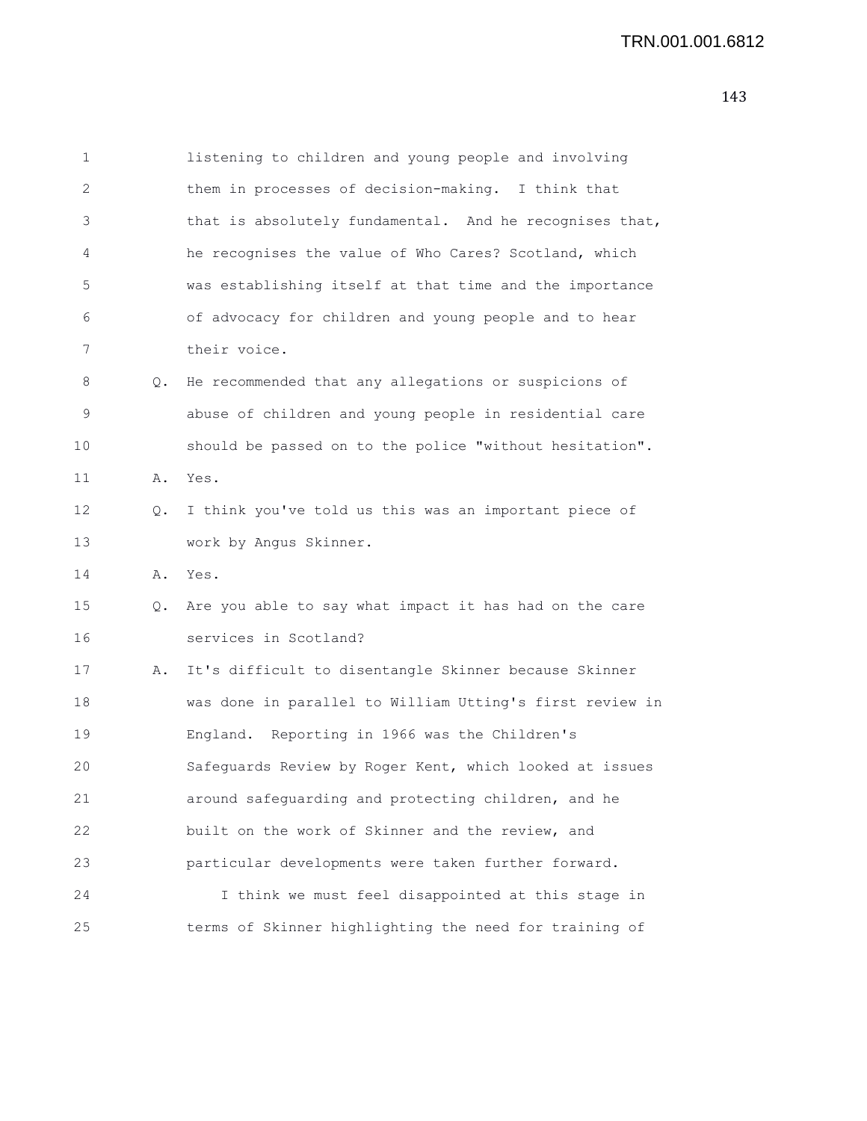1 listening to children and young people and involving 2 them in processes of decision-making. I think that 3 that is absolutely fundamental. And he recognises that, 4 he recognises the value of Who Cares? Scotland, which 5 was establishing itself at that time and the importance 6 of advocacy for children and young people and to hear 7 their voice. 8 Q. He recommended that any allegations or suspicions of 9 abuse of children and young people in residential care 10 should be passed on to the police "without hesitation". 11 A. Yes. 12 Q. I think you've told us this was an important piece of 13 work by Angus Skinner. 14 A. Yes. 15 Q. Are you able to say what impact it has had on the care 16 services in Scotland? 17 A. It's difficult to disentangle Skinner because Skinner 18 was done in parallel to William Utting's first review in 19 England. Reporting in 1966 was the Children's 20 Safeguards Review by Roger Kent, which looked at issues 21 around safeguarding and protecting children, and he 22 built on the work of Skinner and the review, and 23 particular developments were taken further forward. 24 I think we must feel disappointed at this stage in

25 terms of Skinner highlighting the need for training of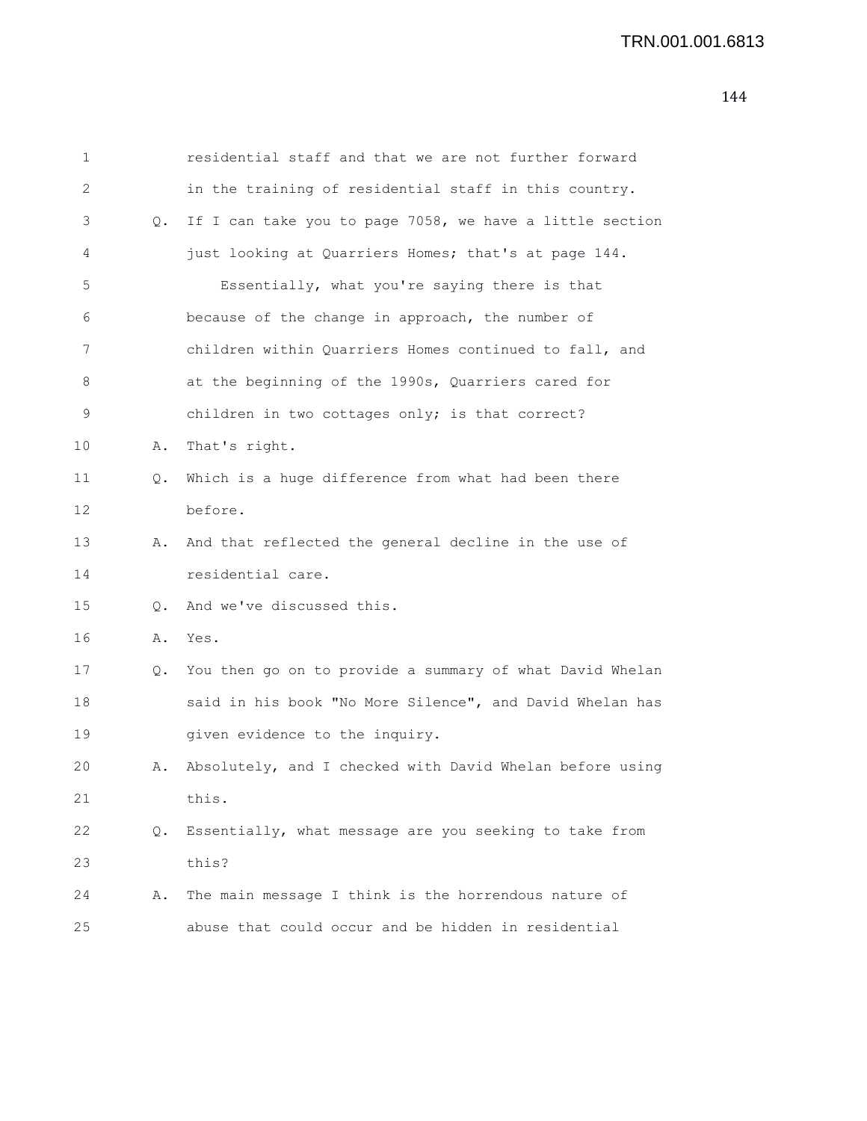| 1  |    | residential staff and that we are not further forward    |
|----|----|----------------------------------------------------------|
| 2  |    | in the training of residential staff in this country.    |
| 3  | Q. | If I can take you to page 7058, we have a little section |
| 4  |    | just looking at Quarriers Homes; that's at page 144.     |
| 5  |    | Essentially, what you're saying there is that            |
| 6  |    | because of the change in approach, the number of         |
| 7  |    | children within Quarriers Homes continued to fall, and   |
| 8  |    | at the beginning of the 1990s, Quarriers cared for       |
| 9  |    | children in two cottages only; is that correct?          |
| 10 | Α. | That's right.                                            |
| 11 | Q. | Which is a huge difference from what had been there      |
| 12 |    | before.                                                  |
| 13 | Α. | And that reflected the general decline in the use of     |
| 14 |    | residential care.                                        |
| 15 | 0. | And we've discussed this.                                |
| 16 | Α. | Yes.                                                     |
| 17 | Q. | You then go on to provide a summary of what David Whelan |
| 18 |    | said in his book "No More Silence", and David Whelan has |
| 19 |    | given evidence to the inquiry.                           |
| 20 | Α. | Absolutely, and I checked with David Whelan before using |
| 21 |    | this.                                                    |
| 22 | Q. | Essentially, what message are you seeking to take from   |
| 23 |    | this?                                                    |
| 24 | Α. | The main message I think is the horrendous nature of     |
| 25 |    | abuse that could occur and be hidden in residential      |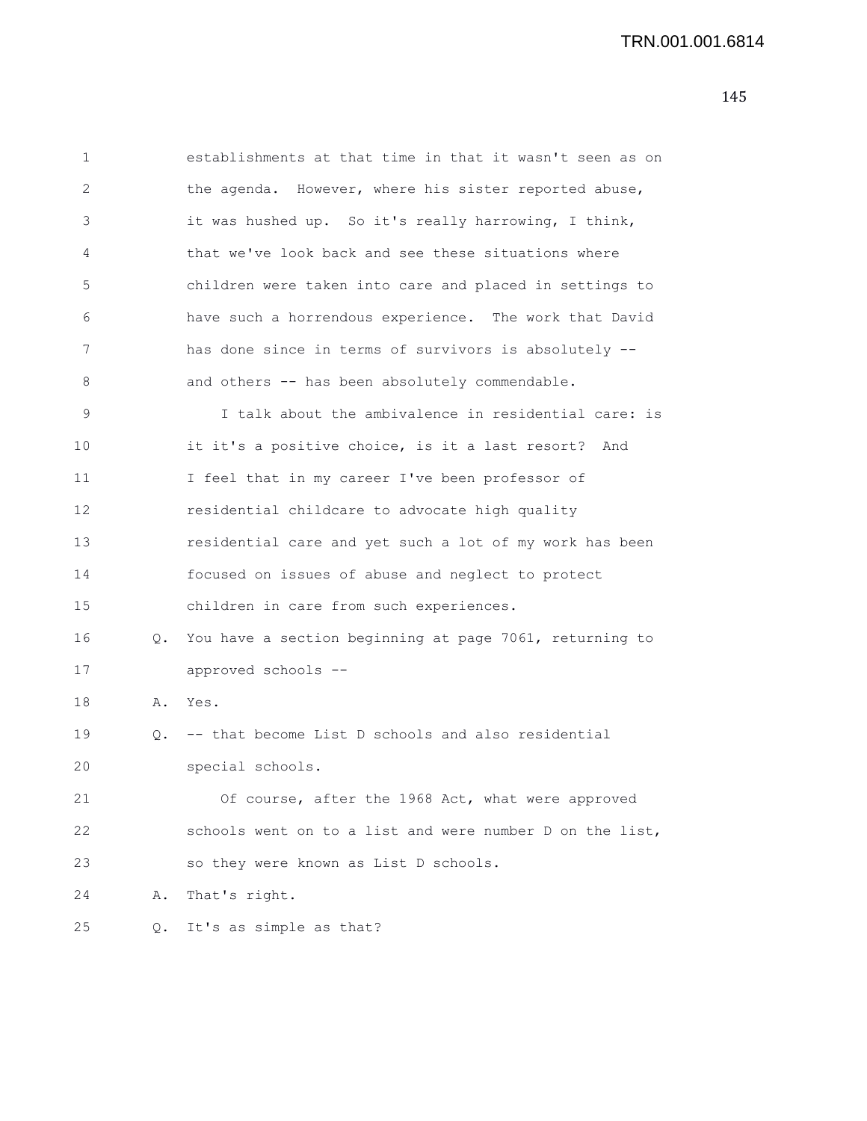| 1  |    | establishments at that time in that it wasn't seen as on |
|----|----|----------------------------------------------------------|
| 2  |    | the agenda. However, where his sister reported abuse,    |
| 3  |    | it was hushed up. So it's really harrowing, I think,     |
| 4  |    | that we've look back and see these situations where      |
| 5  |    | children were taken into care and placed in settings to  |
| 6  |    | have such a horrendous experience. The work that David   |
| 7  |    | has done since in terms of survivors is absolutely --    |
| 8  |    | and others -- has been absolutely commendable.           |
| 9  |    | I talk about the ambivalence in residential care: is     |
| 10 |    | it it's a positive choice, is it a last resort? And      |
| 11 |    | I feel that in my career I've been professor of          |
| 12 |    | residential childcare to advocate high quality           |
| 13 |    | residential care and yet such a lot of my work has been  |
| 14 |    | focused on issues of abuse and neglect to protect        |
| 15 |    | children in care from such experiences.                  |
| 16 | Q. | You have a section beginning at page 7061, returning to  |
| 17 |    | approved schools --                                      |
| 18 | Α. | Yes.                                                     |
| 19 |    | Q. -- that become List D schools and also residential    |
| 20 |    | special schools.                                         |
| 21 |    | Of course, after the 1968 Act, what were approved        |
| 22 |    | schools went on to a list and were number D on the list, |
| 23 |    | so they were known as List D schools.                    |
| 24 | Α. | That's right.                                            |
| 25 | Q. | It's as simple as that?                                  |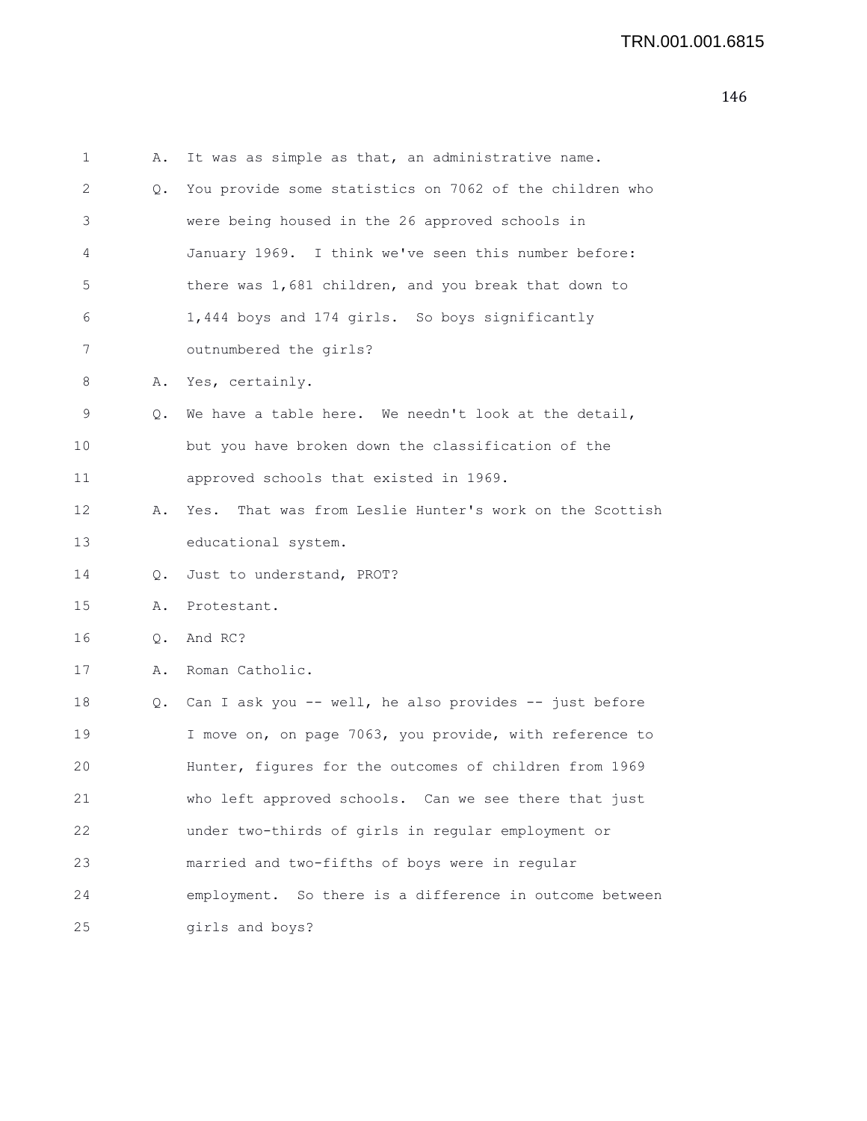```
1 A. It was as simple as that, an administrative name.
2 Q. You provide some statistics on 7062 of the children who
3 were being housed in the 26 approved schools in
4 January 1969. I think we've seen this number before:
5 there was 1,681 children, and you break that down to
6 1,444 boys and 174 girls. So boys significantly
7 outnumbered the girls?
8 A. Yes, certainly.
9 Q. We have a table here. We needn't look at the detail,
10 but you have broken down the classification of the
11 approved schools that existed in 1969.
12 A. Yes. That was from Leslie Hunter's work on the Scottish
13 educational system.
14 Q. Just to understand, PROT?
15 A. Protestant.
16 Q. And RC?
17 A. Roman Catholic.
18 Q. Can I ask you -- well, he also provides -- just before
19 I move on, on page 7063, you provide, with reference to
20 Hunter, figures for the outcomes of children from 1969
21 who left approved schools. Can we see there that just
22 under two-thirds of girls in regular employment or
23 married and two-fifths of boys were in regular
24 employment. So there is a difference in outcome between
25 girls and boys?
```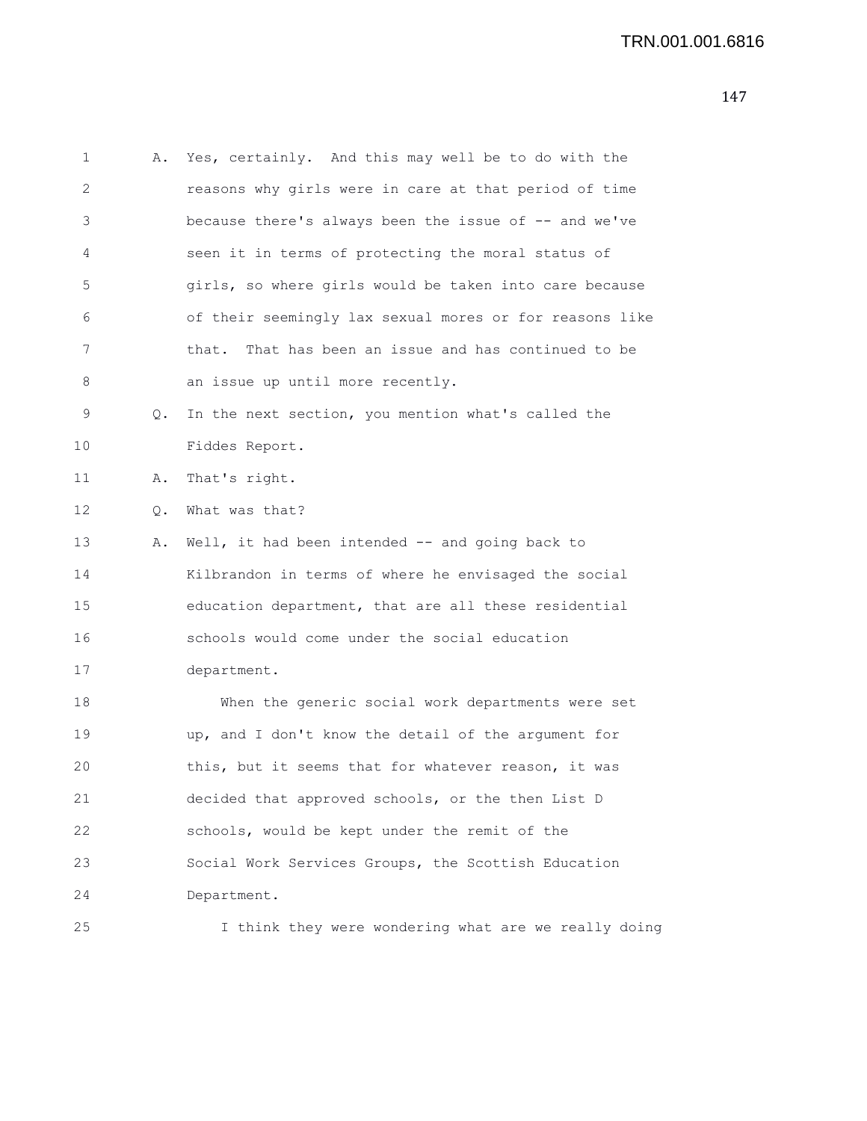| 1  | Α. | Yes, certainly. And this may well be to do with the     |
|----|----|---------------------------------------------------------|
| 2  |    | reasons why girls were in care at that period of time   |
| 3  |    | because there's always been the issue of -- and we've   |
| 4  |    | seen it in terms of protecting the moral status of      |
| 5  |    | girls, so where girls would be taken into care because  |
| 6  |    | of their seemingly lax sexual mores or for reasons like |
| 7  |    | That has been an issue and has continued to be<br>that. |
| 8  |    | an issue up until more recently.                        |
| 9  | Q. | In the next section, you mention what's called the      |
| 10 |    | Fiddes Report.                                          |
| 11 | Α. | That's right.                                           |
| 12 | Q. | What was that?                                          |
| 13 | Α. | Well, it had been intended -- and going back to         |
| 14 |    | Kilbrandon in terms of where he envisaged the social    |
| 15 |    | education department, that are all these residential    |
| 16 |    | schools would come under the social education           |
| 17 |    | department.                                             |
| 18 |    | When the generic social work departments were set       |
| 19 |    | up, and I don't know the detail of the argument for     |
| 20 |    | this, but it seems that for whatever reason, it was     |
| 21 |    | decided that approved schools, or the then List D       |
| 22 |    | schools, would be kept under the remit of the           |
| 23 |    | Social Work Services Groups, the Scottish Education     |
| 24 |    | Department.                                             |
| 25 |    | I think they were wondering what are we really doing    |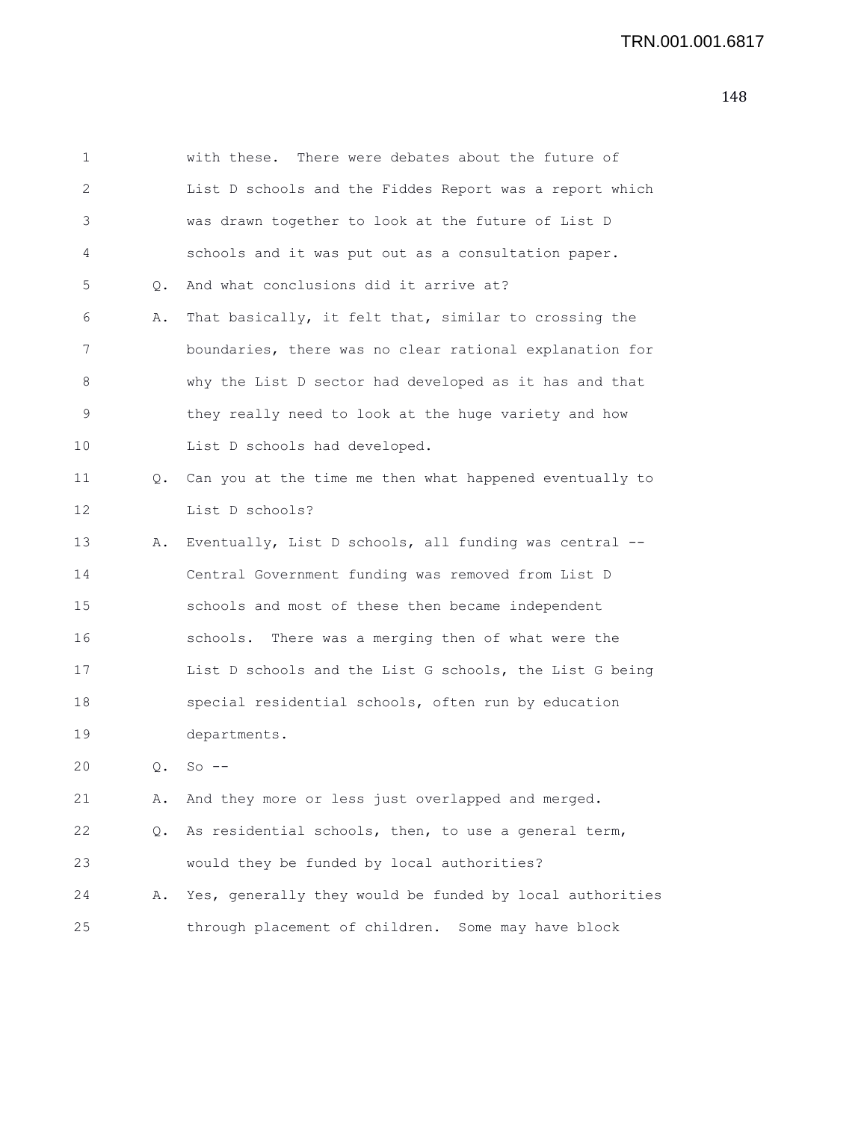| 1  |    | with these. There were debates about the future of       |
|----|----|----------------------------------------------------------|
| 2  |    | List D schools and the Fiddes Report was a report which  |
| 3  |    | was drawn together to look at the future of List D       |
| 4  |    | schools and it was put out as a consultation paper.      |
| 5  | Q. | And what conclusions did it arrive at?                   |
| 6  | Α. | That basically, it felt that, similar to crossing the    |
| 7  |    | boundaries, there was no clear rational explanation for  |
| 8  |    | why the List D sector had developed as it has and that   |
| 9  |    | they really need to look at the huge variety and how     |
| 10 |    | List D schools had developed.                            |
| 11 | Q. | Can you at the time me then what happened eventually to  |
| 12 |    | List D schools?                                          |
| 13 | Α. | Eventually, List D schools, all funding was central --   |
| 14 |    | Central Government funding was removed from List D       |
| 15 |    | schools and most of these then became independent        |
| 16 |    | schools. There was a merging then of what were the       |
| 17 |    | List D schools and the List G schools, the List G being  |
| 18 |    | special residential schools, often run by education      |
| 19 |    | departments.                                             |
| 20 | Q. | $So --$                                                  |
| 21 | Α. | And they more or less just overlapped and merged.        |
| 22 | Q. | As residential schools, then, to use a general term,     |
| 23 |    | would they be funded by local authorities?               |
| 24 | Α. | Yes, generally they would be funded by local authorities |
| 25 |    | through placement of children. Some may have block       |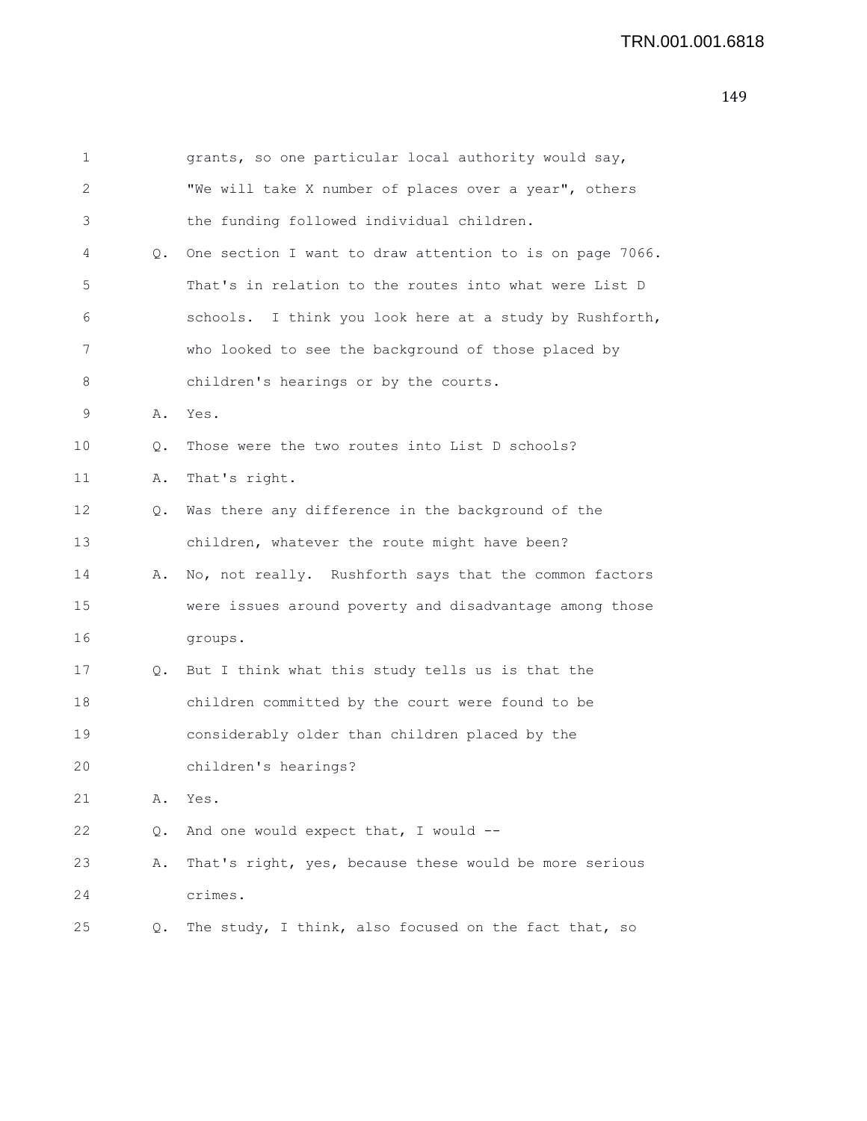| $\mathbf 1$  |       | grants, so one particular local authority would say,     |
|--------------|-------|----------------------------------------------------------|
| $\mathbf{2}$ |       | "We will take X number of places over a year", others    |
| 3            |       | the funding followed individual children.                |
| 4            | Q.    | One section I want to draw attention to is on page 7066. |
| 5            |       | That's in relation to the routes into what were List D   |
| 6            |       | schools. I think you look here at a study by Rushforth,  |
| 7            |       | who looked to see the background of those placed by      |
| 8            |       | children's hearings or by the courts.                    |
| 9            | Α.    | Yes.                                                     |
| 10           | $Q$ . | Those were the two routes into List D schools?           |
| 11           | Α.    | That's right.                                            |
| 12           | $Q$ . | Was there any difference in the background of the        |
| 13           |       | children, whatever the route might have been?            |
| 14           | Α.    | No, not really. Rushforth says that the common factors   |
| 15           |       | were issues around poverty and disadvantage among those  |
| 16           |       | groups.                                                  |
| 17           | Q.    | But I think what this study tells us is that the         |
| 18           |       | children committed by the court were found to be         |
| 19           |       | considerably older than children placed by the           |
| 20           |       | children's hearings?                                     |
| 21           | Α.    | Yes.                                                     |
| 22           | Q.    | And one would expect that, I would --                    |
| 23           | Α.    | That's right, yes, because these would be more serious   |
| 24           |       | crimes.                                                  |
| 25           | Q.    | The study, I think, also focused on the fact that, so    |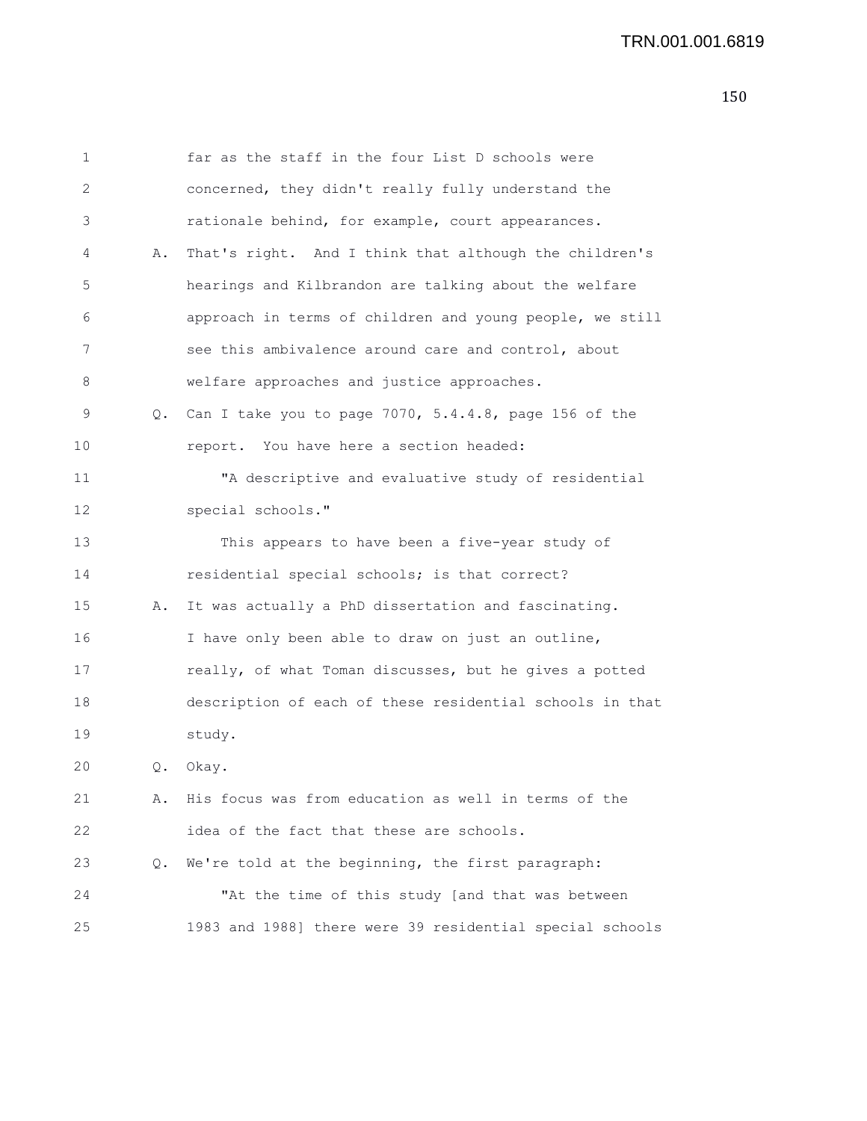| 1  |    | far as the staff in the four List D schools were         |
|----|----|----------------------------------------------------------|
| 2  |    | concerned, they didn't really fully understand the       |
| 3  |    | rationale behind, for example, court appearances.        |
| 4  | Α. | That's right. And I think that although the children's   |
| 5  |    | hearings and Kilbrandon are talking about the welfare    |
| 6  |    | approach in terms of children and young people, we still |
| 7  |    | see this ambivalence around care and control, about      |
| 8  |    | welfare approaches and justice approaches.               |
| 9  | Q. | Can I take you to page 7070, 5.4.4.8, page 156 of the    |
| 10 |    | report. You have here a section headed:                  |
| 11 |    | "A descriptive and evaluative study of residential       |
| 12 |    | special schools."                                        |
| 13 |    | This appears to have been a five-year study of           |
| 14 |    | residential special schools; is that correct?            |
| 15 | Α. | It was actually a PhD dissertation and fascinating.      |
| 16 |    | I have only been able to draw on just an outline,        |
| 17 |    | really, of what Toman discusses, but he gives a potted   |
| 18 |    | description of each of these residential schools in that |
| 19 |    | study.                                                   |
| 20 | Q. | Okay.                                                    |
| 21 | Α. | His focus was from education as well in terms of the     |
| 22 |    | idea of the fact that these are schools.                 |
| 23 | Q. | We're told at the beginning, the first paragraph:        |
| 24 |    | "At the time of this study [and that was between         |
| 25 |    | 1983 and 1988] there were 39 residential special schools |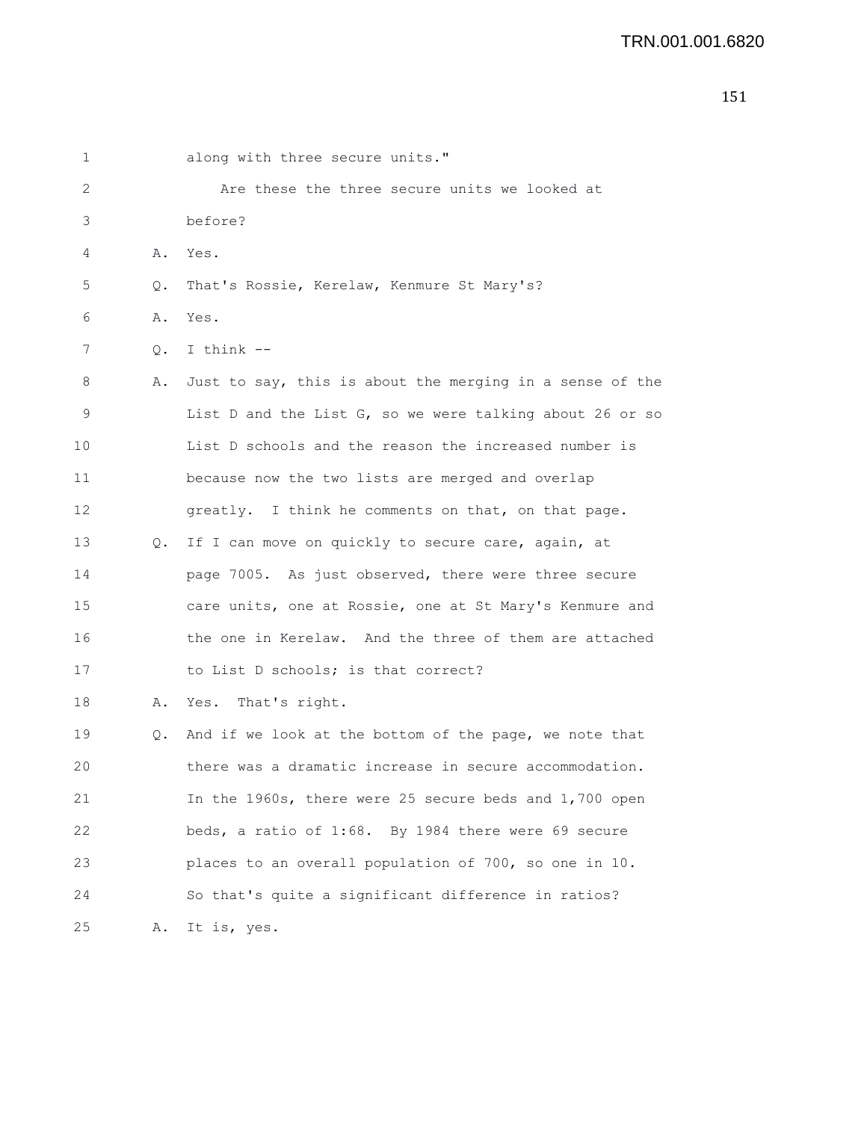| ×<br>۰. |  |
|---------|--|

| 1  |       | along with three secure units."                          |
|----|-------|----------------------------------------------------------|
| 2  |       | Are these the three secure units we looked at            |
| 3  |       | before?                                                  |
| 4  | Α.    | Yes.                                                     |
| 5  | Q.    | That's Rossie, Kerelaw, Kenmure St Mary's?               |
| 6  | Α.    | Yes.                                                     |
| 7  | Q.    | I think $-$                                              |
| 8  | Α.    | Just to say, this is about the merging in a sense of the |
| 9  |       | List D and the List G, so we were talking about 26 or so |
| 10 |       | List D schools and the reason the increased number is    |
| 11 |       | because now the two lists are merged and overlap         |
| 12 |       | greatly. I think he comments on that, on that page.      |
| 13 | $Q$ . | If I can move on quickly to secure care, again, at       |
| 14 |       | page 7005. As just observed, there were three secure     |
| 15 |       | care units, one at Rossie, one at St Mary's Kenmure and  |
| 16 |       | the one in Kerelaw. And the three of them are attached   |
| 17 |       | to List D schools; is that correct?                      |
| 18 | Α.    | Yes.<br>That's right.                                    |
| 19 | Q.    | And if we look at the bottom of the page, we note that   |
| 20 |       | there was a dramatic increase in secure accommodation.   |
| 21 |       | In the 1960s, there were 25 secure beds and 1,700 open   |
| 22 |       | beds, a ratio of 1:68. By 1984 there were 69 secure      |
| 23 |       | places to an overall population of 700, so one in 10.    |
| 24 |       | So that's quite a significant difference in ratios?      |
| 25 | Α.    | It is, yes.                                              |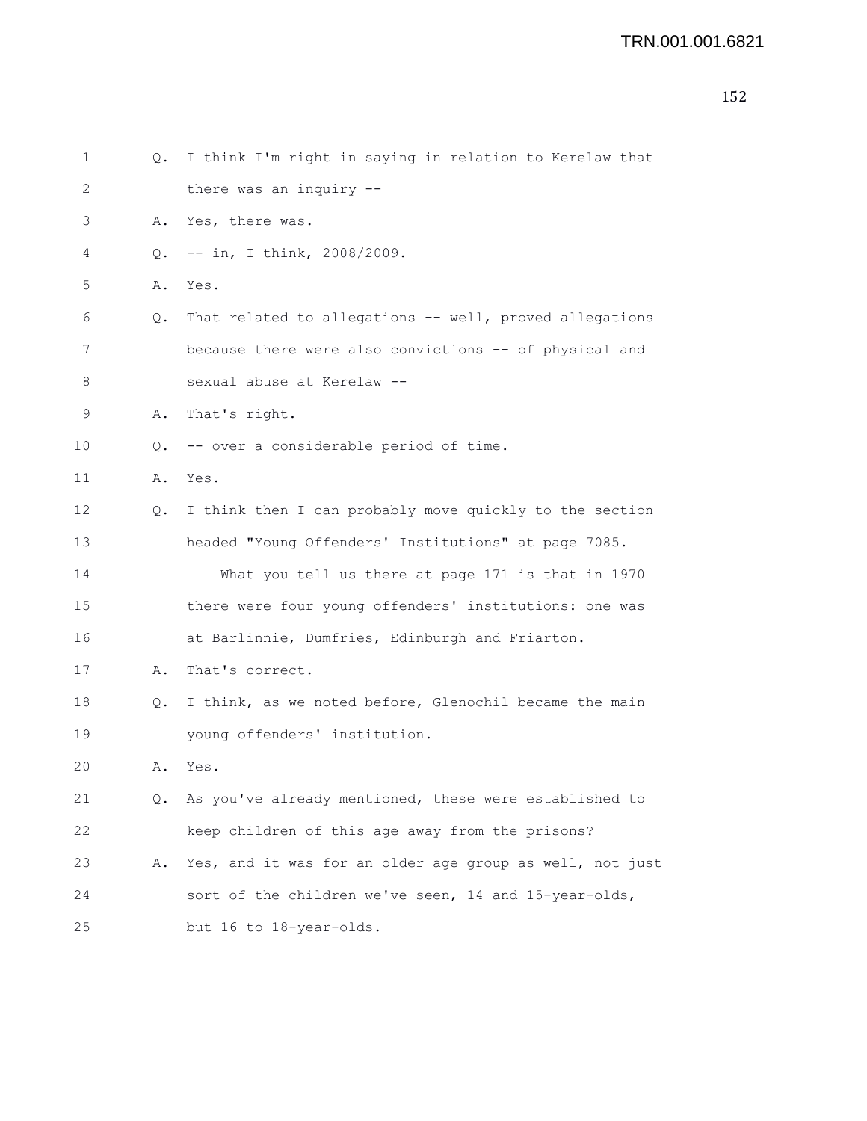| 1  | Q. | I think I'm right in saying in relation to Kerelaw that  |
|----|----|----------------------------------------------------------|
| 2  |    | there was an inquiry --                                  |
| 3  | Α. | Yes, there was.                                          |
| 4  | Q. | $--$ in, I think, 2008/2009.                             |
| 5  | Α. | Yes.                                                     |
| 6  | Q. | That related to allegations -- well, proved allegations  |
| 7  |    | because there were also convictions -- of physical and   |
| 8  |    | sexual abuse at Kerelaw --                               |
| 9  | Α. | That's right.                                            |
| 10 | Q. | -- over a considerable period of time.                   |
| 11 | Α. | Yes.                                                     |
| 12 | Q. | I think then I can probably move quickly to the section  |
| 13 |    | headed "Young Offenders' Institutions" at page 7085.     |
| 14 |    | What you tell us there at page 171 is that in 1970       |
| 15 |    | there were four young offenders' institutions: one was   |
| 16 |    | at Barlinnie, Dumfries, Edinburgh and Friarton.          |
| 17 | Α. | That's correct.                                          |
| 18 | Q. | I think, as we noted before, Glenochil became the main   |
| 19 |    | young offenders' institution.                            |
| 20 | Α. | Yes.                                                     |
| 21 | Q. | As you've already mentioned, these were established to   |
| 22 |    | keep children of this age away from the prisons?         |
| 23 | Α. | Yes, and it was for an older age group as well, not just |
| 24 |    | sort of the children we've seen, 14 and 15-year-olds,    |
| 25 |    | but 16 to 18-year-olds.                                  |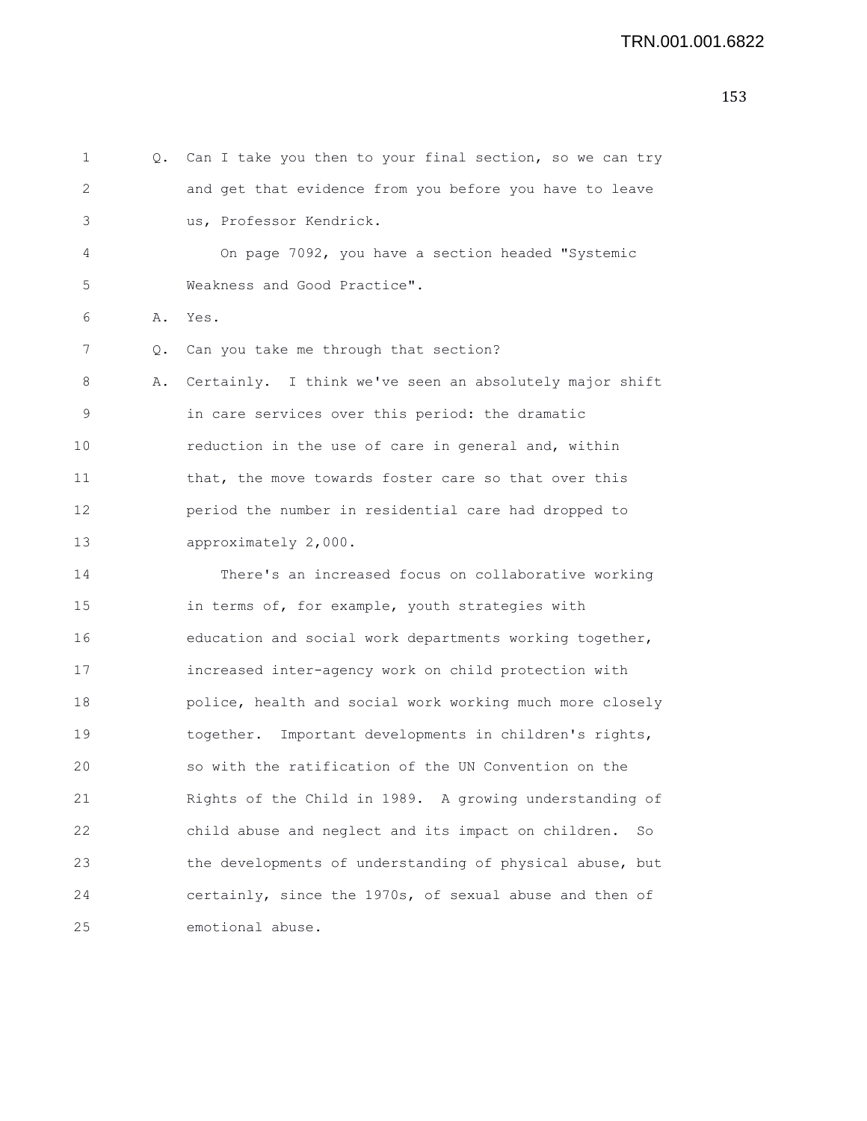```
1 Q. Can I take you then to your final section, so we can try
2 and get that evidence from you before you have to leave
3 us, Professor Kendrick.
4 On page 7092, you have a section headed "Systemic
5 Weakness and Good Practice".
6 A. Yes.
7 Q. Can you take me through that section?
8 A. Certainly. I think we've seen an absolutely major shift
9 in care services over this period: the dramatic
10 reduction in the use of care in general and, within
11 that, the move towards foster care so that over this
12 period the number in residential care had dropped to
13 approximately 2,000.
14 There's an increased focus on collaborative working
15 in terms of, for example, youth strategies with
16 education and social work departments working together,
17 increased inter-agency work on child protection with
18 police, health and social work working much more closely
19 together. Important developments in children's rights,
20 so with the ratification of the UN Convention on the
21 Rights of the Child in 1989. A growing understanding of
22 child abuse and neglect and its impact on children. So
23 the developments of understanding of physical abuse, but
24 certainly, since the 1970s, of sexual abuse and then of
25 emotional abuse.
```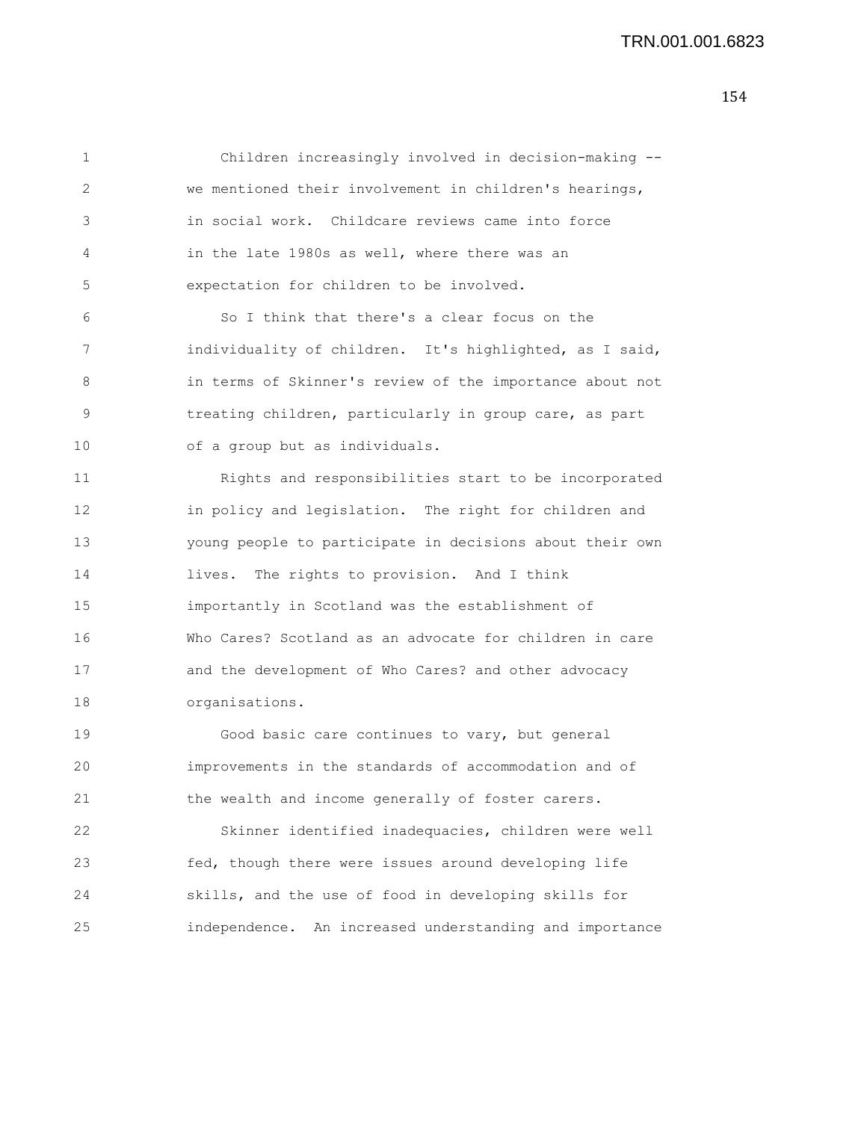1 Children increasingly involved in decision-making -- 2 we mentioned their involvement in children's hearings, 3 in social work. Childcare reviews came into force 4 in the late 1980s as well, where there was an 5 expectation for children to be involved.

6 So I think that there's a clear focus on the 7 individuality of children. It's highlighted, as I said, 8 in terms of Skinner's review of the importance about not 9 treating children, particularly in group care, as part 10 of a group but as individuals.

11 Rights and responsibilities start to be incorporated 12 in policy and legislation. The right for children and 13 young people to participate in decisions about their own 14 lives. The rights to provision. And I think 15 importantly in Scotland was the establishment of 16 Who Cares? Scotland as an advocate for children in care 17 and the development of Who Cares? and other advocacy 18 organisations.

19 Good basic care continues to vary, but general 20 improvements in the standards of accommodation and of 21 the wealth and income generally of foster carers.

22 Skinner identified inadequacies, children were well 23 fed, though there were issues around developing life 24 skills, and the use of food in developing skills for 25 independence. An increased understanding and importance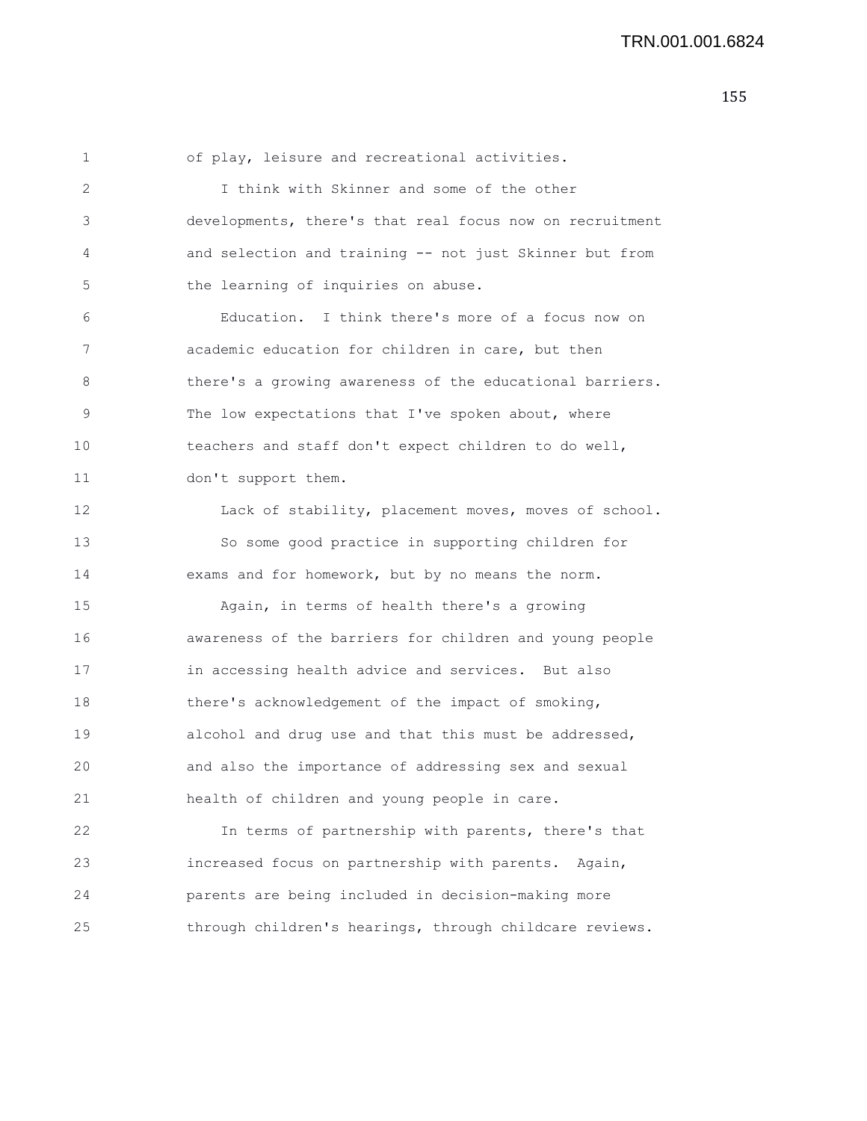1 of play, leisure and recreational activities. 2 I think with Skinner and some of the other 3 developments, there's that real focus now on recruitment 4 and selection and training -- not just Skinner but from 5 the learning of inquiries on abuse. 6 Education. I think there's more of a focus now on 7 academic education for children in care, but then 8 there's a growing awareness of the educational barriers. 9 The low expectations that I've spoken about, where 10 teachers and staff don't expect children to do well, 11 don't support them. 12 Lack of stability, placement moves, moves of school. 13 So some good practice in supporting children for 14 exams and for homework, but by no means the norm. 15 Again, in terms of health there's a growing 16 awareness of the barriers for children and young people 17 in accessing health advice and services. But also 18 there's acknowledgement of the impact of smoking, 19 alcohol and drug use and that this must be addressed, 20 and also the importance of addressing sex and sexual

21 health of children and young people in care. 22 In terms of partnership with parents, there's that 23 increased focus on partnership with parents. Again, 24 parents are being included in decision-making more

25 through children's hearings, through childcare reviews.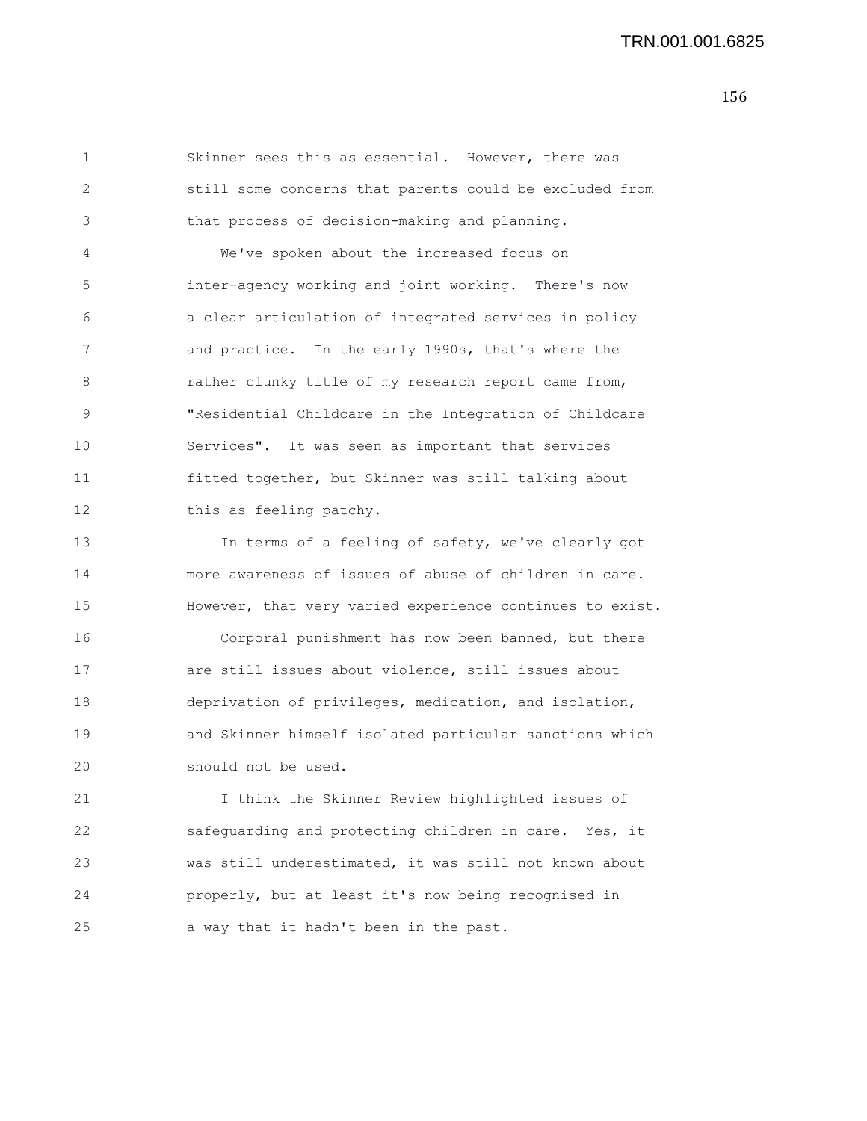1 Skinner sees this as essential. However, there was 2 still some concerns that parents could be excluded from 3 that process of decision-making and planning. 4 We've spoken about the increased focus on 5 inter-agency working and joint working. There's now 6 a clear articulation of integrated services in policy 7 and practice. In the early 1990s, that's where the 8 rather clunky title of my research report came from, 9 "Residential Childcare in the Integration of Childcare 10 Services". It was seen as important that services 11 fitted together, but Skinner was still talking about 12 this as feeling patchy.

13 In terms of a feeling of safety, we've clearly got 14 more awareness of issues of abuse of children in care. 15 However, that very varied experience continues to exist. 16 Corporal punishment has now been banned, but there 17 are still issues about violence, still issues about 18 deprivation of privileges, medication, and isolation, 19 and Skinner himself isolated particular sanctions which 20 should not be used.

21 I think the Skinner Review highlighted issues of 22 safeguarding and protecting children in care. Yes, it 23 was still underestimated, it was still not known about 24 properly, but at least it's now being recognised in 25 a way that it hadn't been in the past.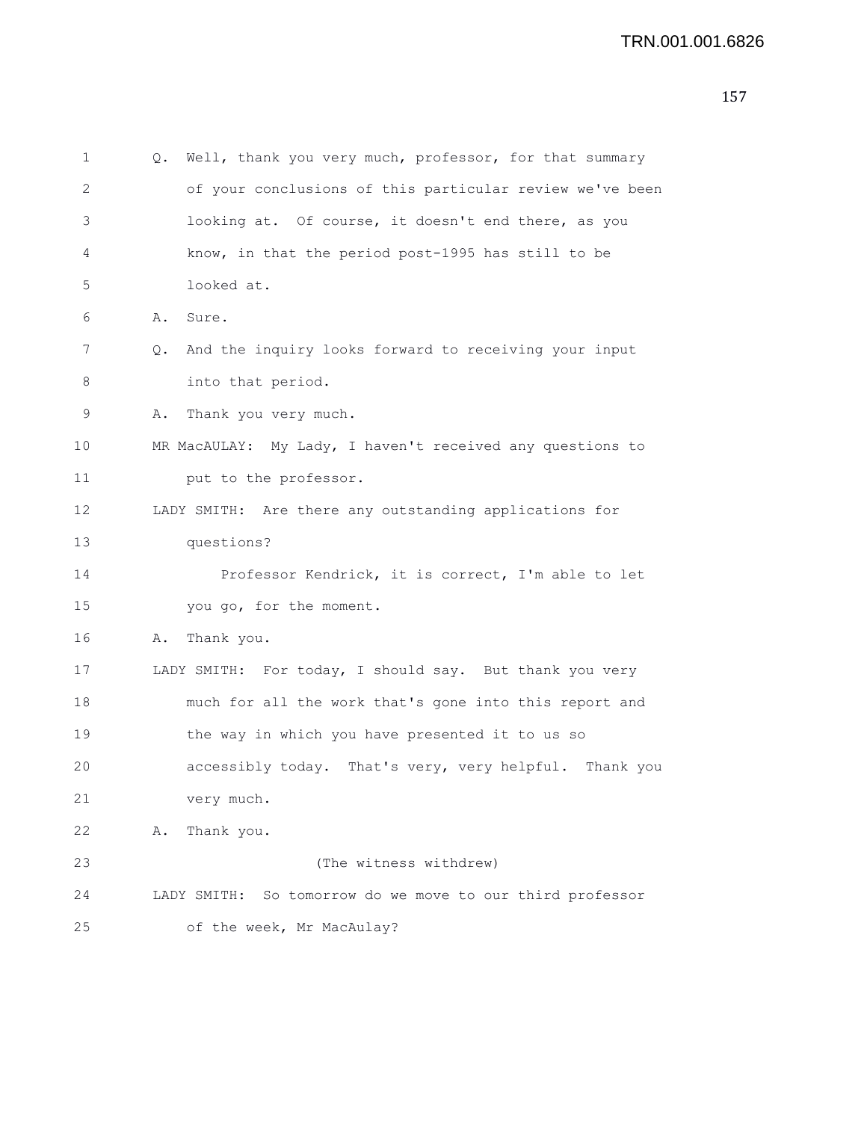| 1  | Q. | Well, thank you very much, professor, for that summary    |
|----|----|-----------------------------------------------------------|
| 2  |    | of your conclusions of this particular review we've been  |
| 3  |    | looking at. Of course, it doesn't end there, as you       |
| 4  |    | know, in that the period post-1995 has still to be        |
| 5  |    | looked at.                                                |
| 6  | Α. | Sure.                                                     |
| 7  | Q. | And the inquiry looks forward to receiving your input     |
| 8  |    | into that period.                                         |
| 9  | Α. | Thank you very much.                                      |
| 10 |    | MR MacAULAY: My Lady, I haven't received any questions to |
| 11 |    | put to the professor.                                     |
| 12 |    | LADY SMITH: Are there any outstanding applications for    |
| 13 |    | questions?                                                |
| 14 |    | Professor Kendrick, it is correct, I'm able to let        |
| 15 |    | you go, for the moment.                                   |
| 16 | Α. | Thank you.                                                |
| 17 |    | LADY SMITH: For today, I should say. But thank you very   |
| 18 |    | much for all the work that's gone into this report and    |
| 19 |    | the way in which you have presented it to us so           |
| 20 |    | accessibly today. That's very, very helpful. Thank you    |
| 21 |    | very much.                                                |
| 22 | Α. | Thank you.                                                |
| 23 |    | (The witness withdrew)                                    |
| 24 |    | LADY SMITH: So tomorrow do we move to our third professor |
| 25 |    | of the week, Mr MacAulay?                                 |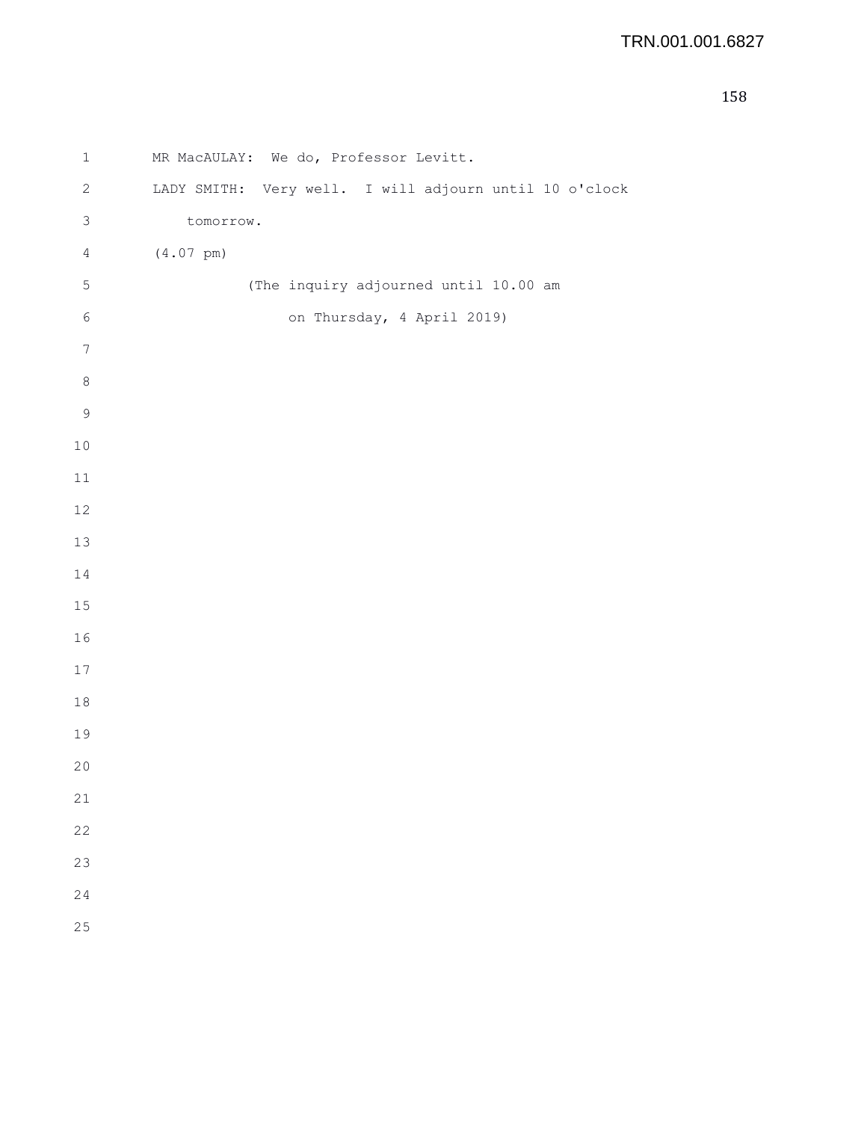```
1 MR MacAULAY: We do, Professor Levitt.
2 LADY SMITH: Very well. I will adjourn until 10 o'clock
3 tomorrow.
4 (4.07 pm)
5 (The inquiry adjourned until 10.00 am
6 on Thursday, 4 April 2019)
7
8
9
10
11
12
13
14
15
16
17
18
19
20
21
22
23
24
25
```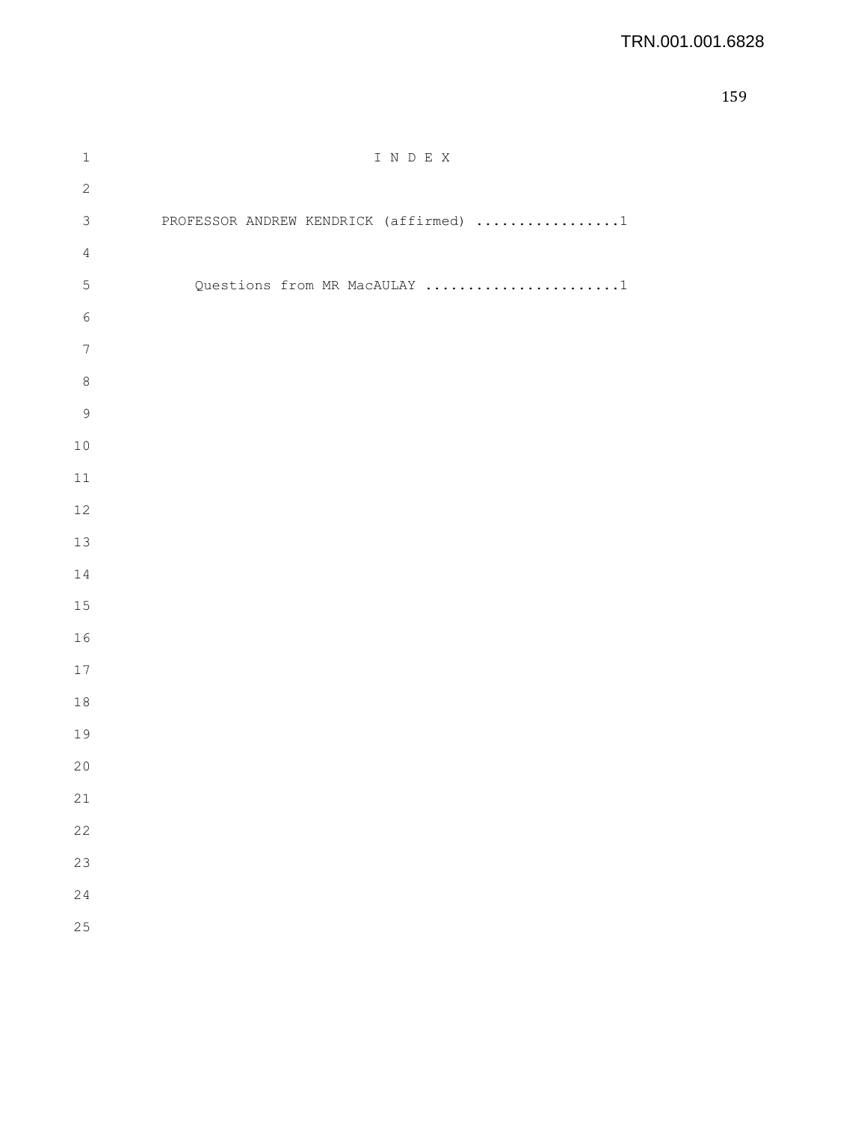## TRN.001.001.6828

| $\mathbbm{1}$    | I N D E X                              |
|------------------|----------------------------------------|
| $\sqrt{2}$       |                                        |
| $\mathfrak{Z}$   | PROFESSOR ANDREW KENDRICK (affirmed) 1 |
| $\overline{4}$   |                                        |
| $\mathsf S$      | Questions from MR MacAULAY 1           |
| $\epsilon$       |                                        |
| $\boldsymbol{7}$ |                                        |
| $\,8\,$          |                                        |
| $\mathsf 9$      |                                        |
| $10\,$           |                                        |
| $11\,$           |                                        |
| $12\,$           |                                        |
| $13$             |                                        |
| $1\,4$           |                                        |
| 15               |                                        |
| 16               |                                        |
| $17$             |                                        |
| $1\,8$           |                                        |
| 19               |                                        |
| 20               |                                        |
| 21               |                                        |
| 22               |                                        |
| 23               |                                        |
| 24               |                                        |
| 25               |                                        |